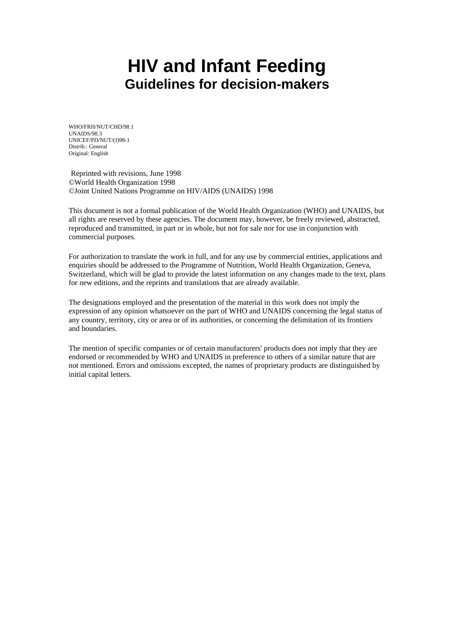# **HIV and Infant Feeding Guidelines for decision-makers**

WHO/FRH/NUT/CHD/98.1 UNAIDS/98.3 UNICEF/PD/NUT/(J)98-1 Distrib.: General Original: English

Reprinted with revisions, June 1998 ©World Health Organization 1998 ©Joint United Nations Programme on HIV/AIDS (UNAIDS) 1998

This document is not a formal publication of the World Health Organization (WHO) and UNAIDS, but all rights are reserved by these agencies. The document may, however, be freely reviewed, abstracted, reproduced and transmitted, in part or in whole, but not for sale nor for use in conjunction with commercial purposes.

For authorization to translate the work in full, and for any use by commercial entities, applications and enquiries should be addressed to the Programme of Nutrition, World Health Organization, Geneva, Switzerland, which will be glad to provide the latest information on any changes made to the text, plans for new editions, and the reprints and translations that are already available.

The designations employed and the presentation of the material in this work does not imply the expression of any opinion whatsoever on the part of WHO and UNAIDS concerning the legal status of any country, territory, city or area or of its authorities, or concerning the delimitation of its frontiers and boundaries.

The mention of specific companies or of certain manufacturers' products does not imply that they are endorsed or recommended by WHO and UNAIDS in preference to others of a similar nature that are not mentioned. Errors and omissions excepted, the names of proprietary products are distinguished by initial capital letters.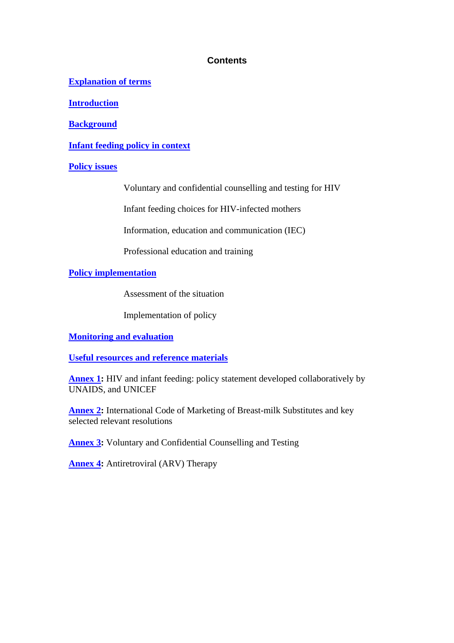### **Contents**

**Explanation of terms** 

**Introduction**

**Background**

**Infant feeding policy in context**

### **Policy issues**

Voluntary and confidential counselling and testing for HIV

Infant feeding choices for HIV-infected mothers

Information, education and communication (IEC)

Professional education and training

**Policy implementation**

Assessment of the situation

Implementation of policy

**Monitoring and evaluation**

**Useful resources and reference materials**

**Annex 1:** HIV and infant feeding: policy statement developed collaboratively by UNAIDS, and UNICEF

**Annex 2:** International Code of Marketing of Breast-milk Substitutes and key selected relevant resolutions

**Annex 3:** Voluntary and Confidential Counselling and Testing

**Annex 4:** Antiretroviral (ARV) Therapy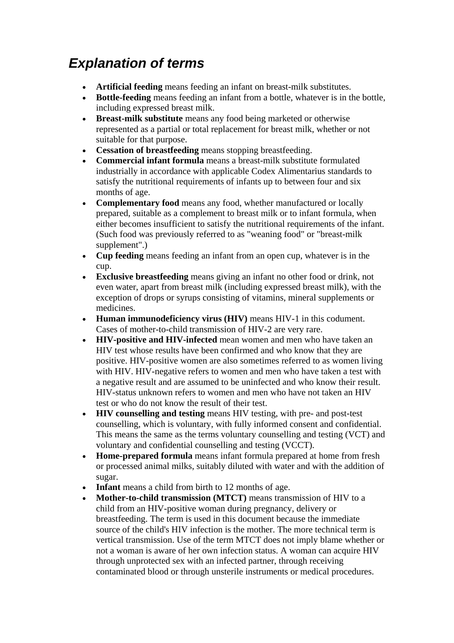# *Explanation of terms*

- **Artificial feeding** means feeding an infant on breast-milk substitutes.
- **Bottle-feeding** means feeding an infant from a bottle, whatever is in the bottle, including expressed breast milk.
- **Breast-milk substitute** means any food being marketed or otherwise represented as a partial or total replacement for breast milk, whether or not suitable for that purpose.
- **Cessation of breastfeeding** means stopping breastfeeding.
- **Commercial infant formula** means a breast-milk substitute formulated industrially in accordance with applicable Codex Alimentarius standards to satisfy the nutritional requirements of infants up to between four and six months of age.
- **Complementary food** means any food, whether manufactured or locally prepared, suitable as a complement to breast milk or to infant formula, when either becomes insufficient to satisfy the nutritional requirements of the infant. (Such food was previously referred to as "weaning food" or "breast-milk supplement".)
- **Cup feeding** means feeding an infant from an open cup, whatever is in the cup.
- **Exclusive breastfeeding** means giving an infant no other food or drink, not even water, apart from breast milk (including expressed breast milk), with the exception of drops or syrups consisting of vitamins, mineral supplements or medicines.
- **Human immunodeficiency virus (HIV)** means HIV-1 in this codument. Cases of mother-to-child transmission of HIV-2 are very rare.
- **HIV-positive and HIV-infected** mean women and men who have taken an HIV test whose results have been confirmed and who know that they are positive. HIV-positive women are also sometimes referred to as women living with HIV. HIV-negative refers to women and men who have taken a test with a negative result and are assumed to be uninfected and who know their result. HIV-status unknown refers to women and men who have not taken an HIV test or who do not know the result of their test.
- **HIV counselling and testing** means HIV testing, with pre- and post-test counselling, which is voluntary, with fully informed consent and confidential. This means the same as the terms voluntary counselling and testing (VCT) and voluntary and confidential counselling and testing (VCCT).
- **Home-prepared formula** means infant formula prepared at home from fresh or processed animal milks, suitably diluted with water and with the addition of sugar.
- **Infant** means a child from birth to 12 months of age.
- **Mother-to-child transmission (MTCT)** means transmission of HIV to a child from an HIV-positive woman during pregnancy, delivery or breastfeeding. The term is used in this document because the immediate source of the child's HIV infection is the mother. The more technical term is vertical transmission. Use of the term MTCT does not imply blame whether or not a woman is aware of her own infection status. A woman can acquire HIV through unprotected sex with an infected partner, through receiving contaminated blood or through unsterile instruments or medical procedures.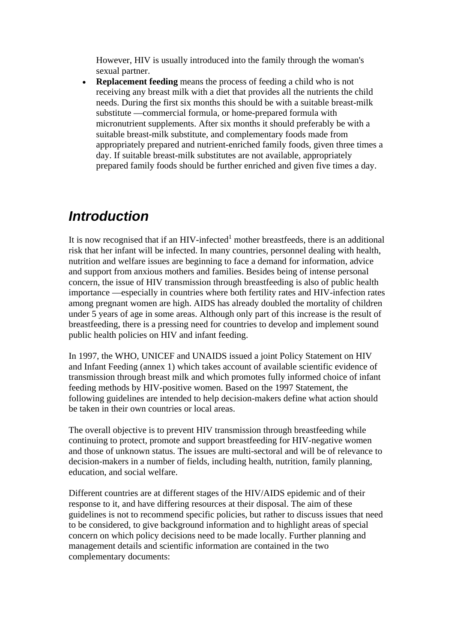However, HIV is usually introduced into the family through the woman's sexual partner.

• **Replacement feeding** means the process of feeding a child who is not receiving any breast milk with a diet that provides all the nutrients the child needs. During the first six months this should be with a suitable breast-milk substitute —commercial formula, or home-prepared formula with micronutrient supplements. After six months it should preferably be with a suitable breast-milk substitute, and complementary foods made from appropriately prepared and nutrient-enriched family foods, given three times a day. If suitable breast-milk substitutes are not available, appropriately prepared family foods should be further enriched and given five times a day.

# *Introduction*

It is now recognised that if an HIV-infected<sup>1</sup> mother breastfeeds, there is an additional risk that her infant will be infected. In many countries, personnel dealing with health, nutrition and welfare issues are beginning to face a demand for information, advice and support from anxious mothers and families. Besides being of intense personal concern, the issue of HIV transmission through breastfeeding is also of public health importance —especially in countries where both fertility rates and HIV-infection rates among pregnant women are high. AIDS has already doubled the mortality of children under 5 years of age in some areas. Although only part of this increase is the result of breastfeeding, there is a pressing need for countries to develop and implement sound public health policies on HIV and infant feeding.

In 1997, the WHO, UNICEF and UNAIDS issued a joint Policy Statement on HIV and Infant Feeding (annex 1) which takes account of available scientific evidence of transmission through breast milk and which promotes fully informed choice of infant feeding methods by HIV-positive women. Based on the 1997 Statement, the following guidelines are intended to help decision-makers define what action should be taken in their own countries or local areas.

The overall objective is to prevent HIV transmission through breastfeeding while continuing to protect, promote and support breastfeeding for HIV-negative women and those of unknown status. The issues are multi-sectoral and will be of relevance to decision-makers in a number of fields, including health, nutrition, family planning, education, and social welfare.

Different countries are at different stages of the HIV/AIDS epidemic and of their response to it, and have differing resources at their disposal. The aim of these guidelines is not to recommend specific policies, but rather to discuss issues that need to be considered, to give background information and to highlight areas of special concern on which policy decisions need to be made locally. Further planning and management details and scientific information are contained in the two complementary documents: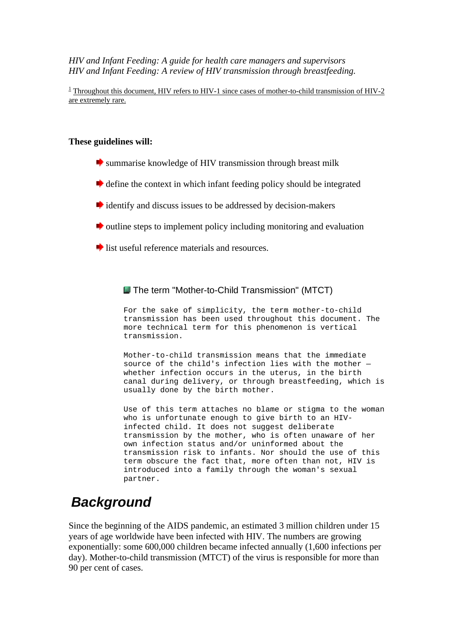*HIV and Infant Feeding: A guide for health care managers and supervisors HIV and Infant Feeding: A review of HIV transmission through breastfeeding.* 

 $\frac{1}{2}$  Throughout this document, HIV refers to HIV-1 since cases of mother-to-child transmission of HIV-2 are extremely rare.

#### **These guidelines will:**

- $\blacktriangleright$  summarise knowledge of HIV transmission through breast milk
- define the context in which infant feeding policy should be integrated
- $\blacktriangleright$  identify and discuss issues to be addressed by decision-makers
- $\blacktriangleright$  outline steps to implement policy including monitoring and evaluation
- $\blacktriangleright$  list useful reference materials and resources.

### **The term "Mother-to-Child Transmission" (MTCT)**

For the sake of simplicity, the term mother-to-child transmission has been used throughout this document. The more technical term for this phenomenon is vertical transmission.

Mother-to-child transmission means that the immediate source of the child's infection lies with the mother whether infection occurs in the uterus, in the birth canal during delivery, or through breastfeeding, which is usually done by the birth mother.

Use of this term attaches no blame or stigma to the woman who is unfortunate enough to give birth to an HIVinfected child. It does not suggest deliberate transmission by the mother, who is often unaware of her own infection status and/or uninformed about the transmission risk to infants. Nor should the use of this term obscure the fact that, more often than not, HIV is introduced into a family through the woman's sexual partner.

# *Background*

Since the beginning of the AIDS pandemic, an estimated 3 million children under 15 years of age worldwide have been infected with HIV. The numbers are growing exponentially: some 600,000 children became infected annually (1,600 infections per day). Mother-to-child transmission (MTCT) of the virus is responsible for more than 90 per cent of cases.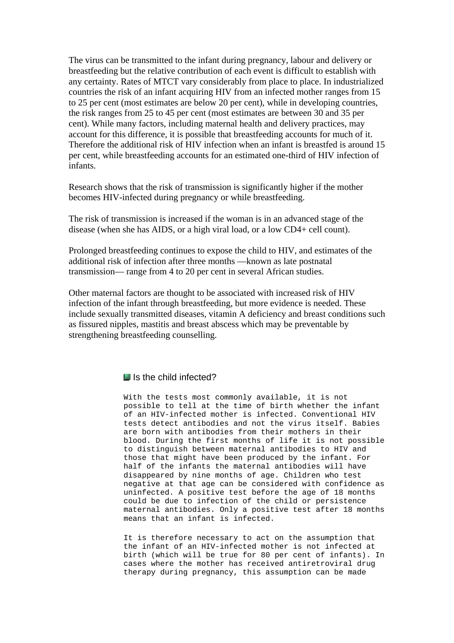The virus can be transmitted to the infant during pregnancy, labour and delivery or breastfeeding but the relative contribution of each event is difficult to establish with any certainty. Rates of MTCT vary considerably from place to place. In industrialized countries the risk of an infant acquiring HIV from an infected mother ranges from 15 to 25 per cent (most estimates are below 20 per cent), while in developing countries, the risk ranges from 25 to 45 per cent (most estimates are between 30 and 35 per cent). While many factors, including maternal health and delivery practices, may account for this difference, it is possible that breastfeeding accounts for much of it. Therefore the additional risk of HIV infection when an infant is breastfed is around 15 per cent, while breastfeeding accounts for an estimated one-third of HIV infection of infants.

Research shows that the risk of transmission is significantly higher if the mother becomes HIV-infected during pregnancy or while breastfeeding.

The risk of transmission is increased if the woman is in an advanced stage of the disease (when she has AIDS, or a high viral load, or a low CD4+ cell count).

Prolonged breastfeeding continues to expose the child to HIV, and estimates of the additional risk of infection after three months —known as late postnatal transmission— range from 4 to 20 per cent in several African studies.

Other maternal factors are thought to be associated with increased risk of HIV infection of the infant through breastfeeding, but more evidence is needed. These include sexually transmitted diseases, vitamin A deficiency and breast conditions such as fissured nipples, mastitis and breast abscess which may be preventable by strengthening breastfeeding counselling.

#### **I** Is the child infected?

With the tests most commonly available, it is not possible to tell at the time of birth whether the infant of an HIV-infected mother is infected. Conventional HIV tests detect antibodies and not the virus itself. Babies are born with antibodies from their mothers in their blood. During the first months of life it is not possible to distinguish between maternal antibodies to HIV and those that might have been produced by the infant. For half of the infants the maternal antibodies will have disappeared by nine months of age. Children who test negative at that age can be considered with confidence as uninfected. A positive test before the age of 18 months could be due to infection of the child or persistence maternal antibodies. Only a positive test after 18 months means that an infant is infected.

It is therefore necessary to act on the assumption that the infant of an HIV-infected mother is not infected at birth (which will be true for 80 per cent of infants). In cases where the mother has received antiretroviral drug therapy during pregnancy, this assumption can be made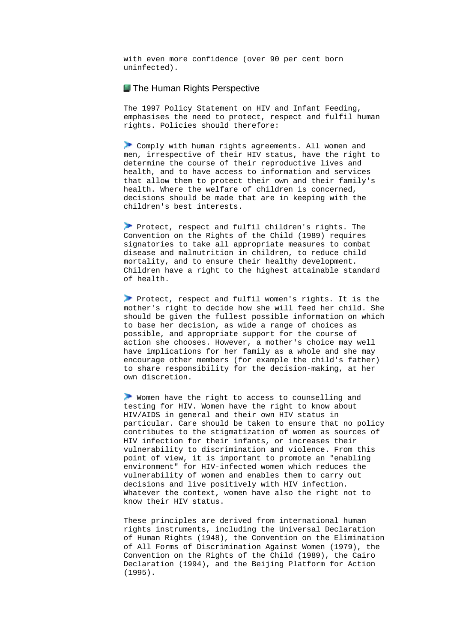with even more confidence (over 90 per cent born uninfected).

#### **The Human Rights Perspective**

The 1997 Policy Statement on HIV and Infant Feeding, emphasises the need to protect, respect and fulfil human rights. Policies should therefore:

 Comply with human rights agreements. All women and men, irrespective of their HIV status, have the right to determine the course of their reproductive lives and health, and to have access to information and services that allow them to protect their own and their family's health. Where the welfare of children is concerned, decisions should be made that are in keeping with the children's best interests.

 Protect, respect and fulfil children's rights. The Convention on the Rights of the Child (1989) requires signatories to take all appropriate measures to combat disease and malnutrition in children, to reduce child mortality, and to ensure their healthy development. Children have a right to the highest attainable standard of health.

 Protect, respect and fulfil women's rights. It is the mother's right to decide how she will feed her child. She should be given the fullest possible information on which to base her decision, as wide a range of choices as possible, and appropriate support for the course of action she chooses. However, a mother's choice may well have implications for her family as a whole and she may encourage other members (for example the child's father) to share responsibility for the decision-making, at her own discretion.

 Women have the right to access to counselling and testing for HIV. Women have the right to know about HIV/AIDS in general and their own HIV status in particular. Care should be taken to ensure that no policy contributes to the stigmatization of women as sources of HIV infection for their infants, or increases their vulnerability to discrimination and violence. From this point of view, it is important to promote an "enabling environment" for HIV-infected women which reduces the vulnerability of women and enables them to carry out decisions and live positively with HIV infection. Whatever the context, women have also the right not to know their HIV status.

These principles are derived from international human rights instruments, including the Universal Declaration of Human Rights (1948), the Convention on the Elimination of All Forms of Discrimination Against Women (1979), the Convention on the Rights of the Child (1989), the Cairo Declaration (1994), and the Beijing Platform for Action (1995).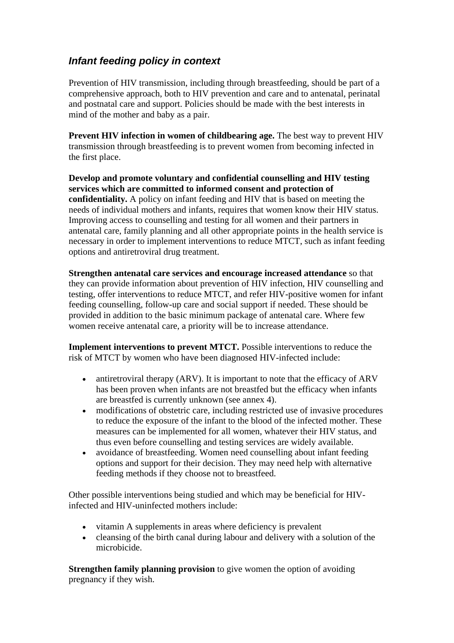# *Infant feeding policy in context*

Prevention of HIV transmission, including through breastfeeding, should be part of a comprehensive approach, both to HIV prevention and care and to antenatal, perinatal and postnatal care and support. Policies should be made with the best interests in mind of the mother and baby as a pair.

**Prevent HIV infection in women of childbearing age.** The best way to prevent HIV transmission through breastfeeding is to prevent women from becoming infected in the first place.

**Develop and promote voluntary and confidential counselling and HIV testing services which are committed to informed consent and protection of confidentiality.** A policy on infant feeding and HIV that is based on meeting the needs of individual mothers and infants, requires that women know their HIV status. Improving access to counselling and testing for all women and their partners in antenatal care, family planning and all other appropriate points in the health service is necessary in order to implement interventions to reduce MTCT, such as infant feeding options and antiretroviral drug treatment.

**Strengthen antenatal care services and encourage increased attendance** so that they can provide information about prevention of HIV infection, HIV counselling and testing, offer interventions to reduce MTCT, and refer HIV-positive women for infant feeding counselling, follow-up care and social support if needed. These should be provided in addition to the basic minimum package of antenatal care. Where few women receive antenatal care, a priority will be to increase attendance.

**Implement interventions to prevent MTCT.** Possible interventions to reduce the risk of MTCT by women who have been diagnosed HIV-infected include:

- antiretroviral therapy (ARV). It is important to note that the efficacy of ARV has been proven when infants are not breastfed but the efficacy when infants are breastfed is currently unknown (see annex 4).
- modifications of obstetric care, including restricted use of invasive procedures to reduce the exposure of the infant to the blood of the infected mother. These measures can be implemented for all women, whatever their HIV status, and thus even before counselling and testing services are widely available.
- avoidance of breastfeeding. Women need counselling about infant feeding options and support for their decision. They may need help with alternative feeding methods if they choose not to breastfeed.

Other possible interventions being studied and which may be beneficial for HIVinfected and HIV-uninfected mothers include:

- vitamin A supplements in areas where deficiency is prevalent
- cleansing of the birth canal during labour and delivery with a solution of the microbicide.

**Strengthen family planning provision** to give women the option of avoiding pregnancy if they wish.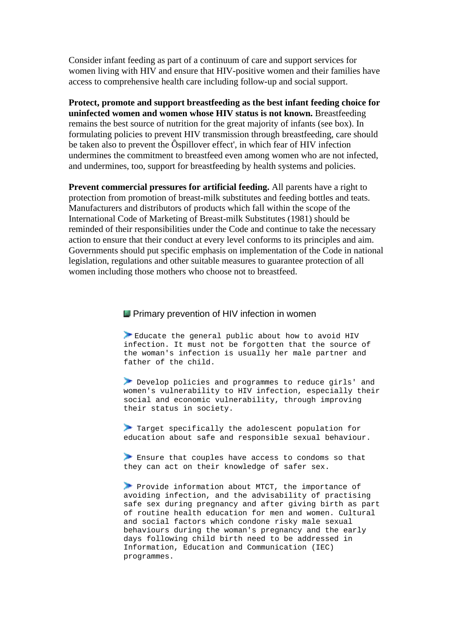Consider infant feeding as part of a continuum of care and support services for women living with HIV and ensure that HIV-positive women and their families have access to comprehensive health care including follow-up and social support.

**Protect, promote and support breastfeeding as the best infant feeding choice for uninfected women and women whose HIV status is not known.** Breastfeeding remains the best source of nutrition for the great majority of infants (see box). In formulating policies to prevent HIV transmission through breastfeeding, care should be taken also to prevent the Ôspillover effect', in which fear of HIV infection undermines the commitment to breastfeed even among women who are not infected, and undermines, too, support for breastfeeding by health systems and policies.

**Prevent commercial pressures for artificial feeding.** All parents have a right to protection from promotion of breast-milk substitutes and feeding bottles and teats. Manufacturers and distributors of products which fall within the scope of the International Code of Marketing of Breast-milk Substitutes (1981) should be reminded of their responsibilities under the Code and continue to take the necessary action to ensure that their conduct at every level conforms to its principles and aim. Governments should put specific emphasis on implementation of the Code in national legislation, regulations and other suitable measures to guarantee protection of all women including those mothers who choose not to breastfeed.

#### **Primary prevention of HIV infection in women**

Educate the general public about how to avoid HIV infection. It must not be forgotten that the source of the woman's infection is usually her male partner and father of the child.

 Develop policies and programmes to reduce girls' and women's vulnerability to HIV infection, especially their social and economic vulnerability, through improving their status in society.

 Target specifically the adolescent population for education about safe and responsible sexual behaviour.

 Ensure that couples have access to condoms so that they can act on their knowledge of safer sex.

Provide information about MTCT, the importance of avoiding infection, and the advisability of practising safe sex during pregnancy and after giving birth as part of routine health education for men and women. Cultural and social factors which condone risky male sexual behaviours during the woman's pregnancy and the early days following child birth need to be addressed in Information, Education and Communication (IEC) programmes.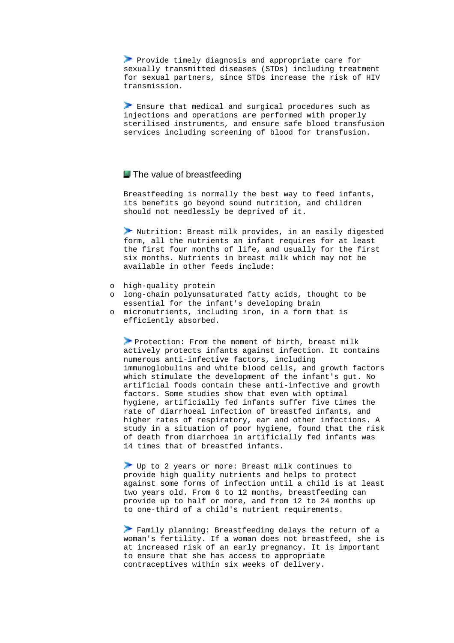Provide timely diagnosis and appropriate care for sexually transmitted diseases (STDs) including treatment for sexual partners, since STDs increase the risk of HIV transmission.

 Ensure that medical and surgical procedures such as injections and operations are performed with properly sterilised instruments, and ensure safe blood transfusion services including screening of blood for transfusion.

#### **The value of breastfeeding**

Breastfeeding is normally the best way to feed infants, its benefits go beyond sound nutrition, and children should not needlessly be deprived of it.

 Nutrition: Breast milk provides, in an easily digested form, all the nutrients an infant requires for at least the first four months of life, and usually for the first six months. Nutrients in breast milk which may not be available in other feeds include:

- o high-quality protein
- o long-chain polyunsaturated fatty acids, thought to be essential for the infant's developing brain
- o micronutrients, including iron, in a form that is efficiently absorbed.

Protection: From the moment of birth, breast milk actively protects infants against infection. It contains numerous anti-infective factors, including immunoglobulins and white blood cells, and growth factors which stimulate the development of the infant's gut. No artificial foods contain these anti-infective and growth factors. Some studies show that even with optimal hygiene, artificially fed infants suffer five times the rate of diarrhoeal infection of breastfed infants, and higher rates of respiratory, ear and other infections. A study in a situation of poor hygiene, found that the risk of death from diarrhoea in artificially fed infants was 14 times that of breastfed infants.

 Up to 2 years or more: Breast milk continues to provide high quality nutrients and helps to protect against some forms of infection until a child is at least two years old. From 6 to 12 months, breastfeeding can provide up to half or more, and from 12 to 24 months up to one-third of a child's nutrient requirements.

 Family planning: Breastfeeding delays the return of a woman's fertility. If a woman does not breastfeed, she is at increased risk of an early pregnancy. It is important to ensure that she has access to appropriate contraceptives within six weeks of delivery.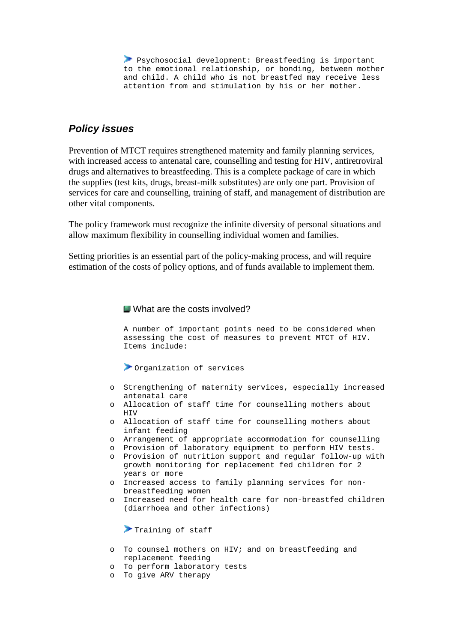Psychosocial development: Breastfeeding is important to the emotional relationship, or bonding, between mother and child. A child who is not breastfed may receive less attention from and stimulation by his or her mother.

# *Policy issues*

Prevention of MTCT requires strengthened maternity and family planning services, with increased access to antenatal care, counselling and testing for HIV, antiretroviral drugs and alternatives to breastfeeding. This is a complete package of care in which the supplies (test kits, drugs, breast-milk substitutes) are only one part. Provision of services for care and counselling, training of staff, and management of distribution are other vital components.

The policy framework must recognize the infinite diversity of personal situations and allow maximum flexibility in counselling individual women and families.

Setting priorities is an essential part of the policy-making process, and will require estimation of the costs of policy options, and of funds available to implement them.

#### **L** What are the costs involved?

A number of important points need to be considered when assessing the cost of measures to prevent MTCT of HIV. Items include:

Organization of services

- o Strengthening of maternity services, especially increased antenatal care
- o Allocation of staff time for counselling mothers about **HTV**
- o Allocation of staff time for counselling mothers about infant feeding
- o Arrangement of appropriate accommodation for counselling
- o Provision of laboratory equipment to perform HIV tests.
- o Provision of nutrition support and regular follow-up with growth monitoring for replacement fed children for 2 years or more
- o Increased access to family planning services for nonbreastfeeding women
- o Increased need for health care for non-breastfed children (diarrhoea and other infections)

Training of staff

- o To counsel mothers on HIV; and on breastfeeding and replacement feeding
- o To perform laboratory tests
- o To give ARV therapy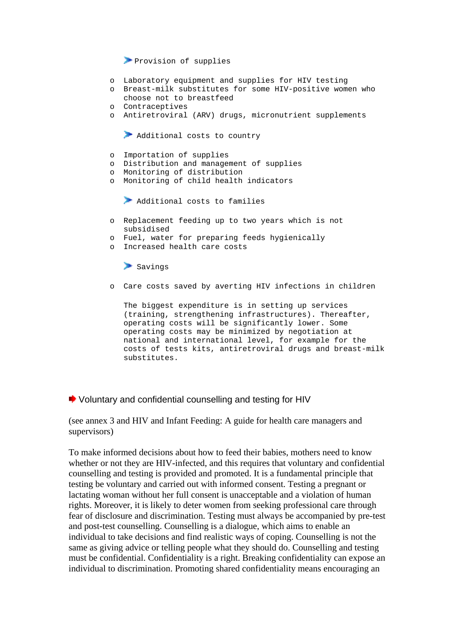Provision of supplies

- o Laboratory equipment and supplies for HIV testing
- o Breast-milk substitutes for some HIV-positive women who choose not to breastfeed
- o Contraceptives
- o Antiretroviral (ARV) drugs, micronutrient supplements

Additional costs to country

- o Importation of supplies
- o Distribution and management of supplies
- o Monitoring of distribution
- o Monitoring of child health indicators

Additional costs to families

- o Replacement feeding up to two years which is not subsidised
- o Fuel, water for preparing feeds hygienically
- o Increased health care costs

 $S$ avings

o Care costs saved by averting HIV infections in children

The biggest expenditure is in setting up services (training, strengthening infrastructures). Thereafter, operating costs will be significantly lower. Some operating costs may be minimized by negotiation at national and international level, for example for the costs of tests kits, antiretroviral drugs and breast-milk substitutes.

Voluntary and confidential counselling and testing for HIV

(see annex 3 and HIV and Infant Feeding: A guide for health care managers and supervisors)

To make informed decisions about how to feed their babies, mothers need to know whether or not they are HIV-infected, and this requires that voluntary and confidential counselling and testing is provided and promoted. It is a fundamental principle that testing be voluntary and carried out with informed consent. Testing a pregnant or lactating woman without her full consent is unacceptable and a violation of human rights. Moreover, it is likely to deter women from seeking professional care through fear of disclosure and discrimination. Testing must always be accompanied by pre-test and post-test counselling. Counselling is a dialogue, which aims to enable an individual to take decisions and find realistic ways of coping. Counselling is not the same as giving advice or telling people what they should do. Counselling and testing must be confidential. Confidentiality is a right. Breaking confidentiality can expose an individual to discrimination. Promoting shared confidentiality means encouraging an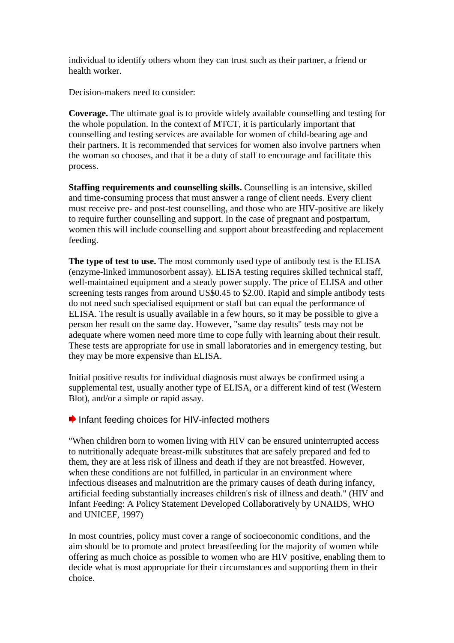individual to identify others whom they can trust such as their partner, a friend or health worker.

Decision-makers need to consider:

**Coverage.** The ultimate goal is to provide widely available counselling and testing for the whole population. In the context of MTCT, it is particularly important that counselling and testing services are available for women of child-bearing age and their partners. It is recommended that services for women also involve partners when the woman so chooses, and that it be a duty of staff to encourage and facilitate this process.

**Staffing requirements and counselling skills.** Counselling is an intensive, skilled and time-consuming process that must answer a range of client needs. Every client must receive pre- and post-test counselling, and those who are HIV-positive are likely to require further counselling and support. In the case of pregnant and postpartum, women this will include counselling and support about breastfeeding and replacement feeding.

**The type of test to use.** The most commonly used type of antibody test is the ELISA (enzyme-linked immunosorbent assay). ELISA testing requires skilled technical staff, well-maintained equipment and a steady power supply. The price of ELISA and other screening tests ranges from around US\$0.45 to \$2.00. Rapid and simple antibody tests do not need such specialised equipment or staff but can equal the performance of ELISA. The result is usually available in a few hours, so it may be possible to give a person her result on the same day. However, "same day results" tests may not be adequate where women need more time to cope fully with learning about their result. These tests are appropriate for use in small laboratories and in emergency testing, but they may be more expensive than ELISA.

Initial positive results for individual diagnosis must always be confirmed using a supplemental test, usually another type of ELISA, or a different kind of test (Western Blot), and/or a simple or rapid assay.

# $\blacktriangleright$  Infant feeding choices for HIV-infected mothers

"When children born to women living with HIV can be ensured uninterrupted access to nutritionally adequate breast-milk substitutes that are safely prepared and fed to them, they are at less risk of illness and death if they are not breastfed. However, when these conditions are not fulfilled, in particular in an environment where infectious diseases and malnutrition are the primary causes of death during infancy, artificial feeding substantially increases children's risk of illness and death." (HIV and Infant Feeding: A Policy Statement Developed Collaboratively by UNAIDS, WHO and UNICEF, 1997)

In most countries, policy must cover a range of socioeconomic conditions, and the aim should be to promote and protect breastfeeding for the majority of women while offering as much choice as possible to women who are HIV positive, enabling them to decide what is most appropriate for their circumstances and supporting them in their choice.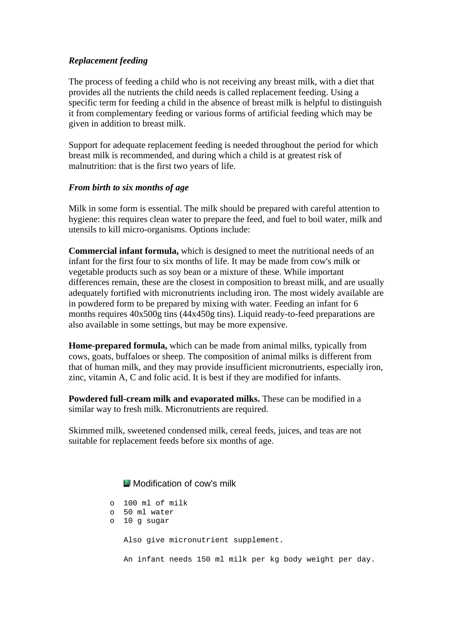### *Replacement feeding*

The process of feeding a child who is not receiving any breast milk, with a diet that provides all the nutrients the child needs is called replacement feeding. Using a specific term for feeding a child in the absence of breast milk is helpful to distinguish it from complementary feeding or various forms of artificial feeding which may be given in addition to breast milk.

Support for adequate replacement feeding is needed throughout the period for which breast milk is recommended, and during which a child is at greatest risk of malnutrition: that is the first two years of life.

### *From birth to six months of age*

Milk in some form is essential. The milk should be prepared with careful attention to hygiene: this requires clean water to prepare the feed, and fuel to boil water, milk and utensils to kill micro-organisms. Options include:

**Commercial infant formula,** which is designed to meet the nutritional needs of an infant for the first four to six months of life. It may be made from cow's milk or vegetable products such as soy bean or a mixture of these. While important differences remain, these are the closest in composition to breast milk, and are usually adequately fortified with micronutrients including iron. The most widely available are in powdered form to be prepared by mixing with water. Feeding an infant for 6 months requires 40x500g tins (44x450g tins). Liquid ready-to-feed preparations are also available in some settings, but may be more expensive.

**Home-prepared formula,** which can be made from animal milks, typically from cows, goats, buffaloes or sheep. The composition of animal milks is different from that of human milk, and they may provide insufficient micronutrients, especially iron, zinc, vitamin A, C and folic acid. It is best if they are modified for infants.

**Powdered full-cream milk and evaporated milks.** These can be modified in a similar way to fresh milk. Micronutrients are required.

Skimmed milk, sweetened condensed milk, cereal feeds, juices, and teas are not suitable for replacement feeds before six months of age.

**Modification of cow's milk** 

o 100 ml of milk o 50 ml water o 10 g sugar Also give micronutrient supplement. An infant needs 150 ml milk per kg body weight per day.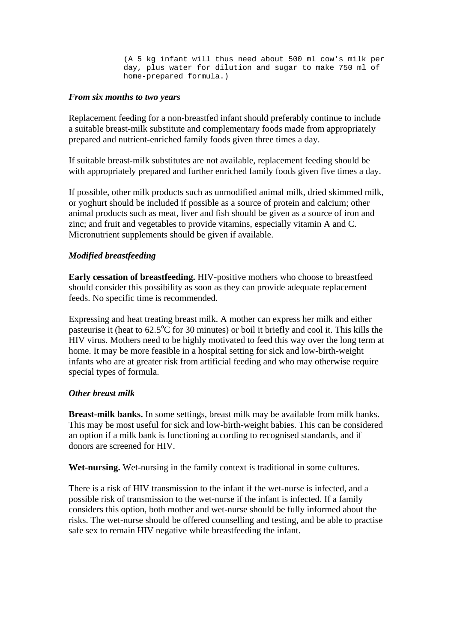(A 5 kg infant will thus need about 500 ml cow's milk per day, plus water for dilution and sugar to make 750 ml of home-prepared formula.)

### *From six months to two years*

Replacement feeding for a non-breastfed infant should preferably continue to include a suitable breast-milk substitute and complementary foods made from appropriately prepared and nutrient-enriched family foods given three times a day.

If suitable breast-milk substitutes are not available, replacement feeding should be with appropriately prepared and further enriched family foods given five times a day.

If possible, other milk products such as unmodified animal milk, dried skimmed milk, or yoghurt should be included if possible as a source of protein and calcium; other animal products such as meat, liver and fish should be given as a source of iron and zinc; and fruit and vegetables to provide vitamins, especially vitamin A and C. Micronutrient supplements should be given if available.

# *Modified breastfeeding*

**Early cessation of breastfeeding.** HIV-positive mothers who choose to breastfeed should consider this possibility as soon as they can provide adequate replacement feeds. No specific time is recommended.

Expressing and heat treating breast milk. A mother can express her milk and either pasteurise it (heat to  $62.5^{\circ}$ C for 30 minutes) or boil it briefly and cool it. This kills the HIV virus. Mothers need to be highly motivated to feed this way over the long term at home. It may be more feasible in a hospital setting for sick and low-birth-weight infants who are at greater risk from artificial feeding and who may otherwise require special types of formula.

# *Other breast milk*

**Breast-milk banks.** In some settings, breast milk may be available from milk banks. This may be most useful for sick and low-birth-weight babies. This can be considered an option if a milk bank is functioning according to recognised standards, and if donors are screened for HIV.

**Wet-nursing.** Wet-nursing in the family context is traditional in some cultures.

There is a risk of HIV transmission to the infant if the wet-nurse is infected, and a possible risk of transmission to the wet-nurse if the infant is infected. If a family considers this option, both mother and wet-nurse should be fully informed about the risks. The wet-nurse should be offered counselling and testing, and be able to practise safe sex to remain HIV negative while breastfeeding the infant.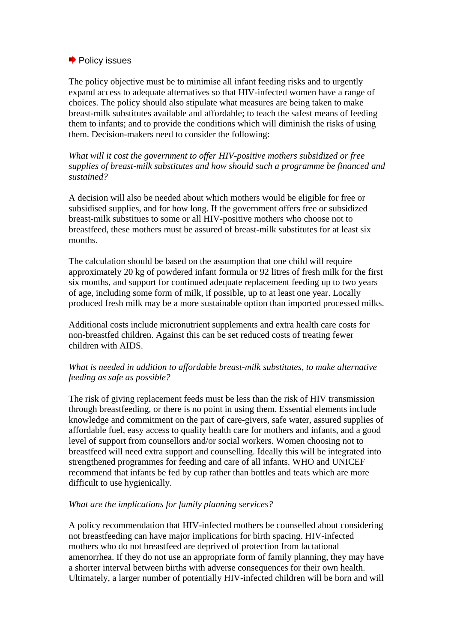### **▶ Policy issues**

The policy objective must be to minimise all infant feeding risks and to urgently expand access to adequate alternatives so that HIV-infected women have a range of choices. The policy should also stipulate what measures are being taken to make breast-milk substitutes available and affordable; to teach the safest means of feeding them to infants; and to provide the conditions which will diminish the risks of using them. Decision-makers need to consider the following:

*What will it cost the government to offer HIV-positive mothers subsidized or free supplies of breast-milk substitutes and how should such a programme be financed and sustained?* 

A decision will also be needed about which mothers would be eligible for free or subsidised supplies, and for how long. If the government offers free or subsidized breast-milk substitues to some or all HIV-positive mothers who choose not to breastfeed, these mothers must be assured of breast-milk substitutes for at least six months.

The calculation should be based on the assumption that one child will require approximately 20 kg of powdered infant formula or 92 litres of fresh milk for the first six months, and support for continued adequate replacement feeding up to two years of age, including some form of milk, if possible, up to at least one year. Locally produced fresh milk may be a more sustainable option than imported processed milks.

Additional costs include micronutrient supplements and extra health care costs for non-breastfed children. Against this can be set reduced costs of treating fewer children with AIDS.

# *What is needed in addition to affordable breast-milk substitutes, to make alternative feeding as safe as possible?*

The risk of giving replacement feeds must be less than the risk of HIV transmission through breastfeeding, or there is no point in using them. Essential elements include knowledge and commitment on the part of care-givers, safe water, assured supplies of affordable fuel, easy access to quality health care for mothers and infants, and a good level of support from counsellors and/or social workers. Women choosing not to breastfeed will need extra support and counselling. Ideally this will be integrated into strengthened programmes for feeding and care of all infants. WHO and UNICEF recommend that infants be fed by cup rather than bottles and teats which are more difficult to use hygienically.

### *What are the implications for family planning services?*

A policy recommendation that HIV-infected mothers be counselled about considering not breastfeeding can have major implications for birth spacing. HIV-infected mothers who do not breastfeed are deprived of protection from lactational amenorrhea. If they do not use an appropriate form of family planning, they may have a shorter interval between births with adverse consequences for their own health. Ultimately, a larger number of potentially HIV-infected children will be born and will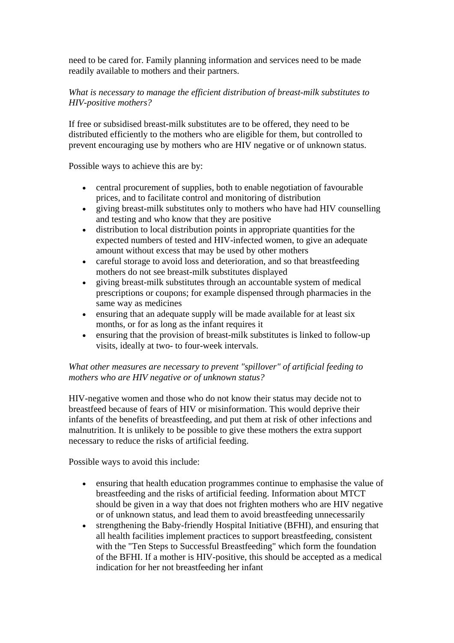need to be cared for. Family planning information and services need to be made readily available to mothers and their partners.

# *What is necessary to manage the efficient distribution of breast-milk substitutes to HIV-positive mothers?*

If free or subsidised breast-milk substitutes are to be offered, they need to be distributed efficiently to the mothers who are eligible for them, but controlled to prevent encouraging use by mothers who are HIV negative or of unknown status.

Possible ways to achieve this are by:

- central procurement of supplies, both to enable negotiation of favourable prices, and to facilitate control and monitoring of distribution
- giving breast-milk substitutes only to mothers who have had HIV counselling and testing and who know that they are positive
- distribution to local distribution points in appropriate quantities for the expected numbers of tested and HIV-infected women, to give an adequate amount without excess that may be used by other mothers
- careful storage to avoid loss and deterioration, and so that breastfeeding mothers do not see breast-milk substitutes displayed
- giving breast-milk substitutes through an accountable system of medical prescriptions or coupons; for example dispensed through pharmacies in the same way as medicines
- ensuring that an adequate supply will be made available for at least six months, or for as long as the infant requires it
- ensuring that the provision of breast-milk substitutes is linked to follow-up visits, ideally at two- to four-week intervals.

# *What other measures are necessary to prevent "spillover" of artificial feeding to mothers who are HIV negative or of unknown status?*

HIV-negative women and those who do not know their status may decide not to breastfeed because of fears of HIV or misinformation. This would deprive their infants of the benefits of breastfeeding, and put them at risk of other infections and malnutrition. It is unlikely to be possible to give these mothers the extra support necessary to reduce the risks of artificial feeding.

Possible ways to avoid this include:

- ensuring that health education programmes continue to emphasise the value of breastfeeding and the risks of artificial feeding. Information about MTCT should be given in a way that does not frighten mothers who are HIV negative or of unknown status, and lead them to avoid breastfeeding unnecessarily
- strengthening the Baby-friendly Hospital Initiative (BFHI), and ensuring that all health facilities implement practices to support breastfeeding, consistent with the "Ten Steps to Successful Breastfeeding" which form the foundation of the BFHI. If a mother is HIV-positive, this should be accepted as a medical indication for her not breastfeeding her infant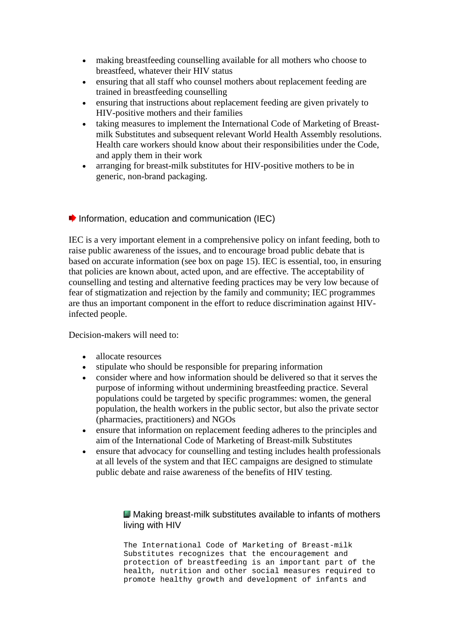- making breastfeeding counselling available for all mothers who choose to breastfeed, whatever their HIV status
- ensuring that all staff who counsel mothers about replacement feeding are trained in breastfeeding counselling
- ensuring that instructions about replacement feeding are given privately to HIV-positive mothers and their families
- taking measures to implement the International Code of Marketing of Breastmilk Substitutes and subsequent relevant World Health Assembly resolutions. Health care workers should know about their responsibilities under the Code, and apply them in their work
- arranging for breast-milk substitutes for HIV-positive mothers to be in generic, non-brand packaging.

 $\blacktriangleright$  Information, education and communication (IEC)

IEC is a very important element in a comprehensive policy on infant feeding, both to raise public awareness of the issues, and to encourage broad public debate that is based on accurate information (see box on page 15). IEC is essential, too, in ensuring that policies are known about, acted upon, and are effective. The acceptability of counselling and testing and alternative feeding practices may be very low because of fear of stigmatization and rejection by the family and community; IEC programmes are thus an important component in the effort to reduce discrimination against HIVinfected people.

Decision-makers will need to:

- allocate resources
- stipulate who should be responsible for preparing information
- consider where and how information should be delivered so that it serves the purpose of informing without undermining breastfeeding practice. Several populations could be targeted by specific programmes: women, the general population, the health workers in the public sector, but also the private sector (pharmacies, practitioners) and NGOs
- ensure that information on replacement feeding adheres to the principles and aim of the International Code of Marketing of Breast-milk Substitutes
- ensure that advocacy for counselling and testing includes health professionals at all levels of the system and that IEC campaigns are designed to stimulate public debate and raise awareness of the benefits of HIV testing.

# **Making breast-milk substitutes available to infants of mothers** living with HIV

The International Code of Marketing of Breast-milk Substitutes recognizes that the encouragement and protection of breastfeeding is an important part of the health, nutrition and other social measures required to promote healthy growth and development of infants and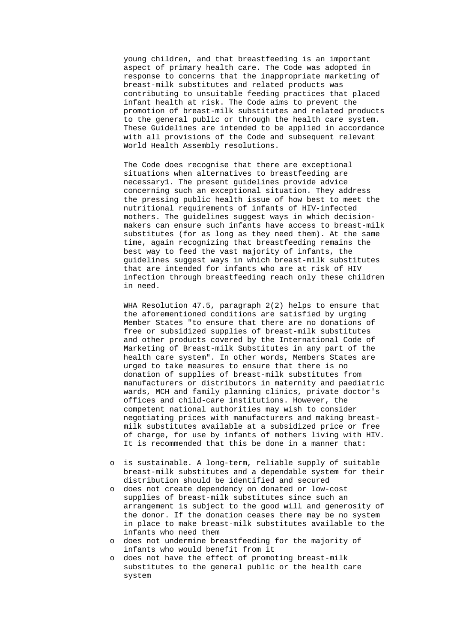young children, and that breastfeeding is an important aspect of primary health care. The Code was adopted in response to concerns that the inappropriate marketing of breast-milk substitutes and related products was contributing to unsuitable feeding practices that placed infant health at risk. The Code aims to prevent the promotion of breast-milk substitutes and related products to the general public or through the health care system. These Guidelines are intended to be applied in accordance with all provisions of the Code and subsequent relevant World Health Assembly resolutions.

The Code does recognise that there are exceptional situations when alternatives to breastfeeding are necessary1. The present guidelines provide advice concerning such an exceptional situation. They address the pressing public health issue of how best to meet the nutritional requirements of infants of HIV-infected mothers. The guidelines suggest ways in which decisionmakers can ensure such infants have access to breast-milk substitutes (for as long as they need them). At the same time, again recognizing that breastfeeding remains the best way to feed the vast majority of infants, the guidelines suggest ways in which breast-milk substitutes that are intended for infants who are at risk of HIV infection through breastfeeding reach only these children in need.

WHA Resolution 47.5, paragraph 2(2) helps to ensure that the aforementioned conditions are satisfied by urging Member States "to ensure that there are no donations of free or subsidized supplies of breast-milk substitutes and other products covered by the International Code of Marketing of Breast-milk Substitutes in any part of the health care system". In other words, Members States are urged to take measures to ensure that there is no donation of supplies of breast-milk substitutes from manufacturers or distributors in maternity and paediatric wards, MCH and family planning clinics, private doctor's offices and child-care institutions. However, the competent national authorities may wish to consider negotiating prices with manufacturers and making breastmilk substitutes available at a subsidized price or free of charge, for use by infants of mothers living with HIV. It is recommended that this be done in a manner that:

- o is sustainable. A long-term, reliable supply of suitable breast-milk substitutes and a dependable system for their distribution should be identified and secured
- o does not create dependency on donated or low-cost supplies of breast-milk substitutes since such an arrangement is subject to the good will and generosity of the donor. If the donation ceases there may be no system in place to make breast-milk substitutes available to the infants who need them
- o does not undermine breastfeeding for the majority of infants who would benefit from it
- o does not have the effect of promoting breast-milk substitutes to the general public or the health care system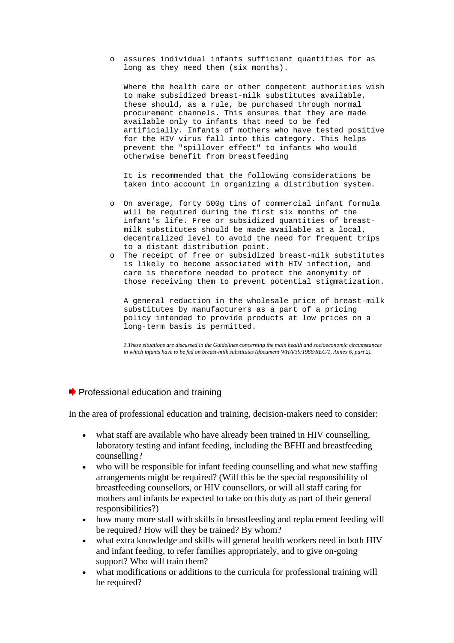o assures individual infants sufficient quantities for as long as they need them (six months).

Where the health care or other competent authorities wish to make subsidized breast-milk substitutes available, these should, as a rule, be purchased through normal procurement channels. This ensures that they are made available only to infants that need to be fed artificially. Infants of mothers who have tested positive for the HIV virus fall into this category. This helps prevent the "spillover effect" to infants who would otherwise benefit from breastfeeding

It is recommended that the following considerations be taken into account in organizing a distribution system.

- o On average, forty 500g tins of commercial infant formula will be required during the first six months of the infant's life. Free or subsidized quantities of breastmilk substitutes should be made available at a local, decentralized level to avoid the need for frequent trips to a distant distribution point.
- o The receipt of free or subsidized breast-milk substitutes is likely to become associated with HIV infection, and care is therefore needed to protect the anonymity of those receiving them to prevent potential stigmatization.

A general reduction in the wholesale price of breast-milk substitutes by manufacturers as a part of a pricing policy intended to provide products at low prices on a long-term basis is permitted.

*1.These situations are discussed in the Guidelines concerning the main health and socioeconomic circumstances in which infants have to be fed on breast-milk substitutes (document WHA/39/1986/REC/1, Annex 6, part 2).* 

### **Professional education and training**

In the area of professional education and training, decision-makers need to consider:

- what staff are available who have already been trained in HIV counselling, laboratory testing and infant feeding, including the BFHI and breastfeeding counselling?
- who will be responsible for infant feeding counselling and what new staffing arrangements might be required? (Will this be the special responsibility of breastfeeding counsellors, or HIV counsellors, or will all staff caring for mothers and infants be expected to take on this duty as part of their general responsibilities?)
- how many more staff with skills in breastfeeding and replacement feeding will be required? How will they be trained? By whom?
- what extra knowledge and skills will general health workers need in both HIV and infant feeding, to refer families appropriately, and to give on-going support? Who will train them?
- what modifications or additions to the curricula for professional training will be required?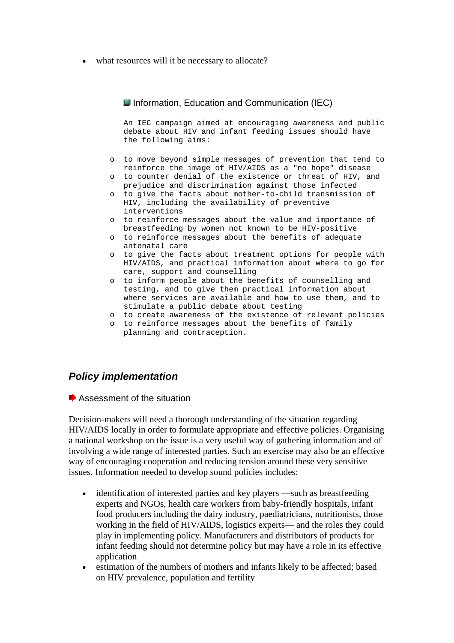what resources will it be necessary to allocate?



o to reinforce messages about the benefits of family planning and contraception.

# *Policy implementation*

Assessment of the situation

Decision-makers will need a thorough understanding of the situation regarding HIV/AIDS locally in order to formulate appropriate and effective policies. Organising a national workshop on the issue is a very useful way of gathering information and of involving a wide range of interested parties. Such an exercise may also be an effective way of encouraging cooperation and reducing tension around these very sensitive issues. Information needed to develop sound policies includes:

- identification of interested parties and key players —such as breastfeeding experts and NGOs, health care workers from baby-friendly hospitals, infant food producers including the dairy industry, paediatricians, nutritionists, those working in the field of HIV/AIDS, logistics experts— and the roles they could play in implementing policy. Manufacturers and distributors of products for infant feeding should not determine policy but may have a role in its effective application
- estimation of the numbers of mothers and infants likely to be affected; based on HIV prevalence, population and fertility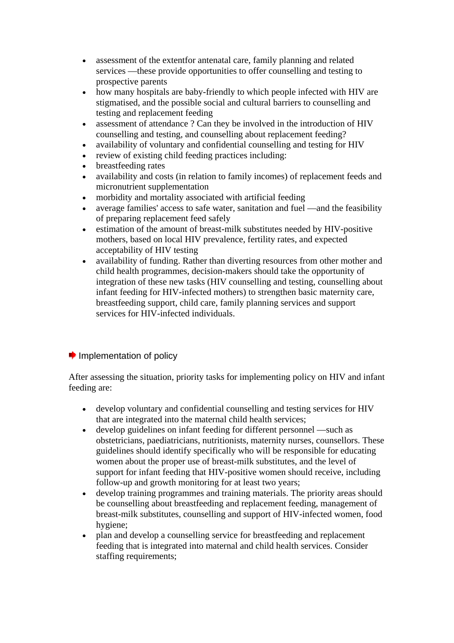- assessment of the extentfor antenatal care, family planning and related services —these provide opportunities to offer counselling and testing to prospective parents
- how many hospitals are baby-friendly to which people infected with HIV are stigmatised, and the possible social and cultural barriers to counselling and testing and replacement feeding
- assessment of attendance ? Can they be involved in the introduction of HIV counselling and testing, and counselling about replacement feeding?
- availability of voluntary and confidential counselling and testing for HIV
- review of existing child feeding practices including:
- breastfeeding rates
- availability and costs (in relation to family incomes) of replacement feeds and micronutrient supplementation
- morbidity and mortality associated with artificial feeding
- average families' access to safe water, sanitation and fuel —and the feasibility of preparing replacement feed safely
- estimation of the amount of breast-milk substitutes needed by HIV-positive mothers, based on local HIV prevalence, fertility rates, and expected acceptability of HIV testing
- availability of funding. Rather than diverting resources from other mother and child health programmes, decision-makers should take the opportunity of integration of these new tasks (HIV counselling and testing, counselling about infant feeding for HIV-infected mothers) to strengthen basic maternity care, breastfeeding support, child care, family planning services and support services for HIV-infected individuals.

# $\blacktriangleright$  Implementation of policy

After assessing the situation, priority tasks for implementing policy on HIV and infant feeding are:

- develop voluntary and confidential counselling and testing services for HIV that are integrated into the maternal child health services;
- develop guidelines on infant feeding for different personnel —such as obstetricians, paediatricians, nutritionists, maternity nurses, counsellors. These guidelines should identify specifically who will be responsible for educating women about the proper use of breast-milk substitutes, and the level of support for infant feeding that HIV-positive women should receive, including follow-up and growth monitoring for at least two years;
- develop training programmes and training materials. The priority areas should be counselling about breastfeeding and replacement feeding, management of breast-milk substitutes, counselling and support of HIV-infected women, food hygiene;
- plan and develop a counselling service for breastfeeding and replacement feeding that is integrated into maternal and child health services. Consider staffing requirements;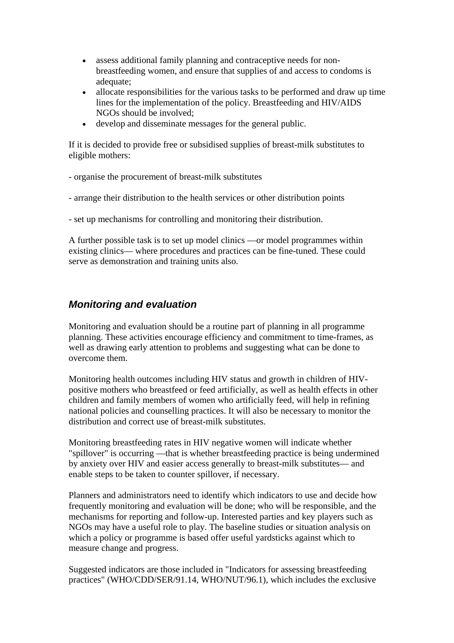- assess additional family planning and contraceptive needs for nonbreastfeeding women, and ensure that supplies of and access to condoms is adequate;
- allocate responsibilities for the various tasks to be performed and draw up time lines for the implementation of the policy. Breastfeeding and HIV/AIDS NGOs should be involved;
- develop and disseminate messages for the general public.

If it is decided to provide free or subsidised supplies of breast-milk substitutes to eligible mothers:

- organise the procurement of breast-milk substitutes

- arrange their distribution to the health services or other distribution points

- set up mechanisms for controlling and monitoring their distribution.

A further possible task is to set up model clinics —or model programmes within existing clinics— where procedures and practices can be fine-tuned. These could serve as demonstration and training units also.

# *Monitoring and evaluation*

Monitoring and evaluation should be a routine part of planning in all programme planning. These activities encourage efficiency and commitment to time-frames, as well as drawing early attention to problems and suggesting what can be done to overcome them.

Monitoring health outcomes including HIV status and growth in children of HIVpositive mothers who breastfeed or feed artificially, as well as health effects in other children and family members of women who artificially feed, will help in refining national policies and counselling practices. It will also be necessary to monitor the distribution and correct use of breast-milk substitutes.

Monitoring breastfeeding rates in HIV negative women will indicate whether "spillover" is occurring —that is whether breastfeeding practice is being undermined by anxiety over HIV and easier access generally to breast-milk substitutes— and enable steps to be taken to counter spillover, if necessary.

Planners and administrators need to identify which indicators to use and decide how frequently monitoring and evaluation will be done; who will be responsible, and the mechanisms for reporting and follow-up. Interested parties and key players such as NGOs may have a useful role to play. The baseline studies or situation analysis on which a policy or programme is based offer useful yardsticks against which to measure change and progress.

Suggested indicators are those included in "Indicators for assessing breastfeeding practices" (WHO/CDD/SER/91.14, WHO/NUT/96.1), which includes the exclusive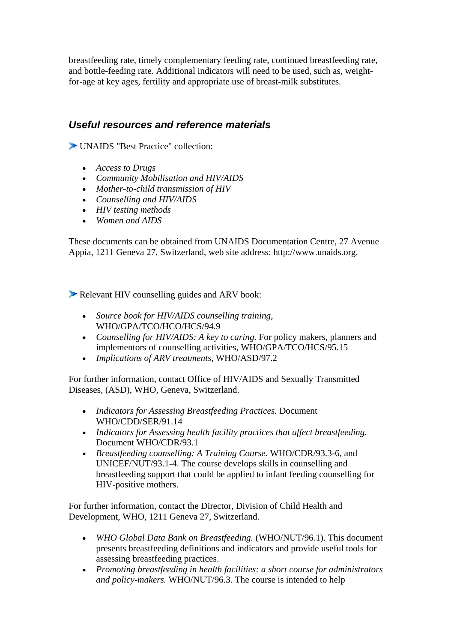breastfeeding rate, timely complementary feeding rate, continued breastfeeding rate, and bottle-feeding rate. Additional indicators will need to be used, such as, weightfor-age at key ages, fertility and appropriate use of breast-milk substitutes.

# *Useful resources and reference materials*

UNAIDS "Best Practice" collection:

- *Access to Drugs*
- *Community Mobilisation and HIV/AIDS*
- *Mother-to-child transmission of HIV*
- *Counselling and HIV/AIDS*
- *HIV testing methods*
- *Women and AIDS*

These documents can be obtained from UNAIDS Documentation Centre, 27 Avenue Appia, 1211 Geneva 27, Switzerland, web site address: http://www.unaids.org.

Relevant HIV counselling guides and ARV book:

- *Source book for HIV/AIDS counselling training,*  WHO/GPA/TCO/HCO/HCS/94.9
- *Counselling for HIV/AIDS: A key to caring.* For policy makers, planners and implementors of counselling activities, WHO/GPA/TCO/HCS/95.15
- *Implications of ARV treatments,* WHO/ASD/97.2

For further information, contact Office of HIV/AIDS and Sexually Transmitted Diseases, (ASD), WHO, Geneva, Switzerland.

- *Indicators for Assessing Breastfeeding Practices.* Document WHO/CDD/SER/91.14
- *Indicators for Assessing health facility practices that affect breastfeeding.* Document WHO/CDR/93.1
- *Breastfeeding counselling: A Training Course.* WHO/CDR/93.3-6, and UNICEF/NUT/93.1-4. The course develops skills in counselling and breastfeeding support that could be applied to infant feeding counselling for HIV-positive mothers.

For further information, contact the Director, Division of Child Health and Development, WHO, 1211 Geneva 27, Switzerland.

- *WHO Global Data Bank on Breastfeeding.* (WHO/NUT/96.1). This document presents breastfeeding definitions and indicators and provide useful tools for assessing breastfeeding practices.
- *Promoting breastfeeding in health facilities: a short course for administrators and policy-makers.* WHO/NUT/96.3. The course is intended to help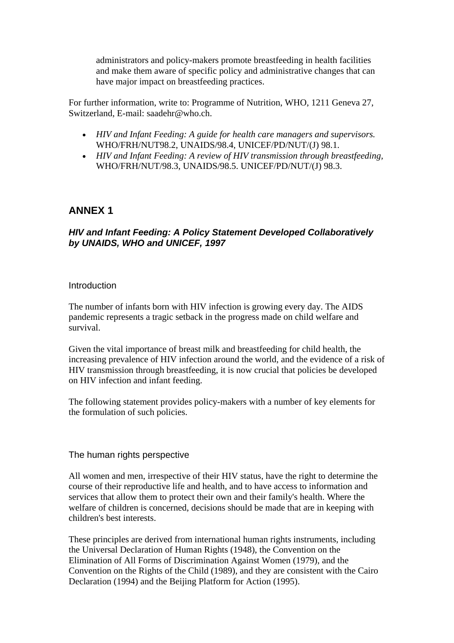administrators and policy-makers promote breastfeeding in health facilities and make them aware of specific policy and administrative changes that can have major impact on breastfeeding practices.

For further information, write to: Programme of Nutrition, WHO, 1211 Geneva 27, Switzerland, E-mail: saadehr@who.ch.

- *HIV and Infant Feeding: A guide for health care managers and supervisors.* WHO/FRH/NUT98.2, UNAIDS/98.4, UNICEF/PD/NUT/(J) 98.1.
- *HIV and Infant Feeding: A review of HIV transmission through breastfeeding,*  WHO/FRH/NUT/98.3, UNAIDS/98.5. UNICEF/PD/NUT/(J) 98.3.

# **ANNEX 1**

# *HIV and Infant Feeding: A Policy Statement Developed Collaboratively by UNAIDS, WHO and UNICEF, 1997*

### **Introduction**

The number of infants born with HIV infection is growing every day. The AIDS pandemic represents a tragic setback in the progress made on child welfare and survival.

Given the vital importance of breast milk and breastfeeding for child health, the increasing prevalence of HIV infection around the world, and the evidence of a risk of HIV transmission through breastfeeding, it is now crucial that policies be developed on HIV infection and infant feeding.

The following statement provides policy-makers with a number of key elements for the formulation of such policies.

### The human rights perspective

All women and men, irrespective of their HIV status, have the right to determine the course of their reproductive life and health, and to have access to information and services that allow them to protect their own and their family's health. Where the welfare of children is concerned, decisions should be made that are in keeping with children's best interests.

These principles are derived from international human rights instruments, including the Universal Declaration of Human Rights (1948), the Convention on the Elimination of All Forms of Discrimination Against Women (1979), and the Convention on the Rights of the Child (1989), and they are consistent with the Cairo Declaration (1994) and the Beijing Platform for Action (1995).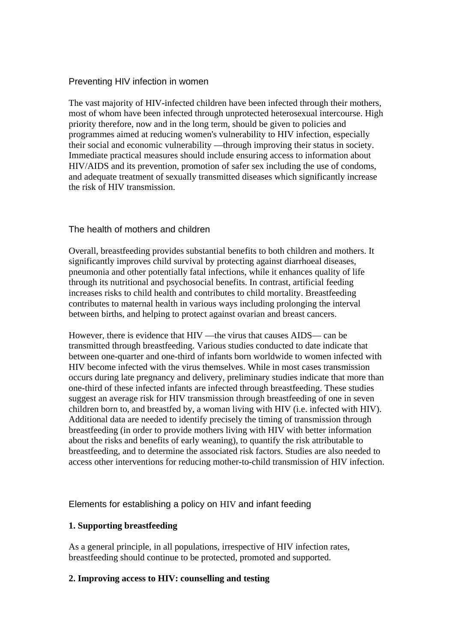### Preventing HIV infection in women

The vast majority of HIV-infected children have been infected through their mothers, most of whom have been infected through unprotected heterosexual intercourse. High priority therefore, now and in the long term, should be given to policies and programmes aimed at reducing women's vulnerability to HIV infection, especially their social and economic vulnerability —through improving their status in society. Immediate practical measures should include ensuring access to information about HIV/AIDS and its prevention, promotion of safer sex including the use of condoms, and adequate treatment of sexually transmitted diseases which significantly increase the risk of HIV transmission.

# The health of mothers and children

Overall, breastfeeding provides substantial benefits to both children and mothers. It significantly improves child survival by protecting against diarrhoeal diseases, pneumonia and other potentially fatal infections, while it enhances quality of life through its nutritional and psychosocial benefits. In contrast, artificial feeding increases risks to child health and contributes to child mortality. Breastfeeding contributes to maternal health in various ways including prolonging the interval between births, and helping to protect against ovarian and breast cancers.

However, there is evidence that HIV —the virus that causes AIDS— can be transmitted through breastfeeding. Various studies conducted to date indicate that between one-quarter and one-third of infants born worldwide to women infected with HIV become infected with the virus themselves. While in most cases transmission occurs during late pregnancy and delivery, preliminary studies indicate that more than one-third of these infected infants are infected through breastfeeding. These studies suggest an average risk for HIV transmission through breastfeeding of one in seven children born to, and breastfed by, a woman living with HIV (i.e. infected with HIV). Additional data are needed to identify precisely the timing of transmission through breastfeeding (in order to provide mothers living with HIV with better information about the risks and benefits of early weaning), to quantify the risk attributable to breastfeeding, and to determine the associated risk factors. Studies are also needed to access other interventions for reducing mother-to-child transmission of HIV infection.

Elements for establishing a policy on HIV and infant feeding

# **1. Supporting breastfeeding**

As a general principle, in all populations, irrespective of HIV infection rates, breastfeeding should continue to be protected, promoted and supported.

# **2. Improving access to HIV: counselling and testing**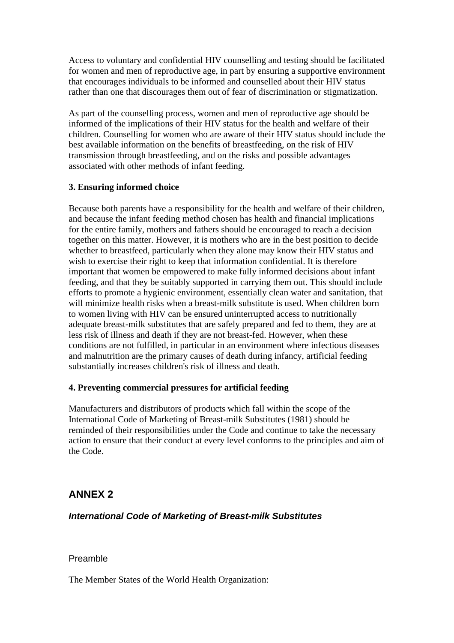Access to voluntary and confidential HIV counselling and testing should be facilitated for women and men of reproductive age, in part by ensuring a supportive environment that encourages individuals to be informed and counselled about their HIV status rather than one that discourages them out of fear of discrimination or stigmatization.

As part of the counselling process, women and men of reproductive age should be informed of the implications of their HIV status for the health and welfare of their children. Counselling for women who are aware of their HIV status should include the best available information on the benefits of breastfeeding, on the risk of HIV transmission through breastfeeding, and on the risks and possible advantages associated with other methods of infant feeding.

# **3. Ensuring informed choice**

Because both parents have a responsibility for the health and welfare of their children, and because the infant feeding method chosen has health and financial implications for the entire family, mothers and fathers should be encouraged to reach a decision together on this matter. However, it is mothers who are in the best position to decide whether to breastfeed, particularly when they alone may know their HIV status and wish to exercise their right to keep that information confidential. It is therefore important that women be empowered to make fully informed decisions about infant feeding, and that they be suitably supported in carrying them out. This should include efforts to promote a hygienic environment, essentially clean water and sanitation, that will minimize health risks when a breast-milk substitute is used. When children born to women living with HIV can be ensured uninterrupted access to nutritionally adequate breast-milk substitutes that are safely prepared and fed to them, they are at less risk of illness and death if they are not breast-fed. However, when these conditions are not fulfilled, in particular in an environment where infectious diseases and malnutrition are the primary causes of death during infancy, artificial feeding substantially increases children's risk of illness and death.

# **4. Preventing commercial pressures for artificial feeding**

Manufacturers and distributors of products which fall within the scope of the International Code of Marketing of Breast-milk Substitutes (1981) should be reminded of their responsibilities under the Code and continue to take the necessary action to ensure that their conduct at every level conforms to the principles and aim of the Code.

# **ANNEX 2**

# *International Code of Marketing of Breast-milk Substitutes*

# Preamble

The Member States of the World Health Organization: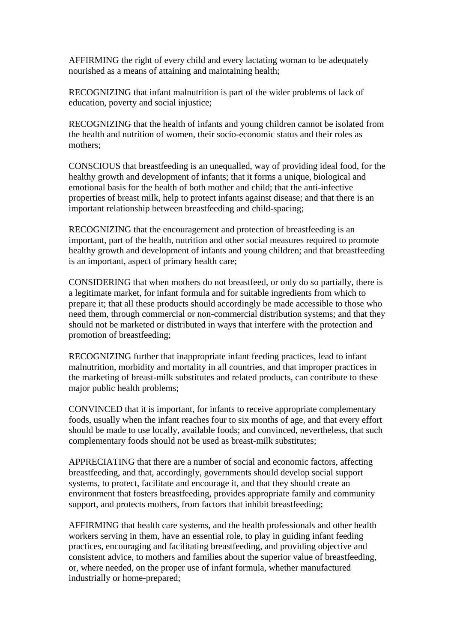AFFIRMING the right of every child and every lactating woman to be adequately nourished as a means of attaining and maintaining health;

RECOGNIZING that infant malnutrition is part of the wider problems of lack of education, poverty and social injustice;

RECOGNIZING that the health of infants and young children cannot be isolated from the health and nutrition of women, their socio-economic status and their roles as mothers;

CONSCIOUS that breastfeeding is an unequalled, way of providing ideal food, for the healthy growth and development of infants; that it forms a unique, biological and emotional basis for the health of both mother and child; that the anti-infective properties of breast milk, help to protect infants against disease; and that there is an important relationship between breastfeeding and child-spacing;

RECOGNIZING that the encouragement and protection of breastfeeding is an important, part of the health, nutrition and other social measures required to promote healthy growth and development of infants and young children; and that breastfeeding is an important, aspect of primary health care;

CONSIDERING that when mothers do not breastfeed, or only do so partially, there is a legitimate market, for infant formula and for suitable ingredients from which to prepare it; that all these products should accordingly be made accessible to those who need them, through commercial or non-commercial distribution systems; and that they should not be marketed or distributed in ways that interfere with the protection and promotion of breastfeeding;

RECOGNIZING further that inappropriate infant feeding practices, lead to infant malnutrition, morbidity and mortality in all countries, and that improper practices in the marketing of breast-milk substitutes and related products, can contribute to these major public health problems;

CONVINCED that it is important, for infants to receive appropriate complementary foods, usually when the infant reaches four to six months of age, and that every effort should be made to use locally, available foods; and convinced, nevertheless, that such complementary foods should not be used as breast-milk substitutes;

APPRECIATING that there are a number of social and economic factors, affecting breastfeeding, and that, accordingly, governments should develop social support systems, to protect, facilitate and encourage it, and that they should create an environment that fosters breastfeeding, provides appropriate family and community support, and protects mothers, from factors that inhibit breastfeeding;

AFFIRMING that health care systems, and the health professionals and other health workers serving in them, have an essential role, to play in guiding infant feeding practices, encouraging and facilitating breastfeeding, and providing objective and consistent advice, to mothers and families about the superior value of breastfeeding, or, where needed, on the proper use of infant formula, whether manufactured industrially or home-prepared;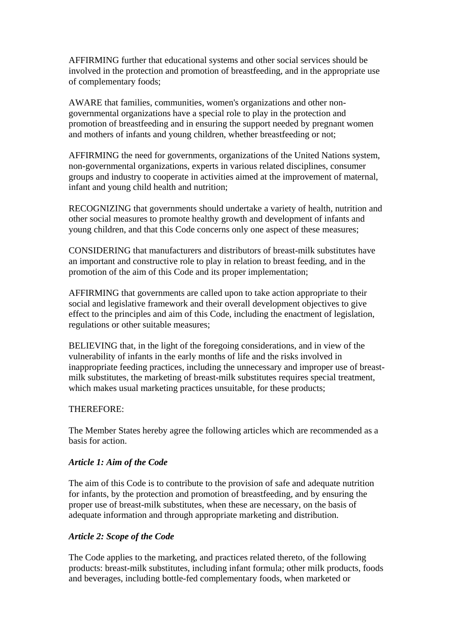AFFIRMING further that educational systems and other social services should be involved in the protection and promotion of breastfeeding, and in the appropriate use of complementary foods;

AWARE that families, communities, women's organizations and other nongovernmental organizations have a special role to play in the protection and promotion of breastfeeding and in ensuring the support needed by pregnant women and mothers of infants and young children, whether breastfeeding or not;

AFFIRMING the need for governments, organizations of the United Nations system, non-governmental organizations, experts in various related disciplines, consumer groups and industry to cooperate in activities aimed at the improvement of maternal, infant and young child health and nutrition;

RECOGNIZING that governments should undertake a variety of health, nutrition and other social measures to promote healthy growth and development of infants and young children, and that this Code concerns only one aspect of these measures;

CONSIDERING that manufacturers and distributors of breast-milk substitutes have an important and constructive role to play in relation to breast feeding, and in the promotion of the aim of this Code and its proper implementation;

AFFIRMING that governments are called upon to take action appropriate to their social and legislative framework and their overall development objectives to give effect to the principles and aim of this Code, including the enactment of legislation, regulations or other suitable measures;

BELIEVING that, in the light of the foregoing considerations, and in view of the vulnerability of infants in the early months of life and the risks involved in inappropriate feeding practices, including the unnecessary and improper use of breastmilk substitutes, the marketing of breast-milk substitutes requires special treatment, which makes usual marketing practices unsuitable, for these products;

### THEREFORE:

The Member States hereby agree the following articles which are recommended as a basis for action.

### *Article 1: Aim of the Code*

The aim of this Code is to contribute to the provision of safe and adequate nutrition for infants, by the protection and promotion of breastfeeding, and by ensuring the proper use of breast-milk substitutes, when these are necessary, on the basis of adequate information and through appropriate marketing and distribution.

### *Article 2: Scope of the Code*

The Code applies to the marketing, and practices related thereto, of the following products: breast-milk substitutes, including infant formula; other milk products, foods and beverages, including bottle-fed complementary foods, when marketed or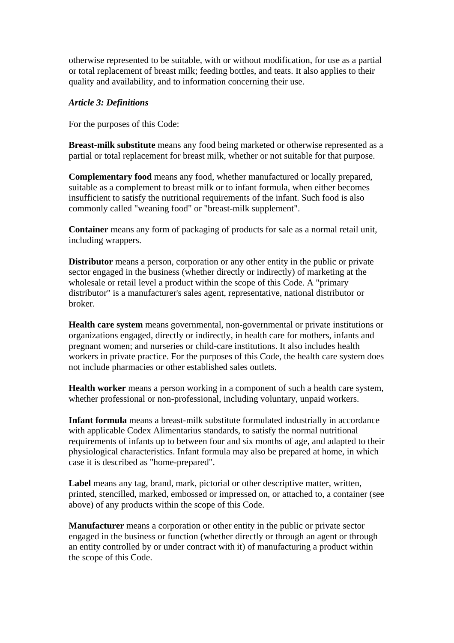otherwise represented to be suitable, with or without modification, for use as a partial or total replacement of breast milk; feeding bottles, and teats. It also applies to their quality and availability, and to information concerning their use.

### *Article 3: Definitions*

For the purposes of this Code:

**Breast-milk substitute** means any food being marketed or otherwise represented as a partial or total replacement for breast milk, whether or not suitable for that purpose.

**Complementary food** means any food, whether manufactured or locally prepared, suitable as a complement to breast milk or to infant formula, when either becomes insufficient to satisfy the nutritional requirements of the infant. Such food is also commonly called "weaning food" or "breast-milk supplement".

**Container** means any form of packaging of products for sale as a normal retail unit, including wrappers.

**Distributor** means a person, corporation or any other entity in the public or private sector engaged in the business (whether directly or indirectly) of marketing at the wholesale or retail level a product within the scope of this Code. A "primary distributor" is a manufacturer's sales agent, representative, national distributor or broker.

**Health care system** means governmental, non-governmental or private institutions or organizations engaged, directly or indirectly, in health care for mothers, infants and pregnant women; and nurseries or child-care institutions. It also includes health workers in private practice. For the purposes of this Code, the health care system does not include pharmacies or other established sales outlets.

**Health worker** means a person working in a component of such a health care system, whether professional or non-professional, including voluntary, unpaid workers.

**Infant formula** means a breast-milk substitute formulated industrially in accordance with applicable Codex Alimentarius standards, to satisfy the normal nutritional requirements of infants up to between four and six months of age, and adapted to their physiological characteristics. Infant formula may also be prepared at home, in which case it is described as "home-prepared".

**Label** means any tag, brand, mark, pictorial or other descriptive matter, written, printed, stencilled, marked, embossed or impressed on, or attached to, a container (see above) of any products within the scope of this Code.

**Manufacturer** means a corporation or other entity in the public or private sector engaged in the business or function (whether directly or through an agent or through an entity controlled by or under contract with it) of manufacturing a product within the scope of this Code.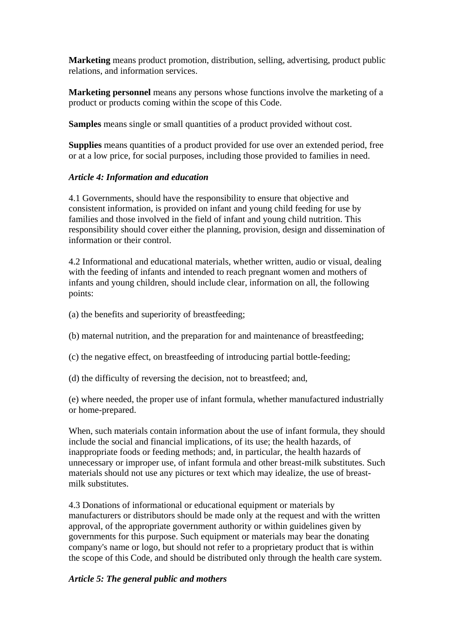**Marketing** means product promotion, distribution, selling, advertising, product public relations, and information services.

**Marketing personnel** means any persons whose functions involve the marketing of a product or products coming within the scope of this Code.

**Samples** means single or small quantities of a product provided without cost.

**Supplies** means quantities of a product provided for use over an extended period, free or at a low price, for social purposes, including those provided to families in need.

### *Article 4: Information and education*

4.1 Governments, should have the responsibility to ensure that objective and consistent information, is provided on infant and young child feeding for use by families and those involved in the field of infant and young child nutrition. This responsibility should cover either the planning, provision, design and dissemination of information or their control.

4.2 Informational and educational materials, whether written, audio or visual, dealing with the feeding of infants and intended to reach pregnant women and mothers of infants and young children, should include clear, information on all, the following points:

- (a) the benefits and superiority of breastfeeding;
- (b) maternal nutrition, and the preparation for and maintenance of breastfeeding;
- (c) the negative effect, on breastfeeding of introducing partial bottle-feeding;
- (d) the difficulty of reversing the decision, not to breastfeed; and,

(e) where needed, the proper use of infant formula, whether manufactured industrially or home-prepared.

When, such materials contain information about the use of infant formula, they should include the social and financial implications, of its use; the health hazards, of inappropriate foods or feeding methods; and, in particular, the health hazards of unnecessary or improper use, of infant formula and other breast-milk substitutes. Such materials should not use any pictures or text which may idealize, the use of breastmilk substitutes.

4.3 Donations of informational or educational equipment or materials by manufacturers or distributors should be made only at the request and with the written approval, of the appropriate government authority or within guidelines given by governments for this purpose. Such equipment or materials may bear the donating company's name or logo, but should not refer to a proprietary product that is within the scope of this Code, and should be distributed only through the health care system.

### *Article 5: The general public and mothers*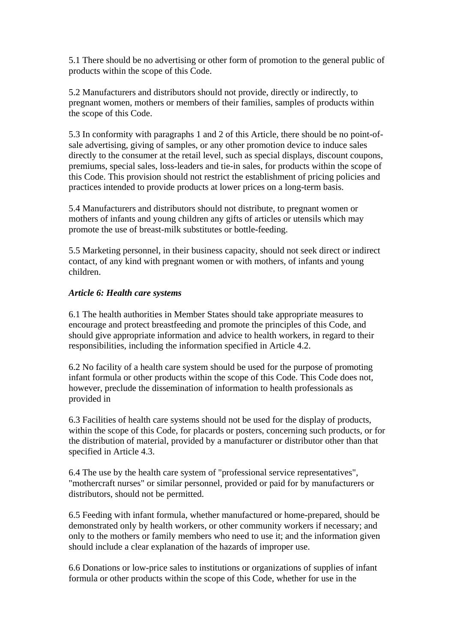5.1 There should be no advertising or other form of promotion to the general public of products within the scope of this Code.

5.2 Manufacturers and distributors should not provide, directly or indirectly, to pregnant women, mothers or members of their families, samples of products within the scope of this Code.

5.3 In conformity with paragraphs 1 and 2 of this Article, there should be no point-ofsale advertising, giving of samples, or any other promotion device to induce sales directly to the consumer at the retail level, such as special displays, discount coupons, premiums, special sales, loss-leaders and tie-in sales, for products within the scope of this Code. This provision should not restrict the establishment of pricing policies and practices intended to provide products at lower prices on a long-term basis.

5.4 Manufacturers and distributors should not distribute, to pregnant women or mothers of infants and young children any gifts of articles or utensils which may promote the use of breast-milk substitutes or bottle-feeding.

5.5 Marketing personnel, in their business capacity, should not seek direct or indirect contact, of any kind with pregnant women or with mothers, of infants and young children.

### *Article 6: Health care systems*

6.1 The health authorities in Member States should take appropriate measures to encourage and protect breastfeeding and promote the principles of this Code, and should give appropriate information and advice to health workers, in regard to their responsibilities, including the information specified in Article 4.2.

6.2 No facility of a health care system should be used for the purpose of promoting infant formula or other products within the scope of this Code. This Code does not, however, preclude the dissemination of information to health professionals as provided in

6.3 Facilities of health care systems should not be used for the display of products, within the scope of this Code, for placards or posters, concerning such products, or for the distribution of material, provided by a manufacturer or distributor other than that specified in Article 4.3.

6.4 The use by the health care system of "professional service representatives", "mothercraft nurses" or similar personnel, provided or paid for by manufacturers or distributors, should not be permitted.

6.5 Feeding with infant formula, whether manufactured or home-prepared, should be demonstrated only by health workers, or other community workers if necessary; and only to the mothers or family members who need to use it; and the information given should include a clear explanation of the hazards of improper use.

6.6 Donations or low-price sales to institutions or organizations of supplies of infant formula or other products within the scope of this Code, whether for use in the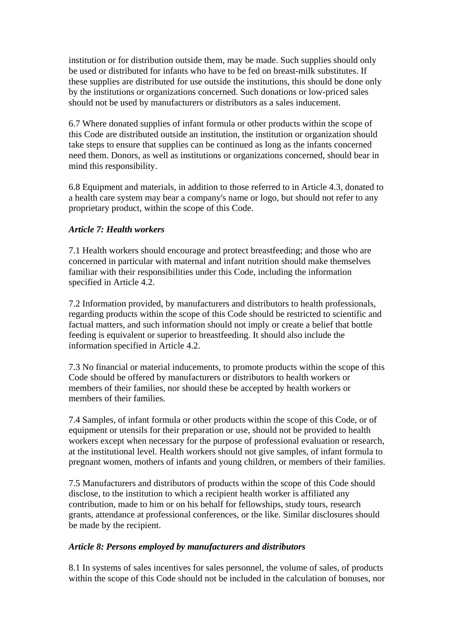institution or for distribution outside them, may be made. Such supplies should only be used or distributed for infants who have to be fed on breast-milk substitutes. If these supplies are distributed for use outside the institutions, this should be done only by the institutions or organizations concerned. Such donations or low-priced sales should not be used by manufacturers or distributors as a sales inducement.

6.7 Where donated supplies of infant formula or other products within the scope of this Code are distributed outside an institution, the institution or organization should take steps to ensure that supplies can be continued as long as the infants concerned need them. Donors, as well as institutions or organizations concerned, should bear in mind this responsibility.

6.8 Equipment and materials, in addition to those referred to in Article 4.3, donated to a health care system may bear a company's name or logo, but should not refer to any proprietary product, within the scope of this Code.

# *Article 7: Health workers*

7.1 Health workers should encourage and protect breastfeeding; and those who are concerned in particular with maternal and infant nutrition should make themselves familiar with their responsibilities under this Code, including the information specified in Article 4.2.

7.2 Information provided, by manufacturers and distributors to health professionals, regarding products within the scope of this Code should be restricted to scientific and factual matters, and such information should not imply or create a belief that bottle feeding is equivalent or superior to breastfeeding. It should also include the information specified in Article 4.2.

7.3 No financial or material inducements, to promote products within the scope of this Code should be offered by manufacturers or distributors to health workers or members of their families, nor should these be accepted by health workers or members of their families.

7.4 Samples, of infant formula or other products within the scope of this Code, or of equipment or utensils for their preparation or use, should not be provided to health workers except when necessary for the purpose of professional evaluation or research, at the institutional level. Health workers should not give samples, of infant formula to pregnant women, mothers of infants and young children, or members of their families.

7.5 Manufacturers and distributors of products within the scope of this Code should disclose, to the institution to which a recipient health worker is affiliated any contribution, made to him or on his behalf for fellowships, study tours, research grants, attendance at professional conferences, or the like. Similar disclosures should be made by the recipient.

### *Article 8: Persons employed by manufacturers and distributors*

8.1 In systems of sales incentives for sales personnel, the volume of sales, of products within the scope of this Code should not be included in the calculation of bonuses, nor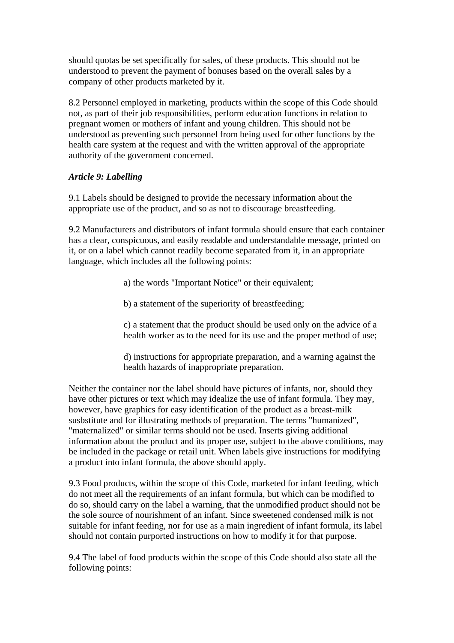should quotas be set specifically for sales, of these products. This should not be understood to prevent the payment of bonuses based on the overall sales by a company of other products marketed by it.

8.2 Personnel employed in marketing, products within the scope of this Code should not, as part of their job responsibilities, perform education functions in relation to pregnant women or mothers of infant and young children. This should not be understood as preventing such personnel from being used for other functions by the health care system at the request and with the written approval of the appropriate authority of the government concerned.

# *Article 9: Labelling*

9.1 Labels should be designed to provide the necessary information about the appropriate use of the product, and so as not to discourage breastfeeding.

9.2 Manufacturers and distributors of infant formula should ensure that each container has a clear, conspicuous, and easily readable and understandable message, printed on it, or on a label which cannot readily become separated from it, in an appropriate language, which includes all the following points:

a) the words "Important Notice" or their equivalent;

b) a statement of the superiority of breastfeeding;

c) a statement that the product should be used only on the advice of a health worker as to the need for its use and the proper method of use;

d) instructions for appropriate preparation, and a warning against the health hazards of inappropriate preparation.

Neither the container nor the label should have pictures of infants, nor, should they have other pictures or text which may idealize the use of infant formula. They may, however, have graphics for easy identification of the product as a breast-milk susbstitute and for illustrating methods of preparation. The terms "humanized", "maternalized" or similar terms should not be used. Inserts giving additional information about the product and its proper use, subject to the above conditions, may be included in the package or retail unit. When labels give instructions for modifying a product into infant formula, the above should apply.

9.3 Food products, within the scope of this Code, marketed for infant feeding, which do not meet all the requirements of an infant formula, but which can be modified to do so, should carry on the label a warning, that the unmodified product should not be the sole source of nourishment of an infant. Since sweetened condensed milk is not suitable for infant feeding, nor for use as a main ingredient of infant formula, its label should not contain purported instructions on how to modify it for that purpose.

9.4 The label of food products within the scope of this Code should also state all the following points: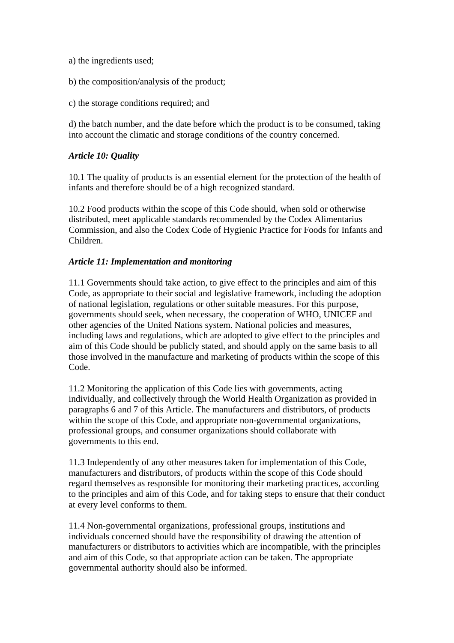- a) the ingredients used;
- b) the composition/analysis of the product;
- c) the storage conditions required; and

d) the batch number, and the date before which the product is to be consumed, taking into account the climatic and storage conditions of the country concerned.

# *Article 10: Quality*

10.1 The quality of products is an essential element for the protection of the health of infants and therefore should be of a high recognized standard.

10.2 Food products within the scope of this Code should, when sold or otherwise distributed, meet applicable standards recommended by the Codex Alimentarius Commission, and also the Codex Code of Hygienic Practice for Foods for Infants and Children.

### *Article 11: Implementation and monitoring*

11.1 Governments should take action, to give effect to the principles and aim of this Code, as appropriate to their social and legislative framework, including the adoption of national legislation, regulations or other suitable measures. For this purpose, governments should seek, when necessary, the cooperation of WHO, UNICEF and other agencies of the United Nations system. National policies and measures, including laws and regulations, which are adopted to give effect to the principles and aim of this Code should be publicly stated, and should apply on the same basis to all those involved in the manufacture and marketing of products within the scope of this Code.

11.2 Monitoring the application of this Code lies with governments, acting individually, and collectively through the World Health Organization as provided in paragraphs 6 and 7 of this Article. The manufacturers and distributors, of products within the scope of this Code, and appropriate non-governmental organizations, professional groups, and consumer organizations should collaborate with governments to this end.

11.3 Independently of any other measures taken for implementation of this Code, manufacturers and distributors, of products within the scope of this Code should regard themselves as responsible for monitoring their marketing practices, according to the principles and aim of this Code, and for taking steps to ensure that their conduct at every level conforms to them.

11.4 Non-governmental organizations, professional groups, institutions and individuals concerned should have the responsibility of drawing the attention of manufacturers or distributors to activities which are incompatible, with the principles and aim of this Code, so that appropriate action can be taken. The appropriate governmental authority should also be informed.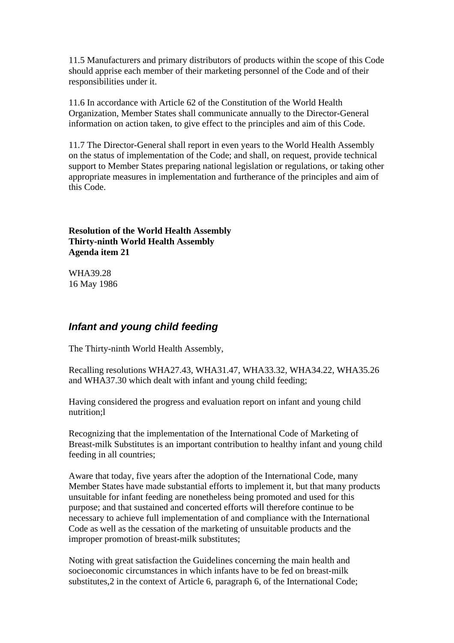11.5 Manufacturers and primary distributors of products within the scope of this Code should apprise each member of their marketing personnel of the Code and of their responsibilities under it.

11.6 In accordance with Article 62 of the Constitution of the World Health Organization, Member States shall communicate annually to the Director-General information on action taken, to give effect to the principles and aim of this Code.

11.7 The Director-General shall report in even years to the World Health Assembly on the status of implementation of the Code; and shall, on request, provide technical support to Member States preparing national legislation or regulations, or taking other appropriate measures in implementation and furtherance of the principles and aim of this Code.

**Resolution of the World Health Assembly Thirty-ninth World Health Assembly Agenda item 21** 

WHA39.28 16 May 1986

# *Infant and young child feeding*

The Thirty-ninth World Health Assembly,

Recalling resolutions WHA27.43, WHA31.47, WHA33.32, WHA34.22, WHA35.26 and WHA37.30 which dealt with infant and young child feeding;

Having considered the progress and evaluation report on infant and young child nutrition;l

Recognizing that the implementation of the International Code of Marketing of Breast-milk Substitutes is an important contribution to healthy infant and young child feeding in all countries;

Aware that today, five years after the adoption of the International Code, many Member States have made substantial efforts to implement it, but that many products unsuitable for infant feeding are nonetheless being promoted and used for this purpose; and that sustained and concerted efforts will therefore continue to be necessary to achieve full implementation of and compliance with the International Code as well as the cessation of the marketing of unsuitable products and the improper promotion of breast-milk substitutes;

Noting with great satisfaction the Guidelines concerning the main health and socioeconomic circumstances in which infants have to be fed on breast-milk substitutes,2 in the context of Article 6, paragraph 6, of the International Code;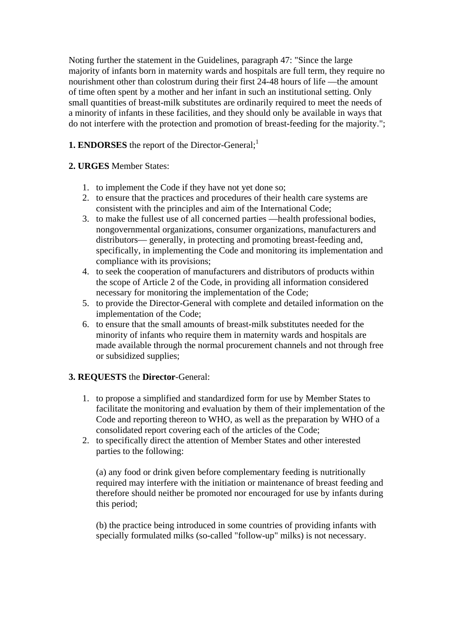Noting further the statement in the Guidelines, paragraph 47: "Since the large majority of infants born in maternity wards and hospitals are full term, they require no nourishment other than colostrum during their first 24-48 hours of life —the amount of time often spent by a mother and her infant in such an institutional setting. Only small quantities of breast-milk substitutes are ordinarily required to meet the needs of a minority of infants in these facilities, and they should only be available in ways that do not interfere with the protection and promotion of breast-feeding for the majority.";

**1. ENDORSES** the report of the Director-General;<sup>1</sup>

# **2. URGES** Member States:

- 1. to implement the Code if they have not yet done so;
- 2. to ensure that the practices and procedures of their health care systems are consistent with the principles and aim of the International Code;
- 3. to make the fullest use of all concerned parties —health professional bodies, nongovernmental organizations, consumer organizations, manufacturers and distributors— generally, in protecting and promoting breast-feeding and, specifically, in implementing the Code and monitoring its implementation and compliance with its provisions;
- 4. to seek the cooperation of manufacturers and distributors of products within the scope of Article 2 of the Code, in providing all information considered necessary for monitoring the implementation of the Code;
- 5. to provide the Director-General with complete and detailed information on the implementation of the Code;
- 6. to ensure that the small amounts of breast-milk substitutes needed for the minority of infants who require them in maternity wards and hospitals are made available through the normal procurement channels and not through free or subsidized supplies;

# **3. REQUESTS** the **Director**-General:

- 1. to propose a simplified and standardized form for use by Member States to facilitate the monitoring and evaluation by them of their implementation of the Code and reporting thereon to WHO, as well as the preparation by WHO of a consolidated report covering each of the articles of the Code;
- 2. to specifically direct the attention of Member States and other interested parties to the following:

(a) any food or drink given before complementary feeding is nutritionally required may interfere with the initiation or maintenance of breast feeding and therefore should neither be promoted nor encouraged for use by infants during this period;

(b) the practice being introduced in some countries of providing infants with specially formulated milks (so-called "follow-up" milks) is not necessary.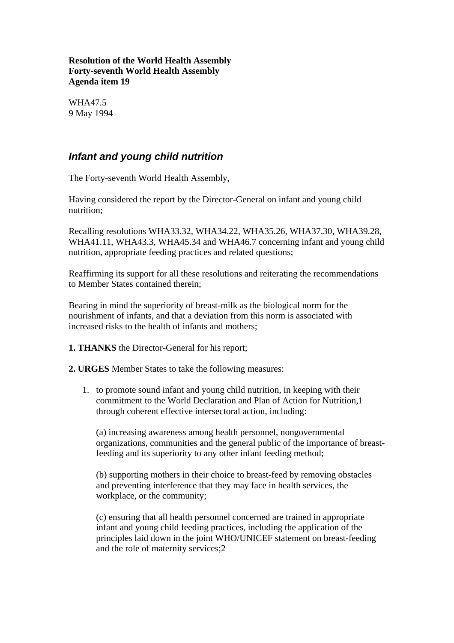**Resolution of the World Health Assembly Forty-seventh World Health Assembly Agenda item 19** 

WHA47.5 9 May 1994

# *Infant and young child nutrition*

The Forty-seventh World Health Assembly,

Having considered the report by the Director-General on infant and young child nutrition;

Recalling resolutions WHA33.32, WHA34.22, WHA35.26, WHA37.30, WHA39.28, WHA41.11, WHA43.3, WHA45.34 and WHA46.7 concerning infant and young child nutrition, appropriate feeding practices and related questions;

Reaffirming its support for all these resolutions and reiterating the recommendations to Member States contained therein;

Bearing in mind the superiority of breast-milk as the biological norm for the nourishment of infants, and that a deviation from this norm is associated with increased risks to the health of infants and mothers;

**1. THANKS** the Director-General for his report;

**2. URGES** Member States to take the following measures:

1. to promote sound infant and young child nutrition, in keeping with their commitment to the World Declaration and Plan of Action for Nutrition,1 through coherent effective intersectoral action, including:

(a) increasing awareness among health personnel, nongovernmental organizations, communities and the general public of the importance of breastfeeding and its superiority to any other infant feeding method;

(b) supporting mothers in their choice to breast-feed by removing obstacles and preventing interference that they may face in health services, the workplace, or the community;

(c) ensuring that all health personnel concerned are trained in appropriate infant and young child feeding practices, including the application of the principles laid down in the joint WHO/UNICEF statement on breast-feeding and the role of maternity services;2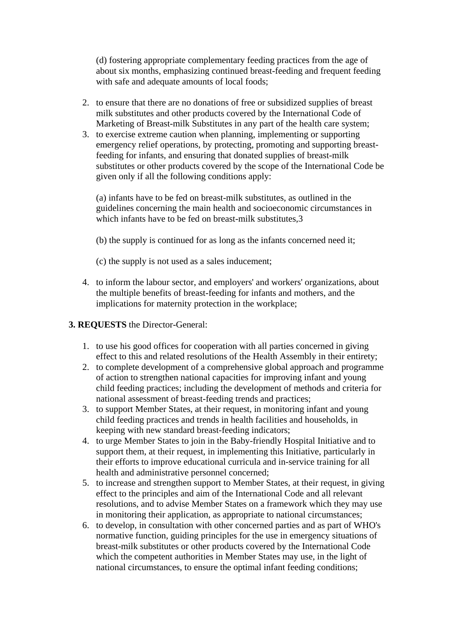(d) fostering appropriate complementary feeding practices from the age of about six months, emphasizing continued breast-feeding and frequent feeding with safe and adequate amounts of local foods;

- 2. to ensure that there are no donations of free or subsidized supplies of breast milk substitutes and other products covered by the International Code of Marketing of Breast-milk Substitutes in any part of the health care system;
- 3. to exercise extreme caution when planning, implementing or supporting emergency relief operations, by protecting, promoting and supporting breastfeeding for infants, and ensuring that donated supplies of breast-milk substitutes or other products covered by the scope of the International Code be given only if all the following conditions apply:

(a) infants have to be fed on breast-milk substitutes, as outlined in the guidelines concerning the main health and socioeconomic circumstances in which infants have to be fed on breast-milk substitutes.3

- (b) the supply is continued for as long as the infants concerned need it;
- (c) the supply is not used as a sales inducement;
- 4. to inform the labour sector, and employers' and workers' organizations, about the multiple benefits of breast-feeding for infants and mothers, and the implications for maternity protection in the workplace;
- **3. REQUESTS** the Director-General:
	- 1. to use his good offices for cooperation with all parties concerned in giving effect to this and related resolutions of the Health Assembly in their entirety;
	- 2. to complete development of a comprehensive global approach and programme of action to strengthen national capacities for improving infant and young child feeding practices; including the development of methods and criteria for national assessment of breast-feeding trends and practices;
	- 3. to support Member States, at their request, in monitoring infant and young child feeding practices and trends in health facilities and households, in keeping with new standard breast-feeding indicators;
	- 4. to urge Member States to join in the Baby-friendly Hospital Initiative and to support them, at their request, in implementing this Initiative, particularly in their efforts to improve educational curricula and in-service training for all health and administrative personnel concerned;
	- 5. to increase and strengthen support to Member States, at their request, in giving effect to the principles and aim of the International Code and all relevant resolutions, and to advise Member States on a framework which they may use in monitoring their application, as appropriate to national circumstances;
	- 6. to develop, in consultation with other concerned parties and as part of WHO's normative function, guiding principles for the use in emergency situations of breast-milk substitutes or other products covered by the International Code which the competent authorities in Member States may use, in the light of national circumstances, to ensure the optimal infant feeding conditions;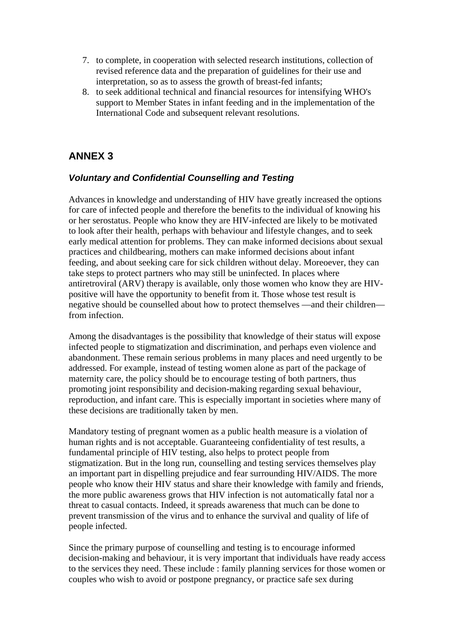- 7. to complete, in cooperation with selected research institutions, collection of revised reference data and the preparation of guidelines for their use and interpretation, so as to assess the growth of breast-fed infants;
- 8. to seek additional technical and financial resources for intensifying WHO's support to Member States in infant feeding and in the implementation of the International Code and subsequent relevant resolutions.

# **ANNEX 3**

# *Voluntary and Confidential Counselling and Testing*

Advances in knowledge and understanding of HIV have greatly increased the options for care of infected people and therefore the benefits to the individual of knowing his or her serostatus. People who know they are HIV-infected are likely to be motivated to look after their health, perhaps with behaviour and lifestyle changes, and to seek early medical attention for problems. They can make informed decisions about sexual practices and childbearing, mothers can make informed decisions about infant feeding, and about seeking care for sick children without delay. Moreoever, they can take steps to protect partners who may still be uninfected. In places where antiretroviral (ARV) therapy is available, only those women who know they are HIVpositive will have the opportunity to benefit from it. Those whose test result is negative should be counselled about how to protect themselves —and their children from infection.

Among the disadvantages is the possibility that knowledge of their status will expose infected people to stigmatization and discrimination, and perhaps even violence and abandonment. These remain serious problems in many places and need urgently to be addressed. For example, instead of testing women alone as part of the package of maternity care, the policy should be to encourage testing of both partners, thus promoting joint responsibility and decision-making regarding sexual behaviour, reproduction, and infant care. This is especially important in societies where many of these decisions are traditionally taken by men.

Mandatory testing of pregnant women as a public health measure is a violation of human rights and is not acceptable. Guaranteeing confidentiality of test results, a fundamental principle of HIV testing, also helps to protect people from stigmatization. But in the long run, counselling and testing services themselves play an important part in dispelling prejudice and fear surrounding HIV/AIDS. The more people who know their HIV status and share their knowledge with family and friends, the more public awareness grows that HIV infection is not automatically fatal nor a threat to casual contacts. Indeed, it spreads awareness that much can be done to prevent transmission of the virus and to enhance the survival and quality of life of people infected.

Since the primary purpose of counselling and testing is to encourage informed decision-making and behaviour, it is very important that individuals have ready access to the services they need. These include : family planning services for those women or couples who wish to avoid or postpone pregnancy, or practice safe sex during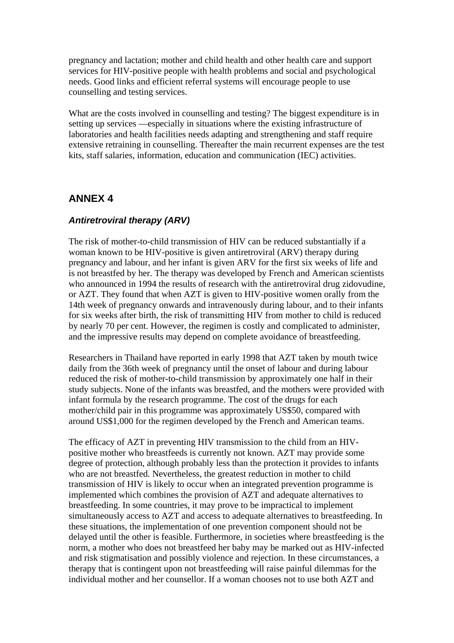pregnancy and lactation; mother and child health and other health care and support services for HIV-positive people with health problems and social and psychological needs. Good links and efficient referral systems will encourage people to use counselling and testing services.

What are the costs involved in counselling and testing? The biggest expenditure is in setting up services —especially in situations where the existing infrastructure of laboratories and health facilities needs adapting and strengthening and staff require extensive retraining in counselling. Thereafter the main recurrent expenses are the test kits, staff salaries, information, education and communication (IEC) activities.

# **ANNEX 4**

#### *Antiretroviral therapy (ARV)*

The risk of mother-to-child transmission of HIV can be reduced substantially if a woman known to be HIV-positive is given antiretroviral (ARV) therapy during pregnancy and labour, and her infant is given ARV for the first six weeks of life and is not breastfed by her. The therapy was developed by French and American scientists who announced in 1994 the results of research with the antiretroviral drug zidovudine, or AZT. They found that when AZT is given to HIV-positive women orally from the 14th week of pregnancy onwards and intravenously during labour, and to their infants for six weeks after birth, the risk of transmitting HIV from mother to child is reduced by nearly 70 per cent. However, the regimen is costly and complicated to administer, and the impressive results may depend on complete avoidance of breastfeeding.

Researchers in Thailand have reported in early 1998 that AZT taken by mouth twice daily from the 36th week of pregnancy until the onset of labour and during labour reduced the risk of mother-to-child transmission by approximately one half in their study subjects. None of the infants was breastfed, and the mothers were provided with infant formula by the research programme. The cost of the drugs for each mother/child pair in this programme was approximately US\$50, compared with around US\$1,000 for the regimen developed by the French and American teams.

The efficacy of AZT in preventing HIV transmission to the child from an HIVpositive mother who breastfeeds is currently not known. AZT may provide some degree of protection, although probably less than the protection it provides to infants who are not breastfed. Nevertheless, the greatest reduction in mother to child transmission of HIV is likely to occur when an integrated prevention programme is implemented which combines the provision of AZT and adequate alternatives to breastfeeding. In some countries, it may prove to be impractical to implement simultaneously access to AZT and access to adequate alternatives to breastfeeding. In these situations, the implementation of one prevention component should not be delayed until the other is feasible. Furthermore, in societies where breastfeeding is the norm, a mother who does not breastfeed her baby may be marked out as HIV-infected and risk stigmatisation and possibly violence and rejection. In these circumstances, a therapy that is contingent upon not breastfeeding will raise painful dilemmas for the individual mother and her counsellor. If a woman chooses not to use both AZT and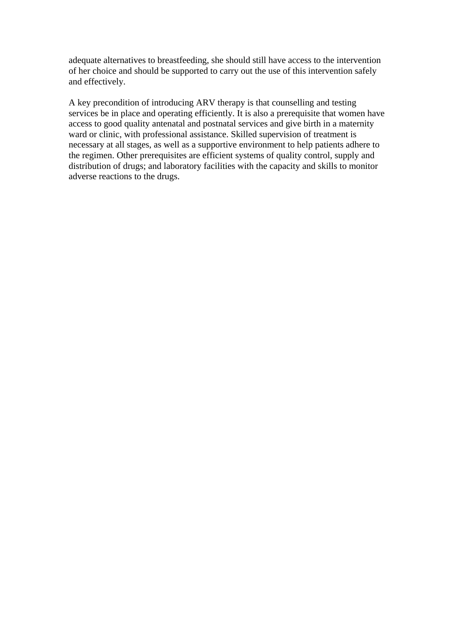adequate alternatives to breastfeeding, she should still have access to the intervention of her choice and should be supported to carry out the use of this intervention safely and effectively.

A key precondition of introducing ARV therapy is that counselling and testing services be in place and operating efficiently. It is also a prerequisite that women have access to good quality antenatal and postnatal services and give birth in a maternity ward or clinic, with professional assistance. Skilled supervision of treatment is necessary at all stages, as well as a supportive environment to help patients adhere to the regimen. Other prerequisites are efficient systems of quality control, supply and distribution of drugs; and laboratory facilities with the capacity and skills to monitor adverse reactions to the drugs.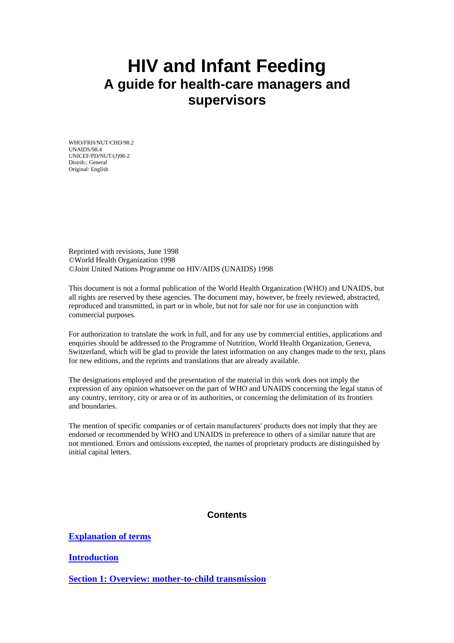# **HIV and Infant Feeding A guide for health-care managers and supervisors**

WHO/FRH/NUT/CHD/98.2 UNAIDS/98.4 UNICEF/PD/NUT/(J)98-2 Distrib.: General Original: English

Reprinted with revisions, June 1998 ©World Health Organization 1998 ©Joint United Nations Programme on HIV/AIDS (UNAIDS) 1998

This document is not a formal publication of the World Health Organization (WHO) and UNAIDS, but all rights are reserved by these agencies. The document may, however, be freely reviewed, abstracted, reproduced and transmitted, in part or in whole, but not for sale nor for use in conjunction with commercial purposes.

For authorization to translate the work in full, and for any use by commercial entities, applications and enquiries should be addressed to the Programme of Nutrition, World Health Organization, Geneva, Switzerland, which will be glad to provide the latest information on any changes made to the text, plans for new editions, and the reprints and translations that are already available.

The designations employed and the presentation of the material in this work does not imply the expression of any opinion whatsoever on the part of WHO and UNAIDS concerning the legal status of any country, territory, city or area or of its authorities, or concerning the delimitation of its frontiers and boundaries.

The mention of specific companies or of certain manufacturers' products does not imply that they are endorsed or recommended by WHO and UNAIDS in preference to others of a similar nature that are not mentioned. Errors and omissions excepted, the names of proprietary products are distinguished by initial capital letters.

#### **Contents**

**Explanation of terms**

**Introduction**

**Section 1: Overview: mother-to-child transmission**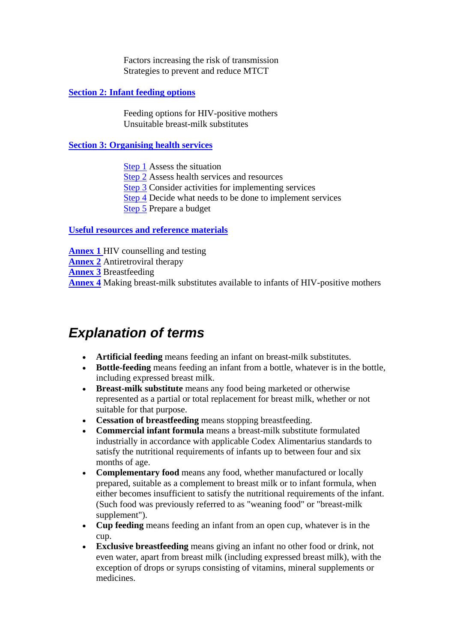Factors increasing the risk of transmission Strategies to prevent and reduce MTCT

# **Section 2: Infant feeding options**

Feeding options for HIV-positive mothers Unsuitable breast-milk substitutes

**Section 3: Organising health services**

Step 1 Assess the situation Step 2 Assess health services and resources Step 3 Consider activities for implementing services Step 4 Decide what needs to be done to implement services Step 5 Prepare a budget

### **Useful resources and reference materials**

**Annex 1** HIV counselling and testing **Annex 2** Antiretroviral therapy **Annex 3** Breastfeeding **Annex 4** Making breast-milk substitutes available to infants of HIV-positive mothers

# *Explanation of terms*

- **Artificial feeding** means feeding an infant on breast-milk substitutes.
- **Bottle-feeding** means feeding an infant from a bottle, whatever is in the bottle, including expressed breast milk.
- **Breast-milk substitute** means any food being marketed or otherwise represented as a partial or total replacement for breast milk, whether or not suitable for that purpose.
- **Cessation of breastfeeding** means stopping breastfeeding.
- **Commercial infant formula** means a breast-milk substitute formulated industrially in accordance with applicable Codex Alimentarius standards to satisfy the nutritional requirements of infants up to between four and six months of age.
- **Complementary food** means any food, whether manufactured or locally prepared, suitable as a complement to breast milk or to infant formula, when either becomes insufficient to satisfy the nutritional requirements of the infant. (Such food was previously referred to as "weaning food" or "breast-milk supplement").
- **Cup feeding** means feeding an infant from an open cup, whatever is in the cup.
- **Exclusive breastfeeding** means giving an infant no other food or drink, not even water, apart from breast milk (including expressed breast milk), with the exception of drops or syrups consisting of vitamins, mineral supplements or medicines.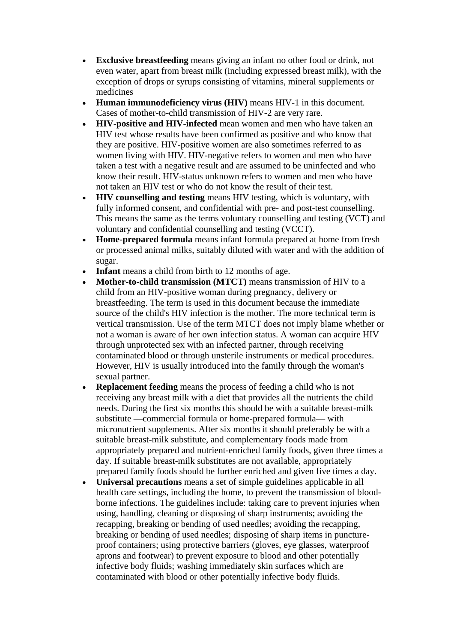- **Exclusive breastfeeding** means giving an infant no other food or drink, not even water, apart from breast milk (including expressed breast milk), with the exception of drops or syrups consisting of vitamins, mineral supplements or medicines
- **Human immunodeficiency virus (HIV)** means HIV-1 in this document. Cases of mother-to-child transmission of HIV-2 are very rare.
- **HIV-positive and HIV-infected** mean women and men who have taken an HIV test whose results have been confirmed as positive and who know that they are positive. HIV-positive women are also sometimes referred to as women living with HIV. HIV-negative refers to women and men who have taken a test with a negative result and are assumed to be uninfected and who know their result. HIV-status unknown refers to women and men who have not taken an HIV test or who do not know the result of their test.
- **HIV counselling and testing** means HIV testing, which is voluntary, with fully informed consent, and confidential with pre- and post-test counselling. This means the same as the terms voluntary counselling and testing (VCT) and voluntary and confidential counselling and testing (VCCT).
- **Home-prepared formula** means infant formula prepared at home from fresh or processed animal milks, suitably diluted with water and with the addition of sugar.
- **Infant** means a child from birth to 12 months of age.
- **Mother-to-child transmission (MTCT)** means transmission of HIV to a child from an HIV-positive woman during pregnancy, delivery or breastfeeding. The term is used in this document because the immediate source of the child's HIV infection is the mother. The more technical term is vertical transmission. Use of the term MTCT does not imply blame whether or not a woman is aware of her own infection status. A woman can acquire HIV through unprotected sex with an infected partner, through receiving contaminated blood or through unsterile instruments or medical procedures. However, HIV is usually introduced into the family through the woman's sexual partner.
- **Replacement feeding** means the process of feeding a child who is not receiving any breast milk with a diet that provides all the nutrients the child needs. During the first six months this should be with a suitable breast-milk substitute —commercial formula or home-prepared formula— with micronutrient supplements. After six months it should preferably be with a suitable breast-milk substitute, and complementary foods made from appropriately prepared and nutrient-enriched family foods, given three times a day. If suitable breast-milk substitutes are not available, appropriately prepared family foods should be further enriched and given five times a day.
- **Universal precautions** means a set of simple guidelines applicable in all health care settings, including the home, to prevent the transmission of bloodborne infections. The guidelines include: taking care to prevent injuries when using, handling, cleaning or disposing of sharp instruments; avoiding the recapping, breaking or bending of used needles; avoiding the recapping, breaking or bending of used needles; disposing of sharp items in punctureproof containers; using protective barriers (gloves, eye glasses, waterproof aprons and footwear) to prevent exposure to blood and other potentially infective body fluids; washing immediately skin surfaces which are contaminated with blood or other potentially infective body fluids.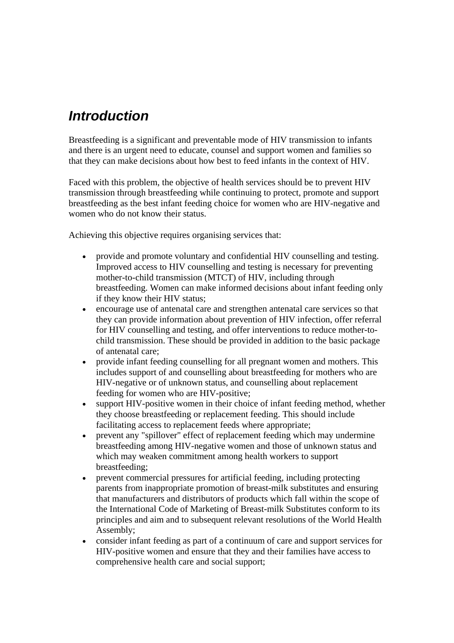# *Introduction*

Breastfeeding is a significant and preventable mode of HIV transmission to infants and there is an urgent need to educate, counsel and support women and families so that they can make decisions about how best to feed infants in the context of HIV.

Faced with this problem, the objective of health services should be to prevent HIV transmission through breastfeeding while continuing to protect, promote and support breastfeeding as the best infant feeding choice for women who are HIV-negative and women who do not know their status.

Achieving this objective requires organising services that:

- provide and promote voluntary and confidential HIV counselling and testing. Improved access to HIV counselling and testing is necessary for preventing mother-to-child transmission (MTCT) of HIV, including through breastfeeding. Women can make informed decisions about infant feeding only if they know their HIV status;
- encourage use of antenatal care and strengthen antenatal care services so that they can provide information about prevention of HIV infection, offer referral for HIV counselling and testing, and offer interventions to reduce mother-tochild transmission. These should be provided in addition to the basic package of antenatal care;
- provide infant feeding counselling for all pregnant women and mothers. This includes support of and counselling about breastfeeding for mothers who are HIV-negative or of unknown status, and counselling about replacement feeding for women who are HIV-positive;
- support HIV-positive women in their choice of infant feeding method, whether they choose breastfeeding or replacement feeding. This should include facilitating access to replacement feeds where appropriate;
- prevent any "spillover" effect of replacement feeding which may undermine breastfeeding among HIV-negative women and those of unknown status and which may weaken commitment among health workers to support breastfeeding;
- prevent commercial pressures for artificial feeding, including protecting parents from inappropriate promotion of breast-milk substitutes and ensuring that manufacturers and distributors of products which fall within the scope of the International Code of Marketing of Breast-milk Substitutes conform to its principles and aim and to subsequent relevant resolutions of the World Health Assembly;
- consider infant feeding as part of a continuum of care and support services for HIV-positive women and ensure that they and their families have access to comprehensive health care and social support;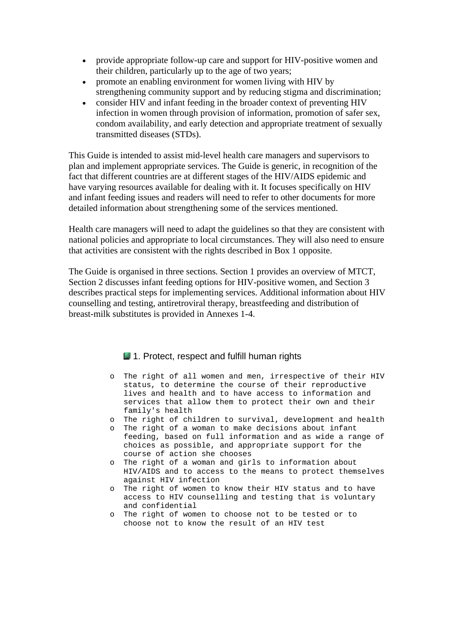- provide appropriate follow-up care and support for HIV-positive women and their children, particularly up to the age of two years;
- promote an enabling environment for women living with HIV by strengthening community support and by reducing stigma and discrimination;
- consider HIV and infant feeding in the broader context of preventing HIV infection in women through provision of information, promotion of safer sex, condom availability, and early detection and appropriate treatment of sexually transmitted diseases (STDs).

This Guide is intended to assist mid-level health care managers and supervisors to plan and implement appropriate services. The Guide is generic, in recognition of the fact that different countries are at different stages of the HIV/AIDS epidemic and have varying resources available for dealing with it. It focuses specifically on HIV and infant feeding issues and readers will need to refer to other documents for more detailed information about strengthening some of the services mentioned.

Health care managers will need to adapt the guidelines so that they are consistent with national policies and appropriate to local circumstances. They will also need to ensure that activities are consistent with the rights described in Box 1 opposite.

The Guide is organised in three sections. Section 1 provides an overview of MTCT, Section 2 discusses infant feeding options for HIV-positive women, and Section 3 describes practical steps for implementing services. Additional information about HIV counselling and testing, antiretroviral therapy, breastfeeding and distribution of breast-milk substitutes is provided in Annexes 1-4.

#### **1.** Protect, respect and fulfill human rights

- o The right of all women and men, irrespective of their HIV status, to determine the course of their reproductive lives and health and to have access to information and services that allow them to protect their own and their family's health
- o The right of children to survival, development and health
- o The right of a woman to make decisions about infant feeding, based on full information and as wide a range of choices as possible, and appropriate support for the course of action she chooses
- o The right of a woman and girls to information about HIV/AIDS and to access to the means to protect themselves against HIV infection
- o The right of women to know their HIV status and to have access to HIV counselling and testing that is voluntary and confidential
- o The right of women to choose not to be tested or to choose not to know the result of an HIV test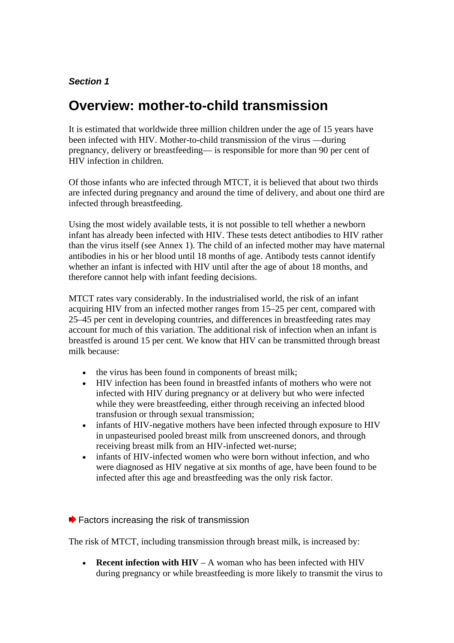# *Section 1*

# **Overview: mother-to-child transmission**

It is estimated that worldwide three million children under the age of 15 years have been infected with HIV. Mother-to-child transmission of the virus —during pregnancy, delivery or breastfeeding— is responsible for more than 90 per cent of HIV infection in children.

Of those infants who are infected through MTCT, it is believed that about two thirds are infected during pregnancy and around the time of delivery, and about one third are infected through breastfeeding.

Using the most widely available tests, it is not possible to tell whether a newborn infant has already been infected with HIV. These tests detect antibodies to HIV rather than the virus itself (see Annex 1). The child of an infected mother may have maternal antibodies in his or her blood until 18 months of age. Antibody tests cannot identify whether an infant is infected with HIV until after the age of about 18 months, and therefore cannot help with infant feeding decisions.

MTCT rates vary considerably. In the industrialised world, the risk of an infant acquiring HIV from an infected mother ranges from 15–25 per cent, compared with 25–45 per cent in developing countries, and differences in breastfeeding rates may account for much of this variation. The additional risk of infection when an infant is breastfed is around 15 per cent. We know that HIV can be transmitted through breast milk because:

- the virus has been found in components of breast milk:
- HIV infection has been found in breastfed infants of mothers who were not infected with HIV during pregnancy or at delivery but who were infected while they were breastfeeding, either through receiving an infected blood transfusion or through sexual transmission;
- infants of HIV-negative mothers have been infected through exposure to HIV in unpasteurised pooled breast milk from unscreened donors, and through receiving breast milk from an HIV-infected wet-nurse;
- infants of HIV-infected women who were born without infection, and who were diagnosed as HIV negative at six months of age, have been found to be infected after this age and breastfeeding was the only risk factor.

 $\blacktriangleright$  Factors increasing the risk of transmission

The risk of MTCT, including transmission through breast milk, is increased by:

• **Recent infection with HIV** – A woman who has been infected with HIV during pregnancy or while breastfeeding is more likely to transmit the virus to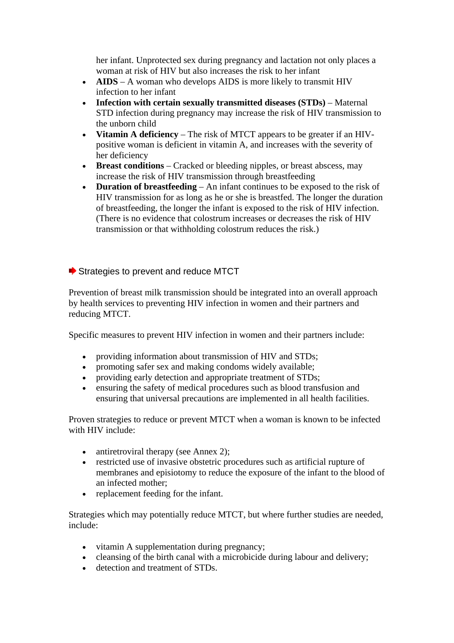her infant. Unprotected sex during pregnancy and lactation not only places a woman at risk of HIV but also increases the risk to her infant

- **AIDS** A woman who develops AIDS is more likely to transmit HIV infection to her infant
- **Infection with certain sexually transmitted diseases (STDs)** Maternal STD infection during pregnancy may increase the risk of HIV transmission to the unborn child
- **Vitamin A deficiency** The risk of MTCT appears to be greater if an HIVpositive woman is deficient in vitamin A, and increases with the severity of her deficiency
- **Breast conditions** Cracked or bleeding nipples, or breast abscess, may increase the risk of HIV transmission through breastfeeding
- **Duration of breastfeeding** An infant continues to be exposed to the risk of HIV transmission for as long as he or she is breastfed. The longer the duration of breastfeeding, the longer the infant is exposed to the risk of HIV infection. (There is no evidence that colostrum increases or decreases the risk of HIV transmission or that withholding colostrum reduces the risk.)

# Strategies to prevent and reduce MTCT

Prevention of breast milk transmission should be integrated into an overall approach by health services to preventing HIV infection in women and their partners and reducing MTCT.

Specific measures to prevent HIV infection in women and their partners include:

- providing information about transmission of HIV and STDs;
- 
- promoting safer sex and making condoms widely available;<br>• providing early detection and appropriate treatment of STDs • providing early detection and appropriate treatment of STDs;
- ensuring the safety of medical procedures such as blood transfusion and ensuring that universal precautions are implemented in all health facilities.

Proven strategies to reduce or prevent MTCT when a woman is known to be infected with HIV include:

- antiretroviral therapy (see Annex 2);
- restricted use of invasive obstetric procedures such as artificial rupture of membranes and episiotomy to reduce the exposure of the infant to the blood of an infected mother;
- replacement feeding for the infant.

Strategies which may potentially reduce MTCT, but where further studies are needed, include:

- vitamin A supplementation during pregnancy;
- cleansing of the birth canal with a microbicide during labour and delivery;
- detection and treatment of STDs.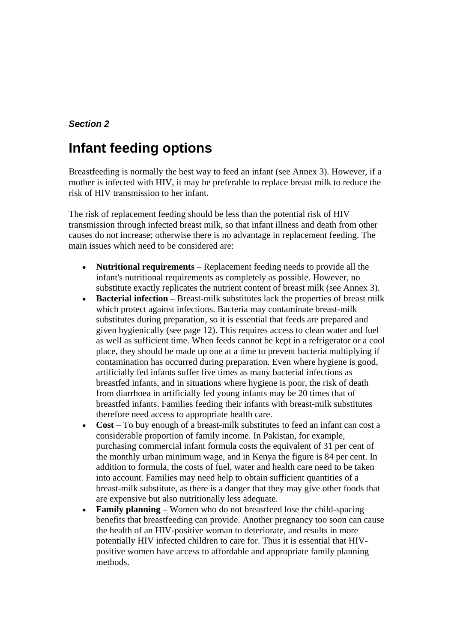# *Section 2*

# **Infant feeding options**

Breastfeeding is normally the best way to feed an infant (see Annex 3). However, if a mother is infected with HIV, it may be preferable to replace breast milk to reduce the risk of HIV transmission to her infant.

The risk of replacement feeding should be less than the potential risk of HIV transmission through infected breast milk, so that infant illness and death from other causes do not increase; otherwise there is no advantage in replacement feeding. The main issues which need to be considered are:

- **Nutritional requirements** Replacement feeding needs to provide all the infant's nutritional requirements as completely as possible. However, no substitute exactly replicates the nutrient content of breast milk (see Annex 3).
- **Bacterial infection** Breast-milk substitutes lack the properties of breast milk which protect against infections. Bacteria may contaminate breast-milk substitutes during preparation, so it is essential that feeds are prepared and given hygienically (see page 12). This requires access to clean water and fuel as well as sufficient time. When feeds cannot be kept in a refrigerator or a cool place, they should be made up one at a time to prevent bacteria multiplying if contamination has occurred during preparation. Even where hygiene is good, artificially fed infants suffer five times as many bacterial infections as breastfed infants, and in situations where hygiene is poor, the risk of death from diarrhoea in artificially fed young infants may be 20 times that of breastfed infants. Families feeding their infants with breast-milk substitutes therefore need access to appropriate health care.
- **Cost** To buy enough of a breast-milk substitutes to feed an infant can cost a considerable proportion of family income. In Pakistan, for example, purchasing commercial infant formula costs the equivalent of 31 per cent of the monthly urban minimum wage, and in Kenya the figure is 84 per cent. In addition to formula, the costs of fuel, water and health care need to be taken into account. Families may need help to obtain sufficient quantities of a breast-milk substitute, as there is a danger that they may give other foods that are expensive but also nutritionally less adequate.
- **Family planning** Women who do not breastfeed lose the child-spacing benefits that breastfeeding can provide. Another pregnancy too soon can cause the health of an HIV-positive woman to deteriorate, and results in more potentially HIV infected children to care for. Thus it is essential that HIVpositive women have access to affordable and appropriate family planning methods.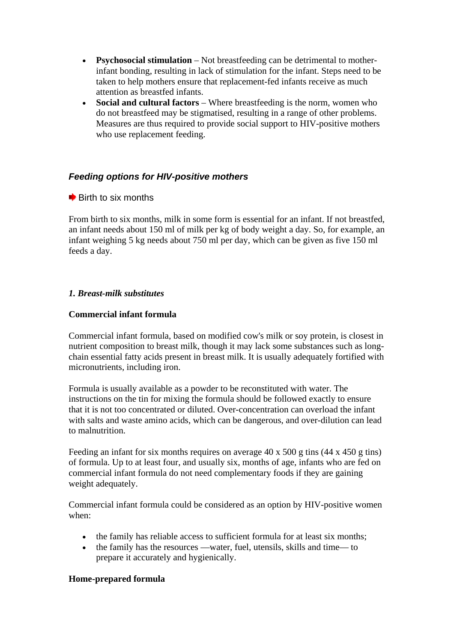- **Psychosocial stimulation**  Not breastfeeding can be detrimental to motherinfant bonding, resulting in lack of stimulation for the infant. Steps need to be taken to help mothers ensure that replacement-fed infants receive as much attention as breastfed infants.
- **Social and cultural factors**  Where breastfeeding is the norm, women who do not breastfeed may be stigmatised, resulting in a range of other problems. Measures are thus required to provide social support to HIV-positive mothers who use replacement feeding.

# *Feeding options for HIV-positive mothers*

 $\blacktriangleright$  Birth to six months

From birth to six months, milk in some form is essential for an infant. If not breastfed, an infant needs about 150 ml of milk per kg of body weight a day. So, for example, an infant weighing 5 kg needs about 750 ml per day, which can be given as five 150 ml feeds a day.

# *1. Breast-milk substitutes*

# **Commercial infant formula**

Commercial infant formula, based on modified cow's milk or soy protein, is closest in nutrient composition to breast milk, though it may lack some substances such as longchain essential fatty acids present in breast milk. It is usually adequately fortified with micronutrients, including iron.

Formula is usually available as a powder to be reconstituted with water. The instructions on the tin for mixing the formula should be followed exactly to ensure that it is not too concentrated or diluted. Over-concentration can overload the infant with salts and waste amino acids, which can be dangerous, and over-dilution can lead to malnutrition.

Feeding an infant for six months requires on average 40 x 500 g tins (44 x 450 g tins) of formula. Up to at least four, and usually six, months of age, infants who are fed on commercial infant formula do not need complementary foods if they are gaining weight adequately.

Commercial infant formula could be considered as an option by HIV-positive women when:

- the family has reliable access to sufficient formula for at least six months;
- the family has the resources —water, fuel, utensils, skills and time— to prepare it accurately and hygienically.

# **Home-prepared formula**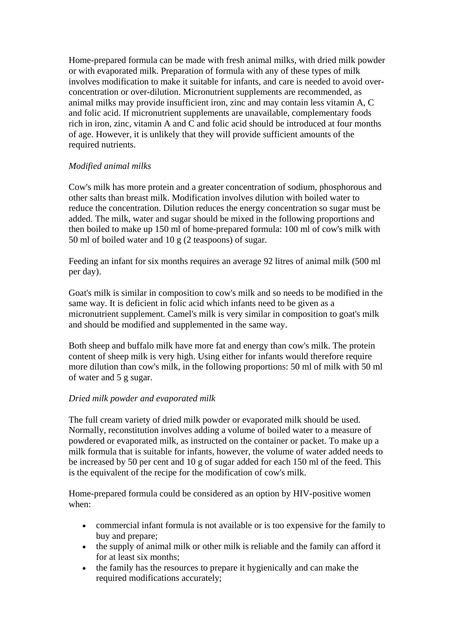Home-prepared formula can be made with fresh animal milks, with dried milk powder or with evaporated milk. Preparation of formula with any of these types of milk involves modification to make it suitable for infants, and care is needed to avoid overconcentration or over-dilution. Micronutrient supplements are recommended, as animal milks may provide insufficient iron, zinc and may contain less vitamin A, C and folic acid. If micronutrient supplements are unavailable, complementary foods rich in iron, zinc, vitamin A and C and folic acid should be introduced at four months of age. However, it is unlikely that they will provide sufficient amounts of the required nutrients.

# *Modified animal milks*

Cow's milk has more protein and a greater concentration of sodium, phosphorous and other salts than breast milk. Modification involves dilution with boiled water to reduce the concentration. Dilution reduces the energy concentration so sugar must be added. The milk, water and sugar should be mixed in the following proportions and then boiled to make up 150 ml of home-prepared formula: 100 ml of cow's milk with 50 ml of boiled water and 10 g (2 teaspoons) of sugar.

Feeding an infant for six months requires an average 92 litres of animal milk (500 ml per day).

Goat's milk is similar in composition to cow's milk and so needs to be modified in the same way. It is deficient in folic acid which infants need to be given as a micronutrient supplement. Camel's milk is very similar in composition to goat's milk and should be modified and supplemented in the same way.

Both sheep and buffalo milk have more fat and energy than cow's milk. The protein content of sheep milk is very high. Using either for infants would therefore require more dilution than cow's milk, in the following proportions: 50 ml of milk with 50 ml of water and 5 g sugar.

# *Dried milk powder and evaporated milk*

The full cream variety of dried milk powder or evaporated milk should be used. Normally, reconstitution involves adding a volume of boiled water to a measure of powdered or evaporated milk, as instructed on the container or packet. To make up a milk formula that is suitable for infants, however, the volume of water added needs to be increased by 50 per cent and 10 g of sugar added for each 150 ml of the feed. This is the equivalent of the recipe for the modification of cow's milk.

Home-prepared formula could be considered as an option by HIV-positive women when:

- commercial infant formula is not available or is too expensive for the family to buy and prepare;
- the supply of animal milk or other milk is reliable and the family can afford it for at least six months;
- the family has the resources to prepare it hygienically and can make the required modifications accurately;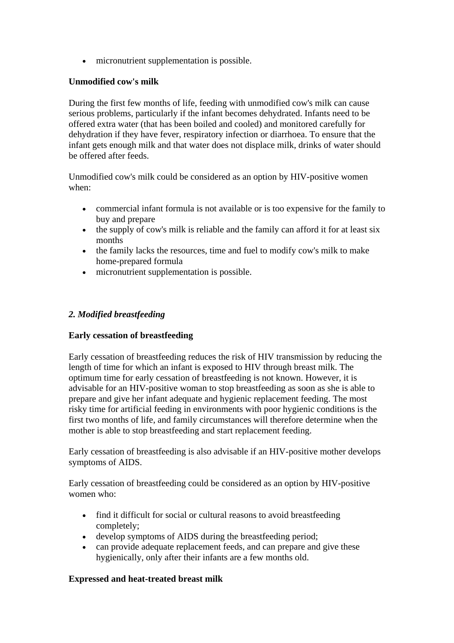• micronutrient supplementation is possible.

### **Unmodified cow's milk**

During the first few months of life, feeding with unmodified cow's milk can cause serious problems, particularly if the infant becomes dehydrated. Infants need to be offered extra water (that has been boiled and cooled) and monitored carefully for dehydration if they have fever, respiratory infection or diarrhoea. To ensure that the infant gets enough milk and that water does not displace milk, drinks of water should be offered after feeds.

Unmodified cow's milk could be considered as an option by HIV-positive women when:

- commercial infant formula is not available or is too expensive for the family to buy and prepare
- the supply of cow's milk is reliable and the family can afford it for at least six months
- the family lacks the resources, time and fuel to modify cow's milk to make home-prepared formula
- micronutrient supplementation is possible.

# *2. Modified breastfeeding*

# **Early cessation of breastfeeding**

Early cessation of breastfeeding reduces the risk of HIV transmission by reducing the length of time for which an infant is exposed to HIV through breast milk. The optimum time for early cessation of breastfeeding is not known. However, it is advisable for an HIV-positive woman to stop breastfeeding as soon as she is able to prepare and give her infant adequate and hygienic replacement feeding. The most risky time for artificial feeding in environments with poor hygienic conditions is the first two months of life, and family circumstances will therefore determine when the mother is able to stop breastfeeding and start replacement feeding.

Early cessation of breastfeeding is also advisable if an HIV-positive mother develops symptoms of AIDS.

Early cessation of breastfeeding could be considered as an option by HIV-positive women who:

- find it difficult for social or cultural reasons to avoid breastfeeding completely;
- develop symptoms of AIDS during the breastfeeding period;
- can provide adequate replacement feeds, and can prepare and give these hygienically, only after their infants are a few months old.

# **Expressed and heat-treated breast milk**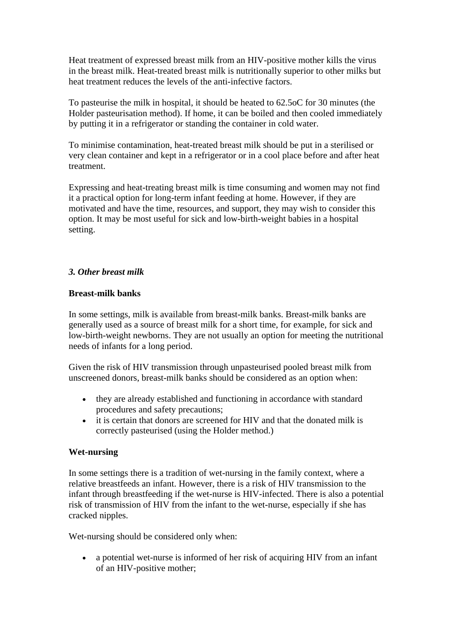Heat treatment of expressed breast milk from an HIV-positive mother kills the virus in the breast milk. Heat-treated breast milk is nutritionally superior to other milks but heat treatment reduces the levels of the anti-infective factors.

To pasteurise the milk in hospital, it should be heated to 62.5oC for 30 minutes (the Holder pasteurisation method). If home, it can be boiled and then cooled immediately by putting it in a refrigerator or standing the container in cold water.

To minimise contamination, heat-treated breast milk should be put in a sterilised or very clean container and kept in a refrigerator or in a cool place before and after heat treatment.

Expressing and heat-treating breast milk is time consuming and women may not find it a practical option for long-term infant feeding at home. However, if they are motivated and have the time, resources, and support, they may wish to consider this option. It may be most useful for sick and low-birth-weight babies in a hospital setting.

# *3. Other breast milk*

#### **Breast-milk banks**

In some settings, milk is available from breast-milk banks. Breast-milk banks are generally used as a source of breast milk for a short time, for example, for sick and low-birth-weight newborns. They are not usually an option for meeting the nutritional needs of infants for a long period.

Given the risk of HIV transmission through unpasteurised pooled breast milk from unscreened donors, breast-milk banks should be considered as an option when:

- they are already established and functioning in accordance with standard procedures and safety precautions;
- it is certain that donors are screened for HIV and that the donated milk is correctly pasteurised (using the Holder method.)

#### **Wet-nursing**

In some settings there is a tradition of wet-nursing in the family context, where a relative breastfeeds an infant. However, there is a risk of HIV transmission to the infant through breastfeeding if the wet-nurse is HIV-infected. There is also a potential risk of transmission of HIV from the infant to the wet-nurse, especially if she has cracked nipples.

Wet-nursing should be considered only when:

• a potential wet-nurse is informed of her risk of acquiring HIV from an infant of an HIV-positive mother;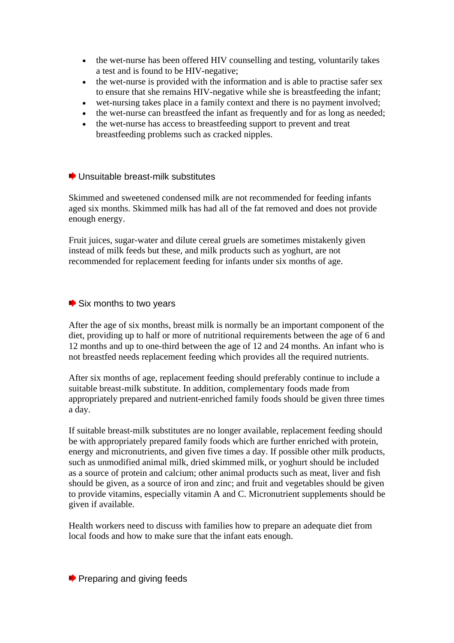- the wet-nurse has been offered HIV counselling and testing, voluntarily takes a test and is found to be HIV-negative;
- the wet-nurse is provided with the information and is able to practise safer sex to ensure that she remains HIV-negative while she is breastfeeding the infant;
- wet-nursing takes place in a family context and there is no payment involved;
- the wet-nurse can breastfeed the infant as frequently and for as long as needed;
- the wet-nurse has access to breastfeeding support to prevent and treat breastfeeding problems such as cracked nipples.

# $\blacktriangleright$  Unsuitable breast-milk substitutes

Skimmed and sweetened condensed milk are not recommended for feeding infants aged six months. Skimmed milk has had all of the fat removed and does not provide enough energy.

Fruit juices, sugar-water and dilute cereal gruels are sometimes mistakenly given instead of milk feeds but these, and milk products such as yoghurt, are not recommended for replacement feeding for infants under six months of age.

#### $\blacktriangleright$  Six months to two years

After the age of six months, breast milk is normally be an important component of the diet, providing up to half or more of nutritional requirements between the age of 6 and 12 months and up to one-third between the age of 12 and 24 months. An infant who is not breastfed needs replacement feeding which provides all the required nutrients.

After six months of age, replacement feeding should preferably continue to include a suitable breast-milk substitute. In addition, complementary foods made from appropriately prepared and nutrient-enriched family foods should be given three times a day.

If suitable breast-milk substitutes are no longer available, replacement feeding should be with appropriately prepared family foods which are further enriched with protein, energy and micronutrients, and given five times a day. If possible other milk products, such as unmodified animal milk, dried skimmed milk, or yoghurt should be included as a source of protein and calcium; other animal products such as meat, liver and fish should be given, as a source of iron and zinc; and fruit and vegetables should be given to provide vitamins, especially vitamin A and C. Micronutrient supplements should be given if available.

Health workers need to discuss with families how to prepare an adequate diet from local foods and how to make sure that the infant eats enough.

 $\blacktriangleright$  Preparing and giving feeds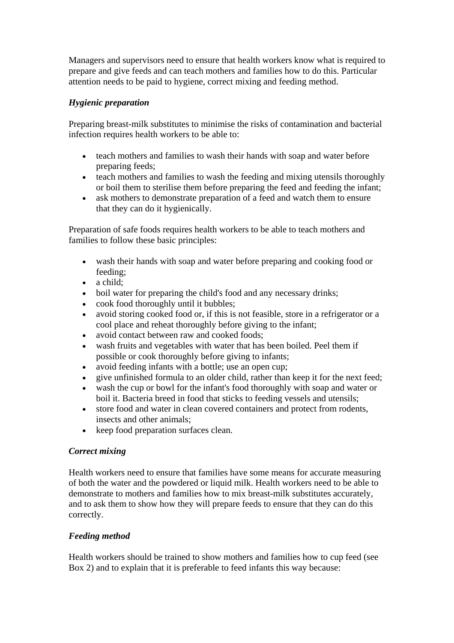Managers and supervisors need to ensure that health workers know what is required to prepare and give feeds and can teach mothers and families how to do this. Particular attention needs to be paid to hygiene, correct mixing and feeding method.

# *Hygienic preparation*

Preparing breast-milk substitutes to minimise the risks of contamination and bacterial infection requires health workers to be able to:

- teach mothers and families to wash their hands with soap and water before preparing feeds;
- teach mothers and families to wash the feeding and mixing utensils thoroughly or boil them to sterilise them before preparing the feed and feeding the infant;
- ask mothers to demonstrate preparation of a feed and watch them to ensure that they can do it hygienically.

Preparation of safe foods requires health workers to be able to teach mothers and families to follow these basic principles:

- wash their hands with soap and water before preparing and cooking food or feeding;
- a child:
- boil water for preparing the child's food and any necessary drinks;
- cook food thoroughly until it bubbles;
- avoid storing cooked food or, if this is not feasible, store in a refrigerator or a cool place and reheat thoroughly before giving to the infant;
- avoid contact between raw and cooked foods;
- wash fruits and vegetables with water that has been boiled. Peel them if possible or cook thoroughly before giving to infants;
- avoid feeding infants with a bottle; use an open cup;
- give unfinished formula to an older child, rather than keep it for the next feed;
- wash the cup or bowl for the infant's food thoroughly with soap and water or boil it. Bacteria breed in food that sticks to feeding vessels and utensils;
- store food and water in clean covered containers and protect from rodents, insects and other animals;
- keep food preparation surfaces clean.

# *Correct mixing*

Health workers need to ensure that families have some means for accurate measuring of both the water and the powdered or liquid milk. Health workers need to be able to demonstrate to mothers and families how to mix breast-milk substitutes accurately, and to ask them to show how they will prepare feeds to ensure that they can do this correctly.

# *Feeding method*

Health workers should be trained to show mothers and families how to cup feed (see Box 2) and to explain that it is preferable to feed infants this way because: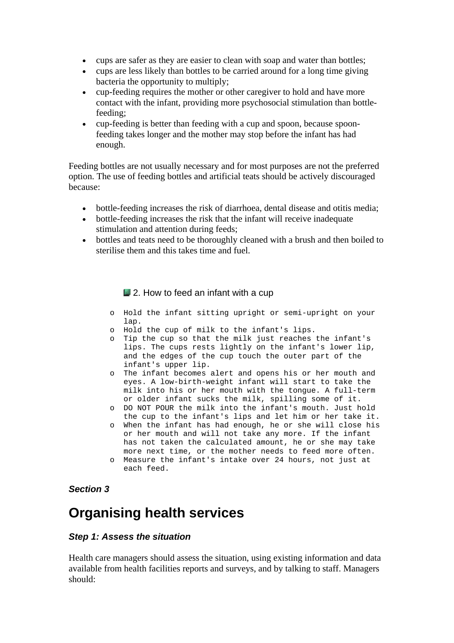- cups are safer as they are easier to clean with soap and water than bottles;
- cups are less likely than bottles to be carried around for a long time giving bacteria the opportunity to multiply;
- cup-feeding requires the mother or other caregiver to hold and have more contact with the infant, providing more psychosocial stimulation than bottlefeeding;
- cup-feeding is better than feeding with a cup and spoon, because spoonfeeding takes longer and the mother may stop before the infant has had enough.

Feeding bottles are not usually necessary and for most purposes are not the preferred option. The use of feeding bottles and artificial teats should be actively discouraged because:

- bottle-feeding increases the risk of diarrhoea, dental disease and otitis media;
- bottle-feeding increases the risk that the infant will receive inadequate stimulation and attention during feeds;
- bottles and teats need to be thoroughly cleaned with a brush and then boiled to sterilise them and this takes time and fuel.

### $\Box$  2. How to feed an infant with a cup

- o Hold the infant sitting upright or semi-upright on your lap.
- o Hold the cup of milk to the infant's lips.
- o Tip the cup so that the milk just reaches the infant's lips. The cups rests lightly on the infant's lower lip, and the edges of the cup touch the outer part of the infant's upper lip.
- o The infant becomes alert and opens his or her mouth and eyes. A low-birth-weight infant will start to take the milk into his or her mouth with the tongue. A full-term or older infant sucks the milk, spilling some of it.
- o DO NOT POUR the milk into the infant's mouth. Just hold the cup to the infant's lips and let him or her take it.
- o When the infant has had enough, he or she will close his or her mouth and will not take any more. If the infant has not taken the calculated amount, he or she may take more next time, or the mother needs to feed more often. o Measure the infant's intake over 24 hours, not just at
	- each feed.

# *Section 3*

# **Organising health services**

# *Step 1: Assess the situation*

Health care managers should assess the situation, using existing information and data available from health facilities reports and surveys, and by talking to staff. Managers should: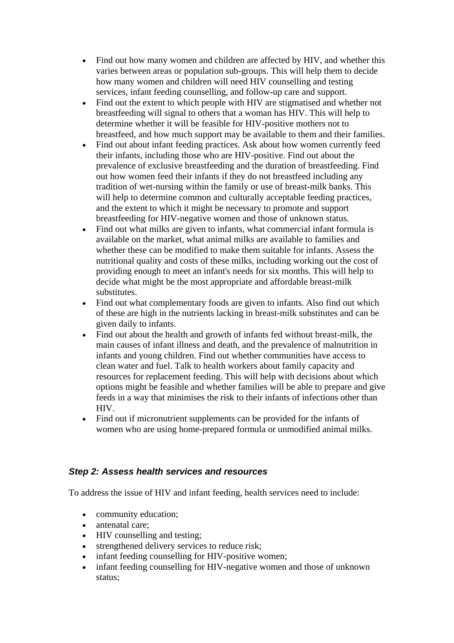- Find out how many women and children are affected by HIV, and whether this varies between areas or population sub-groups. This will help them to decide how many women and children will need HIV counselling and testing services, infant feeding counselling, and follow-up care and support.
- Find out the extent to which people with HIV are stigmatised and whether not breastfeeding will signal to others that a woman has HIV. This will help to determine whether it will be feasible for HIV-positive mothers not to breastfeed, and how much support may be available to them and their families.
- Find out about infant feeding practices. Ask about how women currently feed their infants, including those who are HIV-positive. Find out about the prevalence of exclusive breastfeeding and the duration of breastfeeding. Find out how women feed their infants if they do not breastfeed including any tradition of wet-nursing within the family or use of breast-milk banks. This will help to determine common and culturally acceptable feeding practices, and the extent to which it might be necessary to promote and support breastfeeding for HIV-negative women and those of unknown status.
- Find out what milks are given to infants, what commercial infant formula is available on the market, what animal milks are available to families and whether these can be modified to make them suitable for infants. Assess the nutritional quality and costs of these milks, including working out the cost of providing enough to meet an infant's needs for six months. This will help to decide what might be the most appropriate and affordable breast-milk substitutes.
- Find out what complementary foods are given to infants. Also find out which of these are high in the nutrients lacking in breast-milk substitutes and can be given daily to infants.
- Find out about the health and growth of infants fed without breast-milk, the main causes of infant illness and death, and the prevalence of malnutrition in infants and young children. Find out whether communities have access to clean water and fuel. Talk to health workers about family capacity and resources for replacement feeding. This will help with decisions about which options might be feasible and whether families will be able to prepare and give feeds in a way that minimises the risk to their infants of infections other than HIV.
- Find out if micronutrient supplements can be provided for the infants of women who are using home-prepared formula or unmodified animal milks.

# *Step 2: Assess health services and resources*

To address the issue of HIV and infant feeding, health services need to include:

- community education;
- antenatal care;
- HIV counselling and testing;
- strengthened delivery services to reduce risk;
- infant feeding counselling for HIV-positive women;
- infant feeding counselling for HIV-negative women and those of unknown status;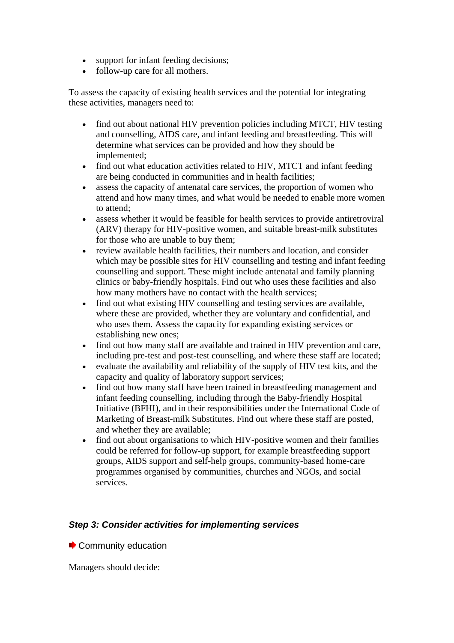- support for infant feeding decisions;
- follow-up care for all mothers.

To assess the capacity of existing health services and the potential for integrating these activities, managers need to:

- find out about national HIV prevention policies including MTCT, HIV testing and counselling, AIDS care, and infant feeding and breastfeeding. This will determine what services can be provided and how they should be implemented;
- find out what education activities related to HIV, MTCT and infant feeding are being conducted in communities and in health facilities;
- assess the capacity of antenatal care services, the proportion of women who attend and how many times, and what would be needed to enable more women to attend;
- assess whether it would be feasible for health services to provide antiretroviral (ARV) therapy for HIV-positive women, and suitable breast-milk substitutes for those who are unable to buy them;
- review available health facilities, their numbers and location, and consider which may be possible sites for HIV counselling and testing and infant feeding counselling and support. These might include antenatal and family planning clinics or baby-friendly hospitals. Find out who uses these facilities and also how many mothers have no contact with the health services;
- find out what existing HIV counselling and testing services are available, where these are provided, whether they are voluntary and confidential, and who uses them. Assess the capacity for expanding existing services or establishing new ones;
- find out how many staff are available and trained in HIV prevention and care, including pre-test and post-test counselling, and where these staff are located;
- evaluate the availability and reliability of the supply of HIV test kits, and the capacity and quality of laboratory support services;
- find out how many staff have been trained in breastfeeding management and infant feeding counselling, including through the Baby-friendly Hospital Initiative (BFHI), and in their responsibilities under the International Code of Marketing of Breast-milk Substitutes. Find out where these staff are posted, and whether they are available;
- find out about organisations to which HIV-positive women and their families could be referred for follow-up support, for example breastfeeding support groups, AIDS support and self-help groups, community-based home-care programmes organised by communities, churches and NGOs, and social services.

# *Step 3: Consider activities for implementing services*

Community education

Managers should decide: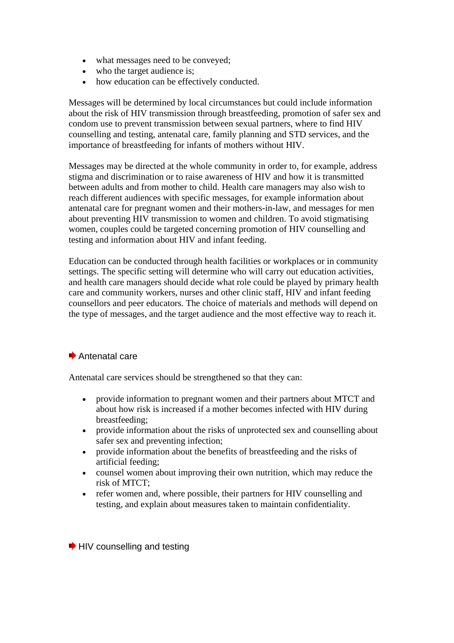- what messages need to be conveyed;
- who the target audience is;
- how education can be effectively conducted.

Messages will be determined by local circumstances but could include information about the risk of HIV transmission through breastfeeding, promotion of safer sex and condom use to prevent transmission between sexual partners, where to find HIV counselling and testing, antenatal care, family planning and STD services, and the importance of breastfeeding for infants of mothers without HIV.

Messages may be directed at the whole community in order to, for example, address stigma and discrimination or to raise awareness of HIV and how it is transmitted between adults and from mother to child. Health care managers may also wish to reach different audiences with specific messages, for example information about antenatal care for pregnant women and their mothers-in-law, and messages for men about preventing HIV transmission to women and children. To avoid stigmatising women, couples could be targeted concerning promotion of HIV counselling and testing and information about HIV and infant feeding.

Education can be conducted through health facilities or workplaces or in community settings. The specific setting will determine who will carry out education activities, and health care managers should decide what role could be played by primary health care and community workers, nurses and other clinic staff, HIV and infant feeding counsellors and peer educators. The choice of materials and methods will depend on the type of messages, and the target audience and the most effective way to reach it.

# **▶ Antenatal care**

Antenatal care services should be strengthened so that they can:

- provide information to pregnant women and their partners about MTCT and about how risk is increased if a mother becomes infected with HIV during breastfeeding;
- provide information about the risks of unprotected sex and counselling about safer sex and preventing infection;
- provide information about the benefits of breastfeeding and the risks of artificial feeding;
- counsel women about improving their own nutrition, which may reduce the risk of MTCT;
- refer women and, where possible, their partners for HIV counselling and testing, and explain about measures taken to maintain confidentiality.

 $\blacktriangleright$  HIV counselling and testing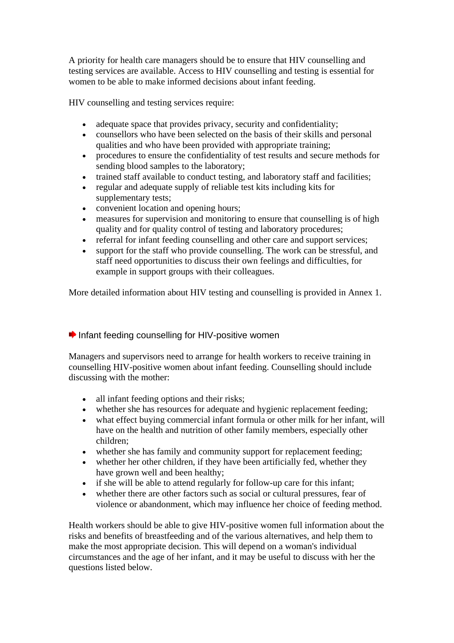A priority for health care managers should be to ensure that HIV counselling and testing services are available. Access to HIV counselling and testing is essential for women to be able to make informed decisions about infant feeding.

HIV counselling and testing services require:

- adequate space that provides privacy, security and confidentiality;
- counsellors who have been selected on the basis of their skills and personal qualities and who have been provided with appropriate training;
- procedures to ensure the confidentiality of test results and secure methods for sending blood samples to the laboratory;
- trained staff available to conduct testing, and laboratory staff and facilities;
- regular and adequate supply of reliable test kits including kits for supplementary tests;
- convenient location and opening hours;
- measures for supervision and monitoring to ensure that counselling is of high quality and for quality control of testing and laboratory procedures;
- referral for infant feeding counselling and other care and support services;
- support for the staff who provide counselling. The work can be stressful, and staff need opportunities to discuss their own feelings and difficulties, for example in support groups with their colleagues.

More detailed information about HIV testing and counselling is provided in Annex 1.

# **■** Infant feeding counselling for HIV-positive women

Managers and supervisors need to arrange for health workers to receive training in counselling HIV-positive women about infant feeding. Counselling should include discussing with the mother:

- all infant feeding options and their risks;
- whether she has resources for adequate and hygienic replacement feeding;
- what effect buying commercial infant formula or other milk for her infant, will have on the health and nutrition of other family members, especially other children;
- whether she has family and community support for replacement feeding;
- whether her other children, if they have been artificially fed, whether they have grown well and been healthy;
- if she will be able to attend regularly for follow-up care for this infant;
- whether there are other factors such as social or cultural pressures, fear of violence or abandonment, which may influence her choice of feeding method.

Health workers should be able to give HIV-positive women full information about the risks and benefits of breastfeeding and of the various alternatives, and help them to make the most appropriate decision. This will depend on a woman's individual circumstances and the age of her infant, and it may be useful to discuss with her the questions listed below.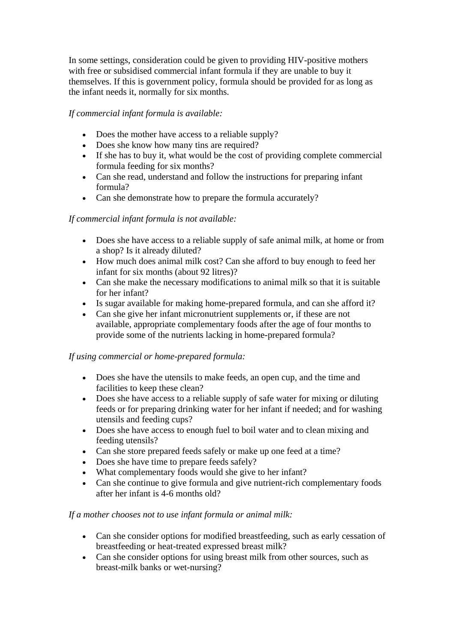In some settings, consideration could be given to providing HIV-positive mothers with free or subsidised commercial infant formula if they are unable to buy it themselves. If this is government policy, formula should be provided for as long as the infant needs it, normally for six months.

# *If commercial infant formula is available:*

- Does the mother have access to a reliable supply?
- Does she know how many tins are required?
- If she has to buy it, what would be the cost of providing complete commercial formula feeding for six months?
- Can she read, understand and follow the instructions for preparing infant formula?
- Can she demonstrate how to prepare the formula accurately?

# *If commercial infant formula is not available:*

- Does she have access to a reliable supply of safe animal milk, at home or from a shop? Is it already diluted?
- How much does animal milk cost? Can she afford to buy enough to feed her infant for six months (about 92 litres)?
- Can she make the necessary modifications to animal milk so that it is suitable for her infant?
- Is sugar available for making home-prepared formula, and can she afford it?
- Can she give her infant micronutrient supplements or, if these are not available, appropriate complementary foods after the age of four months to provide some of the nutrients lacking in home-prepared formula?

# *If using commercial or home-prepared formula:*

- Does she have the utensils to make feeds, an open cup, and the time and facilities to keep these clean?
- Does she have access to a reliable supply of safe water for mixing or diluting feeds or for preparing drinking water for her infant if needed; and for washing utensils and feeding cups?
- Does she have access to enough fuel to boil water and to clean mixing and feeding utensils?
- Can she store prepared feeds safely or make up one feed at a time?
- Does she have time to prepare feeds safely?
- What complementary foods would she give to her infant?
- Can she continue to give formula and give nutrient-rich complementary foods after her infant is 4-6 months old?

# *If a mother chooses not to use infant formula or animal milk:*

- Can she consider options for modified breastfeeding, such as early cessation of breastfeeding or heat-treated expressed breast milk?
- Can she consider options for using breast milk from other sources, such as breast-milk banks or wet-nursing?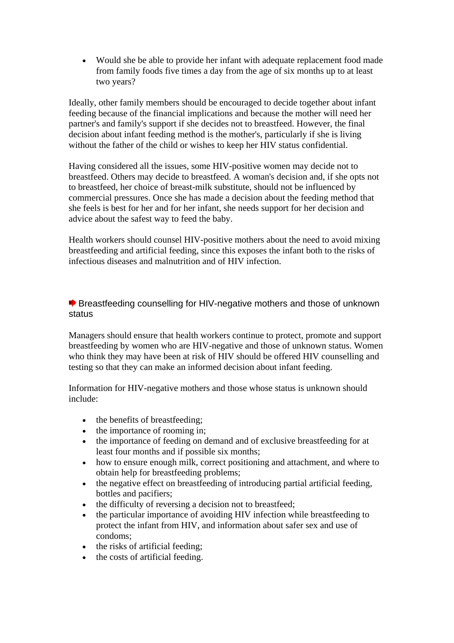• Would she be able to provide her infant with adequate replacement food made from family foods five times a day from the age of six months up to at least two years?

Ideally, other family members should be encouraged to decide together about infant feeding because of the financial implications and because the mother will need her partner's and family's support if she decides not to breastfeed. However, the final decision about infant feeding method is the mother's, particularly if she is living without the father of the child or wishes to keep her HIV status confidential.

Having considered all the issues, some HIV-positive women may decide not to breastfeed. Others may decide to breastfeed. A woman's decision and, if she opts not to breastfeed, her choice of breast-milk substitute, should not be influenced by commercial pressures. Once she has made a decision about the feeding method that she feels is best for her and for her infant, she needs support for her decision and advice about the safest way to feed the baby.

Health workers should counsel HIV-positive mothers about the need to avoid mixing breastfeeding and artificial feeding, since this exposes the infant both to the risks of infectious diseases and malnutrition and of HIV infection.

**■** Breastfeeding counselling for HIV-negative mothers and those of unknown status

Managers should ensure that health workers continue to protect, promote and support breastfeeding by women who are HIV-negative and those of unknown status. Women who think they may have been at risk of HIV should be offered HIV counselling and testing so that they can make an informed decision about infant feeding.

Information for HIV-negative mothers and those whose status is unknown should include:

- the benefits of breastfeeding;
- the importance of rooming in;
- the importance of feeding on demand and of exclusive breastfeeding for at least four months and if possible six months;
- how to ensure enough milk, correct positioning and attachment, and where to obtain help for breastfeeding problems;
- the negative effect on breastfeeding of introducing partial artificial feeding, bottles and pacifiers;
- the difficulty of reversing a decision not to breastfeed;
- the particular importance of avoiding HIV infection while breastfeeding to protect the infant from HIV, and information about safer sex and use of condoms;
- the risks of artificial feeding;
- the costs of artificial feeding.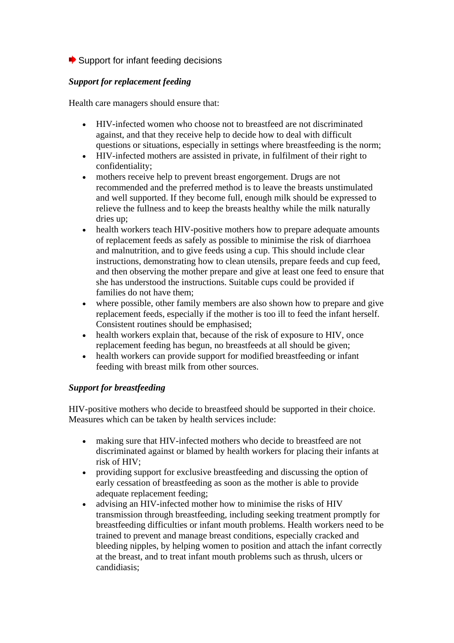# Support for infant feeding decisions

# *Support for replacement feeding*

Health care managers should ensure that:

- HIV-infected women who choose not to breastfeed are not discriminated against, and that they receive help to decide how to deal with difficult questions or situations, especially in settings where breastfeeding is the norm;
- HIV-infected mothers are assisted in private, in fulfilment of their right to confidentiality;
- mothers receive help to prevent breast engorgement. Drugs are not recommended and the preferred method is to leave the breasts unstimulated and well supported. If they become full, enough milk should be expressed to relieve the fullness and to keep the breasts healthy while the milk naturally dries up;
- health workers teach HIV-positive mothers how to prepare adequate amounts of replacement feeds as safely as possible to minimise the risk of diarrhoea and malnutrition, and to give feeds using a cup. This should include clear instructions, demonstrating how to clean utensils, prepare feeds and cup feed, and then observing the mother prepare and give at least one feed to ensure that she has understood the instructions. Suitable cups could be provided if families do not have them;
- where possible, other family members are also shown how to prepare and give replacement feeds, especially if the mother is too ill to feed the infant herself. Consistent routines should be emphasised;
- health workers explain that, because of the risk of exposure to HIV, once replacement feeding has begun, no breastfeeds at all should be given;
- health workers can provide support for modified breastfeeding or infant feeding with breast milk from other sources.

# *Support for breastfeeding*

HIV-positive mothers who decide to breastfeed should be supported in their choice. Measures which can be taken by health services include:

- making sure that HIV-infected mothers who decide to breastfeed are not discriminated against or blamed by health workers for placing their infants at risk of HIV;
- providing support for exclusive breastfeeding and discussing the option of early cessation of breastfeeding as soon as the mother is able to provide adequate replacement feeding;
- advising an HIV-infected mother how to minimise the risks of HIV transmission through breastfeeding, including seeking treatment promptly for breastfeeding difficulties or infant mouth problems. Health workers need to be trained to prevent and manage breast conditions, especially cracked and bleeding nipples, by helping women to position and attach the infant correctly at the breast, and to treat infant mouth problems such as thrush, ulcers or candidiasis;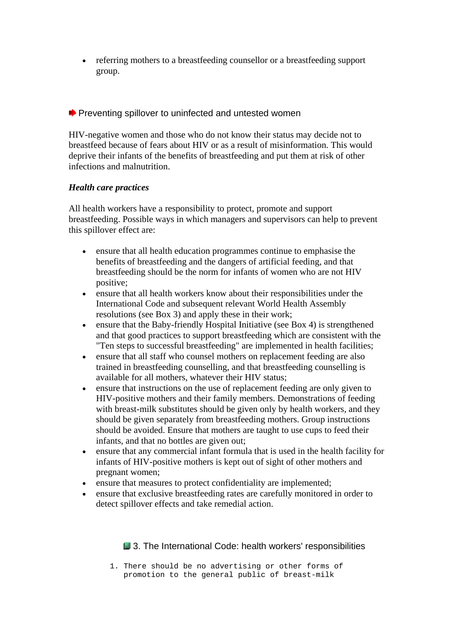• referring mothers to a breastfeeding counsellor or a breastfeeding support group.

# $\blacktriangleright$  Preventing spillover to uninfected and untested women

HIV-negative women and those who do not know their status may decide not to breastfeed because of fears about HIV or as a result of misinformation. This would deprive their infants of the benefits of breastfeeding and put them at risk of other infections and malnutrition.

### *Health care practices*

All health workers have a responsibility to protect, promote and support breastfeeding. Possible ways in which managers and supervisors can help to prevent this spillover effect are:

- ensure that all health education programmes continue to emphasise the benefits of breastfeeding and the dangers of artificial feeding, and that breastfeeding should be the norm for infants of women who are not HIV positive;
- ensure that all health workers know about their responsibilities under the International Code and subsequent relevant World Health Assembly resolutions (see Box 3) and apply these in their work;
- ensure that the Baby-friendly Hospital Initiative (see Box 4) is strengthened and that good practices to support breastfeeding which are consistent with the "Ten steps to successful breastfeeding" are implemented in health facilities;
- ensure that all staff who counsel mothers on replacement feeding are also trained in breastfeeding counselling, and that breastfeeding counselling is available for all mothers, whatever their HIV status;
- ensure that instructions on the use of replacement feeding are only given to HIV-positive mothers and their family members. Demonstrations of feeding with breast-milk substitutes should be given only by health workers, and they should be given separately from breastfeeding mothers. Group instructions should be avoided. Ensure that mothers are taught to use cups to feed their infants, and that no bottles are given out;
- ensure that any commercial infant formula that is used in the health facility for infants of HIV-positive mothers is kept out of sight of other mothers and pregnant women;
- ensure that measures to protect confidentiality are implemented;
- ensure that exclusive breastfeeding rates are carefully monitored in order to detect spillover effects and take remedial action.

**2.** 3. The International Code: health workers' responsibilities

1. There should be no advertising or other forms of promotion to the general public of breast-milk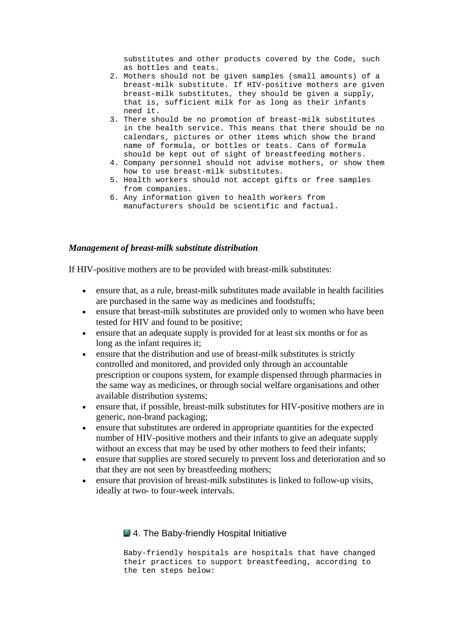substitutes and other products covered by the Code, such as bottles and teats.

- 2. Mothers should not be given samples (small amounts) of a breast-milk substitute. If HIV-positive mothers are given breast-milk substitutes, they should be given a supply, that is, sufficient milk for as long as their infants need it.
- 3. There should be no promotion of breast-milk substitutes in the health service. This means that there should be no calendars, pictures or other items which show the brand name of formula, or bottles or teats. Cans of formula should be kept out of sight of breastfeeding mothers.
- 4. Company personnel should not advise mothers, or show them how to use breast-milk substitutes.
- 5. Health workers should not accept gifts or free samples from companies.
- 6. Any information given to health workers from manufacturers should be scientific and factual.

#### *Management of breast-milk substitute distribution*

If HIV-positive mothers are to be provided with breast-milk substitutes:

- ensure that, as a rule, breast-milk substitutes made available in health facilities are purchased in the same way as medicines and foodstuffs;
- ensure that breast-milk substitutes are provided only to women who have been tested for HIV and found to be positive;
- ensure that an adequate supply is provided for at least six months or for as long as the infant requires it;
- ensure that the distribution and use of breast-milk substitutes is strictly controlled and monitored, and provided only through an accountable prescription or coupons system, for example dispensed through pharmacies in the same way as medicines, or through social welfare organisations and other available distribution systems;
- ensure that, if possible, breast-milk substitutes for HIV-positive mothers are in generic, non-brand packaging;
- ensure that substitutes are ordered in appropriate quantities for the expected number of HIV-positive mothers and their infants to give an adequate supply without an excess that may be used by other mothers to feed their infants;
- ensure that supplies are stored securely to prevent loss and deterioration and so that they are not seen by breastfeeding mothers;
- ensure that provision of breast-milk substitutes is linked to follow-up visits, ideally at two- to four-week intervals.

#### **4.** The Baby-friendly Hospital Initiative

Baby-friendly hospitals are hospitals that have changed their practices to support breastfeeding, according to the ten steps below: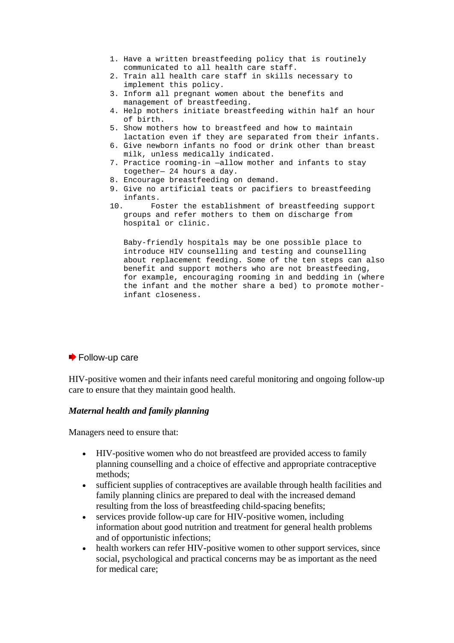- 1. Have a written breastfeeding policy that is routinely communicated to all health care staff.
- 2. Train all health care staff in skills necessary to implement this policy.
- 3. Inform all pregnant women about the benefits and management of breastfeeding.
- 4. Help mothers initiate breastfeeding within half an hour of birth.
- 5. Show mothers how to breastfeed and how to maintain
- lactation even if they are separated from their infants. 6. Give newborn infants no food or drink other than breast milk, unless medically indicated.
- 7. Practice rooming-in —allow mother and infants to stay together— 24 hours a day.
- 8. Encourage breastfeeding on demand.
- 9. Give no artificial teats or pacifiers to breastfeeding infants.<br>10. Fo
- 10. Foster the establishment of breastfeeding support groups and refer mothers to them on discharge from hospital or clinic.

Baby-friendly hospitals may be one possible place to introduce HIV counselling and testing and counselling about replacement feeding. Some of the ten steps can also benefit and support mothers who are not breastfeeding, for example, encouraging rooming in and bedding in (where the infant and the mother share a bed) to promote motherinfant closeness.

**E** Follow-up care

HIV-positive women and their infants need careful monitoring and ongoing follow-up care to ensure that they maintain good health.

#### *Maternal health and family planning*

Managers need to ensure that:

- HIV-positive women who do not breastfeed are provided access to family planning counselling and a choice of effective and appropriate contraceptive methods;
- sufficient supplies of contraceptives are available through health facilities and family planning clinics are prepared to deal with the increased demand resulting from the loss of breastfeeding child-spacing benefits;
- services provide follow-up care for HIV-positive women, including information about good nutrition and treatment for general health problems and of opportunistic infections;
- health workers can refer HIV-positive women to other support services, since social, psychological and practical concerns may be as important as the need for medical care;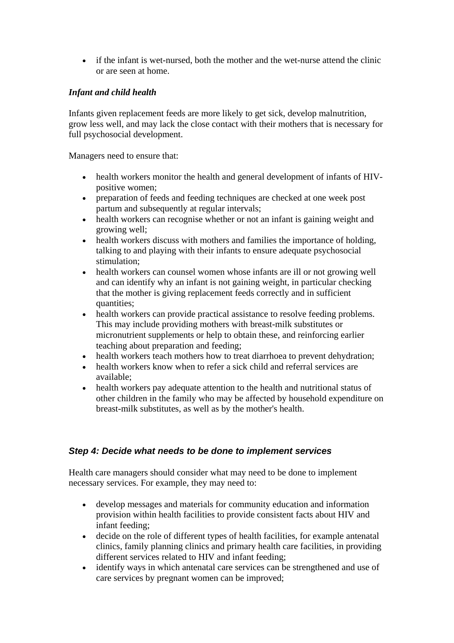• if the infant is wet-nursed, both the mother and the wet-nurse attend the clinic or are seen at home.

# *Infant and child health*

Infants given replacement feeds are more likely to get sick, develop malnutrition, grow less well, and may lack the close contact with their mothers that is necessary for full psychosocial development.

Managers need to ensure that:

- health workers monitor the health and general development of infants of HIVpositive women;
- preparation of feeds and feeding techniques are checked at one week post partum and subsequently at regular intervals;
- health workers can recognise whether or not an infant is gaining weight and growing well;
- health workers discuss with mothers and families the importance of holding, talking to and playing with their infants to ensure adequate psychosocial stimulation;
- health workers can counsel women whose infants are ill or not growing well and can identify why an infant is not gaining weight, in particular checking that the mother is giving replacement feeds correctly and in sufficient quantities;
- health workers can provide practical assistance to resolve feeding problems. This may include providing mothers with breast-milk substitutes or micronutrient supplements or help to obtain these, and reinforcing earlier teaching about preparation and feeding;
- health workers teach mothers how to treat diarrhoea to prevent dehydration;
- health workers know when to refer a sick child and referral services are available;
- health workers pay adequate attention to the health and nutritional status of other children in the family who may be affected by household expenditure on breast-milk substitutes, as well as by the mother's health.

# *Step 4: Decide what needs to be done to implement services*

Health care managers should consider what may need to be done to implement necessary services. For example, they may need to:

- develop messages and materials for community education and information provision within health facilities to provide consistent facts about HIV and infant feeding;
- decide on the role of different types of health facilities, for example antenatal clinics, family planning clinics and primary health care facilities, in providing different services related to HIV and infant feeding;
- identify ways in which antenatal care services can be strengthened and use of care services by pregnant women can be improved;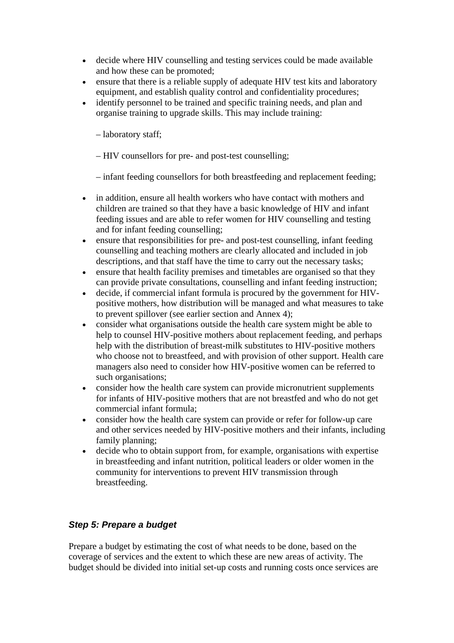- decide where HIV counselling and testing services could be made available and how these can be promoted;
- ensure that there is a reliable supply of adequate HIV test kits and laboratory equipment, and establish quality control and confidentiality procedures;
- identify personnel to be trained and specific training needs, and plan and organise training to upgrade skills. This may include training:
	- laboratory staff;
	- HIV counsellors for pre- and post-test counselling;

– infant feeding counsellors for both breastfeeding and replacement feeding;

- in addition, ensure all health workers who have contact with mothers and children are trained so that they have a basic knowledge of HIV and infant feeding issues and are able to refer women for HIV counselling and testing and for infant feeding counselling;
- ensure that responsibilities for pre- and post-test counselling, infant feeding counselling and teaching mothers are clearly allocated and included in job descriptions, and that staff have the time to carry out the necessary tasks;
- ensure that health facility premises and timetables are organised so that they can provide private consultations, counselling and infant feeding instruction;
- decide, if commercial infant formula is procured by the government for HIVpositive mothers, how distribution will be managed and what measures to take to prevent spillover (see earlier section and Annex 4);
- consider what organisations outside the health care system might be able to help to counsel HIV-positive mothers about replacement feeding, and perhaps help with the distribution of breast-milk substitutes to HIV-positive mothers who choose not to breastfeed, and with provision of other support. Health care managers also need to consider how HIV-positive women can be referred to such organisations;
- consider how the health care system can provide micronutrient supplements for infants of HIV-positive mothers that are not breastfed and who do not get commercial infant formula;
- consider how the health care system can provide or refer for follow-up care and other services needed by HIV-positive mothers and their infants, including family planning;
- decide who to obtain support from, for example, organisations with expertise in breastfeeding and infant nutrition, political leaders or older women in the community for interventions to prevent HIV transmission through breastfeeding.

# *Step 5: Prepare a budget*

Prepare a budget by estimating the cost of what needs to be done, based on the coverage of services and the extent to which these are new areas of activity. The budget should be divided into initial set-up costs and running costs once services are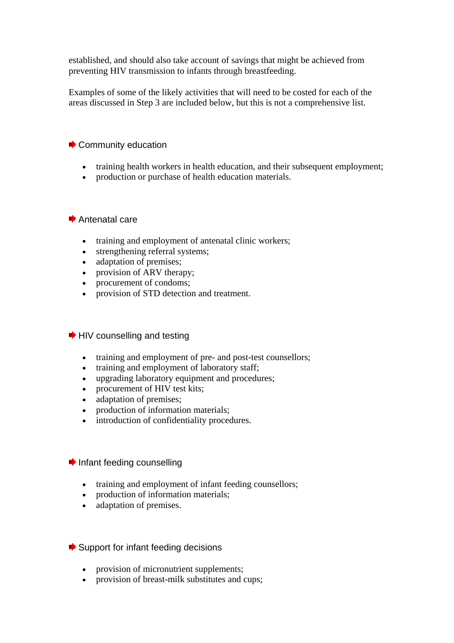established, and should also take account of savings that might be achieved from preventing HIV transmission to infants through breastfeeding.

Examples of some of the likely activities that will need to be costed for each of the areas discussed in Step 3 are included below, but this is not a comprehensive list.

### Community education

- training health workers in health education, and their subsequent employment;
- production or purchase of health education materials.

#### Antenatal care

- training and employment of antenatal clinic workers;
- strengthening referral systems;
- adaptation of premises;
- provision of ARV therapy;
- procurement of condoms;
- provision of STD detection and treatment.

# $\blacktriangleright$  HIV counselling and testing

- training and employment of pre- and post-test counsellors;
- training and employment of laboratory staff;
- upgrading laboratory equipment and procedures;
- procurement of HIV test kits;
- adaptation of premises;
- production of information materials;
- introduction of confidentiality procedures.

#### $\blacktriangleright$  Infant feeding counselling

- training and employment of infant feeding counsellors;
- production of information materials;
- adaptation of premises.

 $\blacktriangleright$  Support for infant feeding decisions

- provision of micronutrient supplements;
- provision of breast-milk substitutes and cups;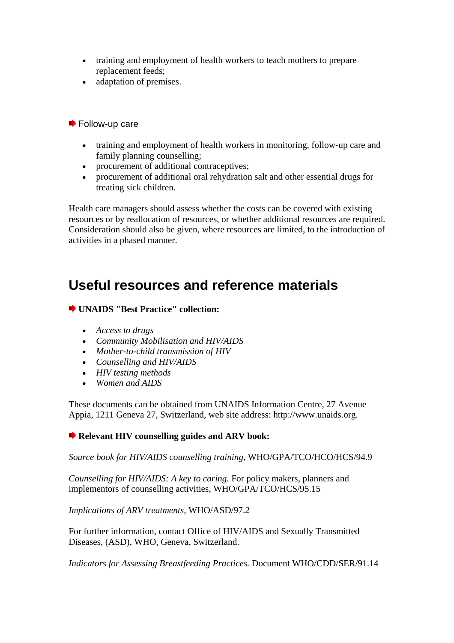- training and employment of health workers to teach mothers to prepare replacement feeds;
- adaptation of premises.

# **▶**Follow-up care

- training and employment of health workers in monitoring, follow-up care and family planning counselling;
- procurement of additional contraceptives;
- procurement of additional oral rehydration salt and other essential drugs for treating sick children.

Health care managers should assess whether the costs can be covered with existing resources or by reallocation of resources, or whether additional resources are required. Consideration should also be given, where resources are limited, to the introduction of activities in a phased manner.

# **Useful resources and reference materials**

- **UNAIDS "Best Practice" collection:**
	- *Access to drugs*
	- *Community Mobilisation and HIV/AIDS*
	- *Mother-to-child transmission of HIV*
	- *Counselling and HIV/AIDS*
	- *HIV testing methods*
	- *Women and AIDS*

These documents can be obtained from UNAIDS Information Centre, 27 Avenue Appia, 1211 Geneva 27, Switzerland, web site address: http://www.unaids.org.

# **Relevant HIV counselling guides and ARV book:**

*Source book for HIV/AIDS counselling training,* WHO/GPA/TCO/HCO/HCS/94.9

*Counselling for HIV/AIDS: A key to caring.* For policy makers, planners and implementors of counselling activities, WHO/GPA/TCO/HCS/95.15

*Implications of ARV treatments,* WHO/ASD/97.2

For further information, contact Office of HIV/AIDS and Sexually Transmitted Diseases, (ASD), WHO, Geneva, Switzerland.

*Indicators for Assessing Breastfeeding Practices.* Document WHO/CDD/SER/91.14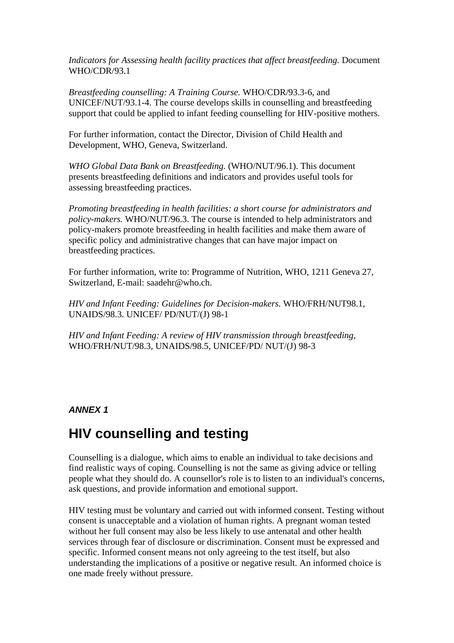*Indicators for Assessing health facility practices that affect breastfeeding.* Document WHO/CDR/93.1

*Breastfeeding counselling: A Training Course.* WHO/CDR/93.3-6, and UNICEF/NUT/93.1-4. The course develops skills in counselling and breastfeeding support that could be applied to infant feeding counselling for HIV-positive mothers.

For further information, contact the Director, Division of Child Health and Development, WHO, Geneva, Switzerland.

*WHO Global Data Bank on Breastfeeding.* (WHO/NUT/96.1). This document presents breastfeeding definitions and indicators and provides useful tools for assessing breastfeeding practices.

*Promoting breastfeeding in health facilities: a short course for administrators and policy-makers.* WHO/NUT/96.3. The course is intended to help administrators and policy-makers promote breastfeeding in health facilities and make them aware of specific policy and administrative changes that can have major impact on breastfeeding practices.

For further information, write to: Programme of Nutrition, WHO, 1211 Geneva 27, Switzerland, E-mail: saadehr@who.ch.

*HIV and Infant Feeding: Guidelines for Decision-makers.* WHO/FRH/NUT98.1, UNAIDS/98.3. UNICEF/ PD/NUT/(J) 98-1

*HIV and Infant Feeding: A review of HIV transmission through breastfeeding,*  WHO/FRH/NUT/98.3, UNAIDS/98.5, UNICEF/PD/ NUT/(J) 98-3

#### *ANNEX 1*

# **HIV counselling and testing**

Counselling is a dialogue, which aims to enable an individual to take decisions and find realistic ways of coping. Counselling is not the same as giving advice or telling people what they should do. A counsellor's role is to listen to an individual's concerns, ask questions, and provide information and emotional support.

HIV testing must be voluntary and carried out with informed consent. Testing without consent is unacceptable and a violation of human rights. A pregnant woman tested without her full consent may also be less likely to use antenatal and other health services through fear of disclosure or discrimination. Consent must be expressed and specific. Informed consent means not only agreeing to the test itself, but also understanding the implications of a positive or negative result. An informed choice is one made freely without pressure.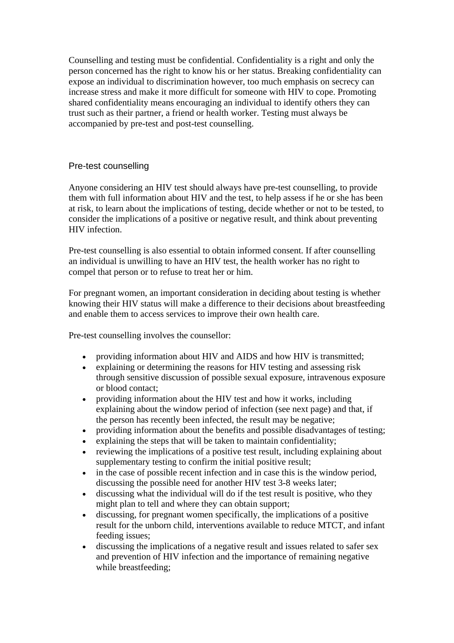Counselling and testing must be confidential. Confidentiality is a right and only the person concerned has the right to know his or her status. Breaking confidentiality can expose an individual to discrimination however, too much emphasis on secrecy can increase stress and make it more difficult for someone with HIV to cope. Promoting shared confidentiality means encouraging an individual to identify others they can trust such as their partner, a friend or health worker. Testing must always be accompanied by pre-test and post-test counselling.

#### Pre-test counselling

Anyone considering an HIV test should always have pre-test counselling, to provide them with full information about HIV and the test, to help assess if he or she has been at risk, to learn about the implications of testing, decide whether or not to be tested, to consider the implications of a positive or negative result, and think about preventing HIV infection.

Pre-test counselling is also essential to obtain informed consent. If after counselling an individual is unwilling to have an HIV test, the health worker has no right to compel that person or to refuse to treat her or him.

For pregnant women, an important consideration in deciding about testing is whether knowing their HIV status will make a difference to their decisions about breastfeeding and enable them to access services to improve their own health care.

Pre-test counselling involves the counsellor:

- providing information about HIV and AIDS and how HIV is transmitted;
- explaining or determining the reasons for HIV testing and assessing risk through sensitive discussion of possible sexual exposure, intravenous exposure or blood contact;
- providing information about the HIV test and how it works, including explaining about the window period of infection (see next page) and that, if the person has recently been infected, the result may be negative;
- providing information about the benefits and possible disadvantages of testing;
- explaining the steps that will be taken to maintain confidentiality;
- reviewing the implications of a positive test result, including explaining about supplementary testing to confirm the initial positive result;
- in the case of possible recent infection and in case this is the window period, discussing the possible need for another HIV test 3-8 weeks later;
- discussing what the individual will do if the test result is positive, who they might plan to tell and where they can obtain support;
- discussing, for pregnant women specifically, the implications of a positive result for the unborn child, interventions available to reduce MTCT, and infant feeding issues;
- discussing the implications of a negative result and issues related to safer sex and prevention of HIV infection and the importance of remaining negative while breastfeeding;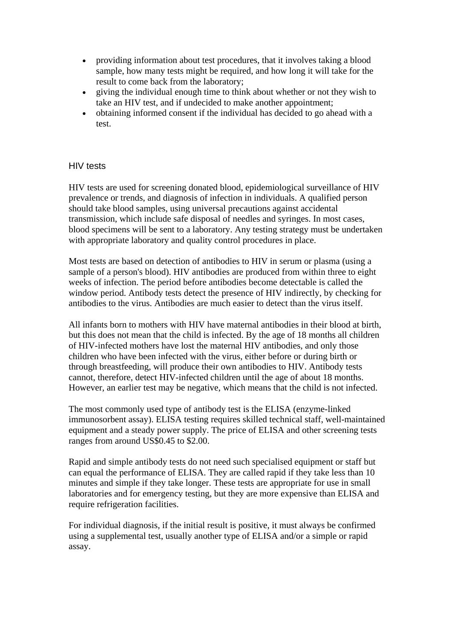- providing information about test procedures, that it involves taking a blood sample, how many tests might be required, and how long it will take for the result to come back from the laboratory;
- giving the individual enough time to think about whether or not they wish to take an HIV test, and if undecided to make another appointment;
- obtaining informed consent if the individual has decided to go ahead with a test.

#### HIV tests

HIV tests are used for screening donated blood, epidemiological surveillance of HIV prevalence or trends, and diagnosis of infection in individuals. A qualified person should take blood samples, using universal precautions against accidental transmission, which include safe disposal of needles and syringes. In most cases, blood specimens will be sent to a laboratory. Any testing strategy must be undertaken with appropriate laboratory and quality control procedures in place.

Most tests are based on detection of antibodies to HIV in serum or plasma (using a sample of a person's blood). HIV antibodies are produced from within three to eight weeks of infection. The period before antibodies become detectable is called the window period. Antibody tests detect the presence of HIV indirectly, by checking for antibodies to the virus. Antibodies are much easier to detect than the virus itself.

All infants born to mothers with HIV have maternal antibodies in their blood at birth, but this does not mean that the child is infected. By the age of 18 months all children of HIV-infected mothers have lost the maternal HIV antibodies, and only those children who have been infected with the virus, either before or during birth or through breastfeeding, will produce their own antibodies to HIV. Antibody tests cannot, therefore, detect HIV-infected children until the age of about 18 months. However, an earlier test may be negative, which means that the child is not infected.

The most commonly used type of antibody test is the ELISA (enzyme-linked immunosorbent assay). ELISA testing requires skilled technical staff, well-maintained equipment and a steady power supply. The price of ELISA and other screening tests ranges from around US\$0.45 to \$2.00.

Rapid and simple antibody tests do not need such specialised equipment or staff but can equal the performance of ELISA. They are called rapid if they take less than 10 minutes and simple if they take longer. These tests are appropriate for use in small laboratories and for emergency testing, but they are more expensive than ELISA and require refrigeration facilities.

For individual diagnosis, if the initial result is positive, it must always be confirmed using a supplemental test, usually another type of ELISA and/or a simple or rapid assay.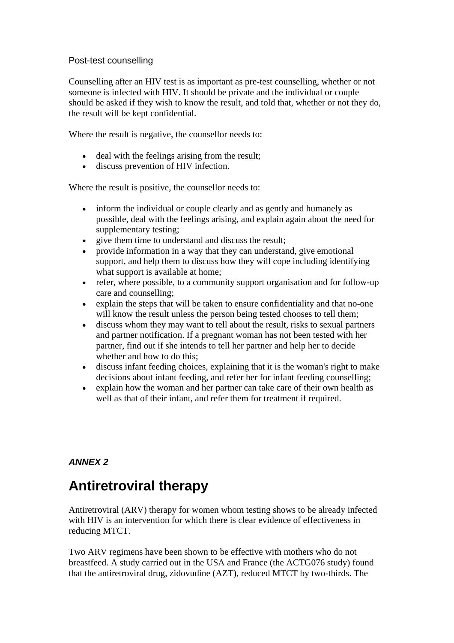#### Post-test counselling

Counselling after an HIV test is as important as pre-test counselling, whether or not someone is infected with HIV. It should be private and the individual or couple should be asked if they wish to know the result, and told that, whether or not they do, the result will be kept confidential.

Where the result is negative, the counsellor needs to:

- deal with the feelings arising from the result;
- discuss prevention of HIV infection.

Where the result is positive, the counsellor needs to:

- inform the individual or couple clearly and as gently and humanely as possible, deal with the feelings arising, and explain again about the need for supplementary testing;
- give them time to understand and discuss the result;
- provide information in a way that they can understand, give emotional support, and help them to discuss how they will cope including identifying what support is available at home;
- refer, where possible, to a community support organisation and for follow-up care and counselling;
- explain the steps that will be taken to ensure confidentiality and that no-one will know the result unless the person being tested chooses to tell them;
- discuss whom they may want to tell about the result, risks to sexual partners and partner notification. If a pregnant woman has not been tested with her partner, find out if she intends to tell her partner and help her to decide whether and how to do this:
- discuss infant feeding choices, explaining that it is the woman's right to make decisions about infant feeding, and refer her for infant feeding counselling;
- explain how the woman and her partner can take care of their own health as well as that of their infant, and refer them for treatment if required.

# *ANNEX 2*

# **Antiretroviral therapy**

Antiretroviral (ARV) therapy for women whom testing shows to be already infected with HIV is an intervention for which there is clear evidence of effectiveness in reducing MTCT.

Two ARV regimens have been shown to be effective with mothers who do not breastfeed. A study carried out in the USA and France (the ACTG076 study) found that the antiretroviral drug, zidovudine (AZT), reduced MTCT by two-thirds. The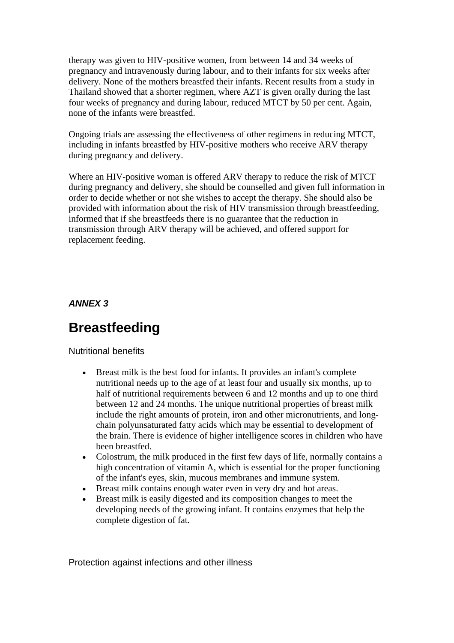therapy was given to HIV-positive women, from between 14 and 34 weeks of pregnancy and intravenously during labour, and to their infants for six weeks after delivery. None of the mothers breastfed their infants. Recent results from a study in Thailand showed that a shorter regimen, where AZT is given orally during the last four weeks of pregnancy and during labour, reduced MTCT by 50 per cent. Again, none of the infants were breastfed.

Ongoing trials are assessing the effectiveness of other regimens in reducing MTCT, including in infants breastfed by HIV-positive mothers who receive ARV therapy during pregnancy and delivery.

Where an HIV-positive woman is offered ARV therapy to reduce the risk of MTCT during pregnancy and delivery, she should be counselled and given full information in order to decide whether or not she wishes to accept the therapy. She should also be provided with information about the risk of HIV transmission through breastfeeding, informed that if she breastfeeds there is no guarantee that the reduction in transmission through ARV therapy will be achieved, and offered support for replacement feeding.

*ANNEX 3* 

# **Breastfeeding**

Nutritional benefits

- Breast milk is the best food for infants. It provides an infant's complete nutritional needs up to the age of at least four and usually six months, up to half of nutritional requirements between 6 and 12 months and up to one third between 12 and 24 months. The unique nutritional properties of breast milk include the right amounts of protein, iron and other micronutrients, and longchain polyunsaturated fatty acids which may be essential to development of the brain. There is evidence of higher intelligence scores in children who have been breastfed.
- Colostrum, the milk produced in the first few days of life, normally contains a high concentration of vitamin A, which is essential for the proper functioning of the infant's eyes, skin, mucous membranes and immune system.
- Breast milk contains enough water even in very dry and hot areas.
- Breast milk is easily digested and its composition changes to meet the developing needs of the growing infant. It contains enzymes that help the complete digestion of fat.

Protection against infections and other illness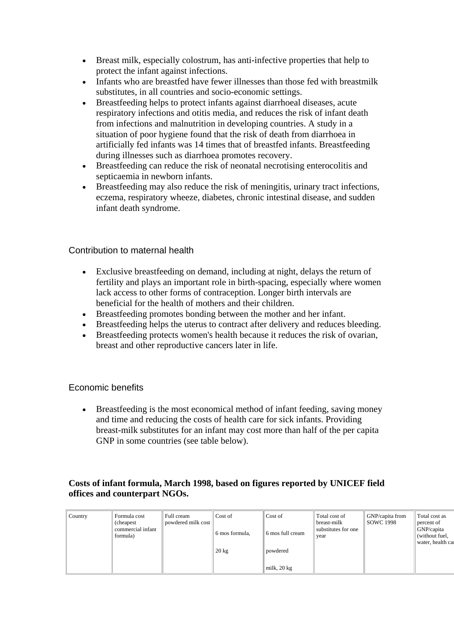- Breast milk, especially colostrum, has anti-infective properties that help to protect the infant against infections.
- Infants who are breastfed have fewer illnesses than those fed with breastmilk substitutes, in all countries and socio-economic settings.
- Breastfeeding helps to protect infants against diarrhoeal diseases, acute respiratory infections and otitis media, and reduces the risk of infant death from infections and malnutrition in developing countries. A study in a situation of poor hygiene found that the risk of death from diarrhoea in artificially fed infants was 14 times that of breastfed infants. Breastfeeding during illnesses such as diarrhoea promotes recovery.
- Breastfeeding can reduce the risk of neonatal necrotising enterocolitis and septicaemia in newborn infants.
- Breastfeeding may also reduce the risk of meningitis, urinary tract infections, eczema, respiratory wheeze, diabetes, chronic intestinal disease, and sudden infant death syndrome.

#### Contribution to maternal health

- Exclusive breastfeeding on demand, including at night, delays the return of fertility and plays an important role in birth-spacing, especially where women lack access to other forms of contraception. Longer birth intervals are beneficial for the health of mothers and their children.
- Breastfeeding promotes bonding between the mother and her infant.
- Breastfeeding helps the uterus to contract after delivery and reduces bleeding.
- Breastfeeding protects women's health because it reduces the risk of ovarian, breast and other reproductive cancers later in life.

### Economic benefits

• Breastfeeding is the most economical method of infant feeding, saving money and time and reducing the costs of health care for sick infants. Providing breast-milk substitutes for an infant may cost more than half of the per capita GNP in some countries (see table below).

### **Costs of infant formula, March 1998, based on figures reported by UNICEF field offices and counterpart NGOs.**

| Country | Formula cost                    | Full cream         | Cost of         | Cost of               | Total cost of                      | GNP/capita from  | Total cost as                        |
|---------|---------------------------------|--------------------|-----------------|-----------------------|------------------------------------|------------------|--------------------------------------|
|         | (cheapest)<br>commercial infant | powdered milk cost |                 | 6 mos full cream      | breast-milk<br>substitutes for one | <b>SOWC 1998</b> | percent of<br>GNP/capita             |
|         | formula)                        |                    | 6 mos formula,  |                       | vear                               |                  | (without fuel.)<br>water, health can |
|         |                                 |                    | $20 \text{ kg}$ | powdered              |                                    |                  |                                      |
|         |                                 |                    |                 | milk, $20 \text{ kg}$ |                                    |                  |                                      |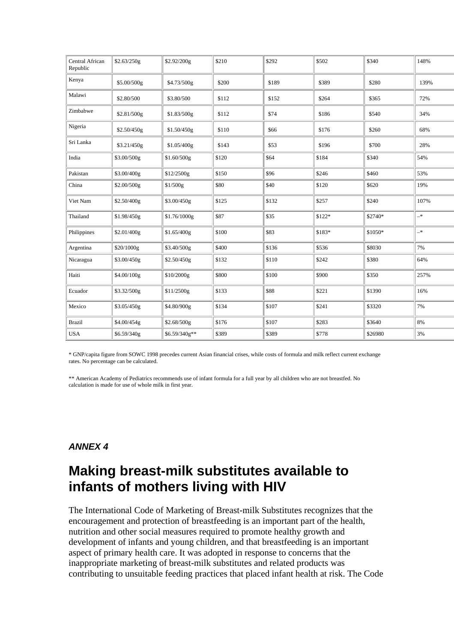| Central African<br>Republic | \$2.63/250g | \$2.92/200g   | \$210 | \$292 | \$502   | \$340   | 148%                     |
|-----------------------------|-------------|---------------|-------|-------|---------|---------|--------------------------|
| Kenya                       | \$5.00/500g | \$4.73/500g   | \$200 | \$189 | \$389   | \$280   | 139%                     |
| Malawi                      | \$2.80/500  | \$3.80/500    | \$112 | \$152 | \$264   | \$365   | 72%                      |
| Zimbabwe                    | \$2.81/500g | \$1.83/500g   | \$112 | \$74  | \$186   | \$540   | 34%                      |
| Nigeria                     | \$2.50/450g | \$1.50/450g   | \$110 | \$66  | \$176   | \$260   | 68%                      |
| Sri Lanka                   | \$3.21/450g | \$1.05/400g   | \$143 | \$53  | \$196   | \$700   | 28%                      |
| India                       | \$3.00/500g | \$1.60/500g   | \$120 | \$64  | \$184   | \$340   | 54%                      |
| Pakistan                    | \$3.00/400g | \$12/2500g    | \$150 | \$96  | \$246   | \$460   | 53%                      |
| China                       | \$2.00/500g | \$1/500g      | \$80  | \$40  | \$120   | \$620   | 19%                      |
| Viet Nam                    | \$2.50/400g | \$3.00/450g   | \$125 | \$132 | \$257   | \$240   | 107%                     |
| Thailand                    | \$1.98/450g | \$1.76/1000g  | \$87  | \$35  | $$122*$ | \$2740* | $\overline{\phantom{a}}$ |
| Philippines                 | \$2.01/400g | \$1.65/400g   | \$100 | \$83  | \$183*  | \$1050* | $\rightarrow$            |
| Argentina                   | \$20/1000g  | \$3.40/500g   | \$400 | \$136 | \$536   | \$8030  | 7%                       |
| Nicaragua                   | \$3.00/450g | \$2.50/450g   | \$132 | \$110 | \$242   | \$380   | 64%                      |
| Haiti                       | \$4.00/100g | \$10/2000g    | \$800 | \$100 | \$900   | \$350   | 257%                     |
| Ecuador                     | \$3.32/500g | \$11/2500g    | \$133 | \$88  | \$221   | \$1390  | 16%                      |
| Mexico                      | \$3.05/450g | \$4.80/900g   | \$134 | \$107 | \$241   | \$3320  | 7%                       |
| <b>Brazil</b>               | \$4.00/454g | \$2.68/500g   | \$176 | \$107 | \$283   | \$3640  | 8%                       |
| <b>USA</b>                  | \$6.59/340g | \$6.59/340g** | \$389 | \$389 | \$778   | \$26980 | 3%                       |
|                             |             |               |       |       |         |         |                          |

\* GNP/capita figure from SOWC 1998 precedes current Asian financial crises, while costs of formula and milk reflect current exchange rates. No percentage can be calculated.

\*\* American Academy of Pediatrics recommends use of infant formula for a full year by all children who are not breastfed. No calculation is made for use of whole milk in first year.

# *ANNEX 4*

# **Making breast-milk substitutes available to infants of mothers living with HIV**

The International Code of Marketing of Breast-milk Substitutes recognizes that the encouragement and protection of breastfeeding is an important part of the health, nutrition and other social measures required to promote healthy growth and development of infants and young children, and that breastfeeding is an important aspect of primary health care. It was adopted in response to concerns that the inappropriate marketing of breast-milk substitutes and related products was contributing to unsuitable feeding practices that placed infant health at risk. The Code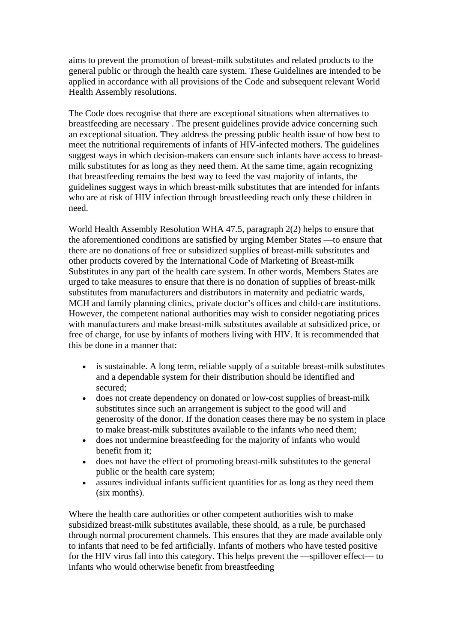aims to prevent the promotion of breast-milk substitutes and related products to the general public or through the health care system. These Guidelines are intended to be applied in accordance with all provisions of the Code and subsequent relevant World Health Assembly resolutions.

The Code does recognise that there are exceptional situations when alternatives to breastfeeding are necessary . The present guidelines provide advice concerning such an exceptional situation. They address the pressing public health issue of how best to meet the nutritional requirements of infants of HIV-infected mothers. The guidelines suggest ways in which decision-makers can ensure such infants have access to breastmilk substitutes for as long as they need them. At the same time, again recognizing that breastfeeding remains the best way to feed the vast majority of infants, the guidelines suggest ways in which breast-milk substitutes that are intended for infants who are at risk of HIV infection through breastfeeding reach only these children in need.

World Health Assembly Resolution WHA 47.5, paragraph 2(2) helps to ensure that the aforementioned conditions are satisfied by urging Member States —to ensure that there are no donations of free or subsidized supplies of breast-milk substitutes and other products covered by the International Code of Marketing of Breast-milk Substitutes in any part of the health care system. In other words, Members States are urged to take measures to ensure that there is no donation of supplies of breast-milk substitutes from manufacturers and distributors in maternity and pediatric wards, MCH and family planning clinics, private doctor's offices and child-care institutions. However, the competent national authorities may wish to consider negotiating prices with manufacturers and make breast-milk substitutes available at subsidized price, or free of charge, for use by infants of mothers living with HIV. It is recommended that this be done in a manner that:

- is sustainable. A long term, reliable supply of a suitable breast-milk substitutes and a dependable system for their distribution should be identified and secured;
- does not create dependency on donated or low-cost supplies of breast-milk substitutes since such an arrangement is subject to the good will and generosity of the donor. If the donation ceases there may be no system in place to make breast-milk substitutes available to the infants who need them;
- does not undermine breastfeeding for the majority of infants who would benefit from it;
- does not have the effect of promoting breast-milk substitutes to the general public or the health care system;
- assures individual infants sufficient quantities for as long as they need them (six months).

Where the health care authorities or other competent authorities wish to make subsidized breast-milk substitutes available, these should, as a rule, be purchased through normal procurement channels. This ensures that they are made available only to infants that need to be fed artificially. Infants of mothers who have tested positive for the HIV virus fall into this category. This helps prevent the —spillover effect— to infants who would otherwise benefit from breastfeeding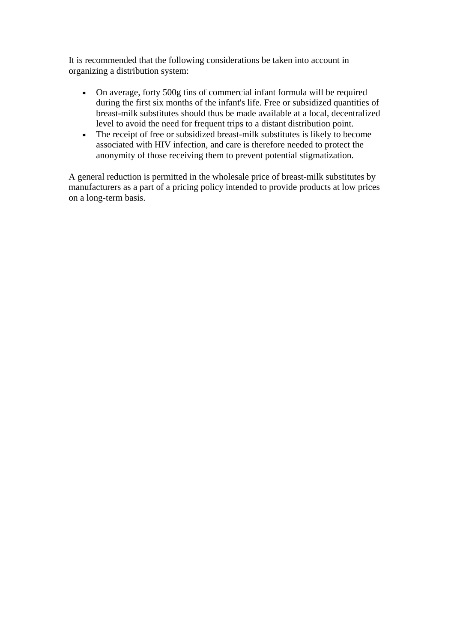It is recommended that the following considerations be taken into account in organizing a distribution system:

- On average, forty 500g tins of commercial infant formula will be required during the first six months of the infant's life. Free or subsidized quantities of breast-milk substitutes should thus be made available at a local, decentralized level to avoid the need for frequent trips to a distant distribution point.
- The receipt of free or subsidized breast-milk substitutes is likely to become associated with HIV infection, and care is therefore needed to protect the anonymity of those receiving them to prevent potential stigmatization.

A general reduction is permitted in the wholesale price of breast-milk substitutes by manufacturers as a part of a pricing policy intended to provide products at low prices on a long-term basis.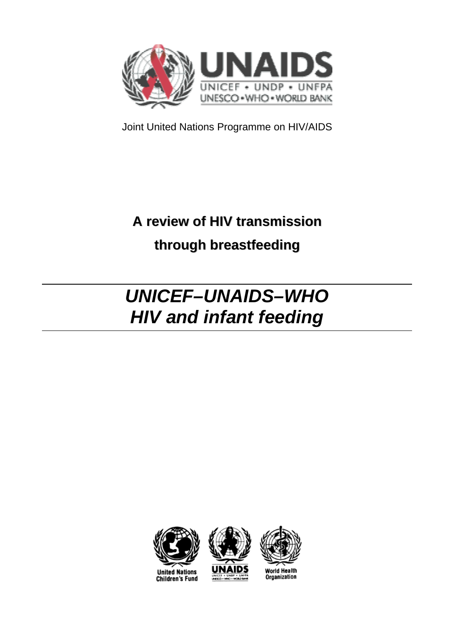

Joint United Nations Programme on HIV/AIDS

# **A review of HIV transmission through breastfeeding**

# *UNICEF–UNAIDS–WHO HIV and infant feeding*



**Children's Fund** 





World Health Organization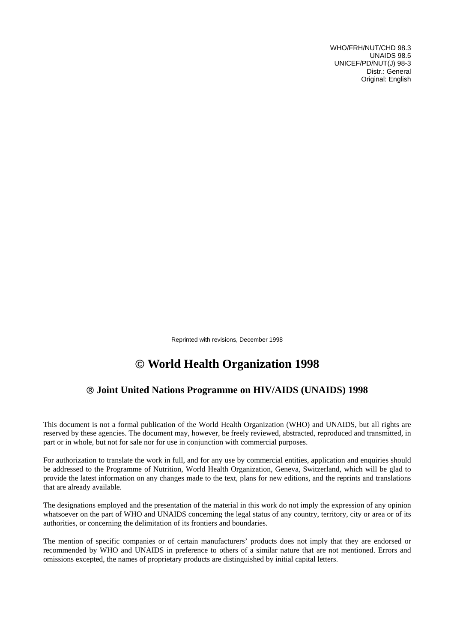WHO/FRH/NUT/CHD 98.3 UNAIDS 98.5 UNICEF/PD/NUT(J) 98-3 Distr.: General Original: English

Reprinted with revisions, December 1998

# © **World Health Organization 1998**

#### ® **Joint United Nations Programme on HIV/AIDS (UNAIDS) 1998**

This document is not a formal publication of the World Health Organization (WHO) and UNAIDS, but all rights are reserved by these agencies. The document may, however, be freely reviewed, abstracted, reproduced and transmitted, in part or in whole, but not for sale nor for use in conjunction with commercial purposes.

For authorization to translate the work in full, and for any use by commercial entities, application and enquiries should be addressed to the Programme of Nutrition, World Health Organization, Geneva, Switzerland, which will be glad to provide the latest information on any changes made to the text, plans for new editions, and the reprints and translations that are already available.

The designations employed and the presentation of the material in this work do not imply the expression of any opinion whatsoever on the part of WHO and UNAIDS concerning the legal status of any country, territory, city or area or of its authorities, or concerning the delimitation of its frontiers and boundaries.

The mention of specific companies or of certain manufacturers' products does not imply that they are endorsed or recommended by WHO and UNAIDS in preference to others of a similar nature that are not mentioned. Errors and omissions excepted, the names of proprietary products are distinguished by initial capital letters.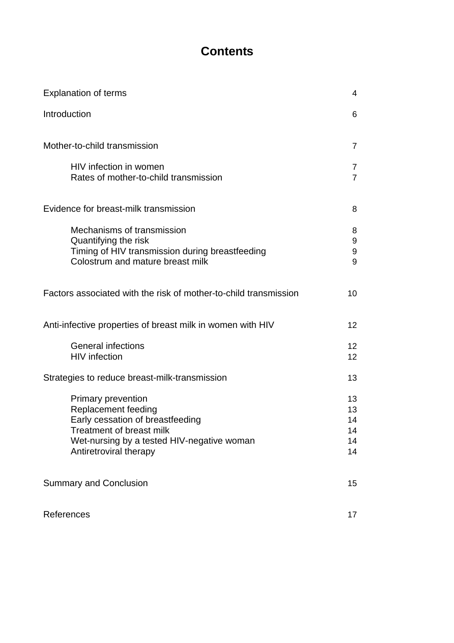# **Contents**

| <b>Explanation of terms</b>                                                                                                                                                              | 4                                |
|------------------------------------------------------------------------------------------------------------------------------------------------------------------------------------------|----------------------------------|
| Introduction                                                                                                                                                                             | 6                                |
| Mother-to-child transmission                                                                                                                                                             | 7                                |
| HIV infection in women<br>Rates of mother-to-child transmission                                                                                                                          | 7<br>$\overline{7}$              |
| Evidence for breast-milk transmission                                                                                                                                                    | 8                                |
| Mechanisms of transmission<br>Quantifying the risk<br>Timing of HIV transmission during breastfeeding<br>Colostrum and mature breast milk                                                | 8<br>9<br>9<br>9                 |
| Factors associated with the risk of mother-to-child transmission                                                                                                                         | 10                               |
| Anti-infective properties of breast milk in women with HIV                                                                                                                               | 12                               |
| <b>General infections</b><br><b>HIV</b> infection                                                                                                                                        | 12<br>12                         |
| Strategies to reduce breast-milk-transmission                                                                                                                                            | 13                               |
| <b>Primary prevention</b><br>Replacement feeding<br>Early cessation of breastfeeding<br>Treatment of breast milk<br>Wet-nursing by a tested HIV-negative woman<br>Antiretroviral therapy | 13<br>13<br>14<br>14<br>14<br>14 |
| <b>Summary and Conclusion</b>                                                                                                                                                            | 15                               |
| References                                                                                                                                                                               | 17                               |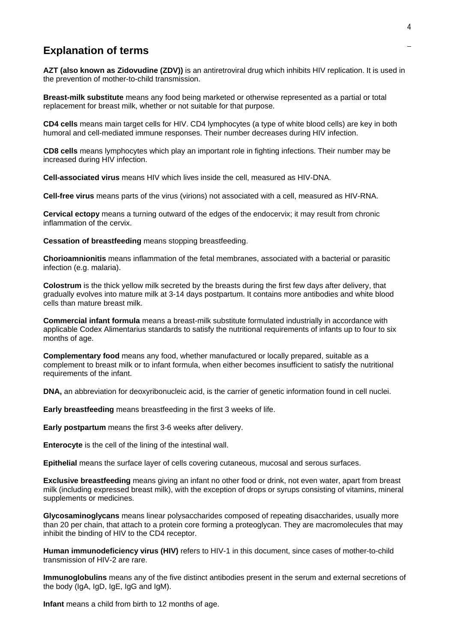# **Explanation of terms**

**AZT (also known as Zidovudine (ZDV))** is an antiretroviral drug which inhibits HIV replication. It is used in the prevention of mother-to-child transmission.

**Breast-milk substitute** means any food being marketed or otherwise represented as a partial or total replacement for breast milk, whether or not suitable for that purpose.

**CD4 cells** means main target cells for HIV. CD4 lymphocytes (a type of white blood cells) are key in both humoral and cell-mediated immune responses. Their number decreases during HIV infection.

**CD8 cells** means lymphocytes which play an important role in fighting infections. Their number may be increased during HIV infection.

**Cell-associated virus** means HIV which lives inside the cell, measured as HIV-DNA.

**Cell-free virus** means parts of the virus (virions) not associated with a cell, measured as HIV-RNA.

**Cervical ectopy** means a turning outward of the edges of the endocervix; it may result from chronic inflammation of the cervix.

**Cessation of breastfeeding** means stopping breastfeeding.

**Chorioamnionitis** means inflammation of the fetal membranes, associated with a bacterial or parasitic infection (e.g. malaria).

**Colostrum** is the thick yellow milk secreted by the breasts during the first few days after delivery, that gradually evolves into mature milk at 3-14 days postpartum. It contains more antibodies and white blood cells than mature breast milk.

**Commercial infant formula** means a breast-milk substitute formulated industrially in accordance with applicable Codex Alimentarius standards to satisfy the nutritional requirements of infants up to four to six months of age.

**Complementary food** means any food, whether manufactured or locally prepared, suitable as a complement to breast milk or to infant formula, when either becomes insufficient to satisfy the nutritional requirements of the infant.

**DNA,** an abbreviation for deoxyribonucleic acid, is the carrier of genetic information found in cell nuclei.

**Early breastfeeding** means breastfeeding in the first 3 weeks of life.

**Early postpartum** means the first 3-6 weeks after delivery.

**Enterocyte** is the cell of the lining of the intestinal wall.

**Epithelial** means the surface layer of cells covering cutaneous, mucosal and serous surfaces.

**Exclusive breastfeeding** means giving an infant no other food or drink, not even water, apart from breast milk (including expressed breast milk), with the exception of drops or syrups consisting of vitamins, mineral supplements or medicines.

**Glycosaminoglycans** means linear polysaccharides composed of repeating disaccharides, usually more than 20 per chain, that attach to a protein core forming a proteoglycan. They are macromolecules that may inhibit the binding of HIV to the CD4 receptor.

**Human immunodeficiency virus (HIV)** refers to HIV-1 in this document, since cases of mother-to-child transmission of HIV-2 are rare.

**Immunoglobulins** means any of the five distinct antibodies present in the serum and external secretions of the body (IgA, IgD, IgE, IgG and IgM).

**Infant** means a child from birth to 12 months of age.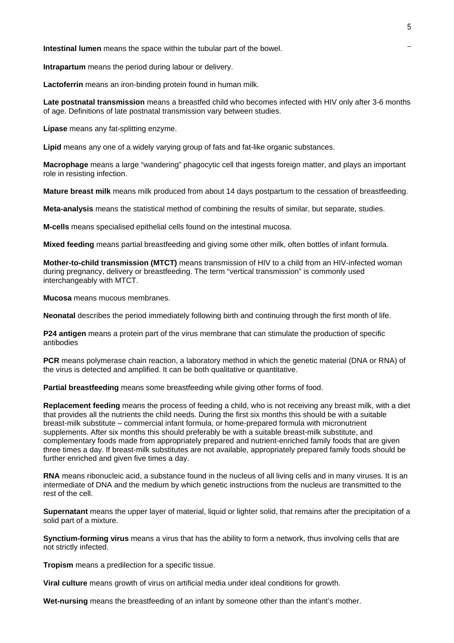**Intestinal lumen** means the space within the tubular part of the bowel.

**Intrapartum** means the period during labour or delivery.

**Lactoferrin** means an iron-binding protein found in human milk.

**Late postnatal transmission** means a breastfed child who becomes infected with HIV only after 3-6 months of age. Definitions of late postnatal transmission vary between studies.

**Lipase** means any fat-splitting enzyme.

**Lipid** means any one of a widely varying group of fats and fat-like organic substances.

**Macrophage** means a large "wandering" phagocytic cell that ingests foreign matter, and plays an important role in resisting infection.

**Mature breast milk** means milk produced from about 14 days postpartum to the cessation of breastfeeding.

**Meta-analysis** means the statistical method of combining the results of similar, but separate, studies.

**M-cells** means specialised epithelial cells found on the intestinal mucosa.

**Mixed feeding** means partial breastfeeding and giving some other milk, often bottles of infant formula.

**Mother-to-child transmission (MTCT)** means transmission of HIV to a child from an HIV-infected woman during pregnancy, delivery or breastfeeding. The term "vertical transmission" is commonly used interchangeably with MTCT.

**Mucosa** means mucous membranes.

**Neonatal** describes the period immediately following birth and continuing through the first month of life.

**P24 antigen** means a protein part of the virus membrane that can stimulate the production of specific antibodies

**PCR** means polymerase chain reaction, a laboratory method in which the genetic material (DNA or RNA) of the virus is detected and amplified. It can be both qualitative or quantitative.

**Partial breastfeeding** means some breastfeeding while giving other forms of food.

**Replacement feeding** means the process of feeding a child, who is not receiving any breast milk, with a diet that provides all the nutrients the child needs. During the first six months this should be with a suitable breast-milk substitute – commercial infant formula, or home-prepared formula with micronutrient supplements. After six months this should preferably be with a suitable breast-milk substitute, and complementary foods made from appropriately prepared and nutrient-enriched family foods that are given three times a day. If breast-milk substitutes are not available, appropriately prepared family foods should be further enriched and given five times a day.

**RNA** means ribonucleic acid, a substance found in the nucleus of all living cells and in many viruses. It is an intermediate of DNA and the medium by which genetic instructions from the nucleus are transmitted to the rest of the cell.

**Supernatant** means the upper layer of material, liquid or lighter solid, that remains after the precipitation of a solid part of a mixture.

**Synctium-forming virus** means a virus that has the ability to form a network, thus involving cells that are not strictly infected.

**Tropism** means a predilection for a specific tissue.

**Viral culture** means growth of virus on artificial media under ideal conditions for growth.

**Wet-nursing** means the breastfeeding of an infant by someone other than the infant's mother.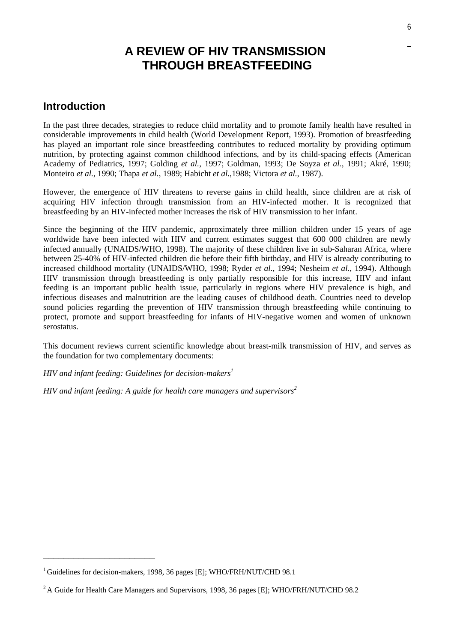# **A REVIEW OF HIV TRANSMISSION THROUGH BREASTFEEDING**

### **Introduction**

In the past three decades, strategies to reduce child mortality and to promote family health have resulted in considerable improvements in child health (World Development Report, 1993). Promotion of breastfeeding has played an important role since breastfeeding contributes to reduced mortality by providing optimum nutrition, by protecting against common childhood infections, and by its child-spacing effects (American Academy of Pediatrics, 1997; Golding *et al.*, 1997; Goldman, 1993; De Soyza *et al.*, 1991; Akré, 1990; Monteiro *et al.*, 1990; Thapa *et al.*, 1989; Habicht *et al.*,1988; Victora *et al.*, 1987).

However, the emergence of HIV threatens to reverse gains in child health, since children are at risk of acquiring HIV infection through transmission from an HIV-infected mother. It is recognized that breastfeeding by an HIV-infected mother increases the risk of HIV transmission to her infant.

Since the beginning of the HIV pandemic, approximately three million children under 15 years of age worldwide have been infected with HIV and current estimates suggest that 600 000 children are newly infected annually (UNAIDS/WHO, 1998). The majority of these children live in sub-Saharan Africa, where between 25-40% of HIV-infected children die before their fifth birthday, and HIV is already contributing to increased childhood mortality (UNAIDS/WHO, 1998; Ryder *et al.*, 1994; Nesheim *et al.*, 1994). Although HIV transmission through breastfeeding is only partially responsible for this increase, HIV and infant feeding is an important public health issue, particularly in regions where HIV prevalence is high, and infectious diseases and malnutrition are the leading causes of childhood death. Countries need to develop sound policies regarding the prevention of HIV transmission through breastfeeding while continuing to protect, promote and support breastfeeding for infants of HIV-negative women and women of unknown serostatus.

This document reviews current scientific knowledge about breast-milk transmission of HIV, and serves as the foundation for two complementary documents:

*HIV and infant feeding: Guidelines for decision-makers*<sup>1</sup>

*HIV and infant feeding: A guide for health care managers and supervisors<sup>2</sup>*

**\_\_\_\_\_\_\_\_\_\_\_\_\_\_\_\_\_\_\_\_\_\_**

<sup>&</sup>lt;sup>1</sup> Guidelines for decision-makers, 1998, 36 pages [E]; WHO/FRH/NUT/CHD 98.1

<sup>&</sup>lt;sup>2</sup> A Guide for Health Care Managers and Supervisors, 1998, 36 pages [E]; WHO/FRH/NUT/CHD 98.2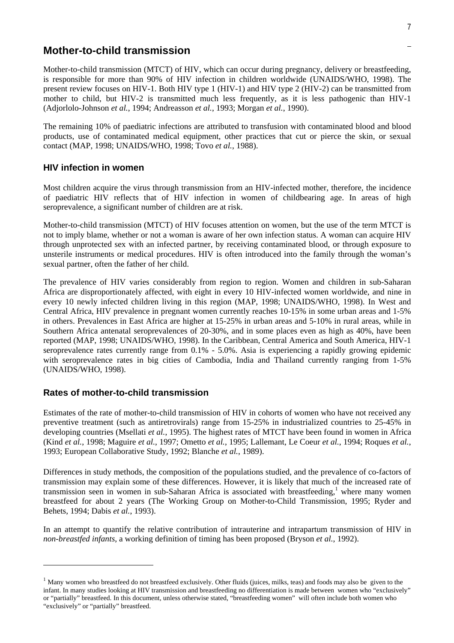### **Mother-to-child transmission**

Mother-to-child transmission (MTCT) of HIV, which can occur during pregnancy, delivery or breastfeeding, is responsible for more than 90% of HIV infection in children worldwide (UNAIDS/WHO, 1998). The present review focuses on HIV-1. Both HIV type 1 (HIV-1) and HIV type 2 (HIV-2) can be transmitted from mother to child, but HIV-2 is transmitted much less frequently, as it is less pathogenic than HIV-1 (Adjorlolo-Johnson *et al.*, 1994; Andreasson *et al.*, 1993; Morgan *et al.*, 1990).

The remaining 10% of paediatric infections are attributed to transfusion with contaminated blood and blood products, use of contaminated medical equipment, other practices that cut or pierce the skin, or sexual contact (MAP, 1998; UNAIDS/WHO, 1998; Tovo *et al.*, 1988).

#### **HIV infection in women**

Most children acquire the virus through transmission from an HIV-infected mother, therefore, the incidence of paediatric HIV reflects that of HIV infection in women of childbearing age. In areas of high seroprevalence, a significant number of children are at risk.

Mother-to-child transmission (MTCT) of HIV focuses attention on women, but the use of the term MTCT is not to imply blame, whether or not a woman is aware of her own infection status. A woman can acquire HIV through unprotected sex with an infected partner, by receiving contaminated blood, or through exposure to unsterile instruments or medical procedures. HIV is often introduced into the family through the woman's sexual partner, often the father of her child.

The prevalence of HIV varies considerably from region to region. Women and children in sub-Saharan Africa are disproportionately affected, with eight in every 10 HIV-infected women worldwide, and nine in every 10 newly infected children living in this region (MAP, 1998; UNAIDS/WHO, 1998). In West and Central Africa, HIV prevalence in pregnant women currently reaches 10-15% in some urban areas and 1-5% in others. Prevalences in East Africa are higher at 15-25% in urban areas and 5-10% in rural areas, while in Southern Africa antenatal seroprevalences of 20-30%, and in some places even as high as 40%, have been reported (MAP, 1998; UNAIDS/WHO, 1998). In the Caribbean, Central America and South America, HIV-1 seroprevalence rates currently range from 0.1% - 5.0%. Asia is experiencing a rapidly growing epidemic with seroprevalence rates in big cities of Cambodia, India and Thailand currently ranging from 1-5% (UNAIDS/WHO, 1998).

#### **Rates of mother-to-child transmission**

l

Estimates of the rate of mother-to-child transmission of HIV in cohorts of women who have not received any preventive treatment (such as antiretrovirals) range from 15-25% in industrialized countries to 25-45% in developing countries (Msellati *et al.*, 1995). The highest rates of MTCT have been found in women in Africa (Kind *et al.*, 1998; Maguire *et al.*, 1997; Ometto *et al.*, 1995; Lallemant, Le Coeur *et al.*, 1994; Roques *et al.*, 1993; European Collaborative Study, 1992; Blanche *et al.*, 1989).

Differences in study methods, the composition of the populations studied, and the prevalence of co-factors of transmission may explain some of these differences. However, it is likely that much of the increased rate of transmission seen in women in sub-Saharan Africa is associated with breastfeeding,<sup>1</sup> where many women breastfeed for about 2 years (The Working Group on Mother-to-Child Transmission, 1995; Ryder and Behets, 1994; Dabis *et al.*, 1993).

In an attempt to quantify the relative contribution of intrauterine and intrapartum transmission of HIV in *non-breastfed infants*, a working definition of timing has been proposed (Bryson *et al.*, 1992).

<sup>&</sup>lt;sup>1</sup> Many women who breastfeed do not breastfeed exclusively. Other fluids (juices, milks, teas) and foods may also be given to the infant. In many studies looking at HIV transmission and breastfeeding no differentiation is made between women who "exclusively" or "partially" breastfeed. In this document, unless otherwise stated, "breastfeeding women" will often include both women who "exclusively" or "partially" breastfeed.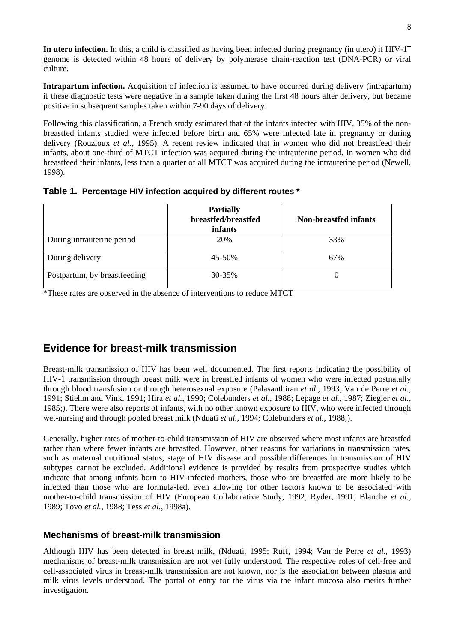**In utero infection.** In this, a child is classified as having been infected during pregnancy (in utero) if HIV-1 genome is detected within 48 hours of delivery by polymerase chain-reaction test (DNA-PCR) or viral culture.

**Intrapartum infection.** Acquisition of infection is assumed to have occurred during delivery (intrapartum) if these diagnostic tests were negative in a sample taken during the first 48 hours after delivery, but became positive in subsequent samples taken within 7-90 days of delivery.

Following this classification, a French study estimated that of the infants infected with HIV, 35% of the nonbreastfed infants studied were infected before birth and 65% were infected late in pregnancy or during delivery (Rouzioux *et al.*, 1995). A recent review indicated that in women who did not breastfeed their infants, about one-third of MTCT infection was acquired during the intrauterine period. In women who did breastfeed their infants, less than a quarter of all MTCT was acquired during the intrauterine period (Newell, 1998).

|                              | <b>Partially</b><br>breastfed/breastfed<br><b>infants</b> | <b>Non-breastfed infants</b> |
|------------------------------|-----------------------------------------------------------|------------------------------|
| During intrauterine period   | 20%                                                       | 33%                          |
| During delivery              | 45-50%                                                    | 67%                          |
| Postpartum, by breastfeeding | 30-35%                                                    |                              |

\*These rates are observed in the absence of interventions to reduce MTCT

# **Evidence for breast-milk transmission**

Breast-milk transmission of HIV has been well documented. The first reports indicating the possibility of HIV-1 transmission through breast milk were in breastfed infants of women who were infected postnatally through blood transfusion or through heterosexual exposure (Palasanthiran *et al.*, 1993; Van de Perre *et al.*, 1991; Stiehm and Vink, 1991; Hira *et al.*, 1990; Colebunders *et al.*, 1988; Lepage *et al.*, 1987; Ziegler *et al.*, 1985;). There were also reports of infants, with no other known exposure to HIV, who were infected through wet-nursing and through pooled breast milk (Nduati *et al.*, 1994; Colebunders *et al.*, 1988;).

Generally, higher rates of mother-to-child transmission of HIV are observed where most infants are breastfed rather than where fewer infants are breastfed. However, other reasons for variations in transmission rates, such as maternal nutritional status, stage of HIV disease and possible differences in transmission of HIV subtypes cannot be excluded. Additional evidence is provided by results from prospective studies which indicate that among infants born to HIV-infected mothers, those who are breastfed are more likely to be infected than those who are formula-fed, even allowing for other factors known to be associated with mother-to-child transmission of HIV (European Collaborative Study, 1992; Ryder, 1991; Blanche *et al.*, 1989; Tovo *et al.*, 1988; Tess *et al.*, 1998a).

#### **Mechanisms of breast-milk transmission**

Although HIV has been detected in breast milk, (Nduati, 1995; Ruff, 1994; Van de Perre *et al.*, 1993) mechanisms of breast-milk transmission are not yet fully understood. The respective roles of cell-free and cell-associated virus in breast-milk transmission are not known, nor is the association between plasma and milk virus levels understood. The portal of entry for the virus via the infant mucosa also merits further investigation.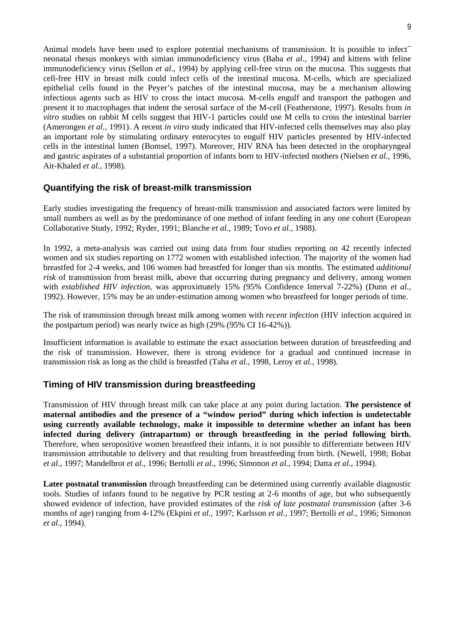Animal models have been used to explore potential mechanisms of transmission. It is possible to infect neonatal rhesus monkeys with simian immunodeficiency virus (Baba *et al.*, 1994) and kittens with feline immunodeficiency virus (Sellon *et al.*, 1994) by applying cell-free virus on the mucosa. This suggests that cell-free HIV in breast milk could infect cells of the intestinal mucosa. M-cells, which are specialized epithelial cells found in the Peyer's patches of the intestinal mucosa, may be a mechanism allowing infectious agents such as HIV to cross the intact mucosa. M-cells engulf and transport the pathogen and present it to macrophages that indent the serosal surface of the M-cell (Featherstone, 1997). Results from *in vitro* studies on rabbit M cells suggest that HIV-1 particles could use M cells to cross the intestinal barrier (Amerongen *et al.*, 1991). A recent *in vitro* study indicated that HIV-infected cells themselves may also play an important role by stimulating ordinary enterocytes to engulf HIV particles presented by HIV-infected cells in the intestinal lumen (Bomsel, 1997). Moreover, HIV RNA has been detected in the oropharyngeal and gastric aspirates of a substantial proportion of infants born to HIV-infected mothers (Nielsen *et al.*, 1996, Ait-Khaled *et al.*, 1998).

#### **Quantifying the risk of breast-milk transmission**

Early studies investigating the frequency of breast-milk transmission and associated factors were limited by small numbers as well as by the predominance of one method of infant feeding in any one cohort (European Collaborative Study, 1992; Ryder, 1991; Blanche *et al.*, 1989; Tovo *et al.*, 1988).

In 1992, a meta-analysis was carried out using data from four studies reporting on 42 recently infected women and six studies reporting on 1772 women with established infection. The majority of the women had breastfed for 2-4 weeks, and 106 women had breastfed for longer than six months. The estimated *additional risk* of transmission from breast milk, above that occurring during pregnancy and delivery, among women with *established HIV infection,* was approximately 15% (95% Confidence Interval 7-22%) (Dunn *et al.*, 1992). However, 15% may be an under-estimation among women who breastfeed for longer periods of time.

The risk of transmission through breast milk among women with *recent infection* (HIV infection acquired in the postpartum period) was nearly twice as high (29% (95% CI 16-42%)).

Insufficient information is available to estimate the exact association between duration of breastfeeding and the risk of transmission. However, there is strong evidence for a gradual and continued increase in transmission risk as long as the child is breastfed (Taha *et al.*, 1998, Leroy *et al.*, 1998).

#### **Timing of HIV transmission during breastfeeding**

Transmission of HIV through breast milk can take place at any point during lactation. **The persistence of maternal antibodies and the presence of a "window period" during which infection is undetectable using currently available technology, make it impossible to determine whether an infant has been infected during delivery (intrapartum) or through breastfeeding in the period following birth.** Therefore, when seropositive women breastfeed their infants, it is not possible to differentiate between HIV transmission attributable to delivery and that resulting from breastfeeding from birth. (Newell, 1998; Bobat *et al.*, 1997; Mandelbrot *et al.*, 1996; Bertolli *et al.*, 1996; Simonon *et al.*, 1994; Datta *et al.*, 1994).

**Later postnatal transmission** through breastfeeding can be determined using currently available diagnostic tools. Studies of infants found to be negative by PCR testing at 2-6 months of age, but who subsequently showed evidence of infection, have provided estimates of the *risk of late postnatal transmission* (after 3-6 months of age) ranging from 4-12% (Ekpini *et al.*, 1997; Karlsson *et al.*, 1997; Bertolli *et al.*, 1996; Simonon *et al.*, 1994).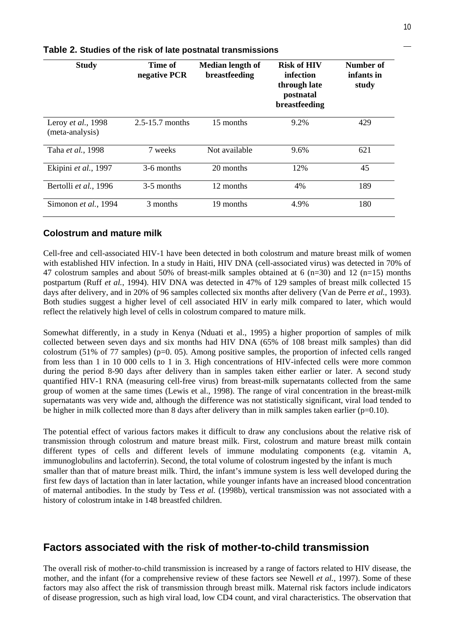| <b>Study</b>                                  | Time of<br>negative PCR | <b>Median length of</b><br>breastfeeding | <b>Risk of HIV</b><br>infection<br>through late<br>postnatal<br>breastfeeding | Number of<br>infants in<br>study |
|-----------------------------------------------|-------------------------|------------------------------------------|-------------------------------------------------------------------------------|----------------------------------|
| Leroy <i>et al.</i> , 1998<br>(meta-analysis) | $2.5 - 15.7$ months     | 15 months                                | 9.2%                                                                          | 429                              |
| Taha et al., 1998                             | 7 weeks                 | Not available                            | 9.6%                                                                          | 621                              |
| Ekipini et al., 1997                          | 3-6 months              | 20 months                                | 12%                                                                           | 45                               |
| Bertolli et al., 1996                         | 3-5 months              | 12 months                                | 4%                                                                            | 189                              |
| Simonon et al., 1994                          | 3 months                | 19 months                                | 4.9%                                                                          | 180                              |

#### **Table 2. Studies of the risk of late postnatal transmissions**

#### **Colostrum and mature milk**

Cell-free and cell-associated HIV-1 have been detected in both colostrum and mature breast milk of women with established HIV infection. In a study in Haiti, HIV DNA (cell-associated virus) was detected in 70% of 47 colostrum samples and about 50% of breast-milk samples obtained at 6 ( $n=30$ ) and 12 ( $n=15$ ) months postpartum (Ruff *et al.*, 1994). HIV DNA was detected in 47% of 129 samples of breast milk collected 15 days after delivery, and in 20% of 96 samples collected six months after delivery (Van de Perre *et al.*, 1993). Both studies suggest a higher level of cell associated HIV in early milk compared to later, which would reflect the relatively high level of cells in colostrum compared to mature milk.

Somewhat differently, in a study in Kenya (Nduati et al., 1995) a higher proportion of samples of milk collected between seven days and six months had HIV DNA (65% of 108 breast milk samples) than did colostrum (51% of 77 samples) (p=0. 05). Among positive samples, the proportion of infected cells ranged from less than 1 in 10 000 cells to 1 in 3. High concentrations of HIV-infected cells were more common during the period 8-90 days after delivery than in samples taken either earlier or later. A second study quantified HIV-1 RNA (measuring cell-free virus) from breast-milk supernatants collected from the same group of women at the same times (Lewis et al., 1998). The range of viral concentration in the breast-milk supernatants was very wide and, although the difference was not statistically significant, viral load tended to be higher in milk collected more than 8 days after delivery than in milk samples taken earlier (p=0.10).

The potential effect of various factors makes it difficult to draw any conclusions about the relative risk of transmission through colostrum and mature breast milk. First, colostrum and mature breast milk contain different types of cells and different levels of immune modulating components (e.g. vitamin A, immunoglobulins and lactoferrin). Second, the total volume of colostrum ingested by the infant is much smaller than that of mature breast milk. Third, the infant's immune system is less well developed during the first few days of lactation than in later lactation, while younger infants have an increased blood concentration of maternal antibodies. In the study by Tess *et al.* (1998b), vertical transmission was not associated with a history of colostrum intake in 148 breastfed children.

### **Factors associated with the risk of mother-to-child transmission**

The overall risk of mother-to-child transmission is increased by a range of factors related to HIV disease, the mother, and the infant (for a comprehensive review of these factors see Newell *et al.*, 1997). Some of these factors may also affect the risk of transmission through breast milk. Maternal risk factors include indicators of disease progression, such as high viral load, low CD4 count, and viral characteristics. The observation that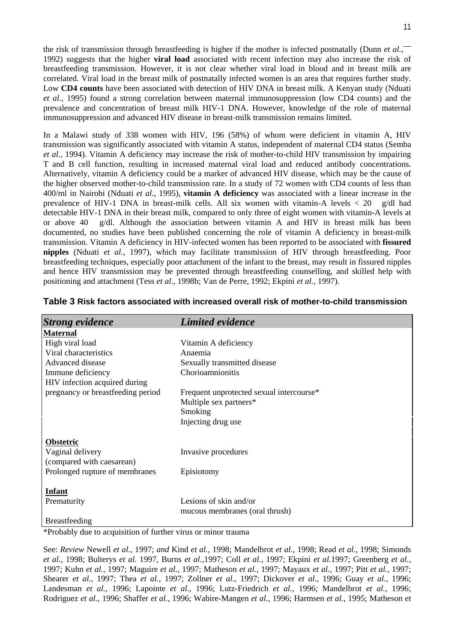the risk of transmission through breastfeeding is higher if the mother is infected postnatally (Dunn *et al.*, 1992) suggests that the higher **viral load** associated with recent infection may also increase the risk of breastfeeding transmission. However, it is not clear whether viral load in blood and in breast milk are correlated. Viral load in the breast milk of postnatally infected women is an area that requires further study. Low **CD4 counts** have been associated with detection of HIV DNA in breast milk. A Kenyan study (Nduati *et al.*, 1995) found a strong correlation between maternal immunosuppression (low CD4 counts) and the prevalence and concentration of breast milk HIV-1 DNA. However, knowledge of the role of maternal immunosuppression and advanced HIV disease in breast-milk transmission remains limited.

In a Malawi study of 338 women with HIV, 196 (58%) of whom were deficient in vitamin A, HIV transmission was significantly associated with vitamin A status, independent of maternal CD4 status (Semba *et al.*, 1994). Vitamin A deficiency may increase the risk of mother-to-child HIV transmission by impairing T and B cell function, resulting in increased maternal viral load and reduced antibody concentrations. Alternatively, vitamin A deficiency could be a marker of advanced HIV disease, which may be the cause of the higher observed mother-to-child transmission rate. In a study of 72 women with CD4 counts of less than 400/ml in Nairobi (Nduati *et al.*, 1995), **vitamin A deficiency** was associated with a linear increase in the prevalence of HIV-1 DNA in breast-milk cells. All six women with vitamin-A levels < 20 g/dl had detectable HIV-1 DNA in their breast milk, compared to only three of eight women with vitamin-A levels at or above 40 g/dl. Although the association between vitamin A and HIV in breast milk has been documented, no studies have been published concerning the role of vitamin A deficiency in breast-milk transmission. Vitamin A deficiency in HIV-infected women has been reported to be associated with **fissured nipples** (Nduati *et al.*, 1997), which may facilitate transmission of HIV through breastfeeding. Poor breastfeeding techniques, especially poor attachment of the infant to the breast, may result in fissured nipples and hence HIV transmission may be prevented through breastfeeding counselling, and skilled help with positioning and attachment (Tess *et al.*, 1998b; Van de Perre, 1992; Ekpini *et al.*, 1997).

| <b>Strong evidence</b>                                      | <b>Limited evidence</b>                  |
|-------------------------------------------------------------|------------------------------------------|
| <b>Maternal</b>                                             |                                          |
| High viral load                                             | Vitamin A deficiency                     |
| Viral characteristics                                       | Anaemia                                  |
| Advanced disease                                            | Sexually transmitted disease             |
| Immune deficiency                                           | Chorioamnionitis                         |
| HIV infection acquired during                               |                                          |
| pregnancy or breastfeeding period                           | Frequent unprotected sexual intercourse* |
|                                                             | Multiple sex partners*                   |
|                                                             | Smoking                                  |
|                                                             | Injecting drug use                       |
|                                                             |                                          |
| <b>Obstetric</b>                                            |                                          |
| Vaginal delivery                                            | Invasive procedures                      |
| (compared with caesarean)<br>Prolonged rupture of membranes |                                          |
|                                                             | Episiotomy                               |
| <b>Infant</b>                                               |                                          |
| Prematurity                                                 | Lesions of skin and/or                   |
|                                                             | mucous membranes (oral thrush)           |
| <b>Breastfeeding</b>                                        |                                          |

#### **Table 3 Risk factors associated with increased overall risk of mother-to-child transmission**

\*Probably due to acquisition of further virus or minor trauma

See: *Review* Newell *et al.*, 1997; *and* Kind *et al.*, 1998; Mandelbrot *et al.*, 1998; Read *et al.*, 1998; Simonds *et al.*, 1998; Bulterys *et al.* 1997, Burns *et al.*,1997; Coll *et al.*, 1997; Ekpini *et al.*1997; Greenberg *et al.*, 1997; Kuhn *et al.*, 1997; Maguire *et al.*, 1997; Matheson *et al.*, 1997; Mayaux *et al.*, 1997; Pitt *et al.*, 1997; Shearer *et al.*, 1997; Thea *et al.*, 1997; Zollner *et al.*, 1997; Dickover *et al.*, 1996; Guay *et al.*, 1996; Landesman *et al.*, 1996; Lapointe *et al.*, 1996; Lutz-Friedrich *et al.*, 1996; Mandelbrot *et al.*, 1996; Rodriguez *et al.*, 1996; Shaffer *et al.*, 1996; Wabire-Mangen *et al.*, 1996; Harmsen *et al.*, 1995; Matheson *et*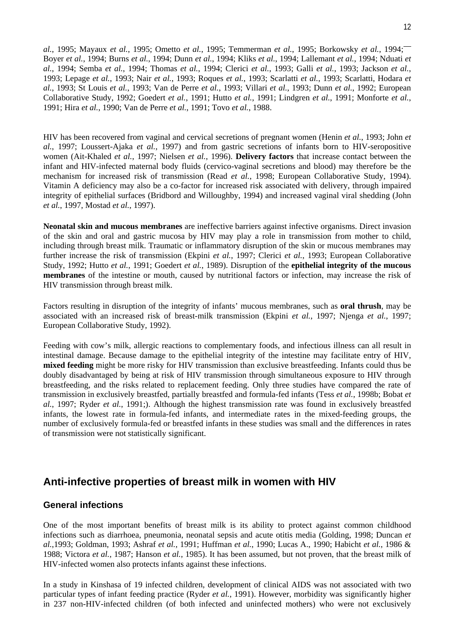*al.*, 1995; Mayaux *et al.*, 1995; Ometto *et al.*, 1995; Temmerman *et al.*, 1995; Borkowsky *et al.*, 1994; Boyer *et al.*, 1994; Burns *et al.*, 1994; Dunn *et al.*, 1994; Kliks *et al.*, 1994; Lallemant *et al.*, 1994; Nduati *et al.*, 1994; Semba *et al.*, 1994; Thomas *et al.*, 1994; Clerici *et al.*, 1993; Galli *et al.*, 1993; Jackson *et al.*, 1993; Lepage *et al.*, 1993; Nair *et al.*, 1993; Roques *et al.*, 1993; Scarlatti *et al.*, 1993; Scarlatti, Hodara *et al.*, 1993; St Louis *et al.*, 1993; Van de Perre *et al.*, 1993; Villari *et al.*, 1993; Dunn *et al.*, 1992; European Collaborative Study, 1992; Goedert *et al.*, 1991; Hutto *et al.*, 1991; Lindgren *et al.*, 1991; Monforte *et al.*, 1991; Hira *et al.*, 1990; Van de Perre *et al.*, 1991; Tovo *et al.*, 1988.

HIV has been recovered from vaginal and cervical secretions of pregnant women (Henin *et al.*, 1993; John *et al.*, 1997; Loussert-Ajaka *et al.*, 1997) and from gastric secretions of infants born to HIV-seropositive women (Ait-Khaled *et al.*, 1997; Nielsen *et al.*, 1996). **Delivery factors** that increase contact between the infant and HIV-infected maternal body fluids (cervico-vaginal secretions and blood) may therefore be the mechanism for increased risk of transmission (Read *et al.*, 1998; European Collaborative Study, 1994). Vitamin A deficiency may also be a co-factor for increased risk associated with delivery, through impaired integrity of epithelial surfaces (Bridbord and Willoughby, 1994) and increased vaginal viral shedding (John *et al.*, 1997, Mostad *et al.*, 1997).

**Neonatal skin and mucous membranes** are ineffective barriers against infective organisms. Direct invasion of the skin and oral and gastric mucosa by HIV may play a role in transmission from mother to child, including through breast milk. Traumatic or inflammatory disruption of the skin or mucous membranes may further increase the risk of transmission (Ekpini *et al.*, 1997; Clerici *et al.*, 1993; European Collaborative Study, 1992; Hutto *et al.*, 1991; Goedert *et al.*, 1989). Disruption of the **epithelial integrity of the mucous membranes** of the intestine or mouth, caused by nutritional factors or infection, may increase the risk of HIV transmission through breast milk.

Factors resulting in disruption of the integrity of infants' mucous membranes, such as **oral thrush**, may be associated with an increased risk of breast-milk transmission (Ekpini *et al.*, 1997; Njenga *et al.*, 1997; European Collaborative Study, 1992).

Feeding with cow's milk, allergic reactions to complementary foods, and infectious illness can all result in intestinal damage. Because damage to the epithelial integrity of the intestine may facilitate entry of HIV, **mixed feeding** might be more risky for HIV transmission than exclusive breastfeeding. Infants could thus be doubly disadvantaged by being at risk of HIV transmission through simultaneous exposure to HIV through breastfeeding, and the risks related to replacement feeding. Only three studies have compared the rate of transmission in exclusively breastfed, partially breastfed and formula-fed infants (Tess *et al.*, 1998b; Bobat *et al.*, 1997; Ryder *et al.*, 1991;). Although the highest transmission rate was found in exclusively breastfed infants, the lowest rate in formula-fed infants, and intermediate rates in the mixed-feeding groups, the number of exclusively formula-fed or breastfed infants in these studies was small and the differences in rates of transmission were not statistically significant.

### **Anti-infective properties of breast milk in women with HIV**

#### **General infections**

One of the most important benefits of breast milk is its ability to protect against common childhood infections such as diarrhoea, pneumonia, neonatal sepsis and acute otitis media (Golding, 1998; Duncan *et al.*,1993; Goldman, 1993; Ashraf *et al.*, 1991; Huffman *et al.*, 1990; Lucas A., 1990; Habicht *et al.*, 1986 & 1988; Victora *et al.*, 1987; Hanson *et al.*, 1985). It has been assumed, but not proven, that the breast milk of HIV-infected women also protects infants against these infections.

In a study in Kinshasa of 19 infected children, development of clinical AIDS was not associated with two particular types of infant feeding practice (Ryder *et al.*, 1991). However, morbidity was significantly higher in 237 non-HIV-infected children (of both infected and uninfected mothers) who were not exclusively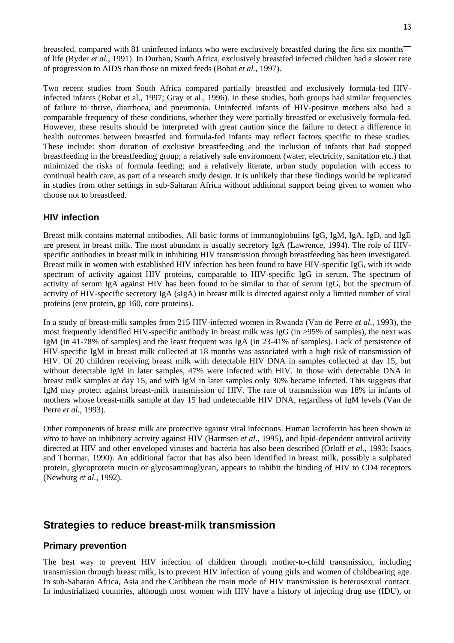breastfed, compared with 81 uninfected infants who were exclusively breastfed during the first six months of life (Ryder *et al.*, 1991). In Durban, South Africa, exclusively breastfed infected children had a slower rate of progression to AIDS than those on mixed feeds (Bobat *et al.*, 1997).

Two recent studies from South Africa compared partially breastfed and exclusively formula-fed HIVinfected infants (Bobat et al., 1997; Gray et al., 1996). In these studies, both groups had similar frequencies of failure to thrive, diarrhoea, and pneumonia. Uninfected infants of HIV-positive mothers also had a comparable frequency of these conditions, whether they were partially breastfed or exclusively formula-fed. However, these results should be interpreted with great caution since the failure to detect a difference in health outcomes between breastfed and formula-fed infants may reflect factors specific to these studies. These include: short duration of exclusive breastfeeding and the inclusion of infants that had stopped breastfeeding in the breastfeeding group; a relatively safe environment (water, electricity, sanitation etc.) that minimized the risks of formula feeding; and a relatively literate, urban study population with access to continual health care, as part of a research study design. It is unlikely that these findings would be replicated in studies from other settings in sub-Saharan Africa without additional support being given to women who choose not to breastfeed.

#### **HIV infection**

Breast milk contains maternal antibodies. All basic forms of immunoglobulins IgG, IgM, IgA, IgD, and IgE are present in breast milk. The most abundant is usually secretory IgA (Lawrence, 1994). The role of HIVspecific antibodies in breast milk in inhibiting HIV transmission through breastfeeding has been investigated. Breast milk in women with established HIV infection has been found to have HIV-specific IgG, with its wide spectrum of activity against HIV proteins, comparable to HIV-specific IgG in serum. The spectrum of activity of serum IgA against HIV has been found to be similar to that of serum IgG, but the spectrum of activity of HIV-specific secretory IgA (sIgA) in breast milk is directed against only a limited number of viral proteins (env protein, gp 160, core proteins).

In a study of breast-milk samples from 215 HIV-infected women in Rwanda (Van de Perre *et al.*, 1993), the most frequently identified HIV-specific antibody in breast milk was IgG (in >95% of samples), the next was IgM (in 41-78% of samples) and the least frequent was IgA (in 23-41% of samples). Lack of persistence of HIV-specific IgM in breast milk collected at 18 months was associated with a high risk of transmission of HIV. Of 20 children receiving breast milk with detectable HIV DNA in samples collected at day 15, but without detectable IgM in later samples, 47% were infected with HIV. In those with detectable DNA in breast milk samples at day 15, and with IgM in later samples only 30% became infected. This suggests that IgM may protect against breast-milk transmission of HIV. The rate of transmission was 18% in infants of mothers whose breast-milk sample at day 15 had undetectable HIV DNA, regardless of IgM levels (Van de Perre *et al.*, 1993).

Other components of breast milk are protective against viral infections. Human lactoferrin has been shown *in vitro* to have an inhibitory activity against HIV (Harmsen *et al.*, 1995), and lipid-dependent antiviral activity directed at HIV and other enveloped viruses and bacteria has also been described (Orloff *et al.*, 1993; Isaacs and Thormar, 1990). An additional factor that has also been identified in breast milk, possibly a sulphated protein, glycoprotein mucin or glycosaminoglycan, appears to inhibit the binding of HIV to CD4 receptors (Newburg *et al.*, 1992).

### **Strategies to reduce breast-milk transmission**

#### **Primary prevention**

The best way to prevent HIV infection of children through mother-to-child transmission, including transmission through breast milk, is to prevent HIV infection of young girls and women of childbearing age. In sub-Saharan Africa, Asia and the Caribbean the main mode of HIV transmission is heterosexual contact. In industrialized countries, although most women with HIV have a history of injecting drug use (IDU), or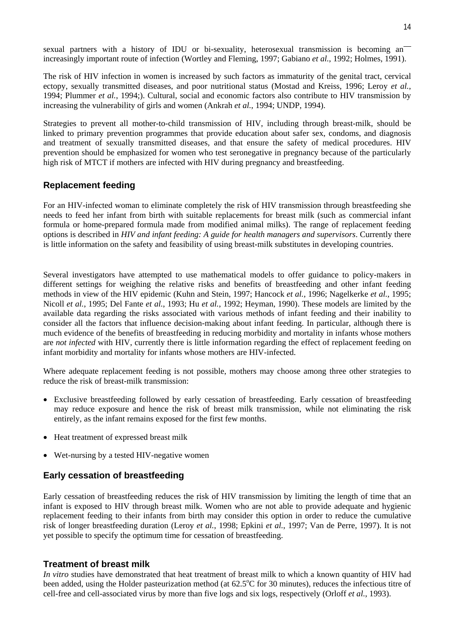sexual partners with a history of IDU or bi-sexuality, heterosexual transmission is becoming an increasingly important route of infection (Wortley and Fleming, 1997; Gabiano *et al.*, 1992; Holmes, 1991).

The risk of HIV infection in women is increased by such factors as immaturity of the genital tract, cervical ectopy, sexually transmitted diseases, and poor nutritional status (Mostad and Kreiss, 1996; Leroy *et al.*, 1994; Plummer *et al.*, 1994;). Cultural, social and economic factors also contribute to HIV transmission by increasing the vulnerability of girls and women (Ankrah *et al.*, 1994; UNDP, 1994).

Strategies to prevent all mother-to-child transmission of HIV, including through breast-milk, should be linked to primary prevention programmes that provide education about safer sex, condoms, and diagnosis and treatment of sexually transmitted diseases, and that ensure the safety of medical procedures. HIV prevention should be emphasized for women who test seronegative in pregnancy because of the particularly high risk of MTCT if mothers are infected with HIV during pregnancy and breastfeeding.

#### **Replacement feeding**

For an HIV-infected woman to eliminate completely the risk of HIV transmission through breastfeeding she needs to feed her infant from birth with suitable replacements for breast milk (such as commercial infant formula or home-prepared formula made from modified animal milks). The range of replacement feeding options is described in *HIV and infant feeding: A guide for health managers and supervisors*. Currently there is little information on the safety and feasibility of using breast-milk substitutes in developing countries.

Several investigators have attempted to use mathematical models to offer guidance to policy-makers in different settings for weighing the relative risks and benefits of breastfeeding and other infant feeding methods in view of the HIV epidemic (Kuhn and Stein, 1997; Hancock *et al.*, 1996; Nagelkerke *et al.*, 1995; Nicoll *et al.*, 1995; Del Fante *et al.*, 1993; Hu *et al.*, 1992; Heyman, 1990). These models are limited by the available data regarding the risks associated with various methods of infant feeding and their inability to consider all the factors that influence decision-making about infant feeding. In particular, although there is much evidence of the benefits of breastfeeding in reducing morbidity and mortality in infants whose mothers are *not infected* with HIV, currently there is little information regarding the effect of replacement feeding on infant morbidity and mortality for infants whose mothers are HIV-infected.

Where adequate replacement feeding is not possible, mothers may choose among three other strategies to reduce the risk of breast-milk transmission:

- Exclusive breastfeeding followed by early cessation of breastfeeding. Early cessation of breastfeeding may reduce exposure and hence the risk of breast milk transmission, while not eliminating the risk entirely, as the infant remains exposed for the first few months.
- Heat treatment of expressed breast milk
- Wet-nursing by a tested HIV-negative women

#### **Early cessation of breastfeeding**

Early cessation of breastfeeding reduces the risk of HIV transmission by limiting the length of time that an infant is exposed to HIV through breast milk. Women who are not able to provide adequate and hygienic replacement feeding to their infants from birth may consider this option in order to reduce the cumulative risk of longer breastfeeding duration (Leroy *et al.*, 1998; Epkini *et al.*, 1997; Van de Perre, 1997). It is not yet possible to specify the optimum time for cessation of breastfeeding.

#### **Treatment of breast milk**

*In vitro* studies have demonstrated that heat treatment of breast milk to which a known quantity of HIV had been added, using the Holder pasteurization method (at 62.5°C for 30 minutes), reduces the infectious titre of cell-free and cell-associated virus by more than five logs and six logs, respectively (Orloff *et al.*, 1993).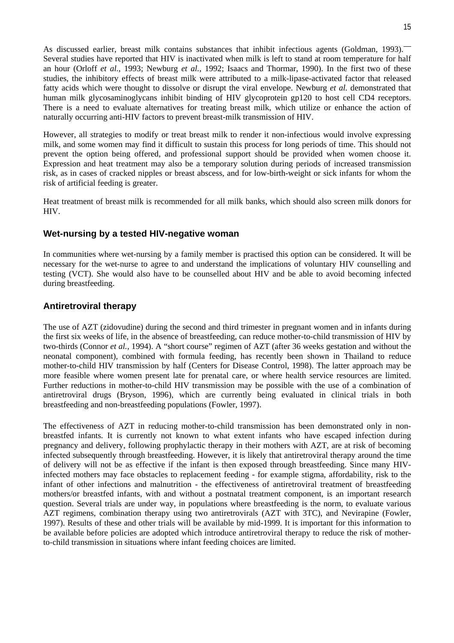As discussed earlier, breast milk contains substances that inhibit infectious agents (Goldman, 1993). Several studies have reported that HIV is inactivated when milk is left to stand at room temperature for half an hour (Orloff *et al.*, 1993; Newburg *et al.*, 1992; Isaacs and Thormar, 1990). In the first two of these studies, the inhibitory effects of breast milk were attributed to a milk-lipase-activated factor that released fatty acids which were thought to dissolve or disrupt the viral envelope. Newburg *et al.* demonstrated that human milk glycosaminoglycans inhibit binding of HIV glycoprotein gp120 to host cell CD4 receptors. There is a need to evaluate alternatives for treating breast milk, which utilize or enhance the action of naturally occurring anti-HIV factors to prevent breast-milk transmission of HIV.

However, all strategies to modify or treat breast milk to render it non-infectious would involve expressing milk, and some women may find it difficult to sustain this process for long periods of time. This should not prevent the option being offered, and professional support should be provided when women choose it. Expression and heat treatment may also be a temporary solution during periods of increased transmission risk, as in cases of cracked nipples or breast abscess, and for low-birth-weight or sick infants for whom the risk of artificial feeding is greater.

Heat treatment of breast milk is recommended for all milk banks, which should also screen milk donors for HIV.

#### **Wet-nursing by a tested HIV-negative woman**

In communities where wet-nursing by a family member is practised this option can be considered. It will be necessary for the wet-nurse to agree to and understand the implications of voluntary HIV counselling and testing (VCT). She would also have to be counselled about HIV and be able to avoid becoming infected during breastfeeding.

#### **Antiretroviral therapy**

The use of AZT (zidovudine) during the second and third trimester in pregnant women and in infants during the first six weeks of life, in the absence of breastfeeding, can reduce mother-to-child transmission of HIV by two-thirds (Connor *et al.*, 1994). A "short course" regimen of AZT (after 36 weeks gestation and without the neonatal component), combined with formula feeding, has recently been shown in Thailand to reduce mother-to-child HIV transmission by half (Centers for Disease Control, 1998). The latter approach may be more feasible where women present late for prenatal care, or where health service resources are limited. Further reductions in mother-to-child HIV transmission may be possible with the use of a combination of antiretroviral drugs (Bryson, 1996), which are currently being evaluated in clinical trials in both breastfeeding and non-breastfeeding populations (Fowler, 1997).

The effectiveness of AZT in reducing mother-to-child transmission has been demonstrated only in nonbreastfed infants. It is currently not known to what extent infants who have escaped infection during pregnancy and delivery, following prophylactic therapy in their mothers with AZT, are at risk of becoming infected subsequently through breastfeeding. However, it is likely that antiretroviral therapy around the time of delivery will not be as effective if the infant is then exposed through breastfeeding. Since many HIVinfected mothers may face obstacles to replacement feeding - for example stigma, affordability, risk to the infant of other infections and malnutrition - the effectiveness of antiretroviral treatment of breastfeeding mothers/or breastfed infants, with and without a postnatal treatment component, is an important research question. Several trials are under way, in populations where breastfeeding is the norm, to evaluate various AZT regimens, combination therapy using two antiretrovirals (AZT with 3TC), and Nevirapine (Fowler, 1997). Results of these and other trials will be available by mid-1999. It is important for this information to be available before policies are adopted which introduce antiretroviral therapy to reduce the risk of motherto-child transmission in situations where infant feeding choices are limited.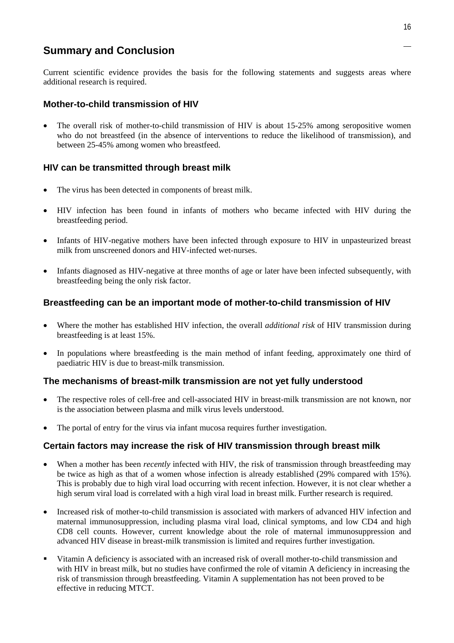# **Summary and Conclusion**

Current scientific evidence provides the basis for the following statements and suggests areas where additional research is required.

#### **Mother-to-child transmission of HIV**

• The overall risk of mother-to-child transmission of HIV is about 15-25% among seropositive women who do not breastfeed (in the absence of interventions to reduce the likelihood of transmission), and between 25-45% among women who breastfeed.

#### **HIV can be transmitted through breast milk**

- The virus has been detected in components of breast milk.
- HIV infection has been found in infants of mothers who became infected with HIV during the breastfeeding period.
- Infants of HIV-negative mothers have been infected through exposure to HIV in unpasteurized breast milk from unscreened donors and HIV-infected wet-nurses.
- Infants diagnosed as HIV-negative at three months of age or later have been infected subsequently, with breastfeeding being the only risk factor.

#### **Breastfeeding can be an important mode of mother-to-child transmission of HIV**

- Where the mother has established HIV infection, the overall *additional risk* of HIV transmission during breastfeeding is at least 15%.
- In populations where breastfeeding is the main method of infant feeding, approximately one third of paediatric HIV is due to breast-milk transmission.

#### **The mechanisms of breast-milk transmission are not yet fully understood**

- The respective roles of cell-free and cell-associated HIV in breast-milk transmission are not known, nor is the association between plasma and milk virus levels understood.
- The portal of entry for the virus via infant mucosa requires further investigation.

#### **Certain factors may increase the risk of HIV transmission through breast milk**

- When a mother has been *recently* infected with HIV, the risk of transmission through breastfeeding may be twice as high as that of a women whose infection is already established (29% compared with 15%). This is probably due to high viral load occurring with recent infection. However, it is not clear whether a high serum viral load is correlated with a high viral load in breast milk. Further research is required.
- Increased risk of mother-to-child transmission is associated with markers of advanced HIV infection and maternal immunosuppression, including plasma viral load, clinical symptoms, and low CD4 and high CD8 cell counts. However, current knowledge about the role of maternal immunosuppression and advanced HIV disease in breast-milk transmission is limited and requires further investigation.
- Vitamin A deficiency is associated with an increased risk of overall mother-to-child transmission and with HIV in breast milk, but no studies have confirmed the role of vitamin A deficiency in increasing the risk of transmission through breastfeeding. Vitamin A supplementation has not been proved to be effective in reducing MTCT.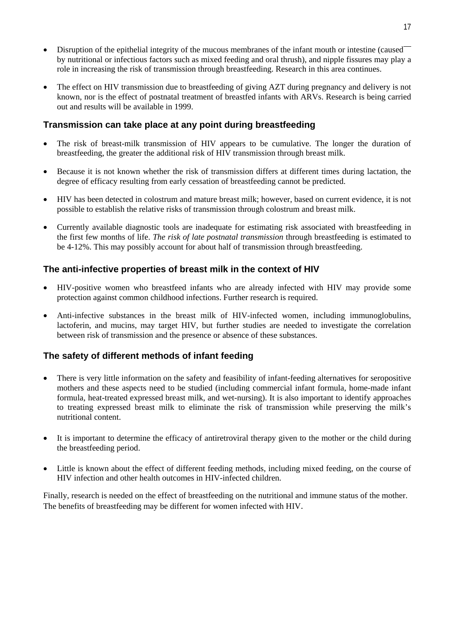- Disruption of the epithelial integrity of the mucous membranes of the infant mouth or intestine (caused by nutritional or infectious factors such as mixed feeding and oral thrush), and nipple fissures may play a role in increasing the risk of transmission through breastfeeding. Research in this area continues.
- The effect on HIV transmission due to breastfeeding of giving AZT during pregnancy and delivery is not known, nor is the effect of postnatal treatment of breastfed infants with ARVs. Research is being carried out and results will be available in 1999.

#### **Transmission can take place at any point during breastfeeding**

- The risk of breast-milk transmission of HIV appears to be cumulative. The longer the duration of breastfeeding, the greater the additional risk of HIV transmission through breast milk.
- Because it is not known whether the risk of transmission differs at different times during lactation, the degree of efficacy resulting from early cessation of breastfeeding cannot be predicted.
- HIV has been detected in colostrum and mature breast milk; however, based on current evidence, it is not possible to establish the relative risks of transmission through colostrum and breast milk.
- Currently available diagnostic tools are inadequate for estimating risk associated with breastfeeding in the first few months of life. *The risk of late postnatal transmission* through breastfeeding is estimated to be 4-12%. This may possibly account for about half of transmission through breastfeeding.

#### **The anti-infective properties of breast milk in the context of HIV**

- HIV-positive women who breastfeed infants who are already infected with HIV may provide some protection against common childhood infections. Further research is required.
- Anti-infective substances in the breast milk of HIV-infected women, including immunoglobulins, lactoferin, and mucins, may target HIV, but further studies are needed to investigate the correlation between risk of transmission and the presence or absence of these substances.

#### **The safety of different methods of infant feeding**

- There is very little information on the safety and feasibility of infant-feeding alternatives for seropositive mothers and these aspects need to be studied (including commercial infant formula, home-made infant formula, heat-treated expressed breast milk, and wet-nursing). It is also important to identify approaches to treating expressed breast milk to eliminate the risk of transmission while preserving the milk's nutritional content.
- It is important to determine the efficacy of antiretroviral therapy given to the mother or the child during the breastfeeding period.
- Little is known about the effect of different feeding methods, including mixed feeding, on the course of HIV infection and other health outcomes in HIV-infected children.

Finally, research is needed on the effect of breastfeeding on the nutritional and immune status of the mother. The benefits of breastfeeding may be different for women infected with HIV.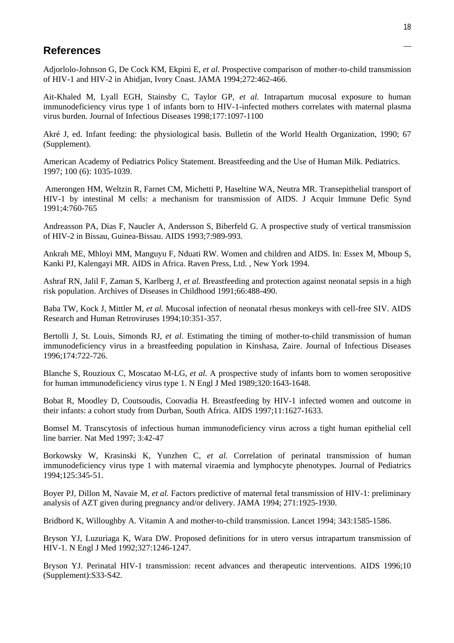# **References**

Adjorlolo-Johnson G, De Cock KM, Ekpini E, *et al.* Prospective comparison of mother-to-child transmission of HIV-1 and HIV-2 in Abidjan, Ivory Coast. JAMA 1994;272:462-466.

Ait-Khaled M, Lyall EGH, Stainsby C, Taylor GP, *et al.* Intrapartum mucosal exposure to human immunodeficiency virus type 1 of infants born to HIV-1-infected mothers correlates with maternal plasma virus burden. Journal of Infectious Diseases 1998;177:1097-1100

Akré J, ed. Infant feeding: the physiological basis. Bulletin of the World Health Organization, 1990; 67 (Supplement).

American Academy of Pediatrics Policy Statement. Breastfeeding and the Use of Human Milk. Pediatrics. 1997; 100 (6): 1035-1039.

 Amerongen HM, Weltzin R, Farnet CM, Michetti P, Haseltine WA, Neutra MR. Transepithelial transport of HIV-1 by intestinal M cells: a mechanism for transmission of AIDS. J Acquir Immune Defic Synd 1991;4:760-765

Andreasson PA, Dias F, Naucler A, Andersson S, Biberfeld G. A prospective study of vertical transmission of HIV-2 in Bissau, Guinea-Bissau. AIDS 1993;7:989-993.

Ankrah ME, Mhloyi MM, Manguyu F, Nduati RW. Women and children and AIDS. In: Essex M, Mboup S, Kanki PJ, Kalengayi MR. AIDS in Africa. Raven Press, Ltd. , New York 1994.

Ashraf RN, Jalil F, Zaman S, Karlberg J, *et al.* Breastfeeding and protection against neonatal sepsis in a high risk population. Archives of Diseases in Childhood 1991;66:488-490.

Baba TW, Kock J, Mittler M, *et al.* Mucosal infection of neonatal rhesus monkeys with cell-free SIV. AIDS Research and Human Retroviruses 1994;10:351-357.

Bertolli J, St. Louis, Simonds RJ, *et al.* Estimating the timing of mother-to-child transmission of human immunodeficiency virus in a breastfeeding population in Kinshasa, Zaire. Journal of Infectious Diseases 1996;174:722-726.

Blanche S, Rouzioux C, Moscatao M-LG, *et al.* A prospective study of infants born to women seropositive for human immunodeficiency virus type 1. N Engl J Med 1989;320:1643-1648.

Bobat R, Moodley D, Coutsoudis, Coovadia H. Breastfeeding by HIV-1 infected women and outcome in their infants: a cohort study from Durban, South Africa. AIDS 1997;11:1627-1633.

Bomsel M. Transcytosis of infectious human immunodeficiency virus across a tight human epithelial cell line barrier. Nat Med 1997; 3:42-47

Borkowsky W, Krasinski K, Yunzhen C, *et al.* Correlation of perinatal transmission of human immunodeficiency virus type 1 with maternal viraemia and lymphocyte phenotypes. Journal of Pediatrics 1994;125:345-51.

Boyer PJ, Dillon M, Navaie M, *et al.* Factors predictive of maternal fetal transmission of HIV-1: preliminary analysis of AZT given during pregnancy and/or delivery. JAMA 1994; 271:1925-1930.

Bridbord K, Willoughby A. Vitamin A and mother-to-child transmission. Lancet 1994; 343:1585-1586.

Bryson YJ, Luzuriaga K, Wara DW. Proposed definitions for in utero versus intrapartum transmission of HIV-1. N Engl J Med 1992;327:1246-1247.

Bryson YJ. Perinatal HIV-1 transmission: recent advances and therapeutic interventions. AIDS 1996;10 (Supplement):S33-S42.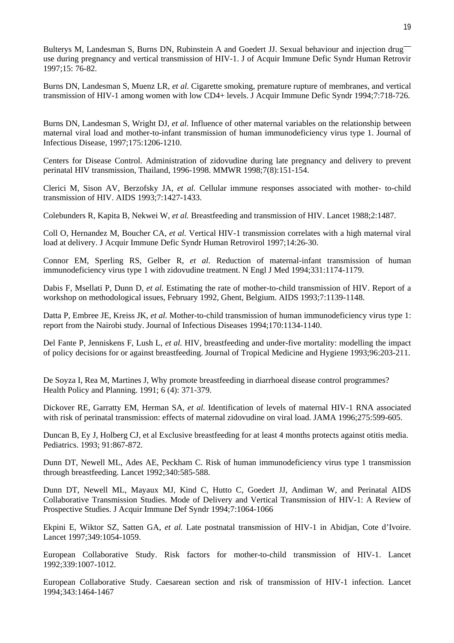Bulterys M, Landesman S, Burns DN, Rubinstein A and Goedert JJ. Sexual behaviour and injection drug use during pregnancy and vertical transmission of HIV-1. J of Acquir Immune Defic Syndr Human Retrovir 1997;15: 76-82.

Burns DN, Landesman S, Muenz LR, *et al.* Cigarette smoking, premature rupture of membranes, and vertical transmission of HIV-1 among women with low CD4+ levels. J Acquir Immune Defic Syndr 1994;7:718-726.

Burns DN, Landesman S, Wright DJ, *et al.* Influence of other maternal variables on the relationship between maternal viral load and mother-to-infant transmission of human immunodeficiency virus type 1. Journal of Infectious Disease, 1997;175:1206-1210.

Centers for Disease Control. Administration of zidovudine during late pregnancy and delivery to prevent perinatal HIV transmission, Thailand, 1996-1998. MMWR 1998;7(8):151-154.

Clerici M, Sison AV, Berzofsky JA, *et al.* Cellular immune responses associated with mother- to-child transmission of HIV. AIDS 1993;7:1427-1433.

Colebunders R, Kapita B, Nekwei W, *et al.* Breastfeeding and transmission of HIV. Lancet 1988;2:1487.

Coll O, Hernandez M, Boucher CA, *et al.* Vertical HIV-1 transmission correlates with a high maternal viral load at delivery. J Acquir Immune Defic Syndr Human Retrovirol 1997;14:26-30.

Connor EM, Sperling RS, Gelber R, *et al.* Reduction of maternal-infant transmission of human immunodeficiency virus type 1 with zidovudine treatment. N Engl J Med 1994;331:1174-1179.

Dabis F, Msellati P, Dunn D, *et al.* Estimating the rate of mother-to-child transmission of HIV. Report of a workshop on methodological issues, February 1992, Ghent, Belgium. AIDS 1993;7:1139-1148.

Datta P, Embree JE, Kreiss JK, *et al.* Mother-to-child transmission of human immunodeficiency virus type 1: report from the Nairobi study. Journal of Infectious Diseases 1994;170:1134-1140.

Del Fante P, Jenniskens F, Lush L, *et al.* HIV, breastfeeding and under-five mortality: modelling the impact of policy decisions for or against breastfeeding. Journal of Tropical Medicine and Hygiene 1993;96:203-211.

De Soyza I, Rea M, Martines J, Why promote breastfeeding in diarrhoeal disease control programmes? Health Policy and Planning. 1991; 6 (4): 371-379.

Dickover RE, Garratty EM, Herman SA, *et al.* Identification of levels of maternal HIV-1 RNA associated with risk of perinatal transmission: effects of maternal zidovudine on viral load. JAMA 1996:275:599-605.

Duncan B, Ey J, Holberg CJ, et al Exclusive breastfeeding for at least 4 months protects against otitis media. Pediatrics. 1993; 91:867-872.

Dunn DT, Newell ML, Ades AE, Peckham C. Risk of human immunodeficiency virus type 1 transmission through breastfeeding. Lancet 1992;340:585-588.

Dunn DT, Newell ML, Mayaux MJ, Kind C, Hutto C, Goedert JJ, Andiman W, and Perinatal AIDS Collaborative Transmission Studies. Mode of Delivery and Vertical Transmission of HIV-1: A Review of Prospective Studies. J Acquir Immune Def Syndr 1994;7:1064-1066

Ekpini E, Wiktor SZ, Satten GA, *et al.* Late postnatal transmission of HIV-1 in Abidjan, Cote d'Ivoire. Lancet 1997;349:1054-1059.

European Collaborative Study. Risk factors for mother-to-child transmission of HIV-1. Lancet 1992;339:1007-1012.

European Collaborative Study. Caesarean section and risk of transmission of HIV-1 infection. Lancet 1994;343:1464-1467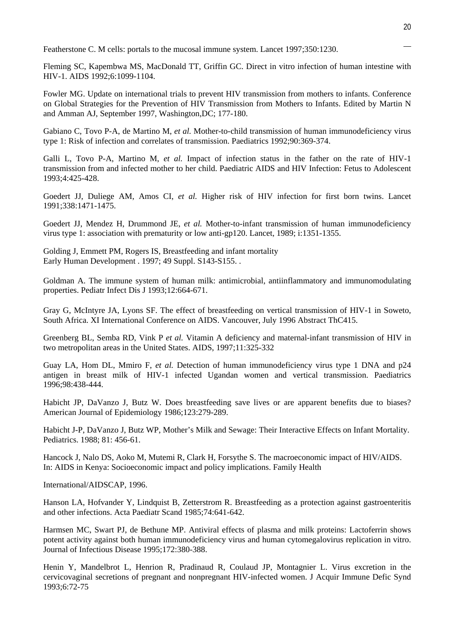Featherstone C. M cells: portals to the mucosal immune system. Lancet 1997;350:1230.

Fleming SC, Kapembwa MS, MacDonald TT, Griffin GC. Direct in vitro infection of human intestine with HIV-1. AIDS 1992;6:1099-1104.

Fowler MG. Update on international trials to prevent HIV transmission from mothers to infants. Conference on Global Strategies for the Prevention of HIV Transmission from Mothers to Infants. Edited by Martin N and Amman AJ, September 1997, Washington,DC; 177-180.

Gabiano C, Tovo P-A, de Martino M, *et al.* Mother-to-child transmission of human immunodeficiency virus type 1: Risk of infection and correlates of transmission. Paediatrics 1992;90:369-374.

Galli L, Tovo P-A, Martino M, *et al.* Impact of infection status in the father on the rate of HIV-1 transmission from and infected mother to her child. Paediatric AIDS and HIV Infection: Fetus to Adolescent 1993;4:425-428.

Goedert JJ, Duliege AM, Amos CI, *et al.* Higher risk of HIV infection for first born twins. Lancet 1991;338:1471-1475.

Goedert JJ, Mendez H, Drummond JE, *et al.* Mother-to-infant transmission of human immunodeficiency virus type 1: association with prematurity or low anti-gp120. Lancet, 1989; i:1351-1355.

Golding J, Emmett PM, Rogers IS, Breastfeeding and infant mortality Early Human Development . 1997; 49 Suppl. S143-S155. .

Goldman A. The immune system of human milk: antimicrobial, antiinflammatory and immunomodulating properties. Pediatr Infect Dis J 1993;12:664-671.

Gray G, McIntyre JA, Lyons SF. The effect of breastfeeding on vertical transmission of HIV-1 in Soweto, South Africa. XI International Conference on AIDS. Vancouver, July 1996 Abstract ThC415.

Greenberg BL, Semba RD, Vink P *et al.* Vitamin A deficiency and maternal-infant transmission of HIV in two metropolitan areas in the United States. AIDS, 1997;11:325-332

Guay LA, Hom DL, Mmiro F, *et al.* Detection of human immunodeficiency virus type 1 DNA and p24 antigen in breast milk of HIV-1 infected Ugandan women and vertical transmission. Paediatrics 1996;98:438-444.

Habicht JP, DaVanzo J, Butz W. Does breastfeeding save lives or are apparent benefits due to biases? American Journal of Epidemiology 1986;123:279-289.

Habicht J-P, DaVanzo J, Butz WP, Mother's Milk and Sewage: Their Interactive Effects on Infant Mortality. Pediatrics. 1988; 81: 456-61.

Hancock J, Nalo DS, Aoko M, Mutemi R, Clark H, Forsythe S. The macroeconomic impact of HIV/AIDS. In: AIDS in Kenya: Socioeconomic impact and policy implications. Family Health

International/AIDSCAP, 1996.

Hanson LA, Hofvander Y, Lindquist B, Zetterstrom R. Breastfeeding as a protection against gastroenteritis and other infections. Acta Paediatr Scand 1985;74:641-642.

Harmsen MC, Swart PJ, de Bethune MP. Antiviral effects of plasma and milk proteins: Lactoferrin shows potent activity against both human immunodeficiency virus and human cytomegalovirus replication in vitro. Journal of Infectious Disease 1995;172:380-388.

Henin Y, Mandelbrot L, Henrion R, Pradinaud R, Coulaud JP, Montagnier L. Virus excretion in the cervicovaginal secretions of pregnant and nonpregnant HIV-infected women. J Acquir Immune Defic Synd 1993;6:72-75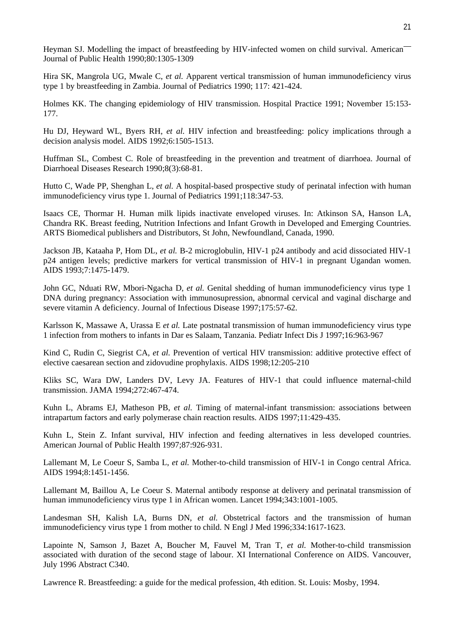Heyman SJ. Modelling the impact of breastfeeding by HIV-infected women on child survival. American Journal of Public Health 1990;80:1305-1309

Hira SK, Mangrola UG, Mwale C, *et al.* Apparent vertical transmission of human immunodeficiency virus type 1 by breastfeeding in Zambia. Journal of Pediatrics 1990; 117: 421-424.

Holmes KK. The changing epidemiology of HIV transmission. Hospital Practice 1991; November 15:153- 177.

Hu DJ, Heyward WL, Byers RH, *et al.* HIV infection and breastfeeding: policy implications through a decision analysis model. AIDS 1992;6:1505-1513.

Huffman SL, Combest C. Role of breastfeeding in the prevention and treatment of diarrhoea. Journal of Diarrhoeal Diseases Research 1990;8(3):68-81.

Hutto C, Wade PP, Shenghan L, *et al.* A hospital-based prospective study of perinatal infection with human immunodeficiency virus type 1. Journal of Pediatrics 1991;118:347-53.

Isaacs CE, Thormar H. Human milk lipids inactivate enveloped viruses. In: Atkinson SA, Hanson LA, Chandra RK. Breast feeding, Nutrition Infections and Infant Growth in Developed and Emerging Countries. ARTS Biomedical publishers and Distributors, St John, Newfoundland, Canada, 1990.

Jackson JB, Kataaha P, Hom DL, *et al.* B-2 microglobulin, HIV-1 p24 antibody and acid dissociated HIV-1 p24 antigen levels; predictive markers for vertical transmission of HIV-1 in pregnant Ugandan women. AIDS 1993;7:1475-1479.

John GC, Nduati RW, Mbori-Ngacha D, *et al.* Genital shedding of human immunodeficiency virus type 1 DNA during pregnancy: Association with immunosupression, abnormal cervical and vaginal discharge and severe vitamin A deficiency. Journal of Infectious Disease 1997;175:57-62.

Karlsson K, Massawe A, Urassa E *et al.* Late postnatal transmission of human immunodeficiency virus type 1 infection from mothers to infants in Dar es Salaam, Tanzania. Pediatr Infect Dis J 1997;16:963-967

Kind C, Rudin C, Siegrist CA, *et al.* Prevention of vertical HIV transmission: additive protective effect of elective caesarean section and zidovudine prophylaxis. AIDS 1998;12:205-210

Kliks SC, Wara DW, Landers DV, Levy JA. Features of HIV-1 that could influence maternal-child transmission. JAMA 1994;272:467-474.

Kuhn L, Abrams EJ, Matheson PB, *et al.* Timing of maternal-infant transmission: associations between intrapartum factors and early polymerase chain reaction results. AIDS 1997;11:429-435.

Kuhn L, Stein Z. Infant survival, HIV infection and feeding alternatives in less developed countries. American Journal of Public Health 1997;87:926-931.

Lallemant M, Le Coeur S, Samba L, *et al.* Mother-to-child transmission of HIV-1 in Congo central Africa. AIDS 1994;8:1451-1456.

Lallemant M, Baillou A, Le Coeur S. Maternal antibody response at delivery and perinatal transmission of human immunodeficiency virus type 1 in African women. Lancet 1994;343:1001-1005.

Landesman SH, Kalish LA, Burns DN, *et al.* Obstetrical factors and the transmission of human immunodeficiency virus type 1 from mother to child. N Engl J Med 1996;334:1617-1623.

Lapointe N, Samson J, Bazet A, Boucher M, Fauvel M, Tran T, *et al.* Mother-to-child transmission associated with duration of the second stage of labour. XI International Conference on AIDS. Vancouver, July 1996 Abstract C340.

Lawrence R. Breastfeeding: a guide for the medical profession, 4th edition. St. Louis: Mosby, 1994.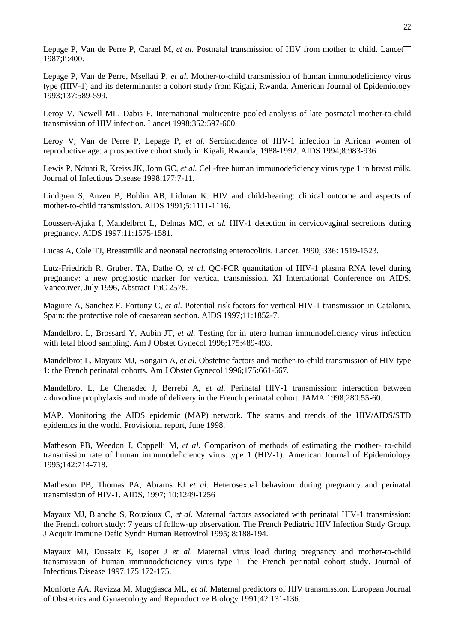Lepage P, Van de Perre P, Carael M, *et al.* Postnatal transmission of HIV from mother to child. Lancet 1987;ii:400.

Lepage P, Van de Perre, Msellati P, *et al.* Mother-to-child transmission of human immunodeficiency virus type (HIV-1) and its determinants: a cohort study from Kigali, Rwanda. American Journal of Epidemiology 1993;137:589-599.

Leroy V, Newell ML, Dabis F. International multicentre pooled analysis of late postnatal mother-to-child transmission of HIV infection. Lancet 1998;352:597-600.

Leroy V, Van de Perre P, Lepage P, *et al.* Seroincidence of HIV-1 infection in African women of reproductive age: a prospective cohort study in Kigali, Rwanda, 1988-1992. AIDS 1994;8:983-936.

Lewis P, Nduati R, Kreiss JK, John GC, *et al.* Cell-free human immunodeficiency virus type 1 in breast milk. Journal of Infectious Disease 1998;177:7-11.

Lindgren S, Anzen B, Bohlin AB, Lidman K. HIV and child-bearing: clinical outcome and aspects of mother-to-child transmission. AIDS 1991;5:1111-1116.

Loussert-Ajaka I, Mandelbrot L, Delmas MC, *et al.* HIV-1 detection in cervicovaginal secretions during pregnancy. AIDS 1997;11:1575-1581.

Lucas A, Cole TJ, Breastmilk and neonatal necrotising enterocolitis. Lancet. 1990; 336: 1519-1523.

Lutz-Friedrich R, Grubert TA, Dathe O, *et al.* QC-PCR quantitation of HIV-1 plasma RNA level during pregnancy: a new prognostic marker for vertical transmission. XI International Conference on AIDS. Vancouver, July 1996, Abstract TuC 2578.

Maguire A, Sanchez E, Fortuny C, *et al.* Potential risk factors for vertical HIV-1 transmission in Catalonia, Spain: the protective role of caesarean section. AIDS 1997;11:1852-7.

Mandelbrot L, Brossard Y, Aubin JT, *et al.* Testing for in utero human immunodeficiency virus infection with fetal blood sampling. Am J Obstet Gynecol 1996;175:489-493.

Mandelbrot L, Mayaux MJ, Bongain A, *et al.* Obstetric factors and mother-to-child transmission of HIV type 1: the French perinatal cohorts. Am J Obstet Gynecol 1996;175:661-667.

Mandelbrot L, Le Chenadec J, Berrebi A, *et al.* Perinatal HIV-1 transmission: interaction between ziduvodine prophylaxis and mode of delivery in the French perinatal cohort. JAMA 1998;280:55-60.

MAP. Monitoring the AIDS epidemic (MAP) network. The status and trends of the HIV/AIDS/STD epidemics in the world. Provisional report, June 1998.

Matheson PB, Weedon J, Cappelli M, *et al.* Comparison of methods of estimating the mother- to-child transmission rate of human immunodeficiency virus type 1 (HIV-1). American Journal of Epidemiology 1995;142:714-718.

Matheson PB, Thomas PA, Abrams EJ *et al.* Heterosexual behaviour during pregnancy and perinatal transmission of HIV-1. AIDS, 1997; 10:1249-1256

Mayaux MJ, Blanche S, Rouzioux C, *et al.* Maternal factors associated with perinatal HIV-1 transmission: the French cohort study: 7 years of follow-up observation. The French Pediatric HIV Infection Study Group. J Acquir Immune Defic Syndr Human Retrovirol 1995; 8:188-194.

Mayaux MJ, Dussaix E, Isopet J *et al.* Maternal virus load during pregnancy and mother-to-child transmission of human immunodeficiency virus type 1: the French perinatal cohort study. Journal of Infectious Disease 1997;175:172-175.

Monforte AA, Ravizza M, Muggiasca ML, *et al.* Maternal predictors of HIV transmission. European Journal of Obstetrics and Gynaecology and Reproductive Biology 1991;42:131-136.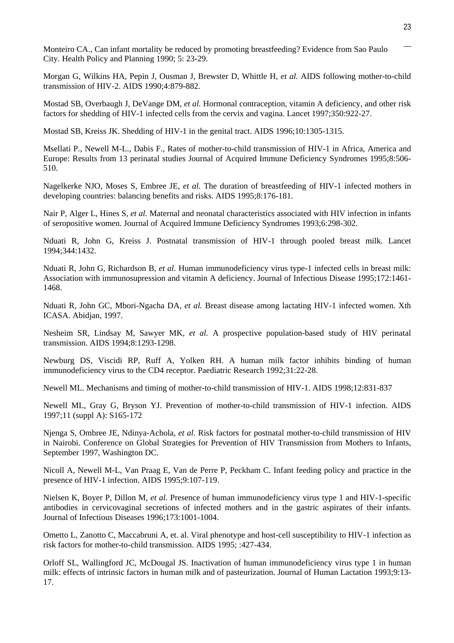Monteiro CA., Can infant mortality be reduced by promoting breastfeeding? Evidence from Sao Paulo City. Health Policy and Planning 1990; 5: 23-29.

Morgan G, Wilkins HA, Pepin J, Ousman J, Brewster D, Whittle H, *et al.* AIDS following mother-to-child transmission of HIV-2. AIDS 1990;4:879-882.

Mostad SB, Overbaugh J, DeVange DM, *et al.* Hormonal contraception, vitamin A deficiency, and other risk factors for shedding of HIV-1 infected cells from the cervix and vagina. Lancet 1997;350:922-27.

Mostad SB, Kreiss JK. Shedding of HIV-1 in the genital tract. AIDS 1996;10:1305-1315.

Msellati P., Newell M-L., Dabis F., Rates of mother-to-child transmission of HIV-1 in Africa, America and Europe: Results from 13 perinatal studies Journal of Acquired Immune Deficiency Syndromes 1995;8:506- 510.

Nagelkerke NJO, Moses S, Embree JE, *et al.* The duration of breastfeeding of HIV-1 infected mothers in developing countries: balancing benefits and risks. AIDS 1995;8:176-181.

Nair P, Alger L, Hines S, *et al.* Maternal and neonatal characteristics associated with HIV infection in infants of seropositive women. Journal of Acquired Immune Deficiency Syndromes 1993;6:298-302.

Nduati R, John G, Kreiss J. Postnatal transmission of HIV-1 through pooled breast milk. Lancet 1994;344:1432.

Nduati R, John G, Richardson B, *et al.* Human immunodeficiency virus type-1 infected cells in breast milk: Association with immunosupression and vitamin A deficiency. Journal of Infectious Disease 1995;172:1461- 1468.

Nduati R, John GC, Mbori-Ngacha DA, *et al.* Breast disease among lactating HIV-1 infected women. Xth ICASA. Abidjan, 1997.

Nesheim SR, Lindsay M, Sawyer MK, *et al.* A prospective population-based study of HIV perinatal transmission. AIDS 1994;8:1293-1298.

Newburg DS, Viscidi RP, Ruff A, Yolken RH. A human milk factor inhibits binding of human immunodeficiency virus to the CD4 receptor. Paediatric Research 1992;31:22-28.

Newell ML. Mechanisms and timing of mother-to-child transmission of HIV-1. AIDS 1998;12:831-837

Newell ML, Gray G, Bryson YJ. Prevention of mother-to-child transmission of HIV-1 infection. AIDS 1997;11 (suppl A): S165-172

Njenga S, Ombree JE, Ndinya-Achola, *et al.* Risk factors for postnatal mother-to-child transmission of HIV in Nairobi. Conference on Global Strategies for Prevention of HIV Transmission from Mothers to Infants, September 1997, Washington DC.

Nicoll A, Newell M-L, Van Praag E, Van de Perre P, Peckham C. Infant feeding policy and practice in the presence of HIV-1 infection. AIDS 1995;9:107-119.

Nielsen K, Boyer P, Dillon M, *et al.* Presence of human immunodeficiency virus type 1 and HIV-1-specific antibodies in cervicovaginal secretions of infected mothers and in the gastric aspirates of their infants. Journal of Infectious Diseases 1996;173:1001-1004.

Ometto L, Zanotto C, Maccabruni A, et. al. Viral phenotype and host-cell susceptibility to HIV-1 infection as risk factors for mother-to-child transmission. AIDS 1995; :427-434.

Orloff SL, Wallingford JC, McDougal JS. Inactivation of human immunodeficiency virus type 1 in human milk: effects of intrinsic factors in human milk and of pasteurization. Journal of Human Lactation 1993;9:13- 17.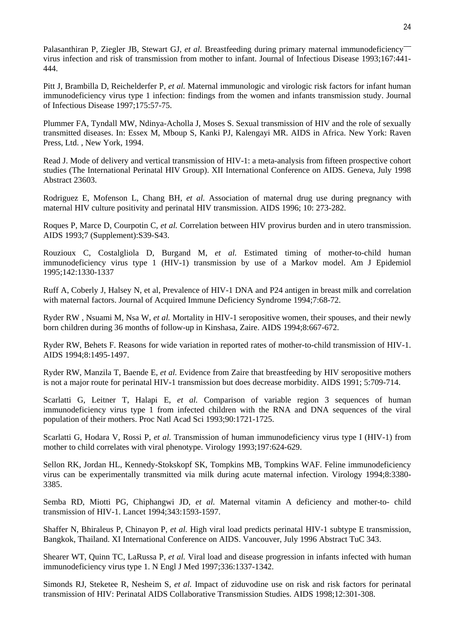Palasanthiran P, Ziegler JB, Stewart GJ, *et al.* Breastfeeding during primary maternal immunodeficiency virus infection and risk of transmission from mother to infant. Journal of Infectious Disease 1993;167:441- 444.

Pitt J, Brambilla D, Reichelderfer P, *et al.* Maternal immunologic and virologic risk factors for infant human immunodeficiency virus type 1 infection: findings from the women and infants transmission study. Journal of Infectious Disease 1997;175:57-75.

Plummer FA, Tyndall MW, Ndinya-Acholla J, Moses S. Sexual transmission of HIV and the role of sexually transmitted diseases. In: Essex M, Mboup S, Kanki PJ, Kalengayi MR. AIDS in Africa. New York: Raven Press, Ltd. , New York, 1994.

Read J. Mode of delivery and vertical transmission of HIV-1: a meta-analysis from fifteen prospective cohort studies (The International Perinatal HIV Group). XII International Conference on AIDS. Geneva, July 1998 Abstract 23603.

Rodriguez E, Mofenson L, Chang BH, *et al.* Association of maternal drug use during pregnancy with maternal HIV culture positivity and perinatal HIV transmission. AIDS 1996; 10: 273-282.

Roques P, Marce D, Courpotin C, *et al.* Correlation between HIV provirus burden and in utero transmission. AIDS 1993;7 (Supplement):S39-S43.

Rouzioux C, Costalgliola D, Burgand M, *et al.* Estimated timing of mother-to-child human immunodeficiency virus type 1 (HIV-1) transmission by use of a Markov model. Am J Epidemiol 1995;142:1330-1337

Ruff A, Coberly J, Halsey N, et al, Prevalence of HIV-1 DNA and P24 antigen in breast milk and correlation with maternal factors. Journal of Acquired Immune Deficiency Syndrome 1994;7:68-72.

Ryder RW , Nsuami M, Nsa W, *et al.* Mortality in HIV-1 seropositive women, their spouses, and their newly born children during 36 months of follow-up in Kinshasa, Zaire. AIDS 1994;8:667-672.

Ryder RW, Behets F. Reasons for wide variation in reported rates of mother-to-child transmission of HIV-1. AIDS 1994;8:1495-1497.

Ryder RW, Manzila T, Baende E, *et al.* Evidence from Zaire that breastfeeding by HIV seropositive mothers is not a major route for perinatal HIV-1 transmission but does decrease morbidity. AIDS 1991; 5:709-714.

Scarlatti G, Leitner T, Halapi E, *et al.* Comparison of variable region 3 sequences of human immunodeficiency virus type 1 from infected children with the RNA and DNA sequences of the viral population of their mothers. Proc Natl Acad Sci 1993;90:1721-1725.

Scarlatti G, Hodara V, Rossi P, *et al.* Transmission of human immunodeficiency virus type I (HIV-1) from mother to child correlates with viral phenotype. Virology 1993;197:624-629.

Sellon RK, Jordan HL, Kennedy-Stokskopf SK, Tompkins MB, Tompkins WAF. Feline immunodeficiency virus can be experimentally transmitted via milk during acute maternal infection. Virology 1994;8:3380- 3385.

Semba RD, Miotti PG, Chiphangwi JD, *et al.* Maternal vitamin A deficiency and mother-to- child transmission of HIV-1. Lancet 1994;343:1593-1597.

Shaffer N, Bhiraleus P, Chinayon P, *et al.* High viral load predicts perinatal HIV-1 subtype E transmission, Bangkok, Thailand. XI International Conference on AIDS. Vancouver, July 1996 Abstract TuC 343.

Shearer WT, Quinn TC, LaRussa P, *et al.* Viral load and disease progression in infants infected with human immunodeficiency virus type 1. N Engl J Med 1997;336:1337-1342.

Simonds RJ, Steketee R, Nesheim S, *et al.* Impact of ziduvodine use on risk and risk factors for perinatal transmission of HIV: Perinatal AIDS Collaborative Transmission Studies. AIDS 1998;12:301-308.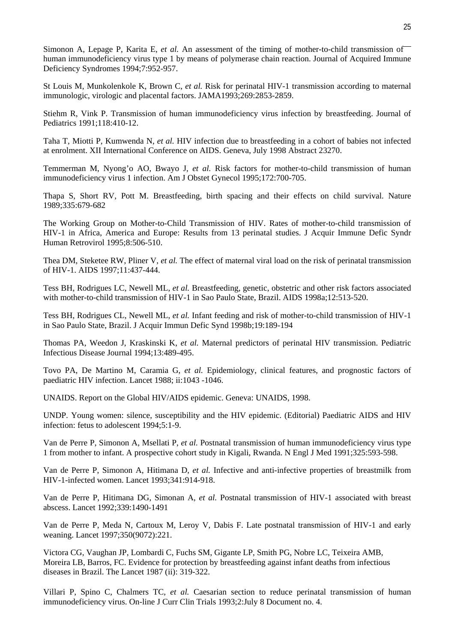Simonon A, Lepage P, Karita E, *et al.* An assessment of the timing of mother-to-child transmission of human immunodeficiency virus type 1 by means of polymerase chain reaction. Journal of Acquired Immune Deficiency Syndromes 1994;7:952-957.

St Louis M, Munkolenkole K, Brown C, *et al.* Risk for perinatal HIV-1 transmission according to maternal immunologic, virologic and placental factors. JAMA1993;269:2853-2859.

Stiehm R, Vink P. Transmission of human immunodeficiency virus infection by breastfeeding. Journal of Pediatrics 1991;118:410-12.

Taha T, Miotti P, Kumwenda N, *et al.* HIV infection due to breastfeeding in a cohort of babies not infected at enrolment. XII International Conference on AIDS. Geneva, July 1998 Abstract 23270.

Temmerman M, Nyong'o AO, Bwayo J, *et al.* Risk factors for mother-to-child transmission of human immunodeficiency virus 1 infection. Am J Obstet Gynecol 1995;172:700-705.

Thapa S, Short RV, Pott M. Breastfeeding, birth spacing and their effects on child survival. Nature 1989;335:679-682

The Working Group on Mother-to-Child Transmission of HIV. Rates of mother-to-child transmission of HIV-1 in Africa, America and Europe: Results from 13 perinatal studies. J Acquir Immune Defic Syndr Human Retrovirol 1995;8:506-510.

Thea DM, Steketee RW, Pliner V, *et al.* The effect of maternal viral load on the risk of perinatal transmission of HIV-1. AIDS 1997;11:437-444.

Tess BH, Rodrigues LC, Newell ML, *et al.* Breastfeeding, genetic, obstetric and other risk factors associated with mother-to-child transmission of HIV-1 in Sao Paulo State, Brazil. AIDS 1998a;12:513-520.

Tess BH, Rodrigues CL, Newell ML, *et al.* Infant feeding and risk of mother-to-child transmission of HIV-1 in Sao Paulo State, Brazil. J Acquir Immun Defic Synd 1998b;19:189-194

Thomas PA, Weedon J, Kraskinski K, *et al.* Maternal predictors of perinatal HIV transmission. Pediatric Infectious Disease Journal 1994;13:489-495.

Tovo PA, De Martino M, Caramia G, *et al.* Epidemiology, clinical features, and prognostic factors of paediatric HIV infection. Lancet 1988; ii:1043 -1046.

UNAIDS. Report on the Global HIV/AIDS epidemic. Geneva: UNAIDS, 1998.

UNDP. Young women: silence, susceptibility and the HIV epidemic. (Editorial) Paediatric AIDS and HIV infection: fetus to adolescent 1994;5:1-9.

Van de Perre P, Simonon A, Msellati P, *et al.* Postnatal transmission of human immunodeficiency virus type 1 from mother to infant. A prospective cohort study in Kigali, Rwanda. N Engl J Med 1991;325:593-598.

Van de Perre P, Simonon A, Hitimana D, *et al.* Infective and anti-infective properties of breastmilk from HIV-1-infected women. Lancet 1993;341:914-918.

Van de Perre P, Hitimana DG, Simonan A, *et al.* Postnatal transmission of HIV-1 associated with breast abscess. Lancet 1992;339:1490-1491

Van de Perre P, Meda N, Cartoux M, Leroy V, Dabis F. Late postnatal transmission of HIV-1 and early weaning. Lancet 1997;350(9072):221.

Victora CG, Vaughan JP, Lombardi C, Fuchs SM, Gigante LP, Smith PG, Nobre LC, Teixeira AMB, Moreira LB, Barros, FC. Evidence for protection by breastfeeding against infant deaths from infectious diseases in Brazil. The Lancet 1987 (ii): 319-322.

Villari P, Spino C, Chalmers TC, *et al.* Caesarian section to reduce perinatal transmission of human immunodeficiency virus. On-line J Curr Clin Trials 1993;2:July 8 Document no. 4.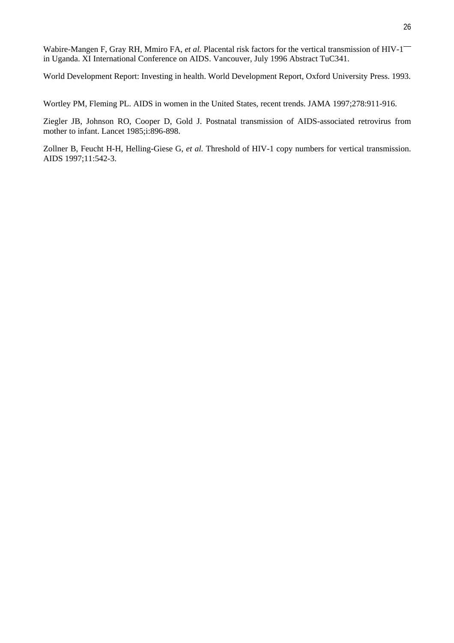Wabire-Mangen F, Gray RH, Mmiro FA, *et al.* Placental risk factors for the vertical transmission of HIV-1<sup>--</sup> in Uganda. XI International Conference on AIDS. Vancouver, July 1996 Abstract TuC341.

World Development Report: Investing in health. World Development Report, Oxford University Press. 1993.

Wortley PM, Fleming PL. AIDS in women in the United States, recent trends. JAMA 1997;278:911-916.

Ziegler JB, Johnson RO, Cooper D, Gold J. Postnatal transmission of AIDS-associated retrovirus from mother to infant. Lancet 1985;i:896-898.

Zollner B, Feucht H-H, Helling-Giese G, *et al.* Threshold of HIV-1 copy numbers for vertical transmission. AIDS 1997;11:542-3.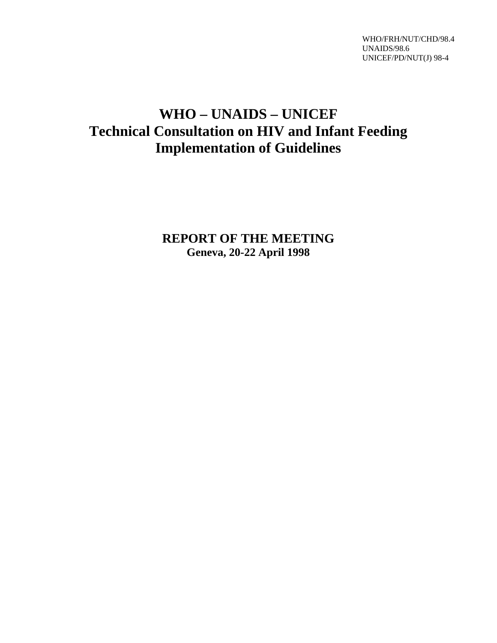WHO/FRH/NUT/CHD/98.4 UNAIDS/98.6 UNICEF/PD/NUT(J) 98-4

# **WHO – UNAIDS – UNICEF Technical Consultation on HIV and Infant Feeding Implementation of Guidelines**

**REPORT OF THE MEETING Geneva, 20-22 April 1998**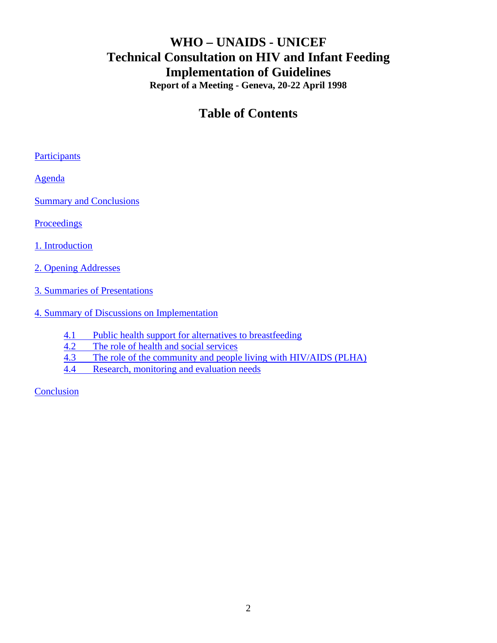# **WHO – UNAIDS - UNICEF Technical Consultation on HIV and Infant Feeding Implementation of Guidelines Report of a Meeting - Geneva, 20-22 April 1998**

# **Table of Contents**

**Participants** 

Agenda

Summary and Conclusions

**Proceedings** 

1. Introduction

2. Opening Addresses

3. Summaries of Presentations

4. Summary of Discussions on Implementation

- 4.1 Public health support for alternatives to breastfeeding
- 4.2 The role of health and social services
- 4.3 The role of the community and people living with HIV/AIDS (PLHA)
- 4.4 Research, monitoring and evaluation needs

**Conclusion**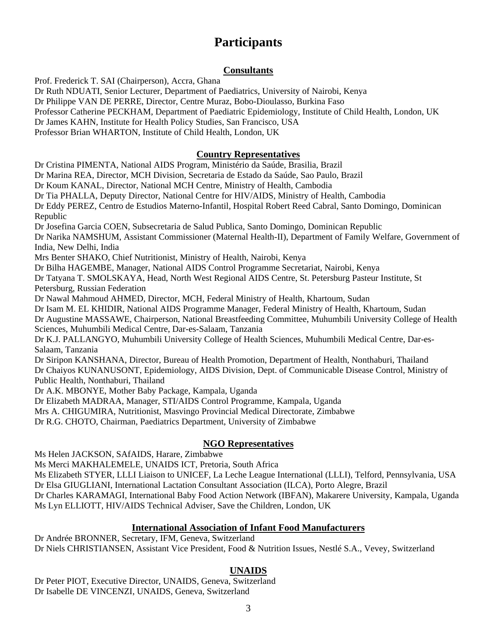# **Participants**

# **Consultants**

Prof. Frederick T. SAI (Chairperson), Accra, Ghana

Dr Ruth NDUATI, Senior Lecturer, Department of Paediatrics, University of Nairobi, Kenya

Dr Philippe VAN DE PERRE, Director, Centre Muraz, Bobo-Dioulasso, Burkina Faso

Professor Catherine PECKHAM, Department of Paediatric Epidemiology, Institute of Child Health, London, UK

Dr James KAHN, Institute for Health Policy Studies, San Francisco, USA

Professor Brian WHARTON, Institute of Child Health, London, UK

# **Country Representatives**

Dr Cristina PIMENTA, National AIDS Program, Ministério da Saúde, Brasilia, Brazil

Dr Marina REA, Director, MCH Division, Secretaria de Estado da Saúde, Sao Paulo, Brazil

Dr Koum KANAL, Director, National MCH Centre, Ministry of Health, Cambodia

Dr Tia PHALLA, Deputy Director, National Centre for HIV/AIDS, Ministry of Health, Cambodia

Dr Eddy PEREZ, Centro de Estudios Materno-Infantil, Hospital Robert Reed Cabral, Santo Domingo, Dominican Republic

Dr Josefina Garcia COEN, Subsecretaria de Salud Publica, Santo Domingo, Dominican Republic

Dr Narika NAMSHUM, Assistant Commissioner (Maternal Health-II), Department of Family Welfare, Government of India, New Delhi, India

Mrs Benter SHAKO, Chief Nutritionist, Ministry of Health, Nairobi, Kenya

Dr Bilha HAGEMBE, Manager, National AIDS Control Programme Secretariat, Nairobi, Kenya

Dr Tatyana T. SMOLSKAYA, Head, North West Regional AIDS Centre, St. Petersburg Pasteur Institute, St Petersburg, Russian Federation

Dr Nawal Mahmoud AHMED, Director, MCH, Federal Ministry of Health, Khartoum, Sudan

Dr Isam M. EL KHIDIR, National AIDS Programme Manager, Federal Ministry of Health, Khartoum, Sudan

Dr Augustine MASSAWE, Chairperson, National Breastfeeding Committee, Muhumbili University College of Health Sciences, Muhumbili Medical Centre, Dar-es-Salaam, Tanzania

Dr K.J. PALLANGYO, Muhumbili University College of Health Sciences, Muhumbili Medical Centre, Dar-es-Salaam, Tanzania

Dr Siripon KANSHANA, Director, Bureau of Health Promotion, Department of Health, Nonthaburi, Thailand Dr Chaiyos KUNANUSONT, Epidemiology, AIDS Division, Dept. of Communicable Disease Control, Ministry of Public Health, Nonthaburi, Thailand

Dr A.K. MBONYE, Mother Baby Package, Kampala, Uganda

Dr Elizabeth MADRAA, Manager, STI/AIDS Control Programme, Kampala, Uganda

Mrs A. CHIGUMIRA, Nutritionist, Masvingo Provincial Medical Directorate, Zimbabwe

Dr R.G. CHOTO, Chairman, Paediatrics Department, University of Zimbabwe

# **NGO Representatives**

Ms Helen JACKSON, SAfAIDS, Harare, Zimbabwe

Ms Merci MAKHALEMELE, UNAIDS ICT, Pretoria, South Africa

Ms Elizabeth STYER, LLLI Liaison to UNICEF, La Leche League International (LLLI), Telford, Pennsylvania, USA

Dr Elsa GIUGLIANI, International Lactation Consultant Association (ILCA), Porto Alegre, Brazil

Dr Charles KARAMAGI, International Baby Food Action Network (IBFAN), Makarere University, Kampala, Uganda Ms Lyn ELLIOTT, HIV/AIDS Technical Adviser, Save the Children, London, UK

# **International Association of Infant Food Manufacturers**

Dr Andrée BRONNER, Secretary, IFM, Geneva, Switzerland

Dr Niels CHRISTIANSEN, Assistant Vice President, Food & Nutrition Issues, Nestlé S.A., Vevey, Switzerland

# **UNAIDS**

Dr Peter PIOT, Executive Director, UNAIDS, Geneva, Switzerland Dr Isabelle DE VINCENZI, UNAIDS, Geneva, Switzerland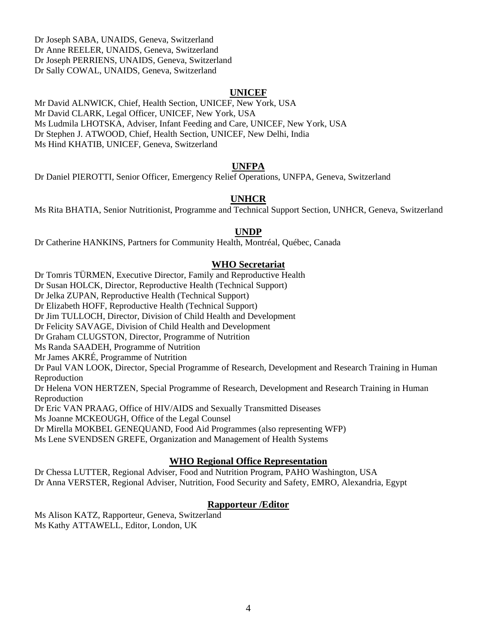Dr Joseph SABA, UNAIDS, Geneva, Switzerland Dr Anne REELER, UNAIDS, Geneva, Switzerland Dr Joseph PERRIENS, UNAIDS, Geneva, Switzerland Dr Sally COWAL, UNAIDS, Geneva, Switzerland

#### **UNICEF**

Mr David ALNWICK, Chief, Health Section, UNICEF, New York, USA Mr David CLARK, Legal Officer, UNICEF, New York, USA Ms Ludmila LHOTSKA, Adviser, Infant Feeding and Care, UNICEF, New York, USA Dr Stephen J. ATWOOD, Chief, Health Section, UNICEF, New Delhi, India Ms Hind KHATIB, UNICEF, Geneva, Switzerland

#### **UNFPA**

Dr Daniel PIEROTTI, Senior Officer, Emergency Relief Operations, UNFPA, Geneva, Switzerland

#### **UNHCR**

Ms Rita BHATIA, Senior Nutritionist, Programme and Technical Support Section, UNHCR, Geneva, Switzerland

#### **UNDP**

Dr Catherine HANKINS, Partners for Community Health, Montréal, Québec, Canada

#### **WHO Secretariat**

Dr Tomris TÜRMEN, Executive Director, Family and Reproductive Health

Dr Susan HOLCK, Director, Reproductive Health (Technical Support)

Dr Jelka ZUPAN, Reproductive Health (Technical Support)

Dr Elizabeth HOFF, Reproductive Health (Technical Support)

Dr Jim TULLOCH, Director, Division of Child Health and Development

Dr Felicity SAVAGE, Division of Child Health and Development

Dr Graham CLUGSTON, Director, Programme of Nutrition

Ms Randa SAADEH, Programme of Nutrition

Mr James AKRÉ, Programme of Nutrition

Dr Paul VAN LOOK, Director, Special Programme of Research, Development and Research Training in Human Reproduction

Dr Helena VON HERTZEN, Special Programme of Research, Development and Research Training in Human Reproduction

Dr Eric VAN PRAAG, Office of HIV/AIDS and Sexually Transmitted Diseases

Ms Joanne MCKEOUGH, Office of the Legal Counsel

Dr Mirella MOKBEL GENEQUAND, Food Aid Programmes (also representing WFP)

Ms Lene SVENDSEN GREFE, Organization and Management of Health Systems

#### **WHO Regional Office Representation**

Dr Chessa LUTTER, Regional Adviser, Food and Nutrition Program, PAHO Washington, USA Dr Anna VERSTER, Regional Adviser, Nutrition, Food Security and Safety, EMRO, Alexandria, Egypt

#### **Rapporteur /Editor**

Ms Alison KATZ, Rapporteur, Geneva, Switzerland Ms Kathy ATTAWELL, Editor, London, UK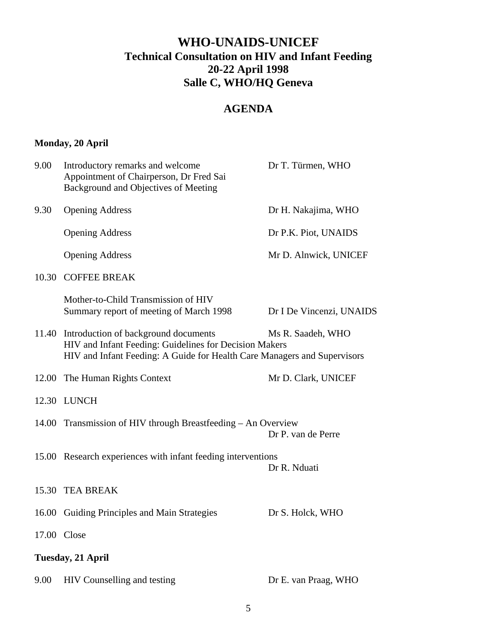# **WHO-UNAIDS-UNICEF Technical Consultation on HIV and Infant Feeding 20-22 April 1998 Salle C, WHO/HQ Geneva**

# **AGENDA**

# **Monday, 20 April**

| 9.00              | Introductory remarks and welcome<br>Appointment of Chairperson, Dr Fred Sai<br>Background and Objectives of Meeting                                                                                   | Dr T. Türmen, WHO        |  |
|-------------------|-------------------------------------------------------------------------------------------------------------------------------------------------------------------------------------------------------|--------------------------|--|
| 9.30              | <b>Opening Address</b>                                                                                                                                                                                | Dr H. Nakajima, WHO      |  |
|                   | <b>Opening Address</b>                                                                                                                                                                                | Dr P.K. Piot, UNAIDS     |  |
|                   | <b>Opening Address</b>                                                                                                                                                                                | Mr D. Alnwick, UNICEF    |  |
| 10.30             | <b>COFFEE BREAK</b>                                                                                                                                                                                   |                          |  |
|                   | Mother-to-Child Transmission of HIV<br>Summary report of meeting of March 1998                                                                                                                        | Dr I De Vincenzi, UNAIDS |  |
|                   | 11.40 Introduction of background documents<br>Ms R. Saadeh, WHO<br>HIV and Infant Feeding: Guidelines for Decision Makers<br>HIV and Infant Feeding: A Guide for Health Care Managers and Supervisors |                          |  |
|                   | 12.00 The Human Rights Context                                                                                                                                                                        | Mr D. Clark, UNICEF      |  |
|                   | 12.30 LUNCH                                                                                                                                                                                           |                          |  |
|                   | 14.00 Transmission of HIV through Breastfeeding – An Overview                                                                                                                                         | Dr P. van de Perre       |  |
|                   | 15.00 Research experiences with infant feeding interventions                                                                                                                                          | Dr R. Nduati             |  |
|                   | 15.30 TEA BREAK                                                                                                                                                                                       |                          |  |
|                   | 16.00 Guiding Principles and Main Strategies                                                                                                                                                          | Dr S. Holck, WHO         |  |
| 17.00 Close       |                                                                                                                                                                                                       |                          |  |
| Tuesday, 21 April |                                                                                                                                                                                                       |                          |  |
| 9.00              | HIV Counselling and testing                                                                                                                                                                           | Dr E. van Praag, WHO     |  |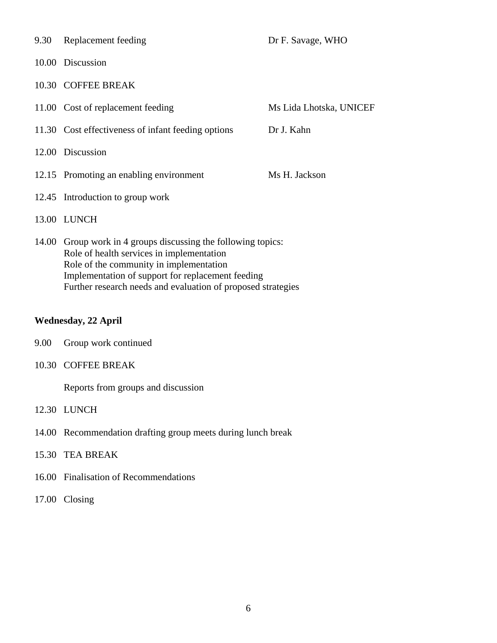| 9.30 | Replacement feeding                                | Dr F. Savage, WHO       |
|------|----------------------------------------------------|-------------------------|
|      | 10.00 Discussion                                   |                         |
|      | 10.30 COFFEE BREAK                                 |                         |
|      | 11.00 Cost of replacement feeding                  | Ms Lida Lhotska, UNICEF |
|      | 11.30 Cost effectiveness of infant feeding options | Dr J. Kahn              |
|      | 12.00 Discussion                                   |                         |
|      | 12.15 Promoting an enabling environment            | Ms H. Jackson           |
|      | 12.45 Introduction to group work                   |                         |
|      | 13.00 LUNCH                                        |                         |

14.00 Group work in 4 groups discussing the following topics: Role of health services in implementation Role of the community in implementation Implementation of support for replacement feeding Further research needs and evaluation of proposed strategies

# **Wednesday, 22 April**

- 9.00 Group work continued
- 10.30 COFFEE BREAK

Reports from groups and discussion

- 12.30 LUNCH
- 14.00 Recommendation drafting group meets during lunch break
- 15.30 TEA BREAK
- 16.00 Finalisation of Recommendations
- 17.00 Closing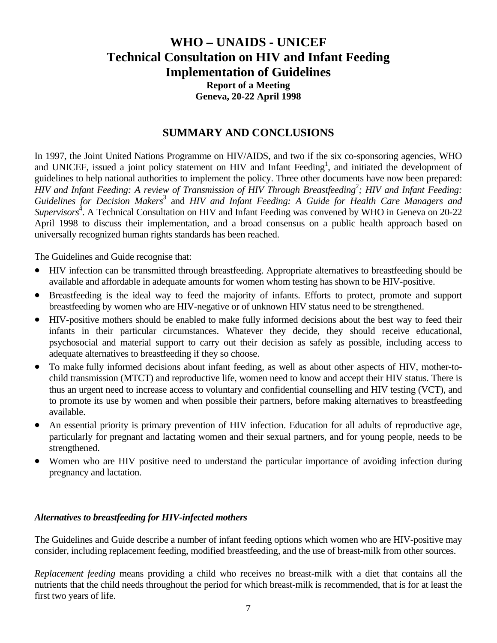# **WHO – UNAIDS - UNICEF Technical Consultation on HIV and Infant Feeding Implementation of Guidelines Report of a Meeting Geneva, 20-22 April 1998**

# **SUMMARY AND CONCLUSIONS**

In 1997, the Joint United Nations Programme on HIV/AIDS, and two if the six co-sponsoring agencies, WHO and UNICEF, issued a joint policy statement on HIV and Infant Feeding<sup>1</sup>, and initiated the development of guidelines to help national authorities to implement the policy. Three other documents have now been prepared: *HIV and Infant Feeding: A review of Transmission of HIV Through Breastfeeding*<sup>2</sup> *; HIV and Infant Feeding:*  Guidelines for Decision Makers<sup>3</sup> and *HIV and Infant Feeding: A Guide for Health Care Managers and* Supervisors<sup>4</sup>. A Technical Consultation on HIV and Infant Feeding was convened by WHO in Geneva on 20-22 April 1998 to discuss their implementation, and a broad consensus on a public health approach based on universally recognized human rights standards has been reached.

The Guidelines and Guide recognise that:

- HIV infection can be transmitted through breastfeeding. Appropriate alternatives to breastfeeding should be available and affordable in adequate amounts for women whom testing has shown to be HIV-positive.
- Breastfeeding is the ideal way to feed the majority of infants. Efforts to protect, promote and support breastfeeding by women who are HIV-negative or of unknown HIV status need to be strengthened.
- HIV-positive mothers should be enabled to make fully informed decisions about the best way to feed their infants in their particular circumstances. Whatever they decide, they should receive educational, psychosocial and material support to carry out their decision as safely as possible, including access to adequate alternatives to breastfeeding if they so choose.
- To make fully informed decisions about infant feeding, as well as about other aspects of HIV, mother-tochild transmission (MTCT) and reproductive life, women need to know and accept their HIV status. There is thus an urgent need to increase access to voluntary and confidential counselling and HIV testing (VCT), and to promote its use by women and when possible their partners, before making alternatives to breastfeeding available.
- An essential priority is primary prevention of HIV infection. Education for all adults of reproductive age, particularly for pregnant and lactating women and their sexual partners, and for young people, needs to be strengthened.
- Women who are HIV positive need to understand the particular importance of avoiding infection during pregnancy and lactation.

#### *Alternatives to breastfeeding for HIV-infected mothers*

The Guidelines and Guide describe a number of infant feeding options which women who are HIV-positive may consider, including replacement feeding, modified breastfeeding, and the use of breast-milk from other sources.

*Replacement feeding* means providing a child who receives no breast-milk with a diet that contains all the nutrients that the child needs throughout the period for which breast-milk is recommended, that is for at least the first two years of life.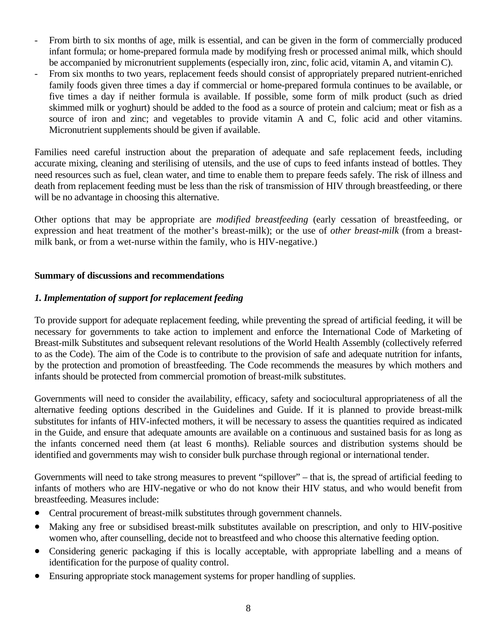- From birth to six months of age, milk is essential, and can be given in the form of commercially produced infant formula; or home-prepared formula made by modifying fresh or processed animal milk, which should be accompanied by micronutrient supplements (especially iron, zinc, folic acid, vitamin A, and vitamin C).
- From six months to two years, replacement feeds should consist of appropriately prepared nutrient-enriched family foods given three times a day if commercial or home-prepared formula continues to be available, or five times a day if neither formula is available. If possible, some form of milk product (such as dried skimmed milk or yoghurt) should be added to the food as a source of protein and calcium; meat or fish as a source of iron and zinc; and vegetables to provide vitamin A and C, folic acid and other vitamins. Micronutrient supplements should be given if available.

Families need careful instruction about the preparation of adequate and safe replacement feeds, including accurate mixing, cleaning and sterilising of utensils, and the use of cups to feed infants instead of bottles. They need resources such as fuel, clean water, and time to enable them to prepare feeds safely. The risk of illness and death from replacement feeding must be less than the risk of transmission of HIV through breastfeeding, or there will be no advantage in choosing this alternative.

Other options that may be appropriate are *modified breastfeeding* (early cessation of breastfeeding, or expression and heat treatment of the mother's breast-milk); or the use of *other breast-milk* (from a breastmilk bank, or from a wet-nurse within the family, who is HIV-negative.)

#### **Summary of discussions and recommendations**

# *1. Implementation of support for replacement feeding*

To provide support for adequate replacement feeding, while preventing the spread of artificial feeding, it will be necessary for governments to take action to implement and enforce the International Code of Marketing of Breast-milk Substitutes and subsequent relevant resolutions of the World Health Assembly (collectively referred to as the Code). The aim of the Code is to contribute to the provision of safe and adequate nutrition for infants, by the protection and promotion of breastfeeding. The Code recommends the measures by which mothers and infants should be protected from commercial promotion of breast-milk substitutes.

Governments will need to consider the availability, efficacy, safety and sociocultural appropriateness of all the alternative feeding options described in the Guidelines and Guide. If it is planned to provide breast-milk substitutes for infants of HIV-infected mothers, it will be necessary to assess the quantities required as indicated in the Guide, and ensure that adequate amounts are available on a continuous and sustained basis for as long as the infants concerned need them (at least 6 months). Reliable sources and distribution systems should be identified and governments may wish to consider bulk purchase through regional or international tender.

Governments will need to take strong measures to prevent "spillover" – that is, the spread of artificial feeding to infants of mothers who are HIV-negative or who do not know their HIV status, and who would benefit from breastfeeding. Measures include:

- Central procurement of breast-milk substitutes through government channels.
- Making any free or subsidised breast-milk substitutes available on prescription, and only to HIV-positive women who, after counselling, decide not to breastfeed and who choose this alternative feeding option.
- Considering generic packaging if this is locally acceptable, with appropriate labelling and a means of identification for the purpose of quality control.
- Ensuring appropriate stock management systems for proper handling of supplies.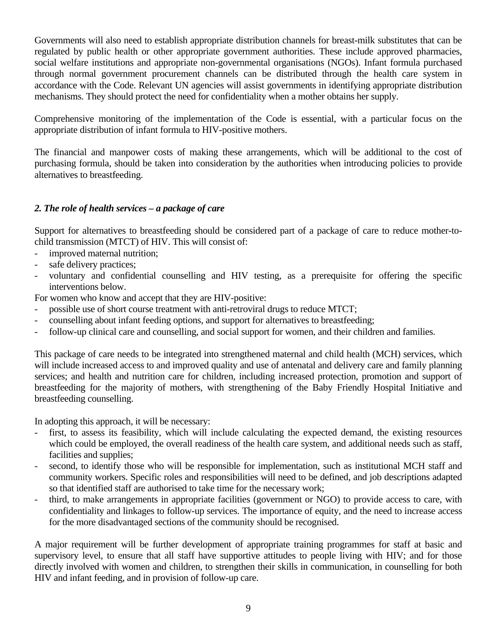Governments will also need to establish appropriate distribution channels for breast-milk substitutes that can be regulated by public health or other appropriate government authorities. These include approved pharmacies, social welfare institutions and appropriate non-governmental organisations (NGOs). Infant formula purchased through normal government procurement channels can be distributed through the health care system in accordance with the Code. Relevant UN agencies will assist governments in identifying appropriate distribution mechanisms. They should protect the need for confidentiality when a mother obtains her supply.

Comprehensive monitoring of the implementation of the Code is essential, with a particular focus on the appropriate distribution of infant formula to HIV-positive mothers.

The financial and manpower costs of making these arrangements, which will be additional to the cost of purchasing formula, should be taken into consideration by the authorities when introducing policies to provide alternatives to breastfeeding.

# *2. The role of health services – a package of care*

Support for alternatives to breastfeeding should be considered part of a package of care to reduce mother-tochild transmission (MTCT) of HIV. This will consist of:

- improved maternal nutrition;
- safe delivery practices;
- voluntary and confidential counselling and HIV testing, as a prerequisite for offering the specific interventions below.

For women who know and accept that they are HIV-positive:

- possible use of short course treatment with anti-retroviral drugs to reduce MTCT;
- counselling about infant feeding options, and support for alternatives to breastfeeding;
- follow-up clinical care and counselling, and social support for women, and their children and families.

This package of care needs to be integrated into strengthened maternal and child health (MCH) services, which will include increased access to and improved quality and use of antenatal and delivery care and family planning services; and health and nutrition care for children, including increased protection, promotion and support of breastfeeding for the majority of mothers, with strengthening of the Baby Friendly Hospital Initiative and breastfeeding counselling.

In adopting this approach, it will be necessary:

- first, to assess its feasibility, which will include calculating the expected demand, the existing resources which could be employed, the overall readiness of the health care system, and additional needs such as staff, facilities and supplies;
- second, to identify those who will be responsible for implementation, such as institutional MCH staff and community workers. Specific roles and responsibilities will need to be defined, and job descriptions adapted so that identified staff are authorised to take time for the necessary work;
- third, to make arrangements in appropriate facilities (government or NGO) to provide access to care, with confidentiality and linkages to follow-up services. The importance of equity, and the need to increase access for the more disadvantaged sections of the community should be recognised.

A major requirement will be further development of appropriate training programmes for staff at basic and supervisory level, to ensure that all staff have supportive attitudes to people living with HIV; and for those directly involved with women and children, to strengthen their skills in communication, in counselling for both HIV and infant feeding, and in provision of follow-up care.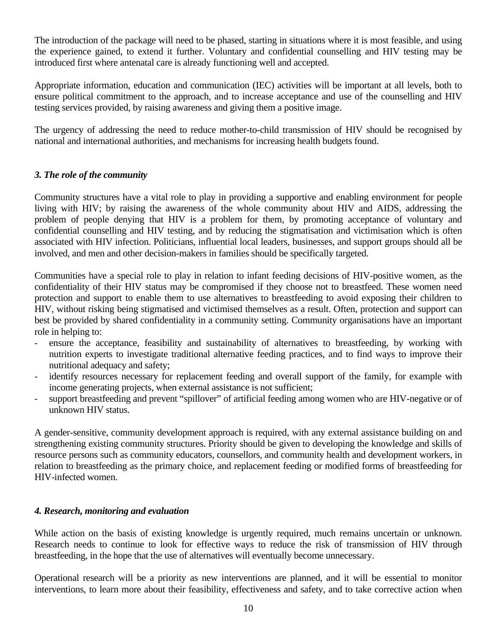The introduction of the package will need to be phased, starting in situations where it is most feasible, and using the experience gained, to extend it further. Voluntary and confidential counselling and HIV testing may be introduced first where antenatal care is already functioning well and accepted.

Appropriate information, education and communication (IEC) activities will be important at all levels, both to ensure political commitment to the approach, and to increase acceptance and use of the counselling and HIV testing services provided, by raising awareness and giving them a positive image.

The urgency of addressing the need to reduce mother-to-child transmission of HIV should be recognised by national and international authorities, and mechanisms for increasing health budgets found.

# *3. The role of the community*

Community structures have a vital role to play in providing a supportive and enabling environment for people living with HIV; by raising the awareness of the whole community about HIV and AIDS, addressing the problem of people denying that HIV is a problem for them*,* by promoting acceptance of voluntary and confidential counselling and HIV testing, and by reducing the stigmatisation and victimisation which is often associated with HIV infection. Politicians, influential local leaders, businesses, and support groups should all be involved, and men and other decision-makers in families should be specifically targeted.

Communities have a special role to play in relation to infant feeding decisions of HIV-positive women, as the confidentiality of their HIV status may be compromised if they choose not to breastfeed. These women need protection and support to enable them to use alternatives to breastfeeding to avoid exposing their children to HIV, without risking being stigmatised and victimised themselves as a result. Often, protection and support can best be provided by shared confidentiality in a community setting. Community organisations have an important role in helping to:

- ensure the acceptance, feasibility and sustainability of alternatives to breastfeeding, by working with nutrition experts to investigate traditional alternative feeding practices, and to find ways to improve their nutritional adequacy and safety;
- identify resources necessary for replacement feeding and overall support of the family, for example with income generating projects, when external assistance is not sufficient;
- support breastfeeding and prevent "spillover" of artificial feeding among women who are HIV-negative or of unknown HIV status.

A gender-sensitive, community development approach is required, with any external assistance building on and strengthening existing community structures. Priority should be given to developing the knowledge and skills of resource persons such as community educators, counsellors, and community health and development workers, in relation to breastfeeding as the primary choice, and replacement feeding or modified forms of breastfeeding for HIV-infected women.

# *4. Research, monitoring and evaluation*

While action on the basis of existing knowledge is urgently required, much remains uncertain or unknown. Research needs to continue to look for effective ways to reduce the risk of transmission of HIV through breastfeeding, in the hope that the use of alternatives will eventually become unnecessary.

Operational research will be a priority as new interventions are planned, and it will be essential to monitor interventions, to learn more about their feasibility, effectiveness and safety, and to take corrective action when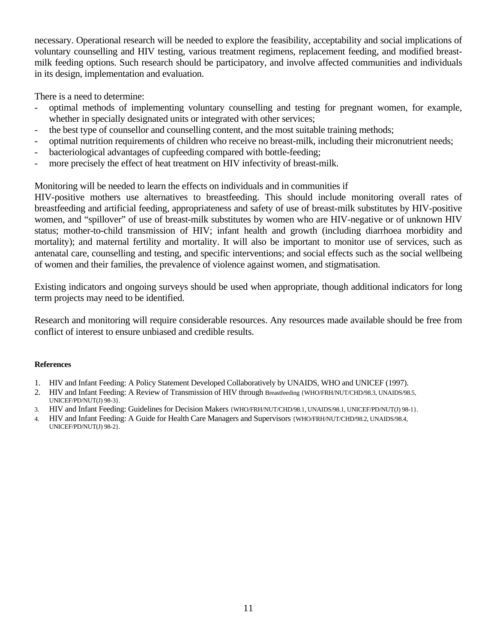necessary. Operational research will be needed to explore the feasibility, acceptability and social implications of voluntary counselling and HIV testing, various treatment regimens, replacement feeding, and modified breastmilk feeding options. Such research should be participatory, and involve affected communities and individuals in its design, implementation and evaluation.

There is a need to determine:

- optimal methods of implementing voluntary counselling and testing for pregnant women, for example, whether in specially designated units or integrated with other services;
- the best type of counsellor and counselling content, and the most suitable training methods;
- optimal nutrition requirements of children who receive no breast-milk, including their micronutrient needs;
- bacteriological advantages of cupfeeding compared with bottle-feeding;
- more precisely the effect of heat treatment on HIV infectivity of breast-milk.

Monitoring will be needed to learn the effects on individuals and in communities if

HIV-positive mothers use alternatives to breastfeeding. This should include monitoring overall rates of breastfeeding and artificial feeding, appropriateness and safety of use of breast-milk substitutes by HIV-positive women, and "spillover" of use of breast-milk substitutes by women who are HIV-negative or of unknown HIV status; mother-to-child transmission of HIV; infant health and growth (including diarrhoea morbidity and mortality); and maternal fertility and mortality. It will also be important to monitor use of services, such as antenatal care, counselling and testing, and specific interventions; and social effects such as the social wellbeing of women and their families, the prevalence of violence against women, and stigmatisation.

Existing indicators and ongoing surveys should be used when appropriate, though additional indicators for long term projects may need to be identified.

Research and monitoring will require considerable resources. Any resources made available should be free from conflict of interest to ensure unbiased and credible results.

#### **References**

- 1. HIV and Infant Feeding: A Policy Statement Developed Collaboratively by UNAIDS, WHO and UNICEF (1997).
- 2. HIV and Infant Feeding: A Review of Transmission of HIV through Breastfeeding {WHO/FRH/NUT/CHD/98.3, UNAIDS/98.5, UNICEF/PD/NUT(J) 98-3}.
- 3. HIV and Infant Feeding: Guidelines for Decision Makers {WHO/FRH/NUT/CHD/98.1, UNAIDS/98.1, UNICEF/PD/NUT(J) 98-1}.
- 4. HIV and Infant Feeding: A Guide for Health Care Managers and Supervisors {WHO/FRH/NUT/CHD/98.2, UNAIDS/98.4, UNICEF/PD/NUT(J) 98-2}.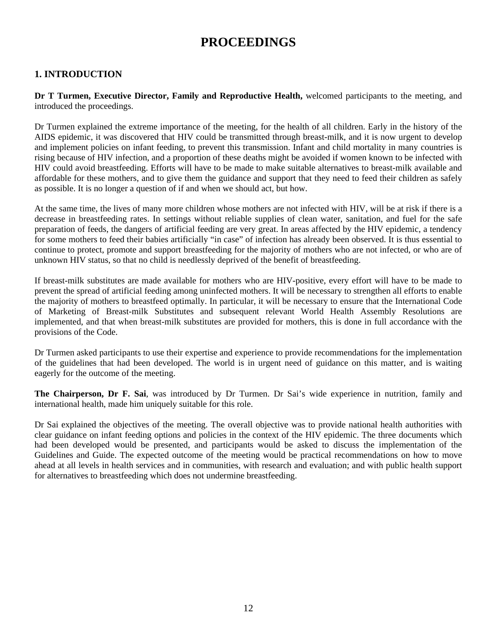# **PROCEEDINGS**

# **1. INTRODUCTION**

**Dr T Turmen, Executive Director, Family and Reproductive Health,** welcomed participants to the meeting, and introduced the proceedings.

Dr Turmen explained the extreme importance of the meeting, for the health of all children. Early in the history of the AIDS epidemic, it was discovered that HIV could be transmitted through breast-milk, and it is now urgent to develop and implement policies on infant feeding, to prevent this transmission. Infant and child mortality in many countries is rising because of HIV infection, and a proportion of these deaths might be avoided if women known to be infected with HIV could avoid breastfeeding. Efforts will have to be made to make suitable alternatives to breast-milk available and affordable for these mothers, and to give them the guidance and support that they need to feed their children as safely as possible. It is no longer a question of if and when we should act, but how.

At the same time, the lives of many more children whose mothers are not infected with HIV, will be at risk if there is a decrease in breastfeeding rates. In settings without reliable supplies of clean water, sanitation, and fuel for the safe preparation of feeds, the dangers of artificial feeding are very great. In areas affected by the HIV epidemic, a tendency for some mothers to feed their babies artificially "in case" of infection has already been observed. It is thus essential to continue to protect, promote and support breastfeeding for the majority of mothers who are not infected, or who are of unknown HIV status, so that no child is needlessly deprived of the benefit of breastfeeding.

If breast-milk substitutes are made available for mothers who are HIV-positive, every effort will have to be made to prevent the spread of artificial feeding among uninfected mothers. It will be necessary to strengthen all efforts to enable the majority of mothers to breastfeed optimally. In particular, it will be necessary to ensure that the International Code of Marketing of Breast-milk Substitutes and subsequent relevant World Health Assembly Resolutions are implemented, and that when breast-milk substitutes are provided for mothers, this is done in full accordance with the provisions of the Code.

Dr Turmen asked participants to use their expertise and experience to provide recommendations for the implementation of the guidelines that had been developed. The world is in urgent need of guidance on this matter, and is waiting eagerly for the outcome of the meeting.

**The Chairperson, Dr F. Sai**, was introduced by Dr Turmen. Dr Sai's wide experience in nutrition, family and international health, made him uniquely suitable for this role.

Dr Sai explained the objectives of the meeting. The overall objective was to provide national health authorities with clear guidance on infant feeding options and policies in the context of the HIV epidemic. The three documents which had been developed would be presented, and participants would be asked to discuss the implementation of the Guidelines and Guide. The expected outcome of the meeting would be practical recommendations on how to move ahead at all levels in health services and in communities, with research and evaluation; and with public health support for alternatives to breastfeeding which does not undermine breastfeeding.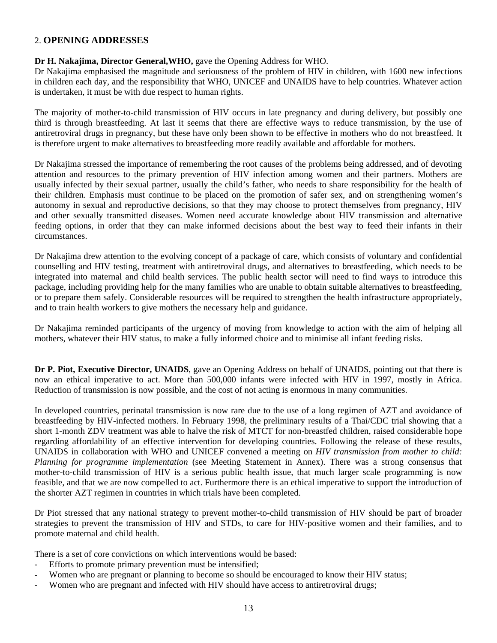#### 2. **OPENING ADDRESSES**

#### **Dr H. Nakajima, Director General,WHO,** gave the Opening Address for WHO.

Dr Nakajima emphasised the magnitude and seriousness of the problem of HIV in children, with 1600 new infections in children each day, and the responsibility that WHO, UNICEF and UNAIDS have to help countries. Whatever action is undertaken, it must be with due respect to human rights.

The majority of mother-to-child transmission of HIV occurs in late pregnancy and during delivery, but possibly one third is through breastfeeding. At last it seems that there are effective ways to reduce transmission, by the use of antiretroviral drugs in pregnancy, but these have only been shown to be effective in mothers who do not breastfeed. It is therefore urgent to make alternatives to breastfeeding more readily available and affordable for mothers.

Dr Nakajima stressed the importance of remembering the root causes of the problems being addressed, and of devoting attention and resources to the primary prevention of HIV infection among women and their partners. Mothers are usually infected by their sexual partner, usually the child's father, who needs to share responsibility for the health of their children. Emphasis must continue to be placed on the promotion of safer sex, and on strengthening women's autonomy in sexual and reproductive decisions, so that they may choose to protect themselves from pregnancy, HIV and other sexually transmitted diseases. Women need accurate knowledge about HIV transmission and alternative feeding options, in order that they can make informed decisions about the best way to feed their infants in their circumstances.

Dr Nakajima drew attention to the evolving concept of a package of care, which consists of voluntary and confidential counselling and HIV testing, treatment with antiretroviral drugs, and alternatives to breastfeeding, which needs to be integrated into maternal and child health services. The public health sector will need to find ways to introduce this package, including providing help for the many families who are unable to obtain suitable alternatives to breastfeeding, or to prepare them safely. Considerable resources will be required to strengthen the health infrastructure appropriately, and to train health workers to give mothers the necessary help and guidance.

Dr Nakajima reminded participants of the urgency of moving from knowledge to action with the aim of helping all mothers, whatever their HIV status, to make a fully informed choice and to minimise all infant feeding risks.

**Dr P. Piot, Executive Director, UNAIDS**, gave an Opening Address on behalf of UNAIDS, pointing out that there is now an ethical imperative to act. More than 500,000 infants were infected with HIV in 1997, mostly in Africa. Reduction of transmission is now possible, and the cost of not acting is enormous in many communities.

In developed countries, perinatal transmission is now rare due to the use of a long regimen of AZT and avoidance of breastfeeding by HIV-infected mothers. In February 1998, the preliminary results of a Thai/CDC trial showing that a short 1-month ZDV treatment was able to halve the risk of MTCT for non-breastfed children, raised considerable hope regarding affordability of an effective intervention for developing countries. Following the release of these results, UNAIDS in collaboration with WHO and UNICEF convened a meeting on *HIV transmission from mother to child: Planning for programme implementation* (see Meeting Statement in Annex). There was a strong consensus that mother-to-child transmission of HIV is a serious public health issue, that much larger scale programming is now feasible, and that we are now compelled to act. Furthermore there is an ethical imperative to support the introduction of the shorter AZT regimen in countries in which trials have been completed.

Dr Piot stressed that any national strategy to prevent mother-to-child transmission of HIV should be part of broader strategies to prevent the transmission of HIV and STDs, to care for HIV-positive women and their families, and to promote maternal and child health.

There is a set of core convictions on which interventions would be based:

- Efforts to promote primary prevention must be intensified;
- Women who are pregnant or planning to become so should be encouraged to know their HIV status;
- Women who are pregnant and infected with HIV should have access to antiretroviral drugs;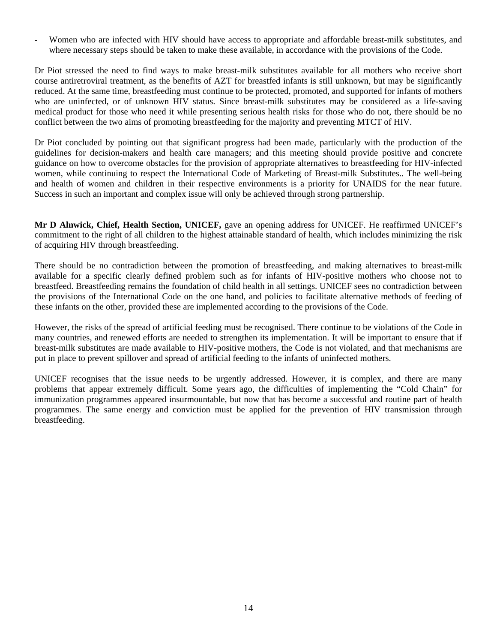- Women who are infected with HIV should have access to appropriate and affordable breast-milk substitutes, and where necessary steps should be taken to make these available, in accordance with the provisions of the Code.

Dr Piot stressed the need to find ways to make breast-milk substitutes available for all mothers who receive short course antiretroviral treatment, as the benefits of AZT for breastfed infants is still unknown, but may be significantly reduced. At the same time, breastfeeding must continue to be protected, promoted, and supported for infants of mothers who are uninfected, or of unknown HIV status. Since breast-milk substitutes may be considered as a life-saving medical product for those who need it while presenting serious health risks for those who do not, there should be no conflict between the two aims of promoting breastfeeding for the majority and preventing MTCT of HIV.

Dr Piot concluded by pointing out that significant progress had been made, particularly with the production of the guidelines for decision-makers and health care managers; and this meeting should provide positive and concrete guidance on how to overcome obstacles for the provision of appropriate alternatives to breastfeeding for HIV-infected women, while continuing to respect the International Code of Marketing of Breast-milk Substitutes.. The well-being and health of women and children in their respective environments is a priority for UNAIDS for the near future. Success in such an important and complex issue will only be achieved through strong partnership.

**Mr D Alnwick, Chief, Health Section, UNICEF,** gave an opening address for UNICEF. He reaffirmed UNICEF's commitment to the right of all children to the highest attainable standard of health, which includes minimizing the risk of acquiring HIV through breastfeeding.

There should be no contradiction between the promotion of breastfeeding, and making alternatives to breast-milk available for a specific clearly defined problem such as for infants of HIV-positive mothers who choose not to breastfeed. Breastfeeding remains the foundation of child health in all settings. UNICEF sees no contradiction between the provisions of the International Code on the one hand, and policies to facilitate alternative methods of feeding of these infants on the other, provided these are implemented according to the provisions of the Code.

However, the risks of the spread of artificial feeding must be recognised. There continue to be violations of the Code in many countries, and renewed efforts are needed to strengthen its implementation. It will be important to ensure that if breast-milk substitutes are made available to HIV-positive mothers, the Code is not violated, and that mechanisms are put in place to prevent spillover and spread of artificial feeding to the infants of uninfected mothers.

UNICEF recognises that the issue needs to be urgently addressed. However, it is complex, and there are many problems that appear extremely difficult. Some years ago, the difficulties of implementing the "Cold Chain" for immunization programmes appeared insurmountable, but now that has become a successful and routine part of health programmes. The same energy and conviction must be applied for the prevention of HIV transmission through breastfeeding.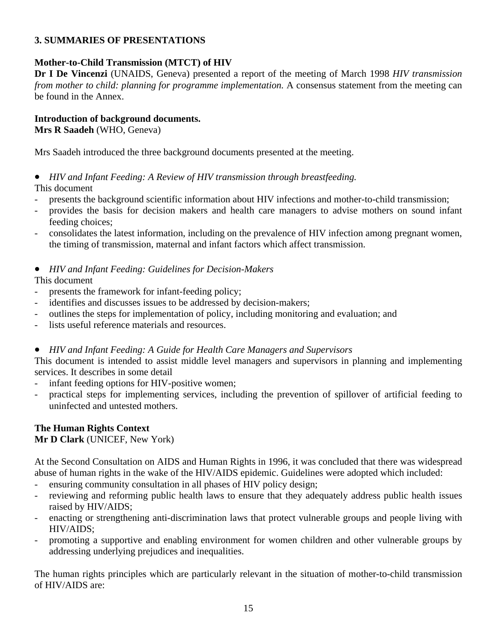# **3. SUMMARIES OF PRESENTATIONS**

# **Mother-to-Child Transmission (MTCT) of HIV**

**Dr I De Vincenzi** (UNAIDS, Geneva) presented a report of the meeting of March 1998 *HIV transmission from mother to child: planning for programme implementation.* A consensus statement from the meeting can be found in the Annex.

**Introduction of background documents. Mrs R Saadeh** (WHO, Geneva)

Mrs Saadeh introduced the three background documents presented at the meeting.

# • *HIV and Infant Feeding: A Review of HIV transmission through breastfeeding.*

This document

- presents the background scientific information about HIV infections and mother-to-child transmission;
- provides the basis for decision makers and health care managers to advise mothers on sound infant feeding choices;
- consolidates the latest information, including on the prevalence of HIV infection among pregnant women, the timing of transmission, maternal and infant factors which affect transmission.

#### • *HIV and Infant Feeding: Guidelines for Decision-Makers* This document

- 
- presents the framework for infant-feeding policy;
- identifies and discusses issues to be addressed by decision-makers;
- outlines the steps for implementation of policy, including monitoring and evaluation; and
- lists useful reference materials and resources.

# • *HIV and Infant Feeding: A Guide for Health Care Managers and Supervisors*

This document is intended to assist middle level managers and supervisors in planning and implementing services. It describes in some detail

- infant feeding options for HIV-positive women;
- practical steps for implementing services, including the prevention of spillover of artificial feeding to uninfected and untested mothers.

# **The Human Rights Context**

**Mr D Clark** (UNICEF, New York)

At the Second Consultation on AIDS and Human Rights in 1996, it was concluded that there was widespread abuse of human rights in the wake of the HIV/AIDS epidemic. Guidelines were adopted which included:

- ensuring community consultation in all phases of HIV policy design;
- reviewing and reforming public health laws to ensure that they adequately address public health issues raised by HIV/AIDS;
- enacting or strengthening anti-discrimination laws that protect vulnerable groups and people living with HIV/AIDS;
- promoting a supportive and enabling environment for women children and other vulnerable groups by addressing underlying prejudices and inequalities.

The human rights principles which are particularly relevant in the situation of mother-to-child transmission of HIV/AIDS are: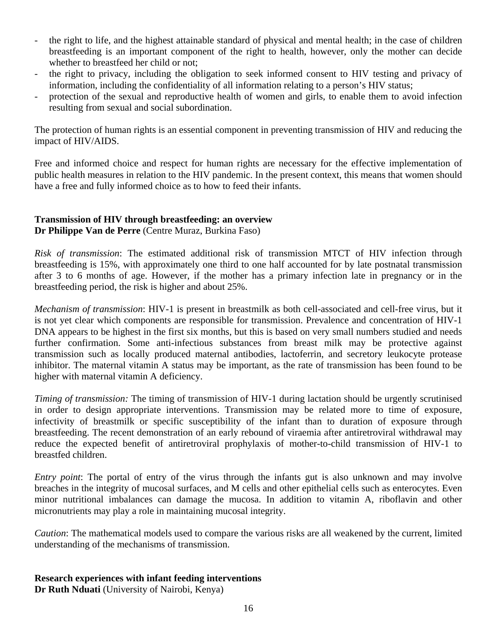- the right to life, and the highest attainable standard of physical and mental health; in the case of children breastfeeding is an important component of the right to health, however, only the mother can decide whether to breastfeed her child or not;
- the right to privacy, including the obligation to seek informed consent to HIV testing and privacy of information, including the confidentiality of all information relating to a person's HIV status;
- protection of the sexual and reproductive health of women and girls, to enable them to avoid infection resulting from sexual and social subordination.

The protection of human rights is an essential component in preventing transmission of HIV and reducing the impact of HIV/AIDS.

Free and informed choice and respect for human rights are necessary for the effective implementation of public health measures in relation to the HIV pandemic. In the present context, this means that women should have a free and fully informed choice as to how to feed their infants.

# **Transmission of HIV through breastfeeding: an overview**

**Dr Philippe Van de Perre** (Centre Muraz, Burkina Faso)

*Risk of transmission*: The estimated additional risk of transmission MTCT of HIV infection through breastfeeding is 15%, with approximately one third to one half accounted for by late postnatal transmission after 3 to 6 months of age. However, if the mother has a primary infection late in pregnancy or in the breastfeeding period, the risk is higher and about 25%.

*Mechanism of transmission*: HIV-1 is present in breastmilk as both cell-associated and cell-free virus, but it is not yet clear which components are responsible for transmission. Prevalence and concentration of HIV-1 DNA appears to be highest in the first six months, but this is based on very small numbers studied and needs further confirmation. Some anti-infectious substances from breast milk may be protective against transmission such as locally produced maternal antibodies, lactoferrin, and secretory leukocyte protease inhibitor. The maternal vitamin A status may be important, as the rate of transmission has been found to be higher with maternal vitamin A deficiency.

*Timing of transmission:* The timing of transmission of HIV-1 during lactation should be urgently scrutinised in order to design appropriate interventions. Transmission may be related more to time of exposure, infectivity of breastmilk or specific susceptibility of the infant than to duration of exposure through breastfeeding. The recent demonstration of an early rebound of viraemia after antiretroviral withdrawal may reduce the expected benefit of antiretroviral prophylaxis of mother-to-child transmission of HIV-1 to breastfed children.

*Entry point*: The portal of entry of the virus through the infants gut is also unknown and may involve breaches in the integrity of mucosal surfaces, and M cells and other epithelial cells such as enterocytes. Even minor nutritional imbalances can damage the mucosa. In addition to vitamin A, riboflavin and other micronutrients may play a role in maintaining mucosal integrity.

*Caution*: The mathematical models used to compare the various risks are all weakened by the current, limited understanding of the mechanisms of transmission.

#### **Research experiences with infant feeding interventions Dr Ruth Nduati** (University of Nairobi, Kenya)

16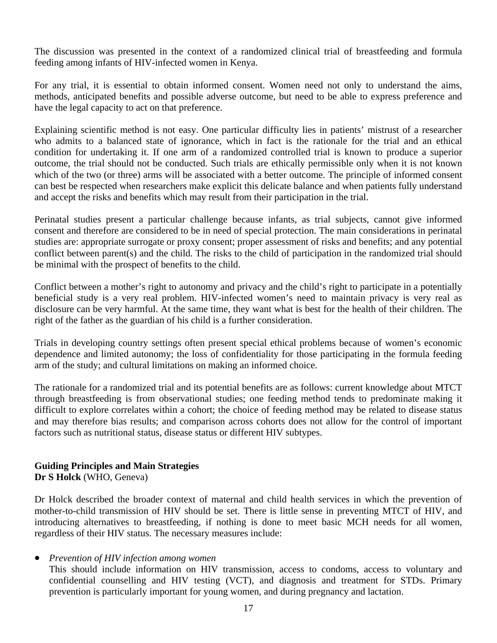The discussion was presented in the context of a randomized clinical trial of breastfeeding and formula feeding among infants of HIV-infected women in Kenya.

For any trial, it is essential to obtain informed consent. Women need not only to understand the aims, methods, anticipated benefits and possible adverse outcome, but need to be able to express preference and have the legal capacity to act on that preference.

Explaining scientific method is not easy. One particular difficulty lies in patients' mistrust of a researcher who admits to a balanced state of ignorance*,* which in fact is the rationale for the trial and an ethical condition for undertaking it. If one arm of a randomized controlled trial is known to produce a superior outcome, the trial should not be conducted. Such trials are ethically permissible only when it is not known which of the two (or three) arms will be associated with a better outcome. The principle of informed consent can best be respected when researchers make explicit this delicate balance and when patients fully understand and accept the risks and benefits which may result from their participation in the trial.

Perinatal studies present a particular challenge because infants, as trial subjects, cannot give informed consent and therefore are considered to be in need of special protection. The main considerations in perinatal studies are: appropriate surrogate or proxy consent; proper assessment of risks and benefits; and any potential conflict between parent(s) and the child. The risks to the child of participation in the randomized trial should be minimal with the prospect of benefits to the child.

Conflict between a mother's right to autonomy and privacy and the child's right to participate in a potentially beneficial study is a very real problem. HIV-infected women's need to maintain privacy is very real as disclosure can be very harmful. At the same time, they want what is best for the health of their children. The right of the father as the guardian of his child is a further consideration.

Trials in developing country settings often present special ethical problems because of women's economic dependence and limited autonomy; the loss of confidentiality for those participating in the formula feeding arm of the study; and cultural limitations on making an informed choice.

The rationale for a randomized trial and its potential benefits are as follows: current knowledge about MTCT through breastfeeding is from observational studies; one feeding method tends to predominate making it difficult to explore correlates within a cohort; the choice of feeding method may be related to disease status and may therefore bias results; and comparison across cohorts does not allow for the control of important factors such as nutritional status, disease status or different HIV subtypes.

# **Guiding Principles and Main Strategies**

**Dr S Holck** (WHO, Geneva)

Dr Holck described the broader context of maternal and child health services in which the prevention of mother-to-child transmission of HIV should be set. There is little sense in preventing MTCT of HIV, and introducing alternatives to breastfeeding, if nothing is done to meet basic MCH needs for all women, regardless of their HIV status. The necessary measures include:

• *Prevention of HIV infection among women*

This should include information on HIV transmission, access to condoms, access to voluntary and confidential counselling and HIV testing (VCT), and diagnosis and treatment for STDs. Primary prevention is particularly important for young women, and during pregnancy and lactation.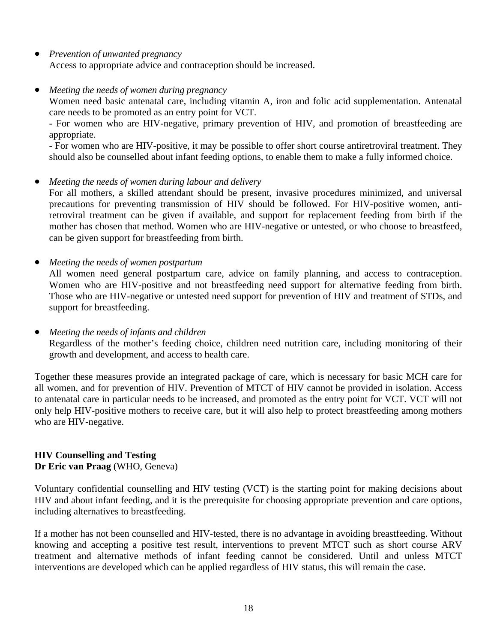- *Prevention of unwanted pregnancy*  Access to appropriate advice and contraception should be increased.
- *Meeting the needs of women during pregnancy*

Women need basic antenatal care, including vitamin A, iron and folic acid supplementation. Antenatal care needs to be promoted as an entry point for VCT.

- For women who are HIV-negative, primary prevention of HIV, and promotion of breastfeeding are appropriate.

- For women who are HIV-positive, it may be possible to offer short course antiretroviral treatment. They should also be counselled about infant feeding options, to enable them to make a fully informed choice.

• *Meeting the needs of women during labour and delivery* 

For all mothers, a skilled attendant should be present, invasive procedures minimized, and universal precautions for preventing transmission of HIV should be followed. For HIV-positive women, antiretroviral treatment can be given if available, and support for replacement feeding from birth if the mother has chosen that method. Women who are HIV-negative or untested, or who choose to breastfeed, can be given support for breastfeeding from birth.

• *Meeting the needs of women postpartum* 

All women need general postpartum care, advice on family planning, and access to contraception. Women who are HIV-positive and not breastfeeding need support for alternative feeding from birth. Those who are HIV-negative or untested need support for prevention of HIV and treatment of STDs, and support for breastfeeding.

• *Meeting the needs of infants and children* 

Regardless of the mother's feeding choice, children need nutrition care, including monitoring of their growth and development, and access to health care.

Together these measures provide an integrated package of care, which is necessary for basic MCH care for all women, and for prevention of HIV. Prevention of MTCT of HIV cannot be provided in isolation. Access to antenatal care in particular needs to be increased, and promoted as the entry point for VCT. VCT will not only help HIV-positive mothers to receive care, but it will also help to protect breastfeeding among mothers who are HIV-negative.

### **HIV Counselling and Testing Dr Eric van Praag** (WHO, Geneva)

Voluntary confidential counselling and HIV testing (VCT) is the starting point for making decisions about HIV and about infant feeding, and it is the prerequisite for choosing appropriate prevention and care options, including alternatives to breastfeeding.

If a mother has not been counselled and HIV-tested, there is no advantage in avoiding breastfeeding. Without knowing and accepting a positive test result, interventions to prevent MTCT such as short course ARV treatment and alternative methods of infant feeding cannot be considered. Until and unless MTCT interventions are developed which can be applied regardless of HIV status, this will remain the case.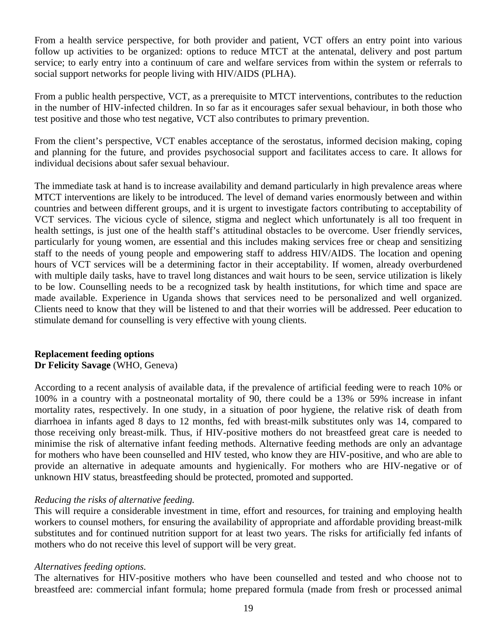From a health service perspective, for both provider and patient, VCT offers an entry point into various follow up activities to be organized: options to reduce MTCT at the antenatal, delivery and post partum service; to early entry into a continuum of care and welfare services from within the system or referrals to social support networks for people living with HIV/AIDS (PLHA).

From a public health perspective, VCT, as a prerequisite to MTCT interventions, contributes to the reduction in the number of HIV-infected children. In so far as it encourages safer sexual behaviour, in both those who test positive and those who test negative, VCT also contributes to primary prevention.

From the client's perspective, VCT enables acceptance of the serostatus, informed decision making, coping and planning for the future, and provides psychosocial support and facilitates access to care. It allows for individual decisions about safer sexual behaviour.

The immediate task at hand is to increase availability and demand particularly in high prevalence areas where MTCT interventions are likely to be introduced. The level of demand varies enormously between and within countries and between different groups, and it is urgent to investigate factors contributing to acceptability of VCT services. The vicious cycle of silence, stigma and neglect which unfortunately is all too frequent in health settings, is just one of the health staff's attitudinal obstacles to be overcome. User friendly services, particularly for young women, are essential and this includes making services free or cheap and sensitizing staff to the needs of young people and empowering staff to address HIV/AIDS. The location and opening hours of VCT services will be a determining factor in their acceptability. If women, already overburdened with multiple daily tasks, have to travel long distances and wait hours to be seen, service utilization is likely to be low. Counselling needs to be a recognized task by health institutions, for which time and space are made available. Experience in Uganda shows that services need to be personalized and well organized. Clients need to know that they will be listened to and that their worries will be addressed. Peer education to stimulate demand for counselling is very effective with young clients.

#### **Replacement feeding options Dr Felicity Savage** (WHO, Geneva)

According to a recent analysis of available data, if the prevalence of artificial feeding were to reach 10% or 100% in a country with a postneonatal mortality of 90, there could be a 13% or 59% increase in infant mortality rates, respectively. In one study, in a situation of poor hygiene, the relative risk of death from diarrhoea in infants aged 8 days to 12 months, fed with breast-milk substitutes only was 14, compared to those receiving only breast-milk. Thus, if HIV-positive mothers do not breastfeed great care is needed to minimise the risk of alternative infant feeding methods. Alternative feeding methods are only an advantage for mothers who have been counselled and HIV tested, who know they are HIV-positive, and who are able to provide an alternative in adequate amounts and hygienically. For mothers who are HIV-negative or of unknown HIV status, breastfeeding should be protected, promoted and supported.

#### *Reducing the risks of alternative feeding.*

This will require a considerable investment in time, effort and resources, for training and employing health workers to counsel mothers, for ensuring the availability of appropriate and affordable providing breast-milk substitutes and for continued nutrition support for at least two years. The risks for artificially fed infants of mothers who do not receive this level of support will be very great.

#### *Alternatives feeding options.*

The alternatives for HIV-positive mothers who have been counselled and tested and who choose not to breastfeed are: commercial infant formula; home prepared formula (made from fresh or processed animal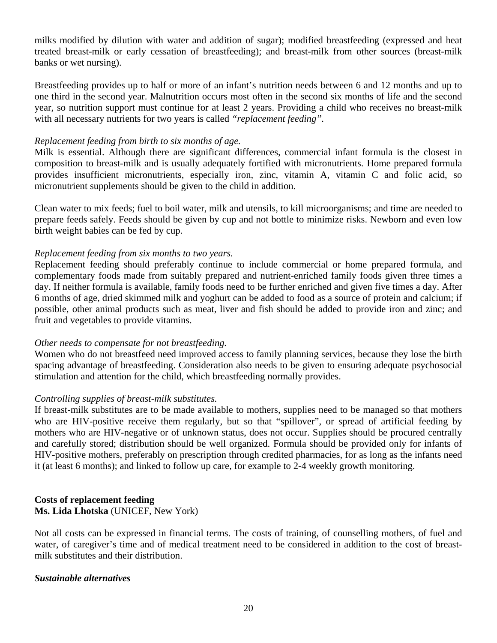milks modified by dilution with water and addition of sugar); modified breastfeeding (expressed and heat treated breast-milk or early cessation of breastfeeding); and breast-milk from other sources (breast-milk banks or wet nursing).

Breastfeeding provides up to half or more of an infant's nutrition needs between 6 and 12 months and up to one third in the second year. Malnutrition occurs most often in the second six months of life and the second year, so nutrition support must continue for at least 2 years. Providing a child who receives no breast-milk with all necessary nutrients for two years is called *"replacement feeding".*

#### *Replacement feeding from birth to six months of age.*

Milk is essential. Although there are significant differences, commercial infant formula is the closest in composition to breast-milk and is usually adequately fortified with micronutrients. Home prepared formula provides insufficient micronutrients, especially iron, zinc, vitamin A, vitamin C and folic acid, so micronutrient supplements should be given to the child in addition.

Clean water to mix feeds; fuel to boil water, milk and utensils, to kill microorganisms; and time are needed to prepare feeds safely. Feeds should be given by cup and not bottle to minimize risks. Newborn and even low birth weight babies can be fed by cup.

### *Replacement feeding from six months to two years.*

Replacement feeding should preferably continue to include commercial or home prepared formula, and complementary foods made from suitably prepared and nutrient-enriched family foods given three times a day. If neither formula is available, family foods need to be further enriched and given five times a day. After 6 months of age, dried skimmed milk and yoghurt can be added to food as a source of protein and calcium; if possible, other animal products such as meat, liver and fish should be added to provide iron and zinc; and fruit and vegetables to provide vitamins.

# *Other needs to compensate for not breastfeeding.*

Women who do not breastfeed need improved access to family planning services, because they lose the birth spacing advantage of breastfeeding. Consideration also needs to be given to ensuring adequate psychosocial stimulation and attention for the child, which breastfeeding normally provides.

#### *Controlling supplies of breast-milk substitutes.*

If breast-milk substitutes are to be made available to mothers, supplies need to be managed so that mothers who are HIV-positive receive them regularly, but so that "spillover", or spread of artificial feeding by mothers who are HIV-negative or of unknown status, does not occur. Supplies should be procured centrally and carefully stored; distribution should be well organized. Formula should be provided only for infants of HIV-positive mothers, preferably on prescription through credited pharmacies, for as long as the infants need it (at least 6 months); and linked to follow up care, for example to 2-4 weekly growth monitoring.

#### **Costs of replacement feeding Ms. Lida Lhotska** (UNICEF, New York)

Not all costs can be expressed in financial terms. The costs of training, of counselling mothers, of fuel and water, of caregiver's time and of medical treatment need to be considered in addition to the cost of breastmilk substitutes and their distribution.

#### *Sustainable alternatives*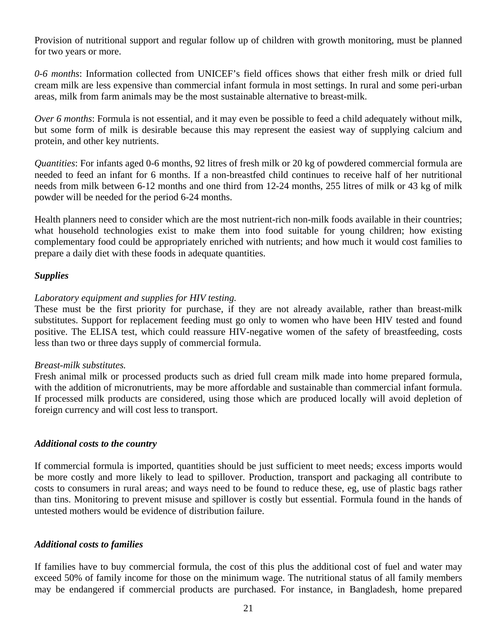Provision of nutritional support and regular follow up of children with growth monitoring, must be planned for two years or more.

*0-6 months*: Information collected from UNICEF's field offices shows that either fresh milk or dried full cream milk are less expensive than commercial infant formula in most settings. In rural and some peri-urban areas, milk from farm animals may be the most sustainable alternative to breast-milk.

*Over 6 months*: Formula is not essential, and it may even be possible to feed a child adequately without milk, but some form of milk is desirable because this may represent the easiest way of supplying calcium and protein, and other key nutrients.

*Quantities*: For infants aged 0-6 months, 92 litres of fresh milk or 20 kg of powdered commercial formula are needed to feed an infant for 6 months. If a non-breastfed child continues to receive half of her nutritional needs from milk between 6-12 months and one third from 12-24 months, 255 litres of milk or 43 kg of milk powder will be needed for the period 6-24 months.

Health planners need to consider which are the most nutrient-rich non-milk foods available in their countries; what household technologies exist to make them into food suitable for young children; how existing complementary food could be appropriately enriched with nutrients; and how much it would cost families to prepare a daily diet with these foods in adequate quantities.

### *Supplies*

### *Laboratory equipment and supplies for HIV testing.*

These must be the first priority for purchase, if they are not already available, rather than breast-milk substitutes. Support for replacement feeding must go only to women who have been HIV tested and found positive. The ELISA test, which could reassure HIV-negative women of the safety of breastfeeding, costs less than two or three days supply of commercial formula.

#### *Breast-milk substitutes.*

Fresh animal milk or processed products such as dried full cream milk made into home prepared formula, with the addition of micronutrients, may be more affordable and sustainable than commercial infant formula. If processed milk products are considered, using those which are produced locally will avoid depletion of foreign currency and will cost less to transport.

#### *Additional costs to the country*

If commercial formula is imported, quantities should be just sufficient to meet needs; excess imports would be more costly and more likely to lead to spillover. Production, transport and packaging all contribute to costs to consumers in rural areas; and ways need to be found to reduce these, eg, use of plastic bags rather than tins. Monitoring to prevent misuse and spillover is costly but essential. Formula found in the hands of untested mothers would be evidence of distribution failure.

#### *Additional costs to families*

If families have to buy commercial formula, the cost of this plus the additional cost of fuel and water may exceed 50% of family income for those on the minimum wage. The nutritional status of all family members may be endangered if commercial products are purchased. For instance, in Bangladesh, home prepared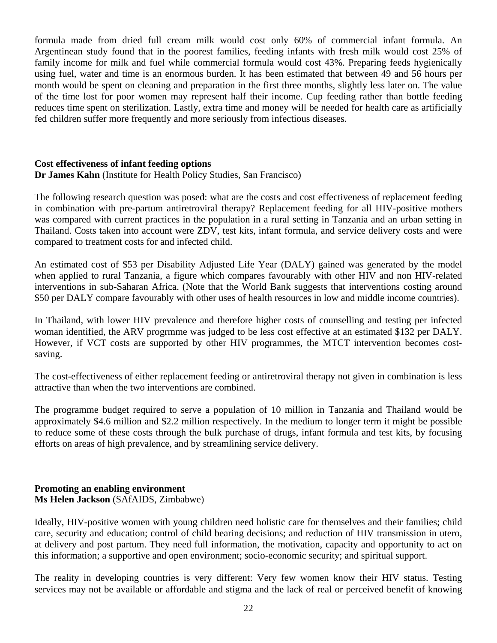formula made from dried full cream milk would cost only 60% of commercial infant formula. An Argentinean study found that in the poorest families, feeding infants with fresh milk would cost 25% of family income for milk and fuel while commercial formula would cost 43%. Preparing feeds hygienically using fuel, water and time is an enormous burden. It has been estimated that between 49 and 56 hours per month would be spent on cleaning and preparation in the first three months, slightly less later on. The value of the time lost for poor women may represent half their income. Cup feeding rather than bottle feeding reduces time spent on sterilization. Lastly*,* extra time and money will be needed for health care as artificially fed children suffer more frequently and more seriously from infectious diseases.

#### **Cost effectiveness of infant feeding options**

**Dr James Kahn** (Institute for Health Policy Studies, San Francisco)

The following research question was posed: what are the costs and cost effectiveness of replacement feeding in combination with pre-partum antiretroviral therapy? Replacement feeding for all HIV-positive mothers was compared with current practices in the population in a rural setting in Tanzania and an urban setting in Thailand. Costs taken into account were ZDV, test kits, infant formula, and service delivery costs and were compared to treatment costs for and infected child.

An estimated cost of \$53 per Disability Adjusted Life Year (DALY) gained was generated by the model when applied to rural Tanzania, a figure which compares favourably with other HIV and non HIV-related interventions in sub-Saharan Africa. (Note that the World Bank suggests that interventions costing around \$50 per DALY compare favourably with other uses of health resources in low and middle income countries).

In Thailand, with lower HIV prevalence and therefore higher costs of counselling and testing per infected woman identified, the ARV progrmme was judged to be less cost effective at an estimated \$132 per DALY. However, if VCT costs are supported by other HIV programmes, the MTCT intervention becomes costsaving.

The cost-effectiveness of either replacement feeding or antiretroviral therapy not given in combination is less attractive than when the two interventions are combined.

The programme budget required to serve a population of 10 million in Tanzania and Thailand would be approximately \$4.6 million and \$2.2 million respectively. In the medium to longer term it might be possible to reduce some of these costs through the bulk purchase of drugs, infant formula and test kits, by focusing efforts on areas of high prevalence, and by streamlining service delivery.

### **Promoting an enabling environment Ms Helen Jackson** (SAfAIDS, Zimbabwe)

Ideally, HIV-positive women with young children need holistic care for themselves and their families; child care, security and education; control of child bearing decisions; and reduction of HIV transmission in utero, at delivery and post partum. They need full information, the motivation, capacity and opportunity to act on this information; a supportive and open environment; socio-economic security; and spiritual support.

The reality in developing countries is very different: Very few women know their HIV status. Testing services may not be available or affordable and stigma and the lack of real or perceived benefit of knowing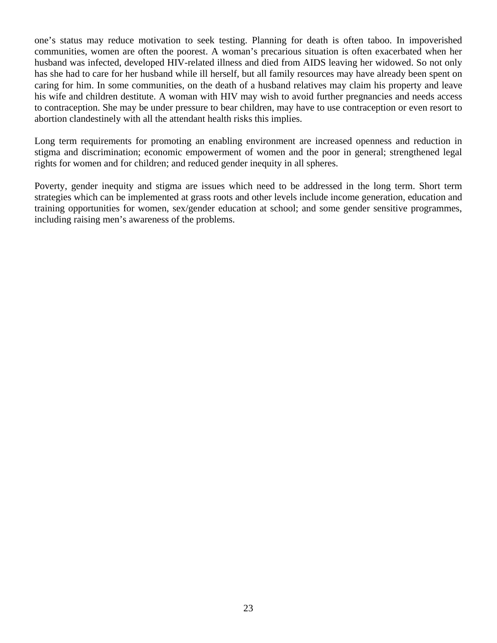one's status may reduce motivation to seek testing. Planning for death is often taboo. In impoverished communities, women are often the poorest. A woman's precarious situation is often exacerbated when her husband was infected, developed HIV-related illness and died from AIDS leaving her widowed. So not only has she had to care for her husband while ill herself, but all family resources may have already been spent on caring for him. In some communities, on the death of a husband relatives may claim his property and leave his wife and children destitute. A woman with HIV may wish to avoid further pregnancies and needs access to contraception. She may be under pressure to bear children, may have to use contraception or even resort to abortion clandestinely with all the attendant health risks this implies.

Long term requirements for promoting an enabling environment are increased openness and reduction in stigma and discrimination; economic empowerment of women and the poor in general; strengthened legal rights for women and for children; and reduced gender inequity in all spheres.

Poverty, gender inequity and stigma are issues which need to be addressed in the long term. Short term strategies which can be implemented at grass roots and other levels include income generation, education and training opportunities for women, sex/gender education at school; and some gender sensitive programmes, including raising men's awareness of the problems.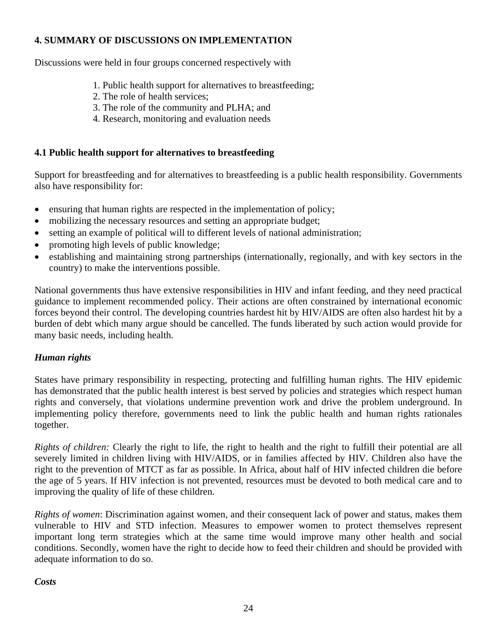# **4. SUMMARY OF DISCUSSIONS ON IMPLEMENTATION**

Discussions were held in four groups concerned respectively with

- 1. Public health support for alternatives to breastfeeding;
- 2. The role of health services;
- 3. The role of the community and PLHA; and
- 4. Research, monitoring and evaluation needs

# **4.1 Public health support for alternatives to breastfeeding**

Support for breastfeeding and for alternatives to breastfeeding is a public health responsibility. Governments also have responsibility for:

- ensuring that human rights are respected in the implementation of policy;
- mobilizing the necessary resources and setting an appropriate budget;
- setting an example of political will to different levels of national administration;
- promoting high levels of public knowledge;
- establishing and maintaining strong partnerships (internationally, regionally, and with key sectors in the country) to make the interventions possible.

National governments thus have extensive responsibilities in HIV and infant feeding, and they need practical guidance to implement recommended policy. Their actions are often constrained by international economic forces beyond their control. The developing countries hardest hit by HIV/AIDS are often also hardest hit by a burden of debt which many argue should be cancelled. The funds liberated by such action would provide for many basic needs, including health.

# *Human rights*

States have primary responsibility in respecting, protecting and fulfilling human rights. The HIV epidemic has demonstrated that the public health interest is best served by policies and strategies which respect human rights and conversely, that violations undermine prevention work and drive the problem underground. In implementing policy therefore, governments need to link the public health and human rights rationales together.

*Rights of children:* Clearly the right to life, the right to health and the right to fulfill their potential are all severely limited in children living with HIV/AIDS, or in families affected by HIV. Children also have the right to the prevention of MTCT as far as possible. In Africa, about half of HIV infected children die before the age of 5 years. If HIV infection is not prevented, resources must be devoted to both medical care and to improving the quality of life of these children.

*Rights of women*: Discrimination against women, and their consequent lack of power and status, makes them vulnerable to HIV and STD infection. Measures to empower women to protect themselves represent important long term strategies which at the same time would improve many other health and social conditions. Secondly, women have the right to decide how to feed their children and should be provided with adequate information to do so.

# *Costs*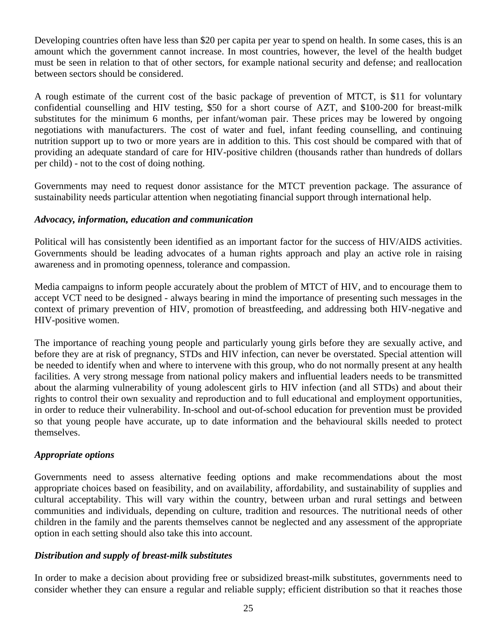Developing countries often have less than \$20 per capita per year to spend on health. In some cases, this is an amount which the government cannot increase. In most countries, however, the level of the health budget must be seen in relation to that of other sectors, for example national security and defense; and reallocation between sectors should be considered.

A rough estimate of the current cost of the basic package of prevention of MTCT, is \$11 for voluntary confidential counselling and HIV testing, \$50 for a short course of AZT, and \$100-200 for breast-milk substitutes for the minimum 6 months, per infant/woman pair. These prices may be lowered by ongoing negotiations with manufacturers. The cost of water and fuel, infant feeding counselling, and continuing nutrition support up to two or more years are in addition to this. This cost should be compared with that of providing an adequate standard of care for HIV-positive children (thousands rather than hundreds of dollars per child) - not to the cost of doing nothing.

Governments may need to request donor assistance for the MTCT prevention package. The assurance of sustainability needs particular attention when negotiating financial support through international help.

# *Advocacy, information, education and communication*

Political will has consistently been identified as an important factor for the success of HIV/AIDS activities. Governments should be leading advocates of a human rights approach and play an active role in raising awareness and in promoting openness, tolerance and compassion.

Media campaigns to inform people accurately about the problem of MTCT of HIV, and to encourage them to accept VCT need to be designed - always bearing in mind the importance of presenting such messages in the context of primary prevention of HIV, promotion of breastfeeding, and addressing both HIV-negative and HIV-positive women.

The importance of reaching young people and particularly young girls before they are sexually active, and before they are at risk of pregnancy, STDs and HIV infection, can never be overstated. Special attention will be needed to identify when and where to intervene with this group, who do not normally present at any health facilities. A very strong message from national policy makers and influential leaders needs to be transmitted about the alarming vulnerability of young adolescent girls to HIV infection (and all STDs) and about their rights to control their own sexuality and reproduction and to full educational and employment opportunities, in order to reduce their vulnerability. In-school and out-of-school education for prevention must be provided so that young people have accurate, up to date information and the behavioural skills needed to protect themselves.

# *Appropriate options*

Governments need to assess alternative feeding options and make recommendations about the most appropriate choices based on feasibility, and on availability, affordability, and sustainability of supplies and cultural acceptability. This will vary within the country, between urban and rural settings and between communities and individuals, depending on culture, tradition and resources. The nutritional needs of other children in the family and the parents themselves cannot be neglected and any assessment of the appropriate option in each setting should also take this into account.

#### *Distribution and supply of breast-milk substitutes*

In order to make a decision about providing free or subsidized breast-milk substitutes, governments need to consider whether they can ensure a regular and reliable supply; efficient distribution so that it reaches those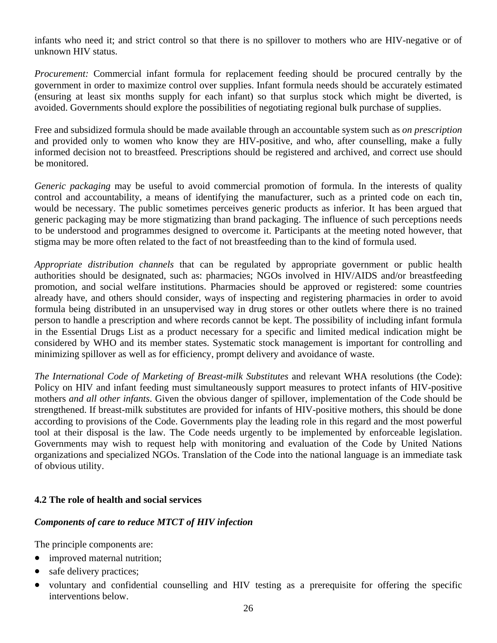infants who need it; and strict control so that there is no spillover to mothers who are HIV-negative or of unknown HIV status.

*Procurement:* Commercial infant formula for replacement feeding should be procured centrally by the government in order to maximize control over supplies. Infant formula needs should be accurately estimated (ensuring at least six months supply for each infant) so that surplus stock which might be diverted, is avoided. Governments should explore the possibilities of negotiating regional bulk purchase of supplies.

Free and subsidized formula should be made available through an accountable system such as *on prescription* and provided only to women who know they are HIV-positive, and who, after counselling, make a fully informed decision not to breastfeed. Prescriptions should be registered and archived, and correct use should be monitored.

*Generic packaging* may be useful to avoid commercial promotion of formula. In the interests of quality control and accountability, a means of identifying the manufacturer, such as a printed code on each tin, would be necessary. The public sometimes perceives generic products as inferior. It has been argued that generic packaging may be more stigmatizing than brand packaging. The influence of such perceptions needs to be understood and programmes designed to overcome it. Participants at the meeting noted however, that stigma may be more often related to the fact of not breastfeeding than to the kind of formula used.

*Appropriate distribution channels* that can be regulated by appropriate government or public health authorities should be designated, such as: pharmacies; NGOs involved in HIV/AIDS and/or breastfeeding promotion, and social welfare institutions. Pharmacies should be approved or registered: some countries already have, and others should consider, ways of inspecting and registering pharmacies in order to avoid formula being distributed in an unsupervised way in drug stores or other outlets where there is no trained person to handle a prescription and where records cannot be kept. The possibility of including infant formula in the Essential Drugs List as a product necessary for a specific and limited medical indication might be considered by WHO and its member states. Systematic stock management is important for controlling and minimizing spillover as well as for efficiency, prompt delivery and avoidance of waste.

*The International Code of Marketing of Breast-milk Substitutes* and relevant WHA resolutions (the Code): Policy on HIV and infant feeding must simultaneously support measures to protect infants of HIV-positive mothers *and all other infants*. Given the obvious danger of spillover, implementation of the Code should be strengthened. If breast-milk substitutes are provided for infants of HIV-positive mothers, this should be done according to provisions of the Code. Governments play the leading role in this regard and the most powerful tool at their disposal is the law. The Code needs urgently to be implemented by enforceable legislation. Governments may wish to request help with monitoring and evaluation of the Code by United Nations organizations and specialized NGOs. Translation of the Code into the national language is an immediate task of obvious utility.

# **4.2 The role of health and social services**

# *Components of care to reduce MTCT of HIV infection*

The principle components are:

- improved maternal nutrition;
- safe delivery practices;
- voluntary and confidential counselling and HIV testing as a prerequisite for offering the specific interventions below.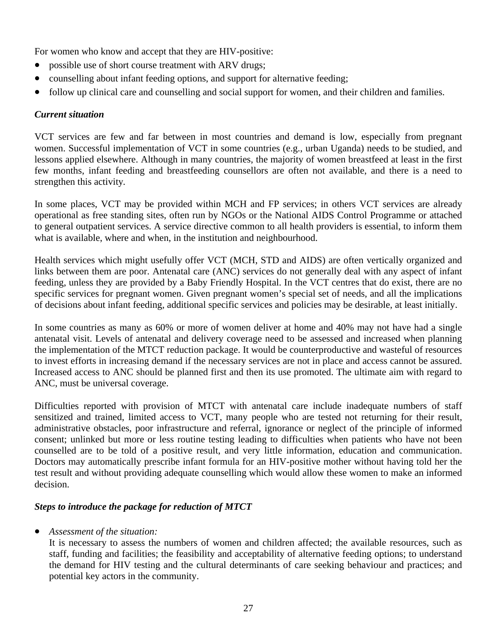For women who know and accept that they are HIV-positive:

- possible use of short course treatment with ARV drugs;
- counselling about infant feeding options, and support for alternative feeding;
- follow up clinical care and counselling and social support for women, and their children and families.

# *Current situation*

VCT services are few and far between in most countries and demand is low, especially from pregnant women. Successful implementation of VCT in some countries (e.g., urban Uganda) needs to be studied, and lessons applied elsewhere. Although in many countries, the majority of women breastfeed at least in the first few months, infant feeding and breastfeeding counsellors are often not available, and there is a need to strengthen this activity*.*

In some places, VCT may be provided within MCH and FP services; in others VCT services are already operational as free standing sites, often run by NGOs or the National AIDS Control Programme or attached to general outpatient services. A service directive common to all health providers is essential, to inform them what is available, where and when, in the institution and neighbourhood.

Health services which might usefully offer VCT (MCH, STD and AIDS) are often vertically organized and links between them are poor. Antenatal care (ANC) services do not generally deal with any aspect of infant feeding, unless they are provided by a Baby Friendly Hospital. In the VCT centres that do exist, there are no specific services for pregnant women. Given pregnant women's special set of needs, and all the implications of decisions about infant feeding, additional specific services and policies may be desirable, at least initially.

In some countries as many as 60% or more of women deliver at home and 40% may not have had a single antenatal visit. Levels of antenatal and delivery coverage need to be assessed and increased when planning the implementation of the MTCT reduction package. It would be counterproductive and wasteful of resources to invest efforts in increasing demand if the necessary services are not in place and access cannot be assured. Increased access to ANC should be planned first and then its use promoted. The ultimate aim with regard to ANC, must be universal coverage.

Difficulties reported with provision of MTCT with antenatal care include inadequate numbers of staff sensitized and trained, limited access to VCT, many people who are tested not returning for their result, administrative obstacles, poor infrastructure and referral, ignorance or neglect of the principle of informed consent; unlinked but more or less routine testing leading to difficulties when patients who have not been counselled are to be told of a positive result, and very little information, education and communication. Doctors may automatically prescribe infant formula for an HIV-positive mother without having told her the test result and without providing adequate counselling which would allow these women to make an informed decision.

# *Steps to introduce the package for reduction of MTCT*

• *Assessment of the situation:* 

It is necessary to assess the numbers of women and children affected; the available resources, such as staff, funding and facilities; the feasibility and acceptability of alternative feeding options; to understand the demand for HIV testing and the cultural determinants of care seeking behaviour and practices; and potential key actors in the community.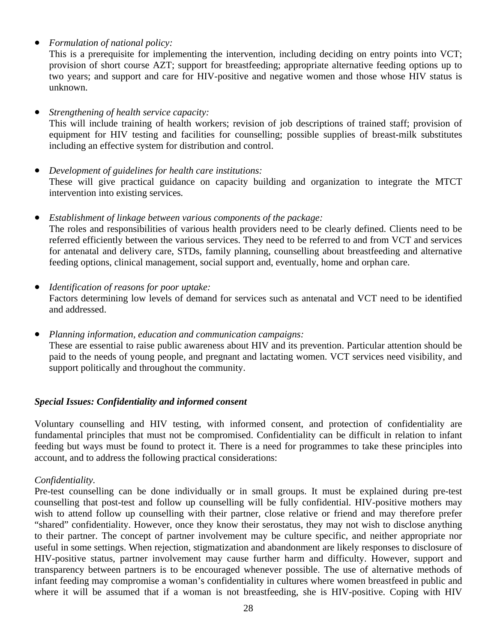• *Formulation of national policy:* 

This is a prerequisite for implementing the intervention, including deciding on entry points into VCT; provision of short course AZT; support for breastfeeding; appropriate alternative feeding options up to two years; and support and care for HIV-positive and negative women and those whose HIV status is unknown.

- *Strengthening of health service capacity:*  This will include training of health workers; revision of job descriptions of trained staff; provision of equipment for HIV testing and facilities for counselling; possible supplies of breast-milk substitutes including an effective system for distribution and control.
- *Development of guidelines for health care institutions:*  These will give practical guidance on capacity building and organization to integrate the MTCT intervention into existing services*.*
- *Establishment of linkage between various components of the package:*  The roles and responsibilities of various health providers need to be clearly defined. Clients need to be referred efficiently between the various services. They need to be referred to and from VCT and services for antenatal and delivery care, STDs, family planning, counselling about breastfeeding and alternative feeding options, clinical management, social support and, eventually, home and orphan care.
- *Identification of reasons for poor uptake:*  Factors determining low levels of demand for services such as antenatal and VCT need to be identified and addressed.
- *Planning information, education and communication campaigns:*  These are essential to raise public awareness about HIV and its prevention. Particular attention should be paid to the needs of young people, and pregnant and lactating women. VCT services need visibility, and support politically and throughout the community.

# *Special Issues: Confidentiality and informed consent*

Voluntary counselling and HIV testing, with informed consent, and protection of confidentiality are fundamental principles that must not be compromised. Confidentiality can be difficult in relation to infant feeding but ways must be found to protect it. There is a need for programmes to take these principles into account, and to address the following practical considerations:

# *Confidentiality.*

Pre-test counselling can be done individually or in small groups. It must be explained during pre-test counselling that post-test and follow up counselling will be fully confidential. HIV-positive mothers may wish to attend follow up counselling with their partner, close relative or friend and may therefore prefer "shared" confidentiality. However, once they know their serostatus, they may not wish to disclose anything to their partner. The concept of partner involvement may be culture specific, and neither appropriate nor useful in some settings. When rejection, stigmatization and abandonment are likely responses to disclosure of HIV-positive status, partner involvement may cause further harm and difficulty. However, support and transparency between partners is to be encouraged whenever possible. The use of alternative methods of infant feeding may compromise a woman's confidentiality in cultures where women breastfeed in public and where it will be assumed that if a woman is not breastfeeding, she is HIV-positive. Coping with HIV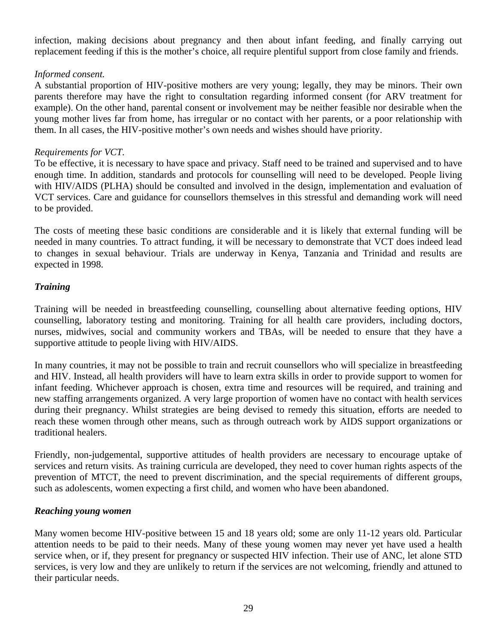infection, making decisions about pregnancy and then about infant feeding, and finally carrying out replacement feeding if this is the mother's choice, all require plentiful support from close family and friends.

### *Informed consent.*

A substantial proportion of HIV-positive mothers are very young; legally, they may be minors. Their own parents therefore may have the right to consultation regarding informed consent (for ARV treatment for example). On the other hand, parental consent or involvement may be neither feasible nor desirable when the young mother lives far from home, has irregular or no contact with her parents, or a poor relationship with them. In all cases, the HIV-positive mother's own needs and wishes should have priority.

### *Requirements for VCT*.

To be effective, it is necessary to have space and privacy. Staff need to be trained and supervised and to have enough time. In addition, standards and protocols for counselling will need to be developed. People living with HIV/AIDS (PLHA) should be consulted and involved in the design, implementation and evaluation of VCT services. Care and guidance for counsellors themselves in this stressful and demanding work will need to be provided.

The costs of meeting these basic conditions are considerable and it is likely that external funding will be needed in many countries. To attract funding, it will be necessary to demonstrate that VCT does indeed lead to changes in sexual behaviour. Trials are underway in Kenya, Tanzania and Trinidad and results are expected in 1998.

# *Training*

Training will be needed in breastfeeding counselling, counselling about alternative feeding options, HIV counselling, laboratory testing and monitoring. Training for all health care providers, including doctors, nurses, midwives, social and community workers and TBAs, will be needed to ensure that they have a supportive attitude to people living with HIV/AIDS.

In many countries, it may not be possible to train and recruit counsellors who will specialize in breastfeeding and HIV. Instead, all health providers will have to learn extra skills in order to provide support to women for infant feeding. Whichever approach is chosen, extra time and resources will be required, and training and new staffing arrangements organized. A very large proportion of women have no contact with health services during their pregnancy. Whilst strategies are being devised to remedy this situation, efforts are needed to reach these women through other means, such as through outreach work by AIDS support organizations or traditional healers.

Friendly, non-judgemental, supportive attitudes of health providers are necessary to encourage uptake of services and return visits. As training curricula are developed, they need to cover human rights aspects of the prevention of MTCT, the need to prevent discrimination, and the special requirements of different groups, such as adolescents, women expecting a first child, and women who have been abandoned.

#### *Reaching young women*

Many women become HIV-positive between 15 and 18 years old; some are only 11-12 years old. Particular attention needs to be paid to their needs. Many of these young women may never yet have used a health service when, or if, they present for pregnancy or suspected HIV infection. Their use of ANC, let alone STD services, is very low and they are unlikely to return if the services are not welcoming, friendly and attuned to their particular needs.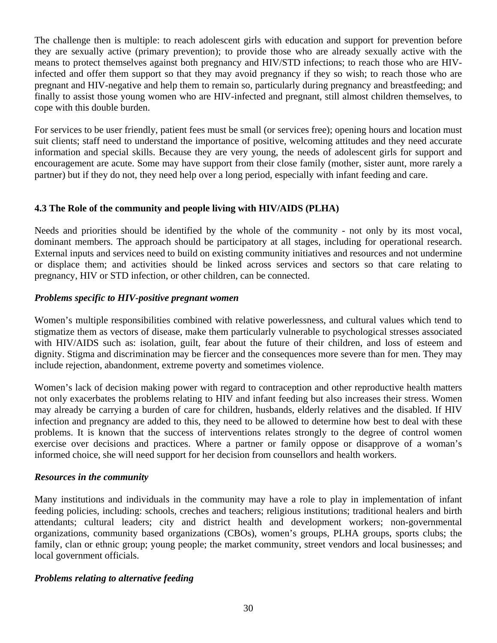The challenge then is multiple: to reach adolescent girls with education and support for prevention before they are sexually active (primary prevention); to provide those who are already sexually active with the means to protect themselves against both pregnancy and HIV/STD infections; to reach those who are HIVinfected and offer them support so that they may avoid pregnancy if they so wish; to reach those who are pregnant and HIV-negative and help them to remain so, particularly during pregnancy and breastfeeding; and finally to assist those young women who are HIV-infected and pregnant, still almost children themselves, to cope with this double burden.

For services to be user friendly, patient fees must be small (or services free); opening hours and location must suit clients; staff need to understand the importance of positive, welcoming attitudes and they need accurate information and special skills. Because they are very young, the needs of adolescent girls for support and encouragement are acute. Some may have support from their close family (mother, sister aunt, more rarely a partner) but if they do not, they need help over a long period, especially with infant feeding and care.

# **4.3 The Role of the community and people living with HIV/AIDS (PLHA)**

Needs and priorities should be identified by the whole of the community - not only by its most vocal, dominant members. The approach should be participatory at all stages, including for operational research. External inputs and services need to build on existing community initiatives and resources and not undermine or displace them; and activities should be linked across services and sectors so that care relating to pregnancy, HIV or STD infection, or other children, can be connected.

#### *Problems specific to HIV-positive pregnant women*

Women's multiple responsibilities combined with relative powerlessness, and cultural values which tend to stigmatize them as vectors of disease, make them particularly vulnerable to psychological stresses associated with HIV/AIDS such as: isolation, guilt, fear about the future of their children, and loss of esteem and dignity. Stigma and discrimination may be fiercer and the consequences more severe than for men. They may include rejection, abandonment, extreme poverty and sometimes violence.

Women's lack of decision making power with regard to contraception and other reproductive health matters not only exacerbates the problems relating to HIV and infant feeding but also increases their stress. Women may already be carrying a burden of care for children, husbands, elderly relatives and the disabled. If HIV infection and pregnancy are added to this, they need to be allowed to determine how best to deal with these problems. It is known that the success of interventions relates strongly to the degree of control women exercise over decisions and practices. Where a partner or family oppose or disapprove of a woman's informed choice, she will need support for her decision from counsellors and health workers.

#### *Resources in the community*

Many institutions and individuals in the community may have a role to play in implementation of infant feeding policies, including: schools, creches and teachers; religious institutions; traditional healers and birth attendants; cultural leaders; city and district health and development workers; non-governmental organizations, community based organizations (CBOs), women's groups, PLHA groups, sports clubs; the family, clan or ethnic group; young people; the market community, street vendors and local businesses; and local government officials.

#### *Problems relating to alternative feeding*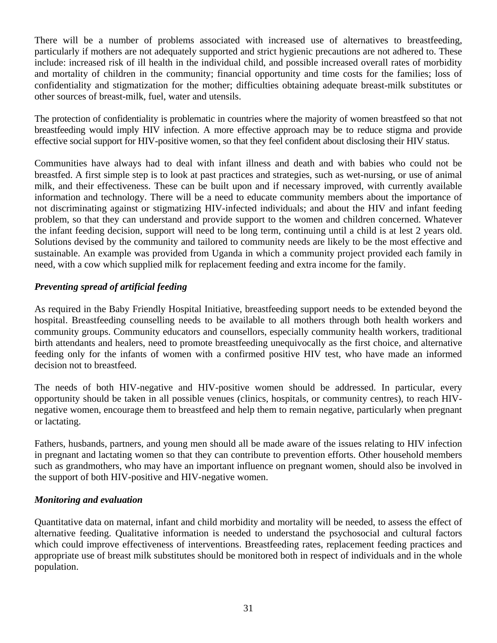There will be a number of problems associated with increased use of alternatives to breastfeeding, particularly if mothers are not adequately supported and strict hygienic precautions are not adhered to. These include: increased risk of ill health in the individual child, and possible increased overall rates of morbidity and mortality of children in the community; financial opportunity and time costs for the families; loss of confidentiality and stigmatization for the mother; difficulties obtaining adequate breast-milk substitutes or other sources of breast-milk, fuel, water and utensils.

The protection of confidentiality is problematic in countries where the majority of women breastfeed so that not breastfeeding would imply HIV infection. A more effective approach may be to reduce stigma and provide effective social support for HIV-positive women, so that they feel confident about disclosing their HIV status.

Communities have always had to deal with infant illness and death and with babies who could not be breastfed. A first simple step is to look at past practices and strategies, such as wet-nursing, or use of animal milk, and their effectiveness. These can be built upon and if necessary improved, with currently available information and technology. There will be a need to educate community members about the importance of not discriminating against or stigmatizing HIV-infected individuals; and about the HIV and infant feeding problem, so that they can understand and provide support to the women and children concerned. Whatever the infant feeding decision, support will need to be long term, continuing until a child is at lest 2 years old. Solutions devised by the community and tailored to community needs are likely to be the most effective and sustainable. An example was provided from Uganda in which a community project provided each family in need, with a cow which supplied milk for replacement feeding and extra income for the family.

# *Preventing spread of artificial feeding*

As required in the Baby Friendly Hospital Initiative, breastfeeding support needs to be extended beyond the hospital. Breastfeeding counselling needs to be available to all mothers through both health workers and community groups. Community educators and counsellors, especially community health workers, traditional birth attendants and healers, need to promote breastfeeding unequivocally as the first choice, and alternative feeding only for the infants of women with a confirmed positive HIV test, who have made an informed decision not to breastfeed.

The needs of both HIV-negative and HIV-positive women should be addressed. In particular, every opportunity should be taken in all possible venues (clinics, hospitals, or community centres), to reach HIVnegative women, encourage them to breastfeed and help them to remain negative, particularly when pregnant or lactating.

Fathers, husbands, partners, and young men should all be made aware of the issues relating to HIV infection in pregnant and lactating women so that they can contribute to prevention efforts. Other household members such as grandmothers, who may have an important influence on pregnant women, should also be involved in the support of both HIV-positive and HIV-negative women.

# *Monitoring and evaluation*

Quantitative data on maternal, infant and child morbidity and mortality will be needed, to assess the effect of alternative feeding. Qualitative information is needed to understand the psychosocial and cultural factors which could improve effectiveness of interventions. Breastfeeding rates, replacement feeding practices and appropriate use of breast milk substitutes should be monitored both in respect of individuals and in the whole population.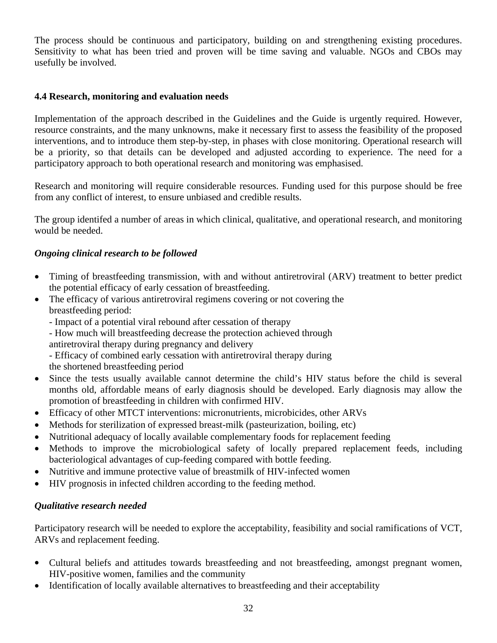The process should be continuous and participatory, building on and strengthening existing procedures. Sensitivity to what has been tried and proven will be time saving and valuable. NGOs and CBOs may usefully be involved.

### **4.4 Research, monitoring and evaluation needs**

Implementation of the approach described in the Guidelines and the Guide is urgently required. However, resource constraints, and the many unknowns, make it necessary first to assess the feasibility of the proposed interventions, and to introduce them step-by-step, in phases with close monitoring. Operational research will be a priority, so that details can be developed and adjusted according to experience. The need for a participatory approach to both operational research and monitoring was emphasised.

Research and monitoring will require considerable resources. Funding used for this purpose should be free from any conflict of interest, to ensure unbiased and credible results.

The group identifed a number of areas in which clinical, qualitative, and operational research, and monitoring would be needed.

# *Ongoing clinical research to be followed*

- Timing of breastfeeding transmission, with and without antiretroviral (ARV) treatment to better predict the potential efficacy of early cessation of breastfeeding.
- The efficacy of various antiretroviral regimens covering or not covering the breastfeeding period:
	- Impact of a potential viral rebound after cessation of therapy

- How much will breastfeeding decrease the protection achieved through antiretroviral therapy during pregnancy and delivery

- Efficacy of combined early cessation with antiretroviral therapy during the shortened breastfeeding period

- Since the tests usually available cannot determine the child's HIV status before the child is several months old, affordable means of early diagnosis should be developed. Early diagnosis may allow the promotion of breastfeeding in children with confirmed HIV.
- Efficacy of other MTCT interventions: micronutrients, microbicides, other ARVs
- Methods for sterilization of expressed breast-milk (pasteurization, boiling, etc)
- Nutritional adequacy of locally available complementary foods for replacement feeding
- Methods to improve the microbiological safety of locally prepared replacement feeds, including bacteriological advantages of cup-feeding compared with bottle feeding.
- Nutritive and immune protective value of breastmilk of HIV-infected women
- HIV prognosis in infected children according to the feeding method.

# *Qualitative research needed*

Participatory research will be needed to explore the acceptability, feasibility and social ramifications of VCT, ARVs and replacement feeding.

- Cultural beliefs and attitudes towards breastfeeding and not breastfeeding, amongst pregnant women, HIV-positive women, families and the community
- Identification of locally available alternatives to breastfeeding and their acceptability